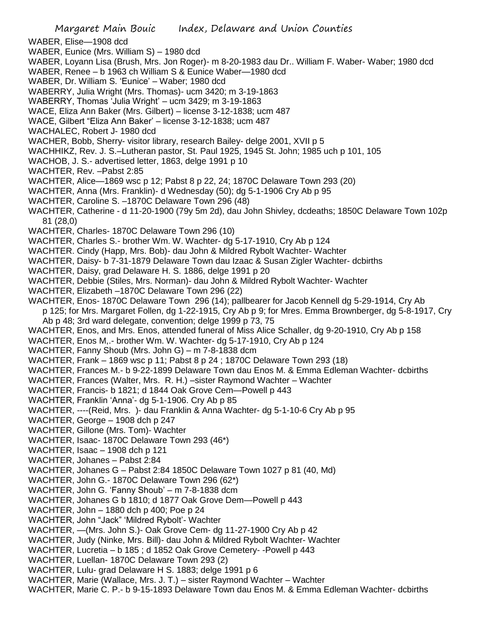Margaret Main Bouic Index, Delaware and Union Counties WABER, Elise—1908 dcd WABER, Eunice (Mrs. William S) – 1980 dcd WABER, Loyann Lisa (Brush, Mrs. Jon Roger)- m 8-20-1983 dau Dr.. William F. Waber- Waber; 1980 dcd WABER, Renee – b 1963 ch William S & Eunice Waber—1980 dcd WABER, Dr. William S. 'Eunice' – Waber; 1980 dcd WABERRY, Julia Wright (Mrs. Thomas)- ucm 3420; m 3-19-1863 WABERRY, Thomas 'Julia Wright' – ucm 3429; m 3-19-1863 WACE, Eliza Ann Baker (Mrs. Gilbert) – license 3-12-1838; ucm 487 WACE, Gilbert "Eliza Ann Baker' – license 3-12-1838; ucm 487 WACHALEC, Robert J- 1980 dcd WACHER, Bobb, Sherry- visitor library, research Bailey- delge 2001, XVII p 5 WACHHIKZ, Rev. J. S.–Lutheran pastor, St. Paul 1925, 1945 St. John; 1985 uch p 101, 105 WACHOB, J. S.- advertised letter, 1863, delge 1991 p 10 WACHTER, Rev. –Pabst 2:85 WACHTER, Alice—1869 wsc p 12; Pabst 8 p 22, 24; 1870C Delaware Town 293 (20) WACHTER, Anna (Mrs. Franklin)- d Wednesday (50); dg 5-1-1906 Cry Ab p 95 WACHTER, Caroline S. –1870C Delaware Town 296 (48) WACHTER, Catherine - d 11-20-1900 (79y 5m 2d), dau John Shivley, dcdeaths; 1850C Delaware Town 102p 81 (28,0) WACHTER, Charles- 1870C Delaware Town 296 (10) WACHTER, Charles S.- brother Wm. W. Wachter- dg 5-17-1910, Cry Ab p 124 WACHTER. Cindy (Happ, Mrs. Bob)- dau John & Mildred Rybolt Wachter- Wachter WACHTER, Daisy- b 7-31-1879 Delaware Town dau Izaac & Susan Zigler Wachter- dcbirths WACHTER, Daisy, grad Delaware H. S. 1886, delge 1991 p 20 WACHTER, Debbie (Stiles, Mrs. Norman)- dau John & Mildred Rybolt Wachter- Wachter WACHTER, Elizabeth –1870C Delaware Town 296 (22) WACHTER, Enos- 1870C Delaware Town 296 (14); pallbearer for Jacob Kennell dg 5-29-1914, Cry Ab p 125; for Mrs. Margaret Follen, dg 1-22-1915, Cry Ab p 9; for Mres. Emma Brownberger, dg 5-8-1917, Cry Ab p 48; 3rd ward delegate, convention; delge 1999 p 73, 75 WACHTER, Enos, and Mrs. Enos, attended funeral of Miss Alice Schaller, dg 9-20-1910, Cry Ab p 158 WACHTER, Enos M,.- brother Wm. W. Wachter- dg 5-17-1910, Cry Ab p 124 WACHTER, Fanny Shoub (Mrs. John G) – m 7-8-1838 dcm WACHTER, Frank – 1869 wsc p 11; Pabst 8 p 24 ; 1870C Delaware Town 293 (18) WACHTER, Frances M.- b 9-22-1899 Delaware Town dau Enos M. & Emma Edleman Wachter- dcbirths WACHTER, Frances (Walter, Mrs. R. H.) –sister Raymond Wachter – Wachter WACHTER, Francis- b 1821; d 1844 Oak Grove Cem—Powell p 443 WACHTER, Franklin 'Anna'- dg 5-1-1906. Cry Ab p 85 WACHTER, ----(Reid, Mrs. )- dau Franklin & Anna Wachter- dg 5-1-10-6 Cry Ab p 95 WACHTER, George – 1908 dch p 247 WACHTER, Gillone (Mrs. Tom)- Wachter WACHTER, Isaac- 1870C Delaware Town 293 (46\*) WACHTER, Isaac – 1908 dch p 121 WACHTER, Johanes – Pabst 2:84 WACHTER, Johanes G – Pabst 2:84 1850C Delaware Town 1027 p 81 (40, Md) WACHTER, John G.- 1870C Delaware Town 296 (62\*) WACHTER, John G. 'Fanny Shoub' – m 7-8-1838 dcm WACHTER, Johanes G b 1810; d 1877 Oak Grove Dem—Powell p 443 WACHTER, John – 1880 dch p 400; Poe p 24 WACHTER, John "Jack" 'Mildred Rybolt'- Wachter WACHTER, —(Mrs. John S.)- Oak Grove Cem- dg 11-27-1900 Cry Ab p 42 WACHTER, Judy (Ninke, Mrs. Bill)- dau John & Mildred Rybolt Wachter- Wachter WACHTER, Lucretia – b 185 ; d 1852 Oak Grove Cemetery- -Powell p 443 WACHTER, Luellan- 1870C Delaware Town 293 (2) WACHTER, Lulu- grad Delaware H S. 1883; delge 1991 p 6 WACHTER, Marie (Wallace, Mrs. J. T.) – sister Raymond Wachter – Wachter WACHTER, Marie C. P.- b 9-15-1893 Delaware Town dau Enos M. & Emma Edleman Wachter- dcbirths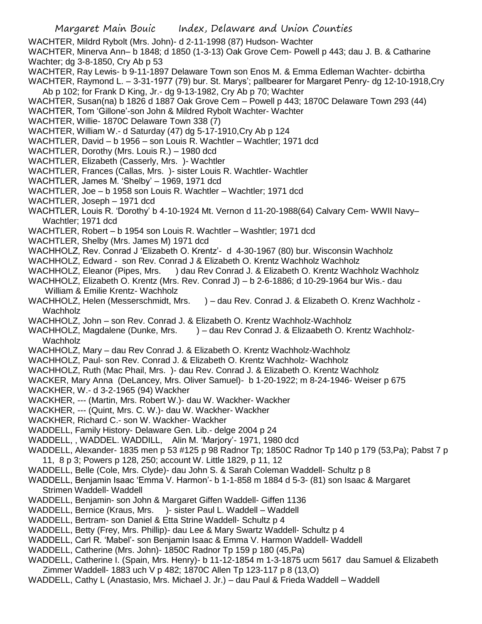- WACHTER, Mildrd Rybolt (Mrs. John)- d 2-11-1998 (87) Hudson- Wachter
- WACHTER, Minerva Ann– b 1848; d 1850 (1-3-13) Oak Grove Cem- Powell p 443; dau J. B. & Catharine Wachter; dg 3-8-1850, Cry Ab p 53
- WACHTER, Ray Lewis- b 9-11-1897 Delaware Town son Enos M. & Emma Edleman Wachter- dcbirtha WACHTER, Raymond L. – 3-31-1977 (79) bur. St. Marys'; pallbearer for Margaret Penry- dg 12-10-1918,Cry Ab p 102; for Frank D King, Jr.- dg 9-13-1982, Cry Ab p 70; Wachter
- WACHTER, Susan(na) b 1826 d 1887 Oak Grove Cem Powell p 443; 1870C Delaware Town 293 (44)
- WACHTER, Tom 'Gillone'-son John & Mildred Rybolt Wachter- Wachter
- WACHTER, Willie- 1870C Delaware Town 338 (7)
- WACHTER, William W.- d Saturday (47) dg 5-17-1910,Cry Ab p 124
- WACHTLER, David b 1956 son Louis R. Wachtler Wachtler; 1971 dcd
- WACHTLER, Dorothy (Mrs. Louis R.) 1980 dcd
- WACHTLER, Elizabeth (Casserly, Mrs. )- Wachtler
- WACHTLER, Frances (Callas, Mrs. )- sister Louis R. Wachtler- Wachtler
- WACHTLER, James M. 'Shelby' 1969, 1971 dcd
- WACHTLER, Joe b 1958 son Louis R. Wachtler Wachtler; 1971 dcd
- WACHTLER, Joseph 1971 dcd
- WACHTLER, Louis R. 'Dorothy' b 4-10-1924 Mt. Vernon d 11-20-1988(64) Calvary Cem- WWII Navy– Wachtler; 1971 dcd
- WACHTLER, Robert b 1954 son Louis R. Wachtler Washtler; 1971 dcd
- WACHTLER, Shelby (Mrs. James M) 1971 dcd
- WACHHOLZ, Rev. Conrad J 'Elizabeth O. Krentz'- d 4-30-1967 (80) bur. Wisconsin Wachholz
- WACHHOLZ, Edward son Rev. Conrad J & Elizabeth O. Krentz Wachholz Wachholz
- WACHHOLZ, Eleanor (Pipes, Mrs. ) dau Rev Conrad J. & Elizabeth O. Krentz Wachholz Wachholz
- WACHHOLZ, Elizabeth O. Krentz (Mrs. Rev. Conrad J) b 2-6-1886; d 10-29-1964 bur Wis.- dau
- William & Emilie Krentz- Wachholz
- WACHHOLZ, Helen (Messerschmidt, Mrs. ) dau Rev. Conrad J. & Elizabeth O. Krenz Wachholz -Wachholz
- WACHHOLZ, John son Rev. Conrad J. & Elizabeth O. Krentz Wachholz-Wachholz
- WACHHOLZ, Magdalene (Dunke, Mrs. ) dau Rev Conrad J. & Elizaabeth O. Krentz Wachholz-Wachholz
- WACHHOLZ, Mary dau Rev Conrad J. & Elizabeth O. Krentz Wachholz-Wachholz
- WACHHOLZ, Paul- son Rev. Conrad J. & Elizabeth O. Krentz Wachholz- Wachholz
- WACHHOLZ, Ruth (Mac Phail, Mrs. )- dau Rev. Conrad J. & Elizabeth O. Krentz Wachholz
- WACKER, Mary Anna (DeLancey, Mrs. Oliver Samuel)- b 1-20-1922; m 8-24-1946- Weiser p 675
- WACKHER, W.- d 3-2-1965 (94) Wackher
- WACKHER, --- (Martin, Mrs. Robert W.)- dau W. Wackher- Wackher
- WACKHER, --- (Quint, Mrs. C. W.)- dau W. Wackher- Wackher
- WACKHER, Richard C.- son W. Wackher- Wackher
- WADDELL, Family History- Delaware Gen. Lib.- delge 2004 p 24
- WADDELL, , WADDEL. WADDILL, Alin M. 'Marjory'- 1971, 1980 dcd
- WADDELL, Alexander- 1835 men p 53 #125 p 98 Radnor Tp; 1850C Radnor Tp 140 p 179 (53,Pa); Pabst 7 p 11, 8 p 3; Powers p 128, 250; account W. Little 1829, p 11, 12
- WADDELL, Belle (Cole, Mrs. Clyde)- dau John S. & Sarah Coleman Waddell- Schultz p 8
- WADDELL, Benjamin Isaac 'Emma V. Harmon'- b 1-1-858 m 1884 d 5-3- (81) son Isaac & Margaret Strimen Waddell- Waddell
- WADDELL, Benjamin- son John & Margaret Giffen Waddell- Giffen 1136
- WADDELL, Bernice (Kraus, Mrs. )- sister Paul L. Waddell Waddell
- WADDELL, Bertram- son Daniel & Etta Strine Waddell- Schultz p 4
- WADDELL, Betty (Frey, Mrs. Phillip)- dau Lee & Mary Swartz Waddell- Schultz p 4
- WADDELL, Carl R. 'Mabel'- son Benjamin Isaac & Emma V. Harmon Waddell- Waddell
- WADDELL, Catherine (Mrs. John)- 1850C Radnor Tp 159 p 180 (45,Pa)
- WADDELL, Catherine I. (Spain, Mrs. Henry)- b 11-12-1854 m 1-3-1875 ucm 5617 dau Samuel & Elizabeth Zimmer Waddell- 1883 uch V p 482; 1870C Allen Tp 123-117 p 8 (13,O)
- WADDELL, Cathy L (Anastasio, Mrs. Michael J. Jr.) dau Paul & Frieda Waddell Waddell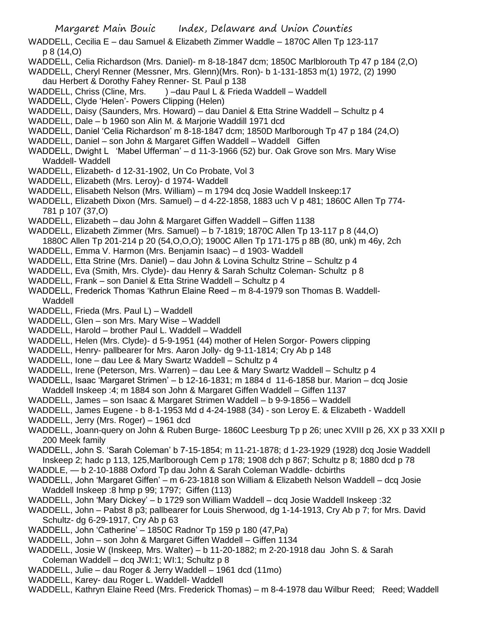- WADDELL, Cecilia E dau Samuel & Elizabeth Zimmer Waddle 1870C Allen Tp 123-117 p 8 (14,O)
- WADDELL, Celia Richardson (Mrs. Daniel)- m 8-18-1847 dcm; 1850C Marlblorouth Tp 47 p 184 (2,O)
- WADDELL, Cheryl Renner (Messner, Mrs. Glenn)(Mrs. Ron)- b 1-131-1853 m(1) 1972, (2) 1990 dau Herbert & Dorothy Fahey Renner- St. Paul p 138
- WADDELL, Chriss (Cline, Mrs. ) –dau Paul L & Frieda Waddell Waddell
- WADDELL, Clyde 'Helen'- Powers Clipping (Helen)
- WADDELL, Daisy (Saunders, Mrs. Howard) dau Daniel & Etta Strine Waddell Schultz p 4
- WADDELL, Dale b 1960 son Alin M. & Marjorie Waddill 1971 dcd
- WADDELL, Daniel 'Celia Richardson' m 8-18-1847 dcm; 1850D Marlborough Tp 47 p 184 (24,O)
- WADDELL, Daniel son John & Margaret Giffen Waddell Waddell Giffen
- WADDELL, Dwight L 'Mabel Ufferman' d 11-3-1966 (52) bur. Oak Grove son Mrs. Mary Wise Waddell- Waddell
- WADDELL, Elizabeth- d 12-31-1902, Un Co Probate, Vol 3
- WADDELL, Elizabeth (Mrs. Leroy)- d 1974- Waddell
- WADDELL, Elisabeth Nelson (Mrs. William) m 1794 dcq Josie Waddell Inskeep:17
- WADDELL, Elizabeth Dixon (Mrs. Samuel) d 4-22-1858, 1883 uch V p 481; 1860C Allen Tp 774- 781 p 107 (37,O)
- WADDELL, Elizabeth dau John & Margaret Giffen Waddell Giffen 1138
- WADDELL, Elizabeth Zimmer (Mrs. Samuel) b 7-1819; 1870C Allen Tp 13-117 p 8 (44,O)
- 1880C Allen Tp 201-214 p 20 (54,O,O,O); 1900C Allen Tp 171-175 p 8B (80, unk) m 46y, 2ch WADDELL, Emma V. Harmon (Mrs. Benjamin Isaac) – d 1903- Waddell
- 
- WADDELL, Etta Strine (Mrs. Daniel) dau John & Lovina Schultz Strine Schultz p 4
- WADDELL, Eva (Smith, Mrs. Clyde)- dau Henry & Sarah Schultz Coleman- Schultz p 8
- WADDELL, Frank son Daniel & Etta Strine Waddell Schultz p 4
- WADDELL, Frederick Thomas 'Kathrun Elaine Reed m 8-4-1979 son Thomas B. Waddell-Waddell
- WADDELL, Frieda (Mrs. Paul L) Waddell
- WADDELL, Glen son Mrs. Mary Wise Waddell
- WADDELL, Harold brother Paul L. Waddell Waddell
- WADDELL, Helen (Mrs. Clyde)- d 5-9-1951 (44) mother of Helen Sorgor- Powers clipping
- WADDELL, Henry- pallbearer for Mrs. Aaron Jolly- dg 9-11-1814; Cry Ab p 148
- WADDELL, Ione dau Lee & Mary Swartz Waddell Schultz p 4
- WADDELL, Irene (Peterson, Mrs. Warren) dau Lee & Mary Swartz Waddell Schultz p 4
- WADDELL, Isaac 'Margaret Strimen' b 12-16-1831; m 1884 d 11-6-1858 bur. Marion dcq Josie
- Waddell Inskeep :4; m 1884 son John & Margaret Giffen Waddell Giffen 1137
- WADDELL, James son Isaac & Margaret Strimen Waddell b 9-9-1856 Waddell
- WADDELL, James Eugene b 8-1-1953 Md d 4-24-1988 (34) son Leroy E. & Elizabeth Waddell
- WADDELL, Jerry (Mrs. Roger) 1961 dcd
- WADDELL, Joann-query on John & Ruben Burge- 1860C Leesburg Tp p 26; unec XVIII p 26, XX p 33 XXII p 200 Meek family
- WADDELL, John S. 'Sarah Coleman' b 7-15-1854; m 11-21-1878; d 1-23-1929 (1928) dcq Josie Waddell Inskeep 2; hadc p 113, 125,Marlborough Cem p 178; 1908 dch p 867; Schultz p 8; 1880 dcd p 78
- WADDLE, b 2-10-1888 Oxford Tp dau John & Sarah Coleman Waddle- dcbirths
- WADDELL, John 'Margaret Giffen' m 6-23-1818 son William & Elizabeth Nelson Waddell dcq Josie Waddell Inskeep :8 hmp p 99; 1797; Giffen (113)
- WADDELL, John 'Mary Dickey' b 1729 son William Waddell dcq Josie Waddell Inskeep :32
- WADDELL, John Pabst 8 p3; pallbearer for Louis Sherwood, dg 1-14-1913, Cry Ab p 7; for Mrs. David Schultz- dg 6-29-1917, Cry Ab p 63
- WADDELL, John 'Catherine' 1850C Radnor Tp 159 p 180 (47,Pa)
- WADDELL, John son John & Margaret Giffen Waddell Giffen 1134
- WADDELL, Josie W (Inskeep, Mrs. Walter) b 11-20-1882; m 2-20-1918 dau John S. & Sarah Coleman Waddell – dcq JWI:1; WI:1; Schultz p 8
- WADDELL, Julie dau Roger & Jerry Waddell 1961 dcd (11mo)
- WADDELL, Karey- dau Roger L. Waddell- Waddell
- WADDELL, Kathryn Elaine Reed (Mrs. Frederick Thomas) m 8-4-1978 dau Wilbur Reed; Reed; Waddell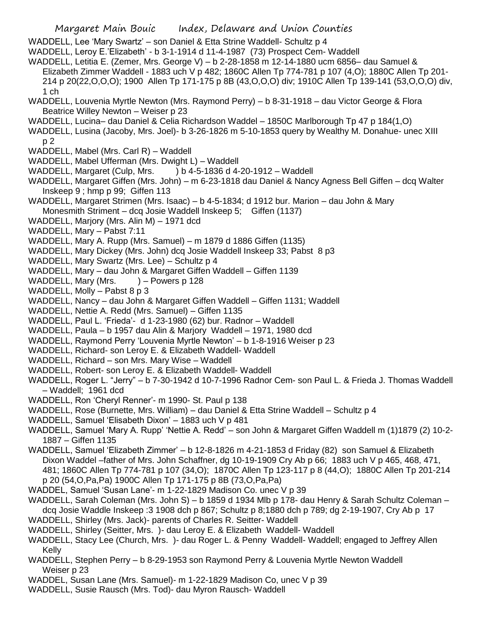WADDELL, Lee 'Mary Swartz' – son Daniel & Etta Strine Waddell- Schultz p 4

WADDELL, Leroy E.'Elizabeth' - b 3-1-1914 d 11-4-1987 (73) Prospect Cem- Waddell

WADDELL, Letitia E. (Zemer, Mrs. George V) – b 2-28-1858 m 12-14-1880 ucm 6856– dau Samuel & Elizabeth Zimmer Waddell - 1883 uch V p 482; 1860C Allen Tp 774-781 p 107 (4,O); 1880C Allen Tp 201- 214 p 20(22,O,O,O); 1900 Allen Tp 171-175 p 8B (43,O,O,O) div; 1910C Allen Tp 139-141 (53,O,O,O) div, 1 ch

- WADDELL, Louvenia Myrtle Newton (Mrs. Raymond Perry) b 8-31-1918 dau Victor George & Flora Beatrice Willey Newton – Weiser p 23
- WADDELL, Lucina– dau Daniel & Celia Richardson Waddel 1850C Marlborough Tp 47 p 184(1,O)
- WADDELL, Lusina (Jacoby, Mrs. Joel)- b 3-26-1826 m 5-10-1853 query by Wealthy M. Donahue- unec XIII p 2
- WADDELL, Mabel (Mrs. Carl R) Waddell
- WADDELL, Mabel Ufferman (Mrs. Dwight L) Waddell
- WADDELL, Margaret (Culp, Mrs.  $\longrightarrow$  ) b 4-5-1836 d 4-20-1912 Waddell
- WADDELL, Margaret Giffen (Mrs. John) m 6-23-1818 dau Daniel & Nancy Agness Bell Giffen dcq Walter Inskeep 9 ; hmp p 99; Giffen 113
- WADDELL, Margaret Strimen (Mrs. Isaac) b 4-5-1834; d 1912 bur. Marion dau John & Mary Monesmith Striment – dcq Josie Waddell Inskeep 5; Giffen (1137)
- WADDELL, Marjory (Mrs. Alin M) 1971 dcd
- WADDELL, Mary Pabst 7:11
- WADDELL, Mary A. Rupp (Mrs. Samuel) m 1879 d 1886 Giffen (1135)
- WADDELL, Mary Dickey (Mrs. John) dcq Josie Waddell Inskeep 33; Pabst 8 p3
- WADDELL, Mary Swartz (Mrs. Lee) Schultz p 4
- WADDELL, Mary dau John & Margaret Giffen Waddell Giffen 1139
- WADDELL, Mary (Mrs.  $) -$  Powers p 128
- WADDELL, Molly Pabst 8 p 3
- WADDELL, Nancy dau John & Margaret Giffen Waddell Giffen 1131; Waddell
- WADDELL, Nettie A. Redd (Mrs. Samuel) Giffen 1135
- WADDELL, Paul L. 'Frieda'- d 1-23-1980 (62) bur. Radnor Waddell
- WADDELL, Paula b 1957 dau Alin & Marjory Waddell 1971, 1980 dcd
- WADDELL, Raymond Perry 'Louvenia Myrtle Newton' b 1-8-1916 Weiser p 23
- WADDELL, Richard- son Leroy E. & Elizabeth Waddell- Waddell
- WADDELL, Richard son Mrs. Mary Wise Waddell
- WADDELL, Robert- son Leroy E. & Elizabeth Waddell- Waddell
- WADDELL, Roger L. "Jerry" b 7-30-1942 d 10-7-1996 Radnor Cem- son Paul L. & Frieda J. Thomas Waddell – Waddell; 1961 dcd
- WADDELL, Ron 'Cheryl Renner'- m 1990- St. Paul p 138
- WADDELL, Rose (Burnette, Mrs. William) dau Daniel & Etta Strine Waddell Schultz p 4
- WADDELL, Samuel 'Elisabeth Dixon' 1883 uch V p 481
- WADDELL, Samuel 'Mary A. Rupp' 'Nettie A. Redd' son John & Margaret Giffen Waddell m (1)1879 (2) 10-2- 1887 – Giffen 1135
- WADDELL, Samuel 'Elizabeth Zimmer' b 12-8-1826 m 4-21-1853 d Friday (82) son Samuel & Elizabeth Dixon Waddel –father of Mrs. John Schaffner, dg 10-19-1909 Cry Ab p 66; 1883 uch V p 465, 468, 471, 481; 1860C Allen Tp 774-781 p 107 (34,O); 1870C Allen Tp 123-117 p 8 (44,O); 1880C Allen Tp 201-214 p 20 (54,O,Pa,Pa) 1900C Allen Tp 171-175 p 8B (73,O,Pa,Pa)
- WADDEL, Samuel 'Susan Lane'- m 1-22-1829 Madison Co. unec V p 39
- WADDELL, Sarah Coleman (Mrs. John S) b 1859 d 1934 Mlb p 178- dau Henry & Sarah Schultz Coleman dcq Josie Waddle Inskeep :3 1908 dch p 867; Schultz p 8;1880 dch p 789; dg 2-19-1907, Cry Ab p 17
- WADDELL, Shirley (Mrs. Jack)- parents of Charles R. Seitter- Waddell
- WADDELL, Shirley (Seitter, Mrs. )- dau Leroy E. & Elizabeth Waddell- Waddell
- WADDELL, Stacy Lee (Church, Mrs. )- dau Roger L. & Penny Waddell- Waddell; engaged to Jeffrey Allen Kelly
- WADDELL, Stephen Perry b 8-29-1953 son Raymond Perry & Louvenia Myrtle Newton Waddell Weiser p 23
- WADDEL, Susan Lane (Mrs. Samuel)- m 1-22-1829 Madison Co, unec V p 39
- WADDELL, Susie Rausch (Mrs. Tod)- dau Myron Rausch- Waddell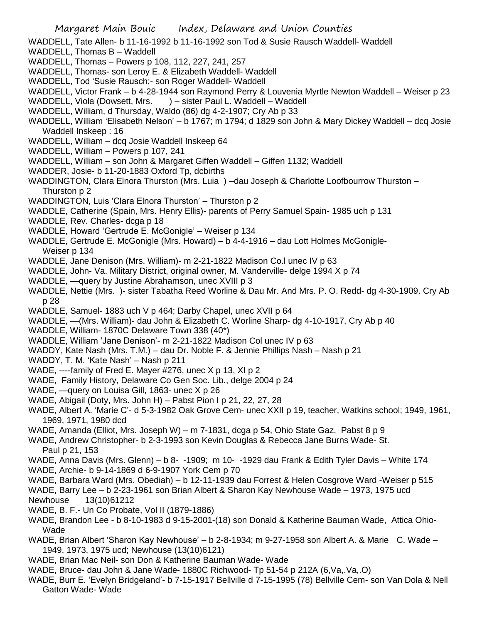WADDELL, Tate Allen- b 11-16-1992 b 11-16-1992 son Tod & Susie Rausch Waddell- Waddell

- WADDELL, Thomas B Waddell
- WADDELL, Thomas Powers p 108, 112, 227, 241, 257
- WADDELL, Thomas- son Leroy E. & Elizabeth Waddell- Waddell
- WADDELL, Tod 'Susie Rausch;- son Roger Waddell- Waddell
- WADDELL, Victor Frank b 4-28-1944 son Raymond Perry & Louvenia Myrtle Newton Waddell Weiser p 23
- WADDELL, Viola (Dowsett, Mrs. ) sister Paul L. Waddell Waddell
- WADDELL, William, d Thursday, Waldo (86) dg 4-2-1907; Cry Ab p 33
- WADDELL, William 'Elisabeth Nelson' b 1767; m 1794; d 1829 son John & Mary Dickey Waddell dcq Josie Waddell Inskeep : 16
- WADDELL, William dcq Josie Waddell Inskeep 64
- WADDELL, William Powers p 107, 241
- WADDELL, William son John & Margaret Giffen Waddell Giffen 1132; Waddell
- WADDER, Josie- b 11-20-1883 Oxford Tp, dcbirths
- WADDINGTON, Clara Elnora Thurston (Mrs. Luia) -dau Joseph & Charlotte Loofbourrow Thurston -Thurston p 2
- WADDINGTON, Luis 'Clara Elnora Thurston' Thurston p 2
- WADDLE, Catherine (Spain, Mrs. Henry Ellis)- parents of Perry Samuel Spain- 1985 uch p 131
- WADDLE, Rev. Charles- dcga p 18
- WADDLE, Howard 'Gertrude E. McGonigle' Weiser p 134
- WADDLE, Gertrude E. McGonigle (Mrs. Howard) b 4-4-1916 dau Lott Holmes McGonigle-Weiser p 134
- WADDLE, Jane Denison (Mrs. William)- m 2-21-1822 Madison Co.l unec IV p 63
- WADDLE, John- Va. Military District, original owner, M. Vanderville- delge 1994 X p 74
- WADDLE, —query by Justine Abrahamson, unec XVIII p 3
- WADDLE, Nettie (Mrs. )- sister Tabatha Reed Worline & Dau Mr. And Mrs. P. O. Redd- dg 4-30-1909. Cry Ab p 28
- WADDLE, Samuel- 1883 uch V p 464; Darby Chapel, unec XVII p 64
- WADDLE, —(Mrs. William)- dau John & Elizabeth C. Worline Sharp- dg 4-10-1917, Cry Ab p 40
- WADDLE, William- 1870C Delaware Town 338 (40\*)
- WADDLE, William 'Jane Denison'- m 2-21-1822 Madison Col unec IV p 63
- WADDY, Kate Nash (Mrs. T.M.) dau Dr. Noble F. & Jennie Phillips Nash Nash p 21
- WADDY, T. M. 'Kate Nash' Nash p 211
- WADE, ----family of Fred E. Mayer #276, unec X p 13, XI p 2
- WADE, Family History, Delaware Co Gen Soc. Lib., delge 2004 p 24
- WADE, —query on Louisa Gill, 1863- unec X p 26
- WADE, Abigail (Doty, Mrs. John H) Pabst Pion I p 21, 22, 27, 28
- WADE, Albert A. 'Marie C'- d 5-3-1982 Oak Grove Cem- unec XXII p 19, teacher, Watkins school; 1949, 1961, 1969, 1971, 1980 dcd
- WADE, Amanda (Elliot, Mrs. Joseph W) m 7-1831, dcga p 54, Ohio State Gaz. Pabst 8 p 9
- WADE, Andrew Christopher- b 2-3-1993 son Kevin Douglas & Rebecca Jane Burns Wade- St. Paul p 21, 153
- WADE, Anna Davis (Mrs. Glenn) b 8- -1909; m 10- -1929 dau Frank & Edith Tyler Davis White 174
- WADE, Archie- b 9-14-1869 d 6-9-1907 York Cem p 70
- WADE, Barbara Ward (Mrs. Obediah) b 12-11-1939 dau Forrest & Helen Cosgrove Ward -Weiser p 515

WADE, Barry Lee – b 2-23-1961 son Brian Albert & Sharon Kay Newhouse Wade – 1973, 1975 ucd

- Newhouse 13(10)61212
- WADE, B. F.- Un Co Probate, Vol II (1879-1886)
- WADE, Brandon Lee b 8-10-1983 d 9-15-2001-(18) son Donald & Katherine Bauman Wade, Attica Ohio-Wade
- WADE, Brian Albert 'Sharon Kay Newhouse' b 2-8-1934; m 9-27-1958 son Albert A. & Marie C. Wade 1949, 1973, 1975 ucd; Newhouse (13(10)6121)
- WADE, Brian Mac Neil- son Don & Katherine Bauman Wade- Wade
- WADE, Bruce- dau John & Jane Wade- 1880C Richwood- Tp 51-54 p 212A (6,Va,.Va,.O)
- WADE, Burr E. 'Evelyn Bridgeland'- b 7-15-1917 Bellville d 7-15-1995 (78) Bellville Cem- son Van Dola & Nell Gatton Wade- Wade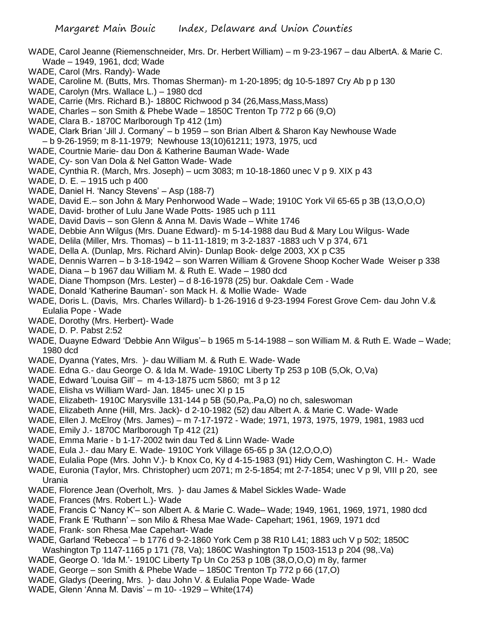- WADE, Carol Jeanne (Riemenschneider, Mrs. Dr. Herbert William) m 9-23-1967 dau AlbertA. & Marie C. Wade – 1949, 1961, dcd; Wade
- WADE, Carol (Mrs. Randy)- Wade
- WADE, Caroline M. (Butts, Mrs. Thomas Sherman)- m 1-20-1895; dg 10-5-1897 Cry Ab p p 130
- WADE, Carolyn (Mrs. Wallace L.) 1980 dcd
- WADE, Carrie (Mrs. Richard B.)- 1880C Richwood p 34 (26, Mass, Mass, Mass)
- WADE, Charles son Smith & Phebe Wade 1850C Trenton Tp 772 p 66 (9,O)
- WADE, Clara B.- 1870C Marlborough Tp 412 (1m)
- WADE, Clark Brian 'Jill J. Cormany' b 1959 son Brian Albert & Sharon Kay Newhouse Wade – b 9-26-1959; m 8-11-1979; Newhouse 13(10)61211; 1973, 1975, ucd
- WADE, Courtnie Marie- dau Don & Katherine Bauman Wade- Wade
- WADE, Cy- son Van Dola & Nel Gatton Wade- Wade
- WADE, Cynthia R. (March, Mrs. Joseph) ucm 3083; m 10-18-1860 unec V p 9. XIX p 43
- WADE, D. E. 1915 uch p 400
- WADE, Daniel H. 'Nancy Stevens' Asp (188-7)
- WADE, David E.– son John & Mary Penhorwood Wade Wade; 1910C York Vil 65-65 p 3B (13,O,O,O)
- WADE, David- brother of Lulu Jane Wade Potts- 1985 uch p 111
- WADE, David Davis son Glenn & Anna M. Davis Wade White 1746
- WADE, Debbie Ann Wilgus (Mrs. Duane Edward)- m 5-14-1988 dau Bud & Mary Lou Wilgus- Wade
- WADE, Delila (Miller, Mrs. Thomas) b 11-11-1819; m 3-2-1837 -1883 uch V p 374, 671
- WADE, Della A. (Dunlap, Mrs. Richard Alvin)- Dunlap Book- delge 2003, XX p C35
- WADE, Dennis Warren b 3-18-1942 son Warren William & Grovene Shoop Kocher Wade Weiser p 338
- WADE, Diana b 1967 dau William M. & Ruth E. Wade 1980 dcd
- WADE, Diane Thompson (Mrs. Lester) d 8-16-1978 (25) bur. Oakdale Cem Wade
- WADE, Donald 'Katherine Bauman'- son Mack H. & Mollie Wade- Wade
- WADE, Doris L. (Davis, Mrs. Charles Willard)- b 1-26-1916 d 9-23-1994 Forest Grove Cem- dau John V.& Eulalia Pope - Wade
- WADE, Dorothy (Mrs. Herbert)- Wade
- WADE, D. P. Pabst 2:52
- WADE, Duayne Edward 'Debbie Ann Wilgus'– b 1965 m 5-14-1988 son William M. & Ruth E. Wade Wade; 1980 dcd
- WADE, Dyanna (Yates, Mrs. )- dau William M. & Ruth E. Wade- Wade
- WADE. Edna G.- dau George O. & Ida M. Wade- 1910C Liberty Tp 253 p 10B (5,Ok, O,Va)
- WADE, Edward 'Louisa Gill' m 4-13-1875 ucm 5860; mt 3 p 12
- WADE, Elisha vs William Ward- Jan. 1845- unec XI p 15
- WADE, Elizabeth- 1910C Marysville 131-144 p 5B (50,Pa,.Pa,O) no ch, saleswoman
- WADE, Elizabeth Anne (Hill, Mrs. Jack)- d 2-10-1982 (52) dau Albert A. & Marie C. Wade- Wade
- WADE, Ellen J. McElroy (Mrs. James) m 7-17-1972 Wade; 1971, 1973, 1975, 1979, 1981, 1983 ucd
- WADE, Emily J.- 1870C Marlborough Tp 412 (21)
- WADE, Emma Marie b 1-17-2002 twin dau Ted & Linn Wade- Wade
- WADE, Eula J.- dau Mary E. Wade- 1910C York Village 65-65 p 3A (12,O,O,O)
- WADE, Eulalia Pope (Mrs. John V.)- b Knox Co, Ky d 4-15-1983 (91) Hidy Cem, Washington C. H.- Wade
- WADE, Euronia (Taylor, Mrs. Christopher) ucm 2071; m 2-5-1854; mt 2-7-1854; unec V p 9l, VIII p 20, see Urania
- WADE, Florence Jean (Overholt, Mrs. )- dau James & Mabel Sickles Wade- Wade
- WADE, Frances (Mrs. Robert L.)- Wade
- WADE, Francis C 'Nancy K'– son Albert A. & Marie C. Wade– Wade; 1949, 1961, 1969, 1971, 1980 dcd
- WADE, Frank E 'Ruthann' son Milo & Rhesa Mae Wade- Capehart; 1961, 1969, 1971 dcd
- WADE, Frank- son Rhesa Mae Capehart- Wade
- WADE, Garland 'Rebecca' b 1776 d 9-2-1860 York Cem p 38 R10 L41; 1883 uch V p 502; 1850C Washington Tp 1147-1165 p 171 (78, Va); 1860C Washington Tp 1503-1513 p 204 (98,.Va)
- WADE, George O. 'Ida M.'- 1910C Liberty Tp Un Co 253 p 10B (38,O,O,O) m 8y, farmer
- WADE, George son Smith & Phebe Wade 1850C Trenton Tp 772 p 66 (17,O)
- WADE, Gladys (Deering, Mrs. )- dau John V. & Eulalia Pope Wade- Wade
- WADE, Glenn 'Anna M. Davis' m 10- -1929 White(174)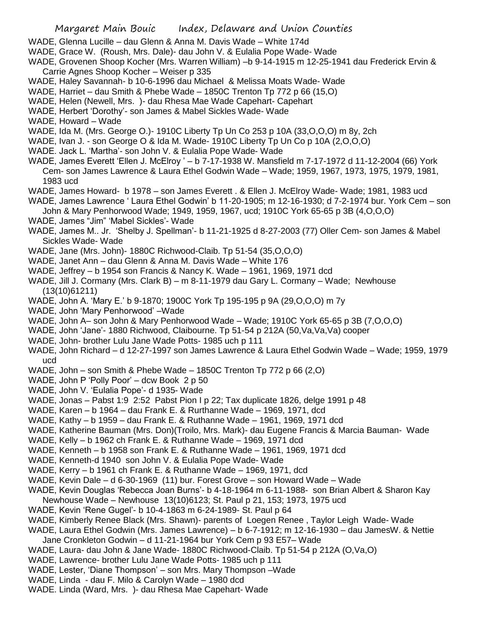- WADE, Glenna Lucille dau Glenn & Anna M. Davis Wade White 174d
- WADE, Grace W. (Roush, Mrs. Dale)- dau John V. & Eulalia Pope Wade- Wade
- WADE, Grovenen Shoop Kocher (Mrs. Warren William) –b 9-14-1915 m 12-25-1941 dau Frederick Ervin & Carrie Agnes Shoop Kocher – Weiser p 335
- WADE, Haley Savannah- b 10-6-1996 dau Michael & Melissa Moats Wade- Wade
- WADE, Harriet dau Smith & Phebe Wade 1850C Trenton Tp 772 p 66 (15,O)
- WADE, Helen (Newell, Mrs. )- dau Rhesa Mae Wade Capehart- Capehart
- WADE, Herbert 'Dorothy'- son James & Mabel Sickles Wade- Wade
- WADE, Howard Wade
- WADE, Ida M. (Mrs. George O.)- 1910C Liberty Tp Un Co 253 p 10A (33,O,O,O) m 8y, 2ch
- WADE, Ivan J. son George O & Ida M. Wade- 1910C Liberty Tp Un Co p 10A (2,O,O,O)
- WADE. Jack L. 'Martha'- son John V. & Eulalia Pope Wade- Wade
- WADE, James Everett 'Ellen J. McElroy ' b 7-17-1938 W. Mansfield m 7-17-1972 d 11-12-2004 (66) York Cem- son James Lawrence & Laura Ethel Godwin Wade – Wade; 1959, 1967, 1973, 1975, 1979, 1981, 1983 ucd
- WADE, James Howard- b 1978 son James Everett . & Ellen J. McElroy Wade- Wade; 1981, 1983 ucd
- WADE, James Lawrence ' Laura Ethel Godwin' b 11-20-1905; m 12-16-1930; d 7-2-1974 bur. York Cem son John & Mary Penhorwood Wade; 1949, 1959, 1967, ucd; 1910C York 65-65 p 3B (4,O,O,O)
- WADE, James "Jim" 'Mabel Sickles'- Wade
- WADE, James M.. Jr. 'Shelby J. Spellman'- b 11-21-1925 d 8-27-2003 (77) Oller Cem- son James & Mabel Sickles Wade- Wade
- WADE, Jane (Mrs. John)- 1880C Richwood-Claib. Tp 51-54 (35,O,O,O)
- WADE, Janet Ann dau Glenn & Anna M. Davis Wade White 176
- WADE, Jeffrey b 1954 son Francis & Nancy K. Wade 1961, 1969, 1971 dcd
- WADE, Jill J. Cormany (Mrs. Clark B) m 8-11-1979 dau Gary L. Cormany Wade; Newhouse (13(10)61211)
- WADE, John A. 'Mary E.' b 9-1870; 1900C York Tp 195-195 p 9A (29,O,O,O) m 7y
- WADE, John 'Mary Penhorwood' –Wade
- WADE, John A– son John & Mary Penhorwood Wade Wade; 1910C York 65-65 p 3B (7,O,O,O)
- WADE, John 'Jane'- 1880 Richwood, Claibourne. Tp 51-54 p 212A (50,Va,Va,Va) cooper
- WADE, John- brother Lulu Jane Wade Potts- 1985 uch p 111
- WADE, John Richard d 12-27-1997 son James Lawrence & Laura Ethel Godwin Wade Wade; 1959, 1979 ucd
- WADE, John son Smith & Phebe Wade 1850C Trenton Tp 772 p 66 (2,O)
- WADE, John P 'Polly Poor' dcw Book 2 p 50
- WADE, John V. 'Eulalia Pope'- d 1935- Wade
- WADE, Jonas Pabst 1:9 2:52 Pabst Pion I p 22; Tax duplicate 1826, delge 1991 p 48
- WADE, Karen b 1964 dau Frank E. & Rurthanne Wade 1969, 1971, dcd
- WADE, Kathy b 1959 dau Frank E. & Ruthanne Wade 1961, 1969, 1971 dcd
- WADE, Katherine Bauman (Mrs. Don)(Troilo, Mrs. Mark)- dau Eugene Francis & Marcia Bauman- Wade
- WADE, Kelly b 1962 ch Frank E. & Ruthanne Wade 1969, 1971 dcd
- WADE, Kenneth b 1958 son Frank E. & Ruthanne Wade 1961, 1969, 1971 dcd
- WADE, Kenneth-d 1940 son John V. & Eulalia Pope Wade- Wade
- WADE, Kerry b 1961 ch Frank E. & Ruthanne Wade 1969, 1971, dcd
- WADE, Kevin Dale d 6-30-1969 (11) bur. Forest Grove son Howard Wade Wade
- WADE, Kevin Douglas 'Rebecca Joan Burns'- b 4-18-1964 m 6-11-1988- son Brian Albert & Sharon Kay
- Newhouse Wade Newhouse 13(10)6123; St. Paul p 21, 153; 1973, 1975 ucd
- WADE, Kevin 'Rene Gugel'- b 10-4-1863 m 6-24-1989- St. Paul p 64
- WADE, Kimberly Renee Black (Mrs. Shawn)- parents of Loegen Renee , Taylor Leigh Wade- Wade
- WADE, Laura Ethel Godwin (Mrs. James Lawrence) b 6-7-1912; m 12-16-1930 dau JamesW. & Nettie Jane Cronkleton Godwin – d 11-21-1964 bur York Cem p 93 E57– Wade
- WADE, Laura- dau John & Jane Wade- 1880C Richwood-Claib. Tp 51-54 p 212A (O,Va,O)
- WADE, Lawrence- brother Lulu Jane Wade Potts- 1985 uch p 111
- WADE, Lester, 'Diane Thompson' son Mrs. Mary Thompson –Wade
- WADE, Linda dau F. Milo & Carolyn Wade 1980 dcd
- WADE. Linda (Ward, Mrs. )- dau Rhesa Mae Capehart- Wade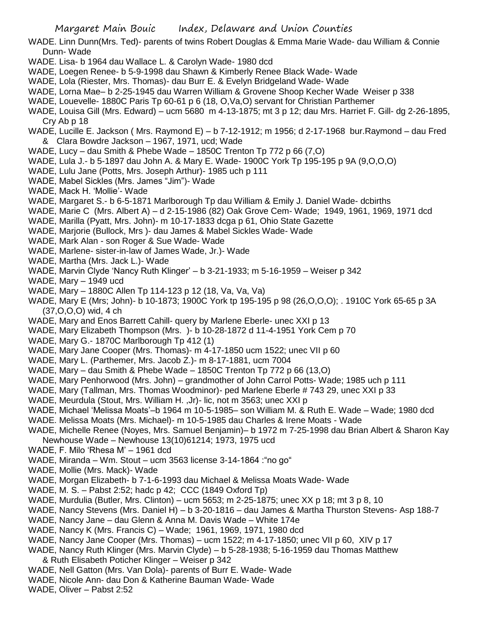WADE. Linn Dunn(Mrs. Ted)- parents of twins Robert Douglas & Emma Marie Wade- dau William & Connie Dunn- Wade

- WADE. Lisa- b 1964 dau Wallace L. & Carolyn Wade- 1980 dcd
- WADE, Loegen Renee- b 5-9-1998 dau Shawn & Kimberly Renee Black Wade- Wade
- WADE, Lola (Riester, Mrs. Thomas)- dau Burr E. & Evelyn Bridgeland Wade- Wade
- WADE, Lorna Mae– b 2-25-1945 dau Warren William & Grovene Shoop Kecher Wade Weiser p 338
- WADE, Louevelle- 1880C Paris Tp 60-61 p 6 (18, O,Va,O) servant for Christian Parthemer
- WADE, Louisa Gill (Mrs. Edward) ucm 5680 m 4-13-1875; mt 3 p 12; dau Mrs. Harriet F. Gill- dg 2-26-1895, Cry Ab p 18
- WADE, Lucille E. Jackson ( Mrs. Raymond E) b 7-12-1912; m 1956; d 2-17-1968 bur.Raymond dau Fred & Clara Bowdre Jackson – 1967, 1971, ucd; Wade
- WADE, Lucy dau Smith & Phebe Wade 1850C Trenton Tp 772 p 66 (7,O)
- WADE, Lula J.- b 5-1897 dau John A. & Mary E. Wade- 1900C York Tp 195-195 p 9A (9,O,O,O)
- WADE, Lulu Jane (Potts, Mrs. Joseph Arthur)- 1985 uch p 111
- WADE, Mabel Sickles (Mrs. James "Jim")- Wade
- WADE, Mack H. 'Mollie'- Wade
- WADE, Margaret S.- b 6-5-1871 Marlborough Tp dau William & Emily J. Daniel Wade- dcbirths
- WADE, Marie C (Mrs. Albert A) d 2-15-1986 (82) Oak Grove Cem- Wade; 1949, 1961, 1969, 1971 dcd
- WADE, Marilla (Pyatt, Mrs. John)- m 10-17-1833 dcga p 61, Ohio State Gazette
- WADE, Marjorie (Bullock, Mrs )- dau James & Mabel Sickles Wade- Wade
- WADE, Mark Alan son Roger & Sue Wade- Wade
- WADE, Marlene- sister-in-law of James Wade, Jr.)- Wade
- WADE, Martha (Mrs. Jack L.)- Wade
- WADE, Marvin Clyde 'Nancy Ruth Klinger' b 3-21-1933; m 5-16-1959 Weiser p 342
- WADE, Mary 1949 ucd
- WADE, Mary 1880C Allen Tp 114-123 p 12 (18, Va, Va, Va)
- WADE, Mary E (Mrs; John)- b 10-1873; 1900C York tp 195-195 p 98 (26,O,O,O); . 1910C York 65-65 p 3A (37,O,O,O) wid, 4 ch
- WADE, Mary and Enos Barrett Cahill- query by Marlene Eberle- unec XXI p 13
- WADE, Mary Elizabeth Thompson (Mrs. )- b 10-28-1872 d 11-4-1951 York Cem p 70
- WADE, Mary G.- 1870C Marlborough Tp 412 (1)
- WADE, Mary Jane Cooper (Mrs. Thomas)- m 4-17-1850 ucm 1522; unec VII p 60
- WADE, Mary L. (Parthemer, Mrs. Jacob Z.)- m 8-17-1881, ucm 7004
- WADE, Mary dau Smith & Phebe Wade 1850C Trenton Tp 772 p 66 (13,O)
- WADE, Mary Penhorwood (Mrs. John) grandmother of John Carrol Potts- Wade; 1985 uch p 111
- WADE, Mary (Tallman, Mrs. Thomas Woodminor)- ped Marlene Eberle # 743 29, unec XXI p 33
- WADE, Meurdula (Stout, Mrs. William H. ,Jr)- lic, not m 3563; unec XXI p
- WADE, Michael 'Melissa Moats'–b 1964 m 10-5-1985– son William M. & Ruth E. Wade Wade; 1980 dcd
- WADE. Melissa Moats (Mrs. Michael)- m 10-5-1985 dau Charles & Irene Moats Wade
- WADE, Michelle Renee (Noyes, Mrs. Samuel Benjamin)– b 1972 m 7-25-1998 dau Brian Albert & Sharon Kay Newhouse Wade – Newhouse 13(10)61214; 1973, 1975 ucd
- WADE, F. Milo 'Rhesa M' 1961 dcd
- WADE, Miranda Wm. Stout ucm 3563 license 3-14-1864 :"no go"
- WADE, Mollie (Mrs. Mack)- Wade
- WADE, Morgan Elizabeth- b 7-1-6-1993 dau Michael & Melissa Moats Wade- Wade
- WADE, M. S. Pabst 2:52; hadc p 42; CCC (1849 Oxford Tp)
- WADE, Murdulia (Butler, Mrs. Clinton) ucm 5653; m 2-25-1875; unec XX p 18; mt 3 p 8, 10
- WADE, Nancy Stevens (Mrs. Daniel H) b 3-20-1816 dau James & Martha Thurston Stevens- Asp 188-7
- WADE, Nancy Jane dau Glenn & Anna M. Davis Wade White 174e
- WADE, Nancy K (Mrs. Francis C) Wade; 1961, 1969, 1971, 1980 dcd
- WADE, Nancy Jane Cooper (Mrs. Thomas) ucm 1522; m 4-17-1850; unec VII p 60, XIV p 17
- WADE, Nancy Ruth Klinger (Mrs. Marvin Clyde) b 5-28-1938; 5-16-1959 dau Thomas Matthew & Ruth Elisabeth Poticher Klinger – Weiser p 342
- WADE, Nell Gatton (Mrs. Van Dola)- parents of Burr E. Wade- Wade
- WADE, Nicole Ann- dau Don & Katherine Bauman Wade- Wade
- WADE, Oliver Pabst 2:52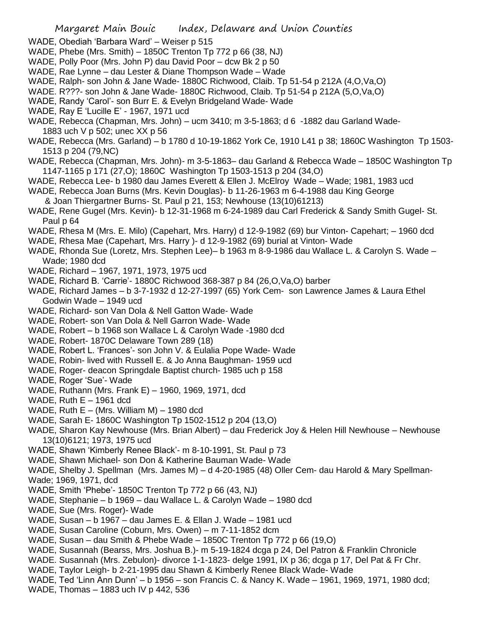- WADE, Obediah 'Barbara Ward' Weiser p 515
- WADE, Phebe (Mrs. Smith) 1850C Trenton Tp 772 p 66 (38, NJ)
- WADE, Polly Poor (Mrs. John P) dau David Poor dcw Bk 2 p 50
- WADE, Rae Lynne dau Lester & Diane Thompson Wade Wade
- WADE, Ralph- son John & Jane Wade- 1880C Richwood, Claib. Tp 51-54 p 212A (4,O,Va,O)
- WADE. R???- son John & Jane Wade- 1880C Richwood, Claib. Tp 51-54 p 212A (5,O,Va,O)
- WADE, Randy 'Carol'- son Burr E. & Evelyn Bridgeland Wade- Wade
- WADE, Ray E 'Lucille E' 1967, 1971 ucd
- WADE, Rebecca (Chapman, Mrs. John) ucm 3410; m 3-5-1863; d 6 -1882 dau Garland Wade-1883 uch V p 502; unec XX p 56
- WADE, Rebecca (Mrs. Garland) b 1780 d 10-19-1862 York Ce, 1910 L41 p 38; 1860C Washington Tp 1503- 1513 p 204 (79,NC)
- WADE, Rebecca (Chapman, Mrs. John)- m 3-5-1863– dau Garland & Rebecca Wade 1850C Washington Tp 1147-1165 p 171 (27,O); 1860C Washington Tp 1503-1513 p 204 (34,O)
- WADE, Rebecca Lee- b 1980 dau James Everett & Ellen J. McElroy Wade Wade; 1981, 1983 ucd
- WADE, Rebecca Joan Burns (Mrs. Kevin Douglas)- b 11-26-1963 m 6-4-1988 dau King George
- & Joan Thiergartner Burns- St. Paul p 21, 153; Newhouse (13(10)61213)
- WADE, Rene Gugel (Mrs. Kevin)- b 12-31-1968 m 6-24-1989 dau Carl Frederick & Sandy Smith Gugel- St. Paul p 64
- WADE, Rhesa M (Mrs. E. Milo) (Capehart, Mrs. Harry) d 12-9-1982 (69) bur Vinton- Capehart; 1960 dcd
- WADE, Rhesa Mae (Capehart, Mrs. Harry )- d 12-9-1982 (69) burial at Vinton- Wade
- WADE, Rhonda Sue (Loretz, Mrs. Stephen Lee)– b 1963 m 8-9-1986 dau Wallace L. & Carolyn S. Wade Wade; 1980 dcd
- WADE, Richard 1967, 1971, 1973, 1975 ucd
- WADE, Richard B. 'Carrie'- 1880C Richwood 368-387 p 84 (26,O,Va,O) barber
- WADE, Richard James b 3-7-1932 d 12-27-1997 (65) York Cem- son Lawrence James & Laura Ethel Godwin Wade – 1949 ucd
- WADE, Richard- son Van Dola & Nell Gatton Wade- Wade
- WADE, Robert- son Van Dola & Nell Garron Wade- Wade
- WADE, Robert b 1968 son Wallace L & Carolyn Wade -1980 dcd
- WADE, Robert- 1870C Delaware Town 289 (18)
- WADE, Robert L. 'Frances'- son John V. & Eulalia Pope Wade- Wade
- WADE, Robin- lived with Russell E. & Jo Anna Baughman- 1959 ucd
- WADE, Roger- deacon Springdale Baptist church- 1985 uch p 158
- WADE, Roger 'Sue'- Wade
- WADE, Ruthann (Mrs. Frank E) 1960, 1969, 1971, dcd
- WADE, Ruth  $E 1961$  dcd
- WADE, Ruth  $E (Mrs.$  William M $) 1980$  dcd
- WADE, Sarah E- 1860C Washington Tp 1502-1512 p 204 (13,O)
- WADE, Sharon Kay Newhouse (Mrs. Brian Albert) dau Frederick Joy & Helen Hill Newhouse Newhouse 13(10)6121; 1973, 1975 ucd
- WADE, Shawn 'Kimberly Renee Black'- m 8-10-1991, St. Paul p 73
- WADE, Shawn Michael- son Don & Katherine Bauman Wade- Wade
- WADE, Shelby J. Spellman (Mrs. James M) d 4-20-1985 (48) Oller Cem- dau Harold & Mary Spellman-Wade; 1969, 1971, dcd
- WADE, Smith 'Phebe'- 1850C Trenton Tp 772 p 66 (43, NJ)
- WADE, Stephanie b 1969 dau Wallace L. & Carolyn Wade 1980 dcd
- WADE, Sue (Mrs. Roger)- Wade
- WADE, Susan b 1967 dau James E. & Ellan J. Wade 1981 ucd
- WADE, Susan Caroline (Coburn, Mrs. Owen) m 7-11-1852 dcm
- WADE, Susan dau Smith & Phebe Wade 1850C Trenton Tp 772 p 66 (19,O)
- WADE, Susannah (Bearss, Mrs. Joshua B.)- m 5-19-1824 dcga p 24, Del Patron & Franklin Chronicle
- WADE. Susannah (Mrs. Zebulon)- divorce 1-1-1823- delge 1991, IX p 36; dcga p 17, Del Pat & Fr Chr.
- WADE, Taylor Leigh- b 2-21-1995 dau Shawn & Kimberly Renee Black Wade- Wade
- WADE, Ted 'Linn Ann Dunn' b 1956 son Francis C. & Nancy K. Wade 1961, 1969, 1971, 1980 dcd;
- WADE, Thomas 1883 uch IV p 442, 536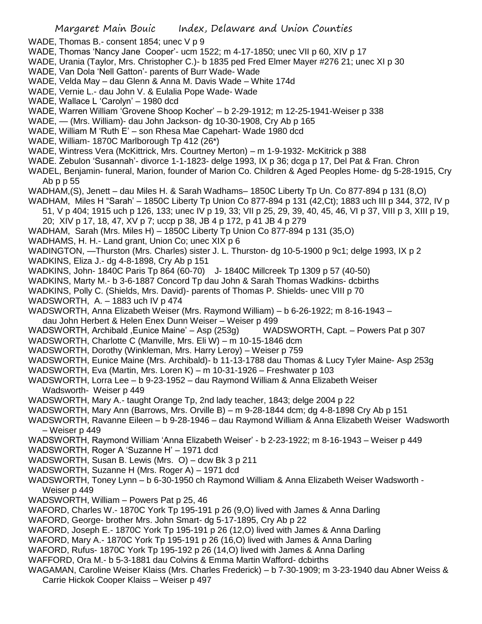- WADE, Thomas B.- consent 1854; unec V p 9
- WADE, Thomas 'Nancy Jane Cooper'- ucm 1522; m 4-17-1850; unec VII p 60, XIV p 17
- WADE, Urania (Taylor, Mrs. Christopher C.)- b 1835 ped Fred Elmer Mayer #276 21; unec XI p 30
- WADE, Van Dola 'Nell Gatton'- parents of Burr Wade- Wade
- WADE, Velda May dau Glenn & Anna M. Davis Wade White 174d
- WADE, Vernie L.- dau John V. & Eulalia Pope Wade- Wade
- WADE, Wallace L 'Carolyn' 1980 dcd
- WADE, Warren William 'Grovene Shoop Kocher' b 2-29-1912; m 12-25-1941-Weiser p 338
- WADE, (Mrs. William)- dau John Jackson- dg 10-30-1908, Cry Ab p 165
- WADE, William M 'Ruth E' son Rhesa Mae Capehart- Wade 1980 dcd
- WADE, William- 1870C Marlborough Tp 412 (26\*)
- WADE, Wintress Vera (McKittrick, Mrs. Courtney Merton) m 1-9-1932- McKitrick p 388
- WADE. Zebulon 'Susannah'- divorce 1-1-1823- delge 1993, IX p 36; dcga p 17, Del Pat & Fran. Chron
- WADEL, Benjamin- funeral, Marion, founder of Marion Co. Children & Aged Peoples Home- dg 5-28-1915, Cry Ab p p 55
- WADHAM,(S), Jenett dau Miles H. & Sarah Wadhams– 1850C Liberty Tp Un. Co 877-894 p 131 (8,O)
- WADHAM, Miles H "Sarah' 1850C Liberty Tp Union Co 877-894 p 131 (42,Ct); 1883 uch III p 344, 372, IV p
- 51, V p 404; 1915 uch p 126, 133; unec IV p 19, 33; VII p 25, 29, 39, 40, 45, 46, VI p 37, VIII p 3, XIII p 19, 20; XIV p 17, 18, 47, XV p 7; uccp p 38, JB 4 p 172, p 41 JB 4 p 279
- WADHAM, Sarah (Mrs. Miles H) 1850C Liberty Tp Union Co 877-894 p 131 (35,O)
- WADHAMS, H. H.- Land grant, Union Co; unec XIX p 6
- WADINGTON, —Thurston (Mrs. Charles) sister J. L. Thurston- dg 10-5-1900 p 9c1; delge 1993, IX p 2
- WADKINS, Eliza J.- dg 4-8-1898, Cry Ab p 151
- WADKINS, John- 1840C Paris Tp 864 (60-70) J- 1840C Millcreek Tp 1309 p 57 (40-50)
- WADKINS, Marty M.- b 3-6-1887 Concord Tp dau John & Sarah Thomas Wadkins- dcbirths
- WADKINS, Polly C. (Shields, Mrs. David)- parents of Thomas P. Shields- unec VIII p 70
- WADSWORTH, A. 1883 uch IV p 474
- WADSWORTH, Anna Elizabeth Weiser (Mrs. Raymond William) b 6-26-1922; m 8-16-1943 –
- dau John Herbert & Helen Enex Dunn Weiser Weiser p 499
- WADSWORTH, Archibald ,Eunice Maine' Asp (253g) WADSWORTH, Capt. Powers Pat p 307
- WADSWORTH, Charlotte C (Manville, Mrs. Eli W) m 10-15-1846 dcm
- WADSWORTH, Dorothy (Winkleman, Mrs. Harry Leroy) Weiser p 759
- WADSWORTH, Eunice Maine (Mrs. Archibald)- b 11-13-1788 dau Thomas & Lucy Tyler Maine- Asp 253g
- WADSWORTH, Eva (Martin, Mrs. Loren K) m 10-31-1926 Freshwater p 103
- WADSWORTH, Lorra Lee b 9-23-1952 dau Raymond William & Anna Elizabeth Weiser Wadsworth- Weiser p 449
- WADSWORTH, Mary A.- taught Orange Tp, 2nd lady teacher, 1843; delge 2004 p 22
- WADSWORTH, Mary Ann (Barrows, Mrs. Orville B) m 9-28-1844 dcm; dg 4-8-1898 Cry Ab p 151
- WADSWORTH, Ravanne Eileen b 9-28-1946 dau Raymond William & Anna Elizabeth Weiser Wadsworth – Weiser p 449
- WADSWORTH, Raymond William 'Anna Elizabeth Weiser' b 2-23-1922; m 8-16-1943 Weiser p 449
- WADSWORTH, Roger A 'Suzanne H' 1971 dcd
- WADSWORTH, Susan B. Lewis (Mrs. O) dcw Bk 3 p 211
- WADSWORTH, Suzanne H (Mrs. Roger A) 1971 dcd
- WADSWORTH, Toney Lynn b 6-30-1950 ch Raymond William & Anna Elizabeth Weiser Wadsworth Weiser p 449
- WADSWORTH, William Powers Pat p 25, 46
- WAFORD, Charles W.- 1870C York Tp 195-191 p 26 (9,O) lived with James & Anna Darling
- WAFORD, George- brother Mrs. John Smart- dg 5-17-1895, Cry Ab p 22
- WAFORD, Joseph E.- 1870C York Tp 195-191 p 26 (12,O) lived with James & Anna Darling
- WAFORD, Mary A.- 1870C York Tp 195-191 p 26 (16,O) lived with James & Anna Darling
- WAFORD, Rufus- 1870C York Tp 195-192 p 26 (14,O) lived with James & Anna Darling
- WAFFORD, Ora M.- b 5-3-1881 dau Colvins & Emma Martin Wafford- dcbirths
- WAGAMAN, Caroline Weiser Klaiss (Mrs. Charles Frederick) b 7-30-1909; m 3-23-1940 dau Abner Weiss & Carrie Hickok Cooper Klaiss – Weiser p 497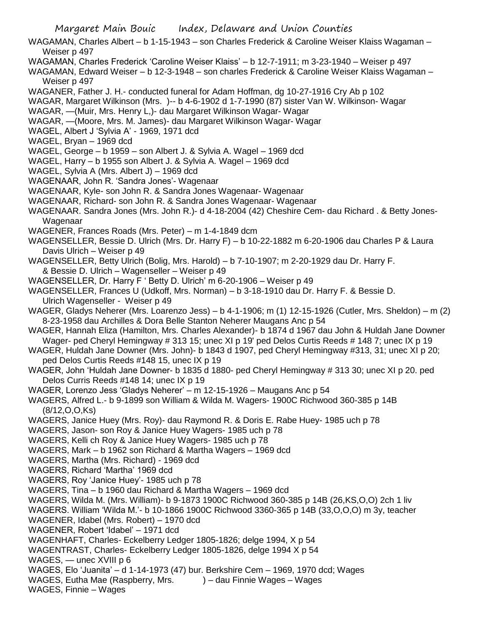- WAGAMAN, Charles Albert b 1-15-1943 son Charles Frederick & Caroline Weiser Klaiss Wagaman Weiser p 497
- WAGAMAN, Charles Frederick 'Caroline Weiser Klaiss' b 12-7-1911; m 3-23-1940 Weiser p 497
- WAGAMAN, Edward Weiser b 12-3-1948 son charles Frederick & Caroline Weiser Klaiss Wagaman Weiser p 497
- WAGANER, Father J. H.- conducted funeral for Adam Hoffman, dg 10-27-1916 Cry Ab p 102
- WAGAR, Margaret Wilkinson (Mrs. )-- b 4-6-1902 d 1-7-1990 (87) sister Van W. Wilkinson- Wagar
- WAGAR, —(Muir, Mrs. Henry L,)- dau Margaret Wilkinson Wagar- Wagar
- WAGAR, —(Moore, Mrs. M. James)- dau Margaret Wilkinson Wagar- Wagar
- WAGEL, Albert J 'Sylvia A' 1969, 1971 dcd
- WAGEL, Bryan 1969 dcd
- WAGEL, George b 1959 son Albert J. & Sylvia A. Wagel 1969 dcd
- WAGEL, Harry b 1955 son Albert J. & Sylvia A. Wagel 1969 dcd
- WAGEL, Sylvia A (Mrs. Albert J) 1969 dcd
- WAGENAAR, John R. 'Sandra Jones'- Wagenaar
- WAGENAAR, Kyle- son John R. & Sandra Jones Wagenaar- Wagenaar
- WAGENAAR, Richard- son John R. & Sandra Jones Wagenaar- Wagenaar
- WAGENAAR. Sandra Jones (Mrs. John R.)- d 4-18-2004 (42) Cheshire Cem- dau Richard . & Betty Jones-Wagenaar
- WAGENER, Frances Roads (Mrs. Peter) m 1-4-1849 dcm
- WAGENSELLER, Bessie D. Ulrich (Mrs. Dr. Harry F) b 10-22-1882 m 6-20-1906 dau Charles P & Laura Davis Ulrich – Weiser p 49
- WAGENSELLER, Betty Ulrich (Bolig, Mrs. Harold) b 7-10-1907; m 2-20-1929 dau Dr. Harry F. & Bessie D. Ulrich – Wagenseller – Weiser p 49
- WAGENSELLER, Dr. Harry F ' Betty D. Ulrich' m 6-20-1906 Weiser p 49
- WAGENSELLER, Frances U (Udkoff, Mrs. Norman) b 3-18-1910 dau Dr. Harry F. & Bessie D. Ulrich Wagenseller - Weiser p 49
- WAGER, Gladys Neherer (Mrs. Loarenzo Jess) b 4-1-1906; m (1) 12-15-1926 (Cutler, Mrs. Sheldon) m (2) 8-23-1958 dau Archilles & Dora Belle Stanton Neherer Maugans Anc p 54
- WAGER, Hannah Eliza (Hamilton, Mrs. Charles Alexander)- b 1874 d 1967 dau John & Huldah Jane Downer Wager- ped Cheryl Hemingway # 313 15; unec XI p 19' ped Delos Curtis Reeds # 148 7; unec IX p 19
- WAGER, Huldah Jane Downer (Mrs. John)- b 1843 d 1907, ped Cheryl Hemingway #313, 31; unec XI p 20; ped Delos Curtis Reeds #148 15, unec IX p 19
- WAGER, John 'Huldah Jane Downer- b 1835 d 1880- ped Cheryl Hemingway # 313 30; unec XI p 20. ped Delos Curris Reeds #148 14; unec IX p 19
- WAGER, Lorenzo Jess 'Gladys Neherer' m 12-15-1926 Maugans Anc p 54
- WAGERS, Alfred L.- b 9-1899 son William & Wilda M. Wagers- 1900C Richwood 360-385 p 14B (8/12,O,O,Ks)
- WAGERS, Janice Huey (Mrs. Roy)- dau Raymond R. & Doris E. Rabe Huey- 1985 uch p 78
- WAGERS, Jason- son Roy & Janice Huey Wagers- 1985 uch p 78
- WAGERS, Kelli ch Roy & Janice Huey Wagers- 1985 uch p 78
- WAGERS, Mark b 1962 son Richard & Martha Wagers 1969 dcd
- WAGERS, Martha (Mrs. Richard) 1969 dcd
- WAGERS, Richard 'Martha' 1969 dcd
- WAGERS, Roy 'Janice Huey'- 1985 uch p 78
- WAGERS, Tina b 1960 dau Richard & Martha Wagers 1969 dcd
- WAGERS, Wilda M. (Mrs. William)- b 9-1873 1900C Richwood 360-385 p 14B (26,KS,O,O) 2ch 1 liv

WAGERS. William 'Wilda M.'- b 10-1866 1900C Richwood 3360-365 p 14B (33,O,O,O) m 3y, teacher

- WAGENER, Idabel (Mrs. Robert) 1970 dcd
- WAGENER, Robert 'Idabel' 1971 dcd
- WAGENHAFT, Charles- Eckelberry Ledger 1805-1826; delge 1994, X p 54
- WAGENTRAST, Charles- Eckelberry Ledger 1805-1826, delge 1994 X p 54
- WAGES, unec XVIII p 6
- WAGES, Elo 'Juanita' d 1-14-1973 (47) bur. Berkshire Cem 1969, 1970 dcd; Wages
- WAGES, Eutha Mae (Raspberry, Mrs. ) dau Finnie Wages Wages
- WAGES, Finnie Wages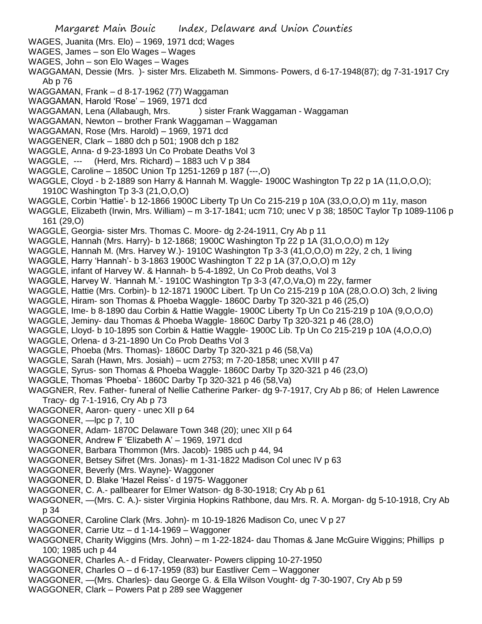- WAGES, Juanita (Mrs. Elo) 1969, 1971 dcd; Wages
- WAGES, James son Elo Wages Wages
- WAGES, John son Elo Wages Wages
- WAGGAMAN, Dessie (Mrs. )- sister Mrs. Elizabeth M. Simmons- Powers, d 6-17-1948(87); dg 7-31-1917 Cry Ab p 76
- WAGGAMAN, Frank d 8-17-1962 (77) Waggaman
- WAGGAMAN, Harold 'Rose' 1969, 1971 dcd
- WAGGAMAN, Lena (Allabaugh, Mrs. ) sister Frank Waggaman Waggaman
- WAGGAMAN, Newton brother Frank Waggaman Waggaman
- WAGGAMAN, Rose (Mrs. Harold) 1969, 1971 dcd
- WAGGENER, Clark 1880 dch p 501; 1908 dch p 182
- WAGGLE, Anna- d 9-23-1893 Un Co Probate Deaths Vol 3
- WAGGLE,  $--$  (Herd, Mrs. Richard) 1883 uch V p 384
- WAGGLE, Caroline 1850C Union Tp 1251-1269 p 187 (---,O)
- WAGGLE, Cloyd b 2-1889 son Harry & Hannah M. Waggle- 1900C Washington Tp 22 p 1A (11,O,O,O); 1910C Washington Tp 3-3 (21,O,O,O)
- WAGGLE, Corbin 'Hattie'- b 12-1866 1900C Liberty Tp Un Co 215-219 p 10A (33,O,O,O) m 11y, mason
- WAGGLE, Elizabeth (Irwin, Mrs. William) m 3-17-1841; ucm 710; unec V p 38; 1850C Taylor Tp 1089-1106 p 161 (29,O)
- WAGGLE, Georgia- sister Mrs. Thomas C. Moore- dg 2-24-1911, Cry Ab p 11
- WAGGLE, Hannah (Mrs. Harry)- b 12-1868; 1900C Washington Tp 22 p 1A (31,O,O,O) m 12y
- WAGGLE, Hannah M. (Mrs. Harvey W.)- 1910C Washington Tp 3-3 (41, O, O, O) m 22y, 2 ch, 1 living
- WAGGLE, Harry 'Hannah'- b 3-1863 1900C Washington T 22 p 1A (37,O,O,O) m 12y
- WAGGLE, infant of Harvey W. & Hannah- b 5-4-1892, Un Co Prob deaths, Vol 3
- WAGGLE, Harvey W. 'Hannah M.'- 1910C Washington Tp 3-3 (47,O,Va,O) m 22y, farmer
- WAGGLE, Hattie (Mrs. Corbin)- b 12-1871 1900C Libert. Tp Un Co 215-219 p 10A (28,O.O.O) 3ch, 2 living
- WAGGLE, Hiram- son Thomas & Phoeba Waggle- 1860C Darby Tp 320-321 p 46 (25,O)
- WAGGLE, Ime- b 8-1890 dau Corbin & Hattie Waggle- 1900C Liberty Tp Un Co 215-219 p 10A (9,O,O,O)
- WAGGLE, Jeminy- dau Thomas & Phoeba Waggle- 1860C Darby Tp 320-321 p 46 (28,O)
- WAGGLE, Lloyd- b 10-1895 son Corbin & Hattie Waggle- 1900C Lib. Tp Un Co 215-219 p 10A (4,O,O,O)
- WAGGLE, Orlena- d 3-21-1890 Un Co Prob Deaths Vol 3
- WAGGLE, Phoeba (Mrs. Thomas)- 1860C Darby Tp 320-321 p 46 (58,Va)
- WAGGLE, Sarah (Hawn, Mrs. Josiah) ucm 2753; m 7-20-1858; unec XVIII p 47
- WAGGLE, Syrus- son Thomas & Phoeba Waggle- 1860C Darby Tp 320-321 p 46 (23,O)
- WAGGLE, Thomas 'Phoeba'- 1860C Darby Tp 320-321 p 46 (58,Va)
- WAGGNER, Rev. Father- funeral of Nellie Catherine Parker- dg 9-7-1917, Cry Ab p 86; of Helen Lawrence Tracy- dg 7-1-1916, Cry Ab p 73
- WAGGONER, Aaron- query unec XII p 64
- WAGGONER, —lpc p 7, 10
- WAGGONER, Adam- 1870C Delaware Town 348 (20); unec XII p 64
- WAGGONER, Andrew F 'Elizabeth A' 1969, 1971 dcd
- WAGGONER, Barbara Thommon (Mrs. Jacob)- 1985 uch p 44, 94
- WAGGONER, Betsey Sifret (Mrs. Jonas)- m 1-31-1822 Madison Col unec IV p 63
- WAGGONER, Beverly (Mrs. Wayne)- Waggoner
- WAGGONER, D. Blake 'Hazel Reiss'- d 1975- Waggoner
- WAGGONER, C. A.- pallbearer for Elmer Watson- dg 8-30-1918; Cry Ab p 61
- WAGGONER, —(Mrs. C. A.)- sister Virginia Hopkins Rathbone, dau Mrs. R. A. Morgan- dg 5-10-1918, Cry Ab p 34
- WAGGONER, Caroline Clark (Mrs. John)- m 10-19-1826 Madison Co, unec V p 27
- WAGGONER, Carrie Utz d 1-14-1969 Waggoner
- WAGGONER, Charity Wiggins (Mrs. John) m 1-22-1824- dau Thomas & Jane McGuire Wiggins; Phillips p 100; 1985 uch p 44
- WAGGONER, Charles A.- d Friday, Clearwater- Powers clipping 10-27-1950
- WAGGONER, Charles O d 6-17-1959 (83) bur Eastliver Cem Waggoner
- WAGGONER, —(Mrs. Charles)- dau George G. & Ella Wilson Vought- dg 7-30-1907, Cry Ab p 59
- WAGGONER, Clark Powers Pat p 289 see Waggener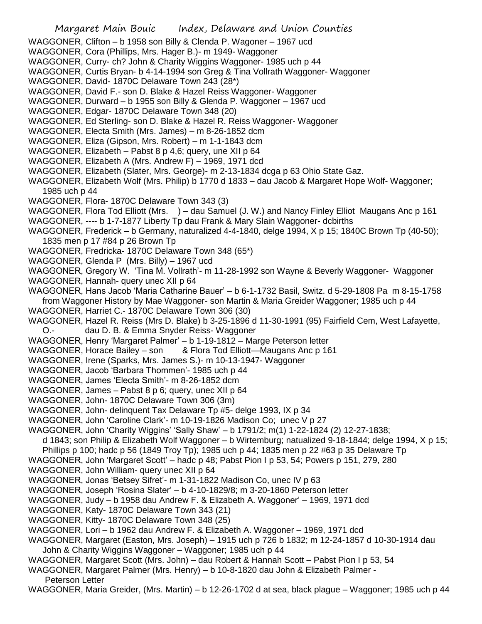- WAGGONER, Clifton b 1958 son Billy & Clenda P. Wagoner 1967 ucd
- WAGGONER, Cora (Phillips, Mrs. Hager B.)- m 1949- Waggoner
- WAGGONER, Curry- ch? John & Charity Wiggins Waggoner- 1985 uch p 44
- WAGGONER, Curtis Bryan- b 4-14-1994 son Greg & Tina Vollrath Waggoner- Waggoner
- WAGGONER, David- 1870C Delaware Town 243 (28\*)
- WAGGONER, David F.- son D. Blake & Hazel Reiss Waggoner- Waggoner
- WAGGONER, Durward b 1955 son Billy & Glenda P. Waggoner 1967 ucd
- WAGGONER, Edgar- 1870C Delaware Town 348 (20)
- WAGGONER, Ed Sterling- son D. Blake & Hazel R. Reiss Waggoner- Waggoner
- WAGGONER, Electa Smith (Mrs. James) m 8-26-1852 dcm
- WAGGONER, Eliza (Gipson, Mrs. Robert) m 1-1-1843 dcm
- WAGGONER, Elizabeth Pabst 8 p 4,6; query, une XII p 64
- WAGGONER, Elizabeth A (Mrs. Andrew F) 1969, 1971 dcd
- WAGGONER, Elizabeth (Slater, Mrs. George)- m 2-13-1834 dcga p 63 Ohio State Gaz.
- WAGGONER, Elizabeth Wolf (Mrs. Philip) b 1770 d 1833 dau Jacob & Margaret Hope Wolf- Waggoner; 1985 uch p 44
- WAGGONER, Flora- 1870C Delaware Town 343 (3)
- WAGGONER, Flora Tod Elliott (Mrs. ) dau Samuel (J. W.) and Nancy Finley Elliot Maugans Anc p 161
- WAGGONER, ---- b 1-7-1877 Liberty Tp dau Frank & Mary Slain Waggoner- dcbirths
- WAGGONER, Frederick b Germany, naturalized 4-4-1840, delge 1994, X p 15; 1840C Brown Tp (40-50); 1835 men p 17 #84 p 26 Brown Tp
- WAGGONER, Fredricka- 1870C Delaware Town 348 (65\*)
- WAGGONER, Glenda P (Mrs. Billy) 1967 ucd
- WAGGONER, Gregory W. 'Tina M. Vollrath'- m 11-28-1992 son Wayne & Beverly Waggoner- Waggoner
- WAGGONER, Hannah- query unec XII p 64
- WAGGONER, Hans Jacob 'Maria Catharine Bauer' b 6-1-1732 Basil, Switz. d 5-29-1808 Pa m 8-15-1758 from Waggoner History by Mae Waggoner- son Martin & Maria Greider Waggoner; 1985 uch p 44
- WAGGONER, Harriet C.- 1870C Delaware Town 306 (30)
- WAGGONER, Hazel R. Reiss (Mrs D. Blake) b 3-25-1896 d 11-30-1991 (95) Fairfield Cem, West Lafayette, O.- dau D. B. & Emma Snyder Reiss- Waggoner
- 
- WAGGONER, Henry 'Margaret Palmer' b 1-19-1812 Marge Peterson letter
- WAGGONER, Horace Bailey son & Flora Tod Elliott—Maugans Anc p 161
- WAGGONER, Irene (Sparks, Mrs. James S.)- m 10-13-1947- Waggoner
- WAGGONER, Jacob 'Barbara Thommen'- 1985 uch p 44
- WAGGONER, James 'Electa Smith'- m 8-26-1852 dcm
- WAGGONER, James Pabst 8 p 6; query, unec XII p 64
- WAGGONER, John- 1870C Delaware Town 306 (3m)
- WAGGONER, John- delinquent Tax Delaware Tp #5- delge 1993, IX p 34
- WAGGONER, John 'Caroline Clark'- m 10-19-1826 Madison Co; unec V p 27
- WAGGONER, John 'Charity Wiggins' 'Sally Shaw' b 1791/2; m(1) 1-22-1824 (2) 12-27-1838;
	- d 1843; son Philip & Elizabeth Wolf Waggoner b Wirtemburg; natualized 9-18-1844; delge 1994, X p 15;
- Phillips p 100; hadc p 56 (1849 Troy Tp); 1985 uch p 44; 1835 men p 22 #63 p 35 Delaware Tp
- WAGGONER, John 'Margaret Scott' hadc p 48; Pabst Pion I p 53, 54; Powers p 151, 279, 280
- WAGGONER, John William- query unec XII p 64
- WAGGONER, Jonas 'Betsey Sifret'- m 1-31-1822 Madison Co, unec IV p 63
- WAGGONER, Joseph 'Rosina Slater' b 4-10-1829/8; m 3-20-1860 Peterson letter
- WAGGONER, Judy b 1958 dau Andrew F. & Elizabeth A. Waggoner' 1969, 1971 dcd
- WAGGONER, Katy- 1870C Delaware Town 343 (21)
- WAGGONER, Kitty- 1870C Delaware Town 348 (25)
- WAGGONER, Lori b 1962 dau Andrew F. & Elizabeth A. Waggoner 1969, 1971 dcd
- WAGGONER, Margaret (Easton, Mrs. Joseph) 1915 uch p 726 b 1832; m 12-24-1857 d 10-30-1914 dau John & Charity Wiggins Waggoner – Waggoner; 1985 uch p 44
- WAGGONER, Margaret Scott (Mrs. John) dau Robert & Hannah Scott Pabst Pion I p 53, 54
- WAGGONER, Margaret Palmer (Mrs. Henry) b 10-8-1820 dau John & Elizabeth Palmer -
- Peterson Letter
- WAGGONER, Maria Greider, (Mrs. Martin) b 12-26-1702 d at sea, black plague Waggoner; 1985 uch p 44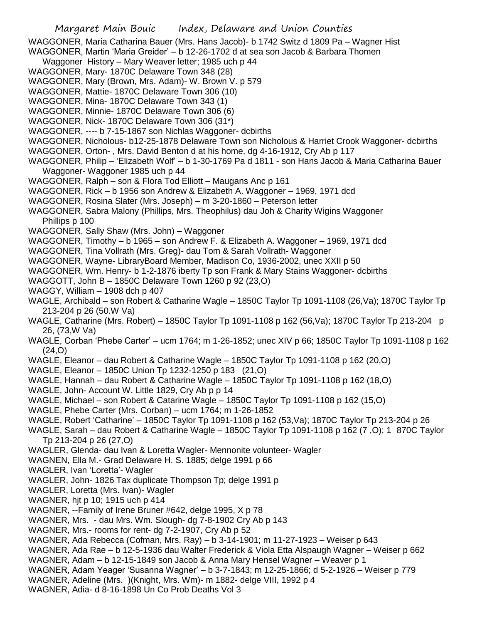WAGGONER, Maria Catharina Bauer (Mrs. Hans Jacob)- b 1742 Switz d 1809 Pa – Wagner Hist

- WAGGONER, Martin 'Maria Greider' b 12-26-1702 d at sea son Jacob & Barbara Thomen
- Waggoner History Mary Weaver letter; 1985 uch p 44
- WAGGONER, Mary- 1870C Delaware Town 348 (28)
- WAGGONER, Mary (Brown, Mrs. Adam)- W. Brown V. p 579
- WAGGONER, Mattie- 1870C Delaware Town 306 (10)
- WAGGONER, Mina- 1870C Delaware Town 343 (1)
- WAGGONER, Minnie- 1870C Delaware Town 306 (6)
- WAGGONER, Nick- 1870C Delaware Town 306 (31\*)
- WAGGONER, ---- b 7-15-1867 son Nichlas Waggoner- dcbirths
- WAGGONER, Nicholous- b12-25-1878 Delaware Town son Nicholous & Harriet Crook Waggoner- dcbirths
- WAGGONER, Orton- , Mrs. David Benton d at his home, dg 4-16-1912, Cry Ab p 117
- WAGGONER, Philip 'Elizabeth Wolf' b 1-30-1769 Pa d 1811 son Hans Jacob & Maria Catharina Bauer Waggoner- Waggoner 1985 uch p 44
- WAGGONER, Ralph son & Flora Tod Elliott Maugans Anc p 161
- WAGGONER, Rick b 1956 son Andrew & Elizabeth A. Waggoner 1969, 1971 dcd
- WAGGONER, Rosina Slater (Mrs. Joseph) m 3-20-1860 Peterson letter
- WAGGONER, Sabra Malony (Phillips, Mrs. Theophilus) dau Joh & Charity Wigins Waggoner Phillips p 100
- WAGGONER, Sally Shaw (Mrs. John) Waggoner
- WAGGONER, Timothy b 1965 son Andrew F. & Elizabeth A. Waggoner 1969, 1971 dcd
- WAGGONER, Tina Vollrath (Mrs. Greg)- dau Tom & Sarah Vollrath- Waggoner
- WAGGONER, Wayne- LibraryBoard Member, Madison Co, 1936-2002, unec XXII p 50
- WAGGONER, Wm. Henry- b 1-2-1876 iberty Tp son Frank & Mary Stains Waggoner- dcbirths
- WAGGOTT, John B 1850C Delaware Town 1260 p 92 (23,O)
- WAGGY, William 1908 dch p 407
- WAGLE, Archibald son Robert & Catharine Wagle 1850C Taylor Tp 1091-1108 (26,Va); 1870C Taylor Tp 213-204 p 26 (50.W Va)
- WAGLE, Catharine (Mrs. Robert) 1850C Taylor Tp 1091-1108 p 162 (56,Va); 1870C Taylor Tp 213-204 p 26, (73,W Va)
- WAGLE, Corban 'Phebe Carter' ucm 1764; m 1-26-1852; unec XIV p 66; 1850C Taylor Tp 1091-1108 p 162 (24,O)
- WAGLE, Eleanor dau Robert & Catharine Wagle 1850C Taylor Tp 1091-1108 p 162 (20,O)
- WAGLE, Eleanor 1850C Union Tp 1232-1250 p 183 (21,O)
- WAGLE, Hannah dau Robert & Catharine Wagle 1850C Taylor Tp 1091-1108 p 162 (18,O)
- WAGLE, John- Account W. Little 1829, Cry Ab p p 14
- WAGLE, Michael son Robert & Catarine Wagle 1850C Taylor Tp 1091-1108 p 162 (15,O)
- WAGLE, Phebe Carter (Mrs. Corban) ucm 1764; m 1-26-1852
- WAGLE, Robert 'Catharine' 1850C Taylor Tp 1091-1108 p 162 (53,Va); 1870C Taylor Tp 213-204 p 26
- WAGLE, Sarah dau Robert & Catharine Wagle 1850C Taylor Tp 1091-1108 p 162 (7 ,O); 1 870C Taylor Tp 213-204 p 26 (27,O)
- WAGLER, Glenda- dau Ivan & Loretta Wagler- Mennonite volunteer- Wagler
- WAGNEN, Ella M.- Grad Delaware H. S. 1885; delge 1991 p 66
- WAGLER, Ivan 'Loretta'- Wagler
- WAGLER, John- 1826 Tax duplicate Thompson Tp; delge 1991 p
- WAGLER, Loretta (Mrs. Ivan)- Wagler
- WAGNER, hjt p 10; 1915 uch p 414
- WAGNER, --Family of Irene Bruner #642, delge 1995, X p 78
- WAGNER, Mrs. dau Mrs. Wm. Slough- dg 7-8-1902 Cry Ab p 143
- WAGNER, Mrs.- rooms for rent- dg 7-2-1907, Cry Ab p 52
- WAGNER, Ada Rebecca (Cofman, Mrs. Ray) b 3-14-1901; m 11-27-1923 Weiser p 643
- WAGNER, Ada Rae b 12-5-1936 dau Walter Frederick & Viola Etta Alspaugh Wagner Weiser p 662
- WAGNER, Adam b 12-15-1849 son Jacob & Anna Mary Hensel Wagner Weaver p 1
- WAGNER, Adam Yeager 'Susanna Wagner' b 3-7-1843; m 12-25-1866; d 5-2-1926 Weiser p 779
- WAGNER, Adeline (Mrs. )(Knight, Mrs. Wm)- m 1882- delge VIII, 1992 p 4
- WAGNER, Adia- d 8-16-1898 Un Co Prob Deaths Vol 3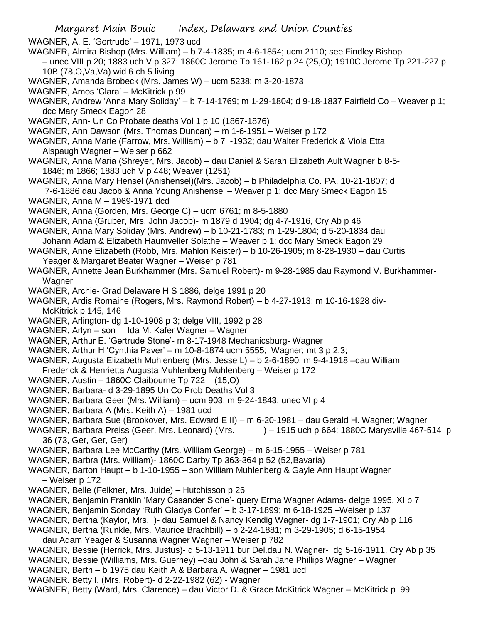- Margaret Main Bouic Index, Delaware and Union Counties WAGNER, A. E. 'Gertrude' – 1971, 1973 ucd WAGNER, Almira Bishop (Mrs. William) – b 7-4-1835; m 4-6-1854; ucm 2110; see Findley Bishop – unec VIII p 20; 1883 uch V p 327; 1860C Jerome Tp 161-162 p 24 (25,O); 1910C Jerome Tp 221-227 p 10B (78,O,Va,Va) wid 6 ch 5 living WAGNER, Amanda Brobeck (Mrs. James W) – ucm 5238; m 3-20-1873 WAGNER, Amos 'Clara' – McKitrick p 99 WAGNER, Andrew 'Anna Mary Soliday' – b 7-14-1769; m 1-29-1804; d 9-18-1837 Fairfield Co – Weaver p 1; dcc Mary Smeck Eagon 28 WAGNER, Ann- Un Co Probate deaths Vol 1 p 10 (1867-1876) WAGNER, Ann Dawson (Mrs. Thomas Duncan) – m 1-6-1951 – Weiser p 172 WAGNER, Anna Marie (Farrow, Mrs. William) – b 7 -1932; dau Walter Frederick & Viola Etta Alspaugh Wagner – Weiser p 662 WAGNER, Anna Maria (Shreyer, Mrs. Jacob) – dau Daniel & Sarah Elizabeth Ault Wagner b 8-5- 1846; m 1866; 1883 uch V p 448; Weaver (1251) WAGNER, Anna Mary Hensel (Anishensel)(Mrs. Jacob) – b Philadelphia Co. PA, 10-21-1807; d 7-6-1886 dau Jacob & Anna Young Anishensel – Weaver p 1; dcc Mary Smeck Eagon 15 WAGNER, Anna M – 1969-1971 dcd WAGNER, Anna (Gorden, Mrs. George C) – ucm 6761; m 8-5-1880 WAGNER, Anna (Gruber, Mrs. John Jacob)- m 1879 d 1904; dg 4-7-1916, Cry Ab p 46 WAGNER, Anna Mary Soliday (Mrs. Andrew) – b 10-21-1783; m 1-29-1804; d 5-20-1834 dau Johann Adam & Elizabeth Haumveller Solathe – Weaver p 1; dcc Mary Smeck Eagon 29 WAGNER, Anne Elizabeth (Robb, Mrs. Mahlon Keister) – b 10-26-1905; m 8-28-1930 – dau Curtis Yeager & Margaret Beater Wagner – Weiser p 781 WAGNER, Annette Jean Burkhammer (Mrs. Samuel Robert)- m 9-28-1985 dau Raymond V. Burkhammer-Wagner WAGNER, Archie- Grad Delaware H S 1886, delge 1991 p 20 WAGNER, Ardis Romaine (Rogers, Mrs. Raymond Robert) – b 4-27-1913; m 10-16-1928 div-McKitrick p 145, 146 WAGNER, Arlington- dg 1-10-1908 p 3; delge VIII, 1992 p 28 WAGNER, Arlyn – son Ida M. Kafer Wagner – Wagner WAGNER, Arthur E. 'Gertrude Stone'- m 8-17-1948 Mechanicsburg- Wagner WAGNER, Arthur H 'Cynthia Paver' – m 10-8-1874 ucm 5555; Wagner; mt 3 p 2,3; WAGNER, Augusta Elizabeth Muhlenberg (Mrs. Jesse L) – b 2-6-1890; m 9-4-1918 –dau William Frederick & Henrietta Augusta Muhlenberg Muhlenberg – Weiser p 172 WAGNER, Austin – 1860C Claibourne Tp 722 (15,O) WAGNER, Barbara- d 3-29-1895 Un Co Prob Deaths Vol 3 WAGNER, Barbara Geer (Mrs. William) – ucm 903; m 9-24-1843; unec VI p 4 WAGNER, Barbara A (Mrs. Keith A) – 1981 ucd WAGNER, Barbara Sue (Brookover, Mrs. Edward E II) – m 6-20-1981 – dau Gerald H. Wagner; Wagner WAGNER, Barbara Preiss (Geer, Mrs. Leonard) (Mrs.  $\qquad -1915$  uch p 664; 1880C Marysville 467-514 p 36 (73, Ger, Ger, Ger) WAGNER, Barbara Lee McCarthy (Mrs. William George) – m 6-15-1955 – Weiser p 781 WAGNER, Barbra (Mrs. William)- 1860C Darby Tp 363-364 p 52 (52,Bavaria) WAGNER, Barton Haupt – b 1-10-1955 – son William Muhlenberg & Gayle Ann Haupt Wagner – Weiser p 172
- WAGNER, Belle (Felkner, Mrs. Juide) Hutchisson p 26
- WAGNER, Benjamin Franklin 'Mary Casander Slone'- query Erma Wagner Adams- delge 1995, XI p 7
- WAGNER, Benjamin Sonday 'Ruth Gladys Confer' b 3-17-1899; m 6-18-1925 –Weiser p 137
- WAGNER, Bertha (Kaylor, Mrs. )- dau Samuel & Nancy Kendig Wagner- dg 1-7-1901; Cry Ab p 116
- WAGNER, Bertha (Runkle, Mrs. Maurice Brachbill) b 2-24-1881; m 3-29-1905; d 6-15-1954
- dau Adam Yeager & Susanna Wagner Wagner Weiser p 782
- WAGNER, Bessie (Herrick, Mrs. Justus)- d 5-13-1911 bur Del.dau N. Wagner- dg 5-16-1911, Cry Ab p 35
- WAGNER, Bessie (Williams, Mrs. Guerney) –dau John & Sarah Jane Phillips Wagner Wagner
- WAGNER, Berth b 1975 dau Keith A & Barbara A. Wagner 1981 ucd
- WAGNER. Betty I. (Mrs. Robert)- d 2-22-1982 (62) Wagner
- WAGNER, Betty (Ward, Mrs. Clarence) dau Victor D. & Grace McKitrick Wagner McKitrick p 99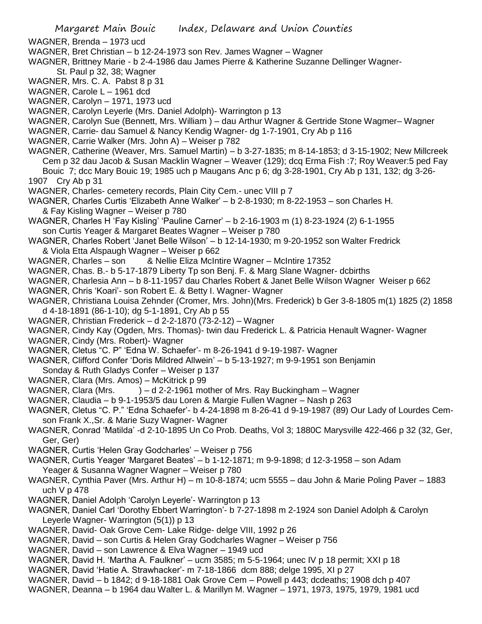- WAGNER, Brenda 1973 ucd
- WAGNER, Bret Christian b 12-24-1973 son Rev. James Wagner Wagner
- WAGNER, Brittney Marie b 2-4-1986 dau James Pierre & Katherine Suzanne Dellinger Wagner-St. Paul p 32, 38; Wagner
- WAGNER, Mrs. C. A. Pabst 8 p 31
- WAGNER, Carole L 1961 dcd
- WAGNER, Carolyn 1971, 1973 ucd
- WAGNER, Carolyn Leyerle (Mrs. Daniel Adolph)- Warrington p 13
- WAGNER, Carolyn Sue (Bennett, Mrs. William ) dau Arthur Wagner & Gertride Stone Wagmer– Wagner
- WAGNER, Carrie- dau Samuel & Nancy Kendig Wagner- dg 1-7-1901, Cry Ab p 116
- WAGNER, Carrie Walker (Mrs. John A) Weiser p 782
- WAGNER, Catherine (Weaver, Mrs. Samuel Martin) b 3-27-1835; m 8-14-1853; d 3-15-1902; New Millcreek Cem p 32 dau Jacob & Susan Macklin Wagner – Weaver (129); dcq Erma Fish :7; Roy Weaver:5 ped Fay Bouic 7; dcc Mary Bouic 19; 1985 uch p Maugans Anc p 6; dg 3-28-1901, Cry Ab p 131, 132; dg 3-26-
- 1907 Cry Ab p 31
- WAGNER, Charles- cemetery records, Plain City Cem.- unec VIII p 7
- WAGNER, Charles Curtis 'Elizabeth Anne Walker' b 2-8-1930; m 8-22-1953 son Charles H. & Fay Kisling Wagner – Weiser p 780
- WAGNER, Charles H 'Fay Kisling' 'Pauline Carner' b 2-16-1903 m (1) 8-23-1924 (2) 6-1-1955 son Curtis Yeager & Margaret Beates Wagner – Weiser p 780
- WAGNER, Charles Robert 'Janet Belle Wilson' b 12-14-1930; m 9-20-1952 son Walter Fredrick & Viola Etta Alspaugh Wagner – Weiser p 662
- WAGNER, Charles son & Nellie Eliza McIntire Wagner McIntire 17352
- WAGNER, Chas. B.- b 5-17-1879 Liberty Tp son Benj. F. & Marg Slane Wagner- dcbirths
- WAGNER, Charlesia Ann b 8-11-1957 dau Charles Robert & Janet Belle Wilson Wagner Weiser p 662
- WAGNER, Chris 'Koari'- son Robert E. & Betty I. Wagner- Wagner
- WAGNER, Christiana Louisa Zehnder (Cromer, Mrs. John)(Mrs. Frederick) b Ger 3-8-1805 m(1) 1825 (2) 1858 d 4-18-1891 (86-1-10); dg 5-1-1891, Cry Ab p 55
- WAGNER, Christian Frederick d 2-2-1870 (73-2-12) Wagner
- WAGNER, Cindy Kay (Ogden, Mrs. Thomas)- twin dau Frederick L. & Patricia Henault Wagner- Wagner
- WAGNER, Cindy (Mrs. Robert)- Wagner
- WAGNER, Cletus "C. P" 'Edna W. Schaefer'- m 8-26-1941 d 9-19-1987- Wagner
- WAGNER, Clifford Confer 'Doris Mildred Allwein' b 5-13-1927; m 9-9-1951 son Benjamin Sonday & Ruth Gladys Confer – Weiser p 137
- WAGNER, Clara (Mrs. Amos) McKitrick p 99
- WAGNER, Clara (Mrs.  $) d 2-2-1961$  mother of Mrs. Ray Buckingham Wagner
- WAGNER, Claudia b 9-1-1953/5 dau Loren & Margie Fullen Wagner Nash p 263
- WAGNER, Cletus "C. P." 'Edna Schaefer'- b 4-24-1898 m 8-26-41 d 9-19-1987 (89) Our Lady of Lourdes Cemson Frank X.,Sr. & Marie Suzy Wagner- Wagner
- WAGNER, Conrad 'Matilda' -d 2-10-1895 Un Co Prob. Deaths, Vol 3; 1880C Marysville 422-466 p 32 (32, Ger, Ger, Ger)
- WAGNER, Curtis 'Helen Gray Godcharles' Weiser p 756
- WAGNER, Curtis Yeager 'Margaret Beates' b 1-12-1871; m 9-9-1898; d 12-3-1958 son Adam Yeager & Susanna Wagner Wagner – Weiser p 780
- WAGNER, Cynthia Paver (Mrs. Arthur H) m 10-8-1874; ucm 5555 dau John & Marie Poling Paver 1883 uch V p 478
- WAGNER, Daniel Adolph 'Carolyn Leyerle'- Warrington p 13
- WAGNER, Daniel Carl 'Dorothy Ebbert Warrington'- b 7-27-1898 m 2-1924 son Daniel Adolph & Carolyn Leyerle Wagner- Warrington (5(1)) p 13
- WAGNER, David- Oak Grove Cem- Lake Ridge- delge VIII, 1992 p 26
- WAGNER, David son Curtis & Helen Gray Godcharles Wagner Weiser p 756
- WAGNER, David son Lawrence & Elva Wagner 1949 ucd
- WAGNER, David H. 'Martha A. Faulkner' ucm 3585; m 5-5-1964; unec IV p 18 permit; XXI p 18
- WAGNER, David 'Hatie A. Strawhacker'- m 7-18-1866 dcm 888; delge 1995, XI p 27
- WAGNER, David b 1842; d 9-18-1881 Oak Grove Cem Powell p 443; dcdeaths; 1908 dch p 407
- WAGNER, Deanna b 1964 dau Walter L. & Marillyn M. Wagner 1971, 1973, 1975, 1979, 1981 ucd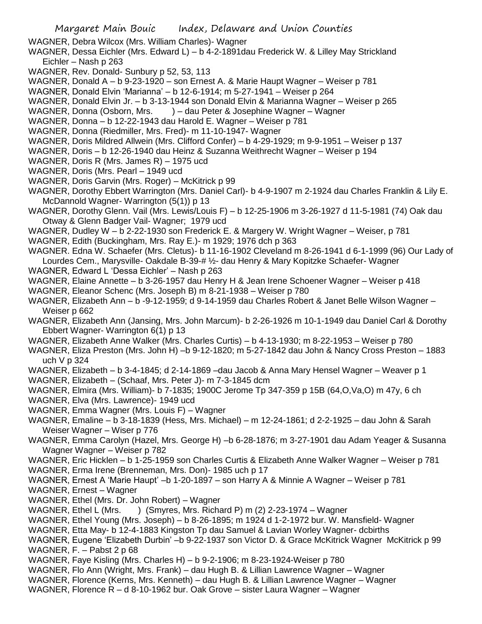WAGNER, Debra Wilcox (Mrs. William Charles)- Wagner

- WAGNER, Dessa Eichler (Mrs. Edward L) b 4-2-1891dau Frederick W. & Lilley May Strickland Eichler – Nash p 263
- WAGNER, Rev. Donald- Sunbury p 52, 53, 113
- WAGNER, Donald A b 9-23-1920 son Ernest A. & Marie Haupt Wagner Weiser p 781
- WAGNER, Donald Elvin 'Marianna' b 12-6-1914; m 5-27-1941 Weiser p 264
- WAGNER, Donald Elvin Jr. b 3-13-1944 son Donald Elvin & Marianna Wagner Weiser p 265
- WAGNER, Donna (Osborn, Mrs. ) dau Peter & Josephine Wagner Wagner
- WAGNER, Donna b 12-22-1943 dau Harold E. Wagner Weiser p 781
- WAGNER, Donna (Riedmiller, Mrs. Fred)- m 11-10-1947- Wagner
- WAGNER, Doris Mildred Allwein (Mrs. Clifford Confer) b 4-29-1929; m 9-9-1951 Weiser p 137
- WAGNER, Doris b 12-26-1940 dau Heinz & Suzanna Weithrecht Wagner Weiser p 194
- WAGNER, Doris R (Mrs. James R) 1975 ucd
- WAGNER, Doris (Mrs. Pearl 1949 ucd
- WAGNER, Doris Garvin (Mrs. Roger) McKitrick p 99
- WAGNER, Dorothy Ebbert Warrington (Mrs. Daniel Carl)- b 4-9-1907 m 2-1924 dau Charles Franklin & Lily E. McDannold Wagner- Warrington (5(1)) p 13
- WAGNER, Dorothy Glenn. Vail (Mrs. Lewis/Louis F) b 12-25-1906 m 3-26-1927 d 11-5-1981 (74) Oak dau Otway & Glenn Badger Vail- Wagner; 1979 ucd
- WAGNER, Dudley W b 2-22-1930 son Frederick E. & Margery W. Wright Wagner Weiser, p 781
- WAGNER, Edith (Buckingham, Mrs. Ray E.)- m 1929; 1976 dch p 363
- WAGNER. Edna W. Schaefer (Mrs. Cletus)- b 11-16-1902 Cleveland m 8-26-1941 d 6-1-1999 (96) Our Lady of Lourdes Cem., Marysville- Oakdale B-39-# ½- dau Henry & Mary Kopitzke Schaefer- Wagner
- WAGNER, Edward L 'Dessa Eichler' Nash p 263
- WAGNER, Elaine Annette b 3-26-1957 dau Henry H & Jean Irene Schoener Wagner Weiser p 418
- WAGNER, Eleanor Schenc (Mrs. Joseph B) m 8-21-1938 Weiser p 780
- WAGNER, Elizabeth Ann b -9-12-1959; d 9-14-1959 dau Charles Robert & Janet Belle Wilson Wagner Weiser p 662
- WAGNER, Elizabeth Ann (Jansing, Mrs. John Marcum)- b 2-26-1926 m 10-1-1949 dau Daniel Carl & Dorothy Ebbert Wagner- Warrington 6(1) p 13
- WAGNER, Elizabeth Anne Walker (Mrs. Charles Curtis) b 4-13-1930; m 8-22-1953 Weiser p 780
- WAGNER, Eliza Preston (Mrs. John H) –b 9-12-1820; m 5-27-1842 dau John & Nancy Cross Preston 1883 uch V p 324
- WAGNER, Elizabeth b 3-4-1845; d 2-14-1869 –dau Jacob & Anna Mary Hensel Wagner Weaver p 1
- WAGNER, Elizabeth (Schaaf, Mrs. Peter J)- m 7-3-1845 dcm
- WAGNER, Elmira (Mrs. William)- b 7-1835; 1900C Jerome Tp 347-359 p 15B (64,O,Va,O) m 47y, 6 ch
- WAGNER, Elva (Mrs. Lawrence)- 1949 ucd
- WAGNER, Emma Wagner (Mrs. Louis F) Wagner
- WAGNER, Emaline b 3-18-1839 (Hess, Mrs. Michael) m 12-24-1861; d 2-2-1925 dau John & Sarah Weiser Wagner – Wiser p 776
- WAGNER, Emma Carolyn (Hazel, Mrs. George H) –b 6-28-1876; m 3-27-1901 dau Adam Yeager & Susanna Wagner Wagner – Weiser p 782
- WAGNER, Eric Hicklen b 1-25-1959 son Charles Curtis & Elizabeth Anne Walker Wagner Weiser p 781
- WAGNER, Erma Irene (Brenneman, Mrs. Don)- 1985 uch p 17
- WAGNER, Ernest A 'Marie Haupt' –b 1-20-1897 son Harry A & Minnie A Wagner Weiser p 781
- WAGNER, Ernest Wagner
- WAGNER, Ethel (Mrs. Dr. John Robert) Wagner
- WAGNER, Ethel L (Mrs. ) (Smyres, Mrs. Richard P) m (2) 2-23-1974 Wagner
- WAGNER, Ethel Young (Mrs. Joseph) b 8-26-1895; m 1924 d 1-2-1972 bur. W. Mansfield- Wagner
- WAGNER, Etta May- b 12-4-1883 Kingston Tp dau Samuel & Lavian Worley Wagner- dcbirths
- WAGNER, Eugene 'Elizabeth Durbin' –b 9-22-1937 son Victor D. & Grace McKitrick Wagner McKitrick p 99

WAGNER, F. – Pabst 2 p 68

- WAGNER, Faye Kisling (Mrs. Charles H) b 9-2-1906; m 8-23-1924-Weiser p 780
- WAGNER, Flo Ann (Wright, Mrs. Frank) dau Hugh B. & Lillian Lawrence Wagner Wagner
- WAGNER, Florence (Kerns, Mrs. Kenneth) dau Hugh B. & Lillian Lawrence Wagner Wagner
- WAGNER, Florence R d 8-10-1962 bur. Oak Grove sister Laura Wagner Wagner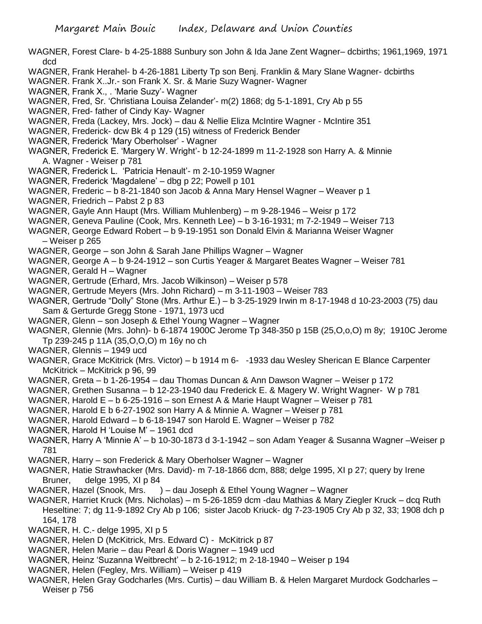- WAGNER, Forest Clare- b 4-25-1888 Sunbury son John & Ida Jane Zent Wagner– dcbirths; 1961,1969, 1971 dcd
- WAGNER, Frank Herahel- b 4-26-1881 Liberty Tp son Benj. Franklin & Mary Slane Wagner- dcbirths
- WAGNER. Frank X..Jr.- son Frank X. Sr. & Marie Suzy Wagner- Wagner
- WAGNER, Frank X., . 'Marie Suzy'- Wagner
- WAGNER, Fred, Sr. 'Christiana Louisa Zelander'- m(2) 1868; dg 5-1-1891, Cry Ab p 55
- WAGNER, Fred- father of Cindy Kay- Wagner
- WAGNER, Freda (Lackey, Mrs. Jock) dau & Nellie Eliza McIntire Wagner McIntire 351
- WAGNER, Frederick- dcw Bk 4 p 129 (15) witness of Frederick Bender
- WAGNER, Frederick 'Mary Oberholser' Wagner
- WAGNER, Frederick E. 'Margery W. Wright'- b 12-24-1899 m 11-2-1928 son Harry A. & Minnie A. Wagner - Weiser p 781
- WAGNER, Frederick L. 'Patricia Henault'- m 2-10-1959 Wagner
- WAGNER, Frederick 'Magdalene' dbg p 22; Powell p 101
- WAGNER, Frederic b 8-21-1840 son Jacob & Anna Mary Hensel Wagner Weaver p 1
- WAGNER, Friedrich Pabst 2 p 83
- WAGNER, Gayle Ann Haupt (Mrs. William Muhlenberg) m 9-28-1946 Weisr p 172
- WAGNER, Geneva Pauline (Cook, Mrs. Kenneth Lee) b 3-16-1931; m 7-2-1949 Weiser 713
- WAGNER, George Edward Robert b 9-19-1951 son Donald Elvin & Marianna Weiser Wagner – Weiser p 265
- WAGNER, George son John & Sarah Jane Phillips Wagner Wagner
- WAGNER, George A b 9-24-1912 son Curtis Yeager & Margaret Beates Wagner Weiser 781
- WAGNER, Gerald H Wagner
- WAGNER, Gertrude (Erhard, Mrs. Jacob Wilkinson) Weiser p 578
- WAGNER, Gertrude Meyers (Mrs. John Richard) m 3-11-1903 Weiser 783
- WAGNER, Gertrude "Dolly" Stone (Mrs. Arthur E.) b 3-25-1929 Irwin m 8-17-1948 d 10-23-2003 (75) dau Sam & Gerturde Gregg Stone - 1971, 1973 ucd
- WAGNER, Glenn son Joseph & Ethel Young Wagner Wagner
- WAGNER, Glennie (Mrs. John)- b 6-1874 1900C Jerome Tp 348-350 p 15B (25,O,o,O) m 8y; 1910C Jerome Tp 239-245 p 11A (35,O,O,O) m 16y no ch
- WAGNER, Glennis 1949 ucd
- WAGNER, Grace McKitrick (Mrs. Victor) b 1914 m 6- -1933 dau Wesley Sherican E Blance Carpenter McKitrick – McKitrick p 96, 99
- WAGNER, Greta b 1-26-1954 dau Thomas Duncan & Ann Dawson Wagner Weiser p 172
- WAGNER, Grethen Susanna b 12-23-1940 dau Frederick E. & Magery W. Wright Wagner- W p 781
- WAGNER, Harold E b 6-25-1916 son Ernest A & Marie Haupt Wagner Weiser p 781
- WAGNER, Harold E b 6-27-1902 son Harry A & Minnie A. Wagner Weiser p 781
- WAGNER, Harold Edward b 6-18-1947 son Harold E. Wagner Weiser p 782
- WAGNER, Harold H 'Louise M' 1961 dcd
- WAGNER, Harry A 'Minnie A' b 10-30-1873 d 3-1-1942 son Adam Yeager & Susanna Wagner –Weiser p 781
- WAGNER, Harry son Frederick & Mary Oberholser Wagner Wagner
- WAGNER, Hatie Strawhacker (Mrs. David)- m 7-18-1866 dcm, 888; delge 1995, XI p 27; query by Irene Bruner, delge 1995, XI p 84
- WAGNER, Hazel (Snook, Mrs. ) dau Joseph & Ethel Young Wagner Wagner
- WAGNER, Harriet Kruck (Mrs. Nicholas) m 5-26-1859 dcm -dau Mathias & Mary Ziegler Kruck dcq Ruth Heseltine: 7; dg 11-9-1892 Cry Ab p 106; sister Jacob Kriuck- dg 7-23-1905 Cry Ab p 32, 33; 1908 dch p 164, 178
- WAGNER, H. C.- delge 1995, XI p 5
- WAGNER, Helen D (McKitrick, Mrs. Edward C) McKitrick p 87
- WAGNER, Helen Marie dau Pearl & Doris Wagner 1949 ucd
- WAGNER, Heinz 'Suzanna Weitbrecht' b 2-16-1912; m 2-18-1940 Weiser p 194
- WAGNER, Helen (Fegley, Mrs. William) Weiser p 419
- WAGNER, Helen Gray Godcharles (Mrs. Curtis) dau William B. & Helen Margaret Murdock Godcharles Weiser p 756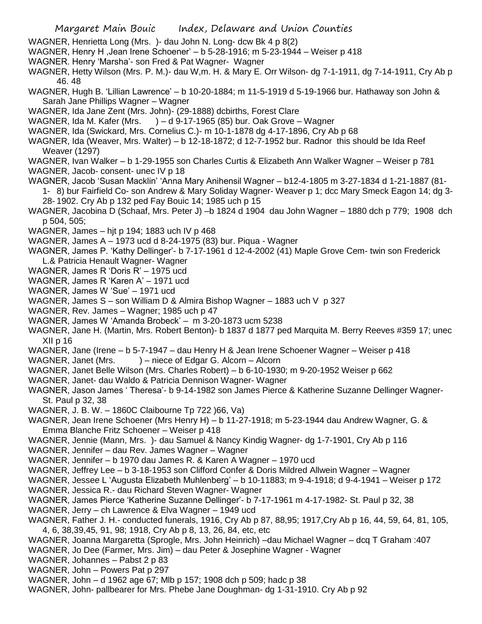- WAGNER, Henrietta Long (Mrs. )- dau John N. Long- dcw Bk 4 p 8(2)
- WAGNER, Henry H ,Jean Irene Schoener' b 5-28-1916; m 5-23-1944 Weiser p 418
- WAGNER. Henry 'Marsha'- son Fred & Pat Wagner- Wagner
- WAGNER, Hetty Wilson (Mrs. P. M.)- dau W,m. H. & Mary E. Orr Wilson- dg 7-1-1911, dg 7-14-1911, Cry Ab p 46. 48
- WAGNER, Hugh B. 'Lillian Lawrence' b 10-20-1884; m 11-5-1919 d 5-19-1966 bur. Hathaway son John & Sarah Jane Phillips Wagner – Wagner
- WAGNER, Ida Jane Zent (Mrs. John)- (29-1888) dcbirths, Forest Clare
- WAGNER, Ida M. Kafer (Mrs. ) d 9-17-1965 (85) bur. Oak Grove Wagner
- WAGNER, Ida (Swickard, Mrs. Cornelius C.)- m 10-1-1878 dg 4-17-1896, Cry Ab p 68
- WAGNER, Ida (Weaver, Mrs. Walter) b 12-18-1872; d 12-7-1952 bur. Radnor this should be Ida Reef Weaver (1297)
- WAGNER, Ivan Walker b 1-29-1955 son Charles Curtis & Elizabeth Ann Walker Wagner Weiser p 781 WAGNER, Jacob- consent- unec IV p 18
- WAGNER, Jacob 'Susan Macklin' 'Anna Mary Anihensil Wagner b12-4-1805 m 3-27-1834 d 1-21-1887 (81-
- 1- 8) bur Fairfield Co- son Andrew & Mary Soliday Wagner- Weaver p 1; dcc Mary Smeck Eagon 14; dg 3- 28- 1902. Cry Ab p 132 ped Fay Bouic 14; 1985 uch p 15
- WAGNER, Jacobina D (Schaaf, Mrs. Peter J) –b 1824 d 1904 dau John Wagner 1880 dch p 779; 1908 dch p 504, 505;
- WAGNER, James hjt p 194; 1883 uch IV p 468
- WAGNER, James A 1973 ucd d 8-24-1975 (83) bur. Piqua Wagner
- WAGNER, James P. 'Kathy Dellinger'- b 7-17-1961 d 12-4-2002 (41) Maple Grove Cem- twin son Frederick L.& Patricia Henault Wagner- Wagner
- WAGNER, James R 'Doris R' 1975 ucd
- WAGNER, James R 'Karen A' 1971 ucd
- WAGNER, James W 'Sue' 1971 ucd
- WAGNER, James S son William D & Almira Bishop Wagner 1883 uch V p 327
- WAGNER, Rev. James Wagner; 1985 uch p 47
- WAGNER, James W 'Amanda Brobeck' m 3-20-1873 ucm 5238
- WAGNER, Jane H. (Martin, Mrs. Robert Benton)- b 1837 d 1877 ped Marquita M. Berry Reeves #359 17; unec XII p 16
- WAGNER, Jane (Irene b 5-7-1947 dau Henry H & Jean Irene Schoener Wagner Weiser p 418
- WAGNER, Janet (Mrs. ) niece of Edgar G. Alcorn Alcorn
- WAGNER, Janet Belle Wilson (Mrs. Charles Robert) b 6-10-1930; m 9-20-1952 Weiser p 662
- WAGNER, Janet- dau Waldo & Patricia Dennison Wagner- Wagner
- WAGNER, Jason James ' Theresa'- b 9-14-1982 son James Pierce & Katherine Suzanne Dellinger Wagner-St. Paul p 32, 38
- WAGNER, J. B. W. 1860C Claibourne Tp 722 )66, Va)
- WAGNER, Jean Irene Schoener (Mrs Henry H) b 11-27-1918; m 5-23-1944 dau Andrew Wagner, G. & Emma Blanche Fritz Schoener – Weiser p 418
- WAGNER, Jennie (Mann, Mrs. )- dau Samuel & Nancy Kindig Wagner- dg 1-7-1901, Cry Ab p 116
- WAGNER, Jennifer dau Rev. James Wagner Wagner
- WAGNER, Jennifer b 1970 dau James R. & Karen A Wagner 1970 ucd
- WAGNER, Jeffrey Lee b 3-18-1953 son Clifford Confer & Doris Mildred Allwein Wagner Wagner
- WAGNER, Jessee L 'Augusta Elizabeth Muhlenberg' b 10-11883; m 9-4-1918; d 9-4-1941 Weiser p 172
- WAGNER, Jessica R.- dau Richard Steven Wagner- Wagner
- WAGNER, James Pierce 'Katherine Suzanne Dellinger'- b 7-17-1961 m 4-17-1982- St. Paul p 32, 38
- WAGNER, Jerry ch Lawrence & Elva Wagner 1949 ucd
- WAGNER, Father J. H.- conducted funerals, 1916, Cry Ab p 87, 88,95; 1917,Cry Ab p 16, 44, 59, 64, 81, 105, 4, 6, 38,39,45, 91, 98; 1918, Cry Ab p 8, 13, 26, 84, etc, etc
- WAGNER, Joanna Margaretta (Sprogle, Mrs. John Heinrich) –dau Michael Wagner dcq T Graham :407
- WAGNER, Jo Dee (Farmer, Mrs. Jim) dau Peter & Josephine Wagner Wagner
- WAGNER, Johannes Pabst 2 p 83
- WAGNER, John Powers Pat p 297
- WAGNER, John d 1962 age 67; Mlb p 157; 1908 dch p 509; hadc p 38
- WAGNER, John- pallbearer for Mrs. Phebe Jane Doughman- dg 1-31-1910. Cry Ab p 92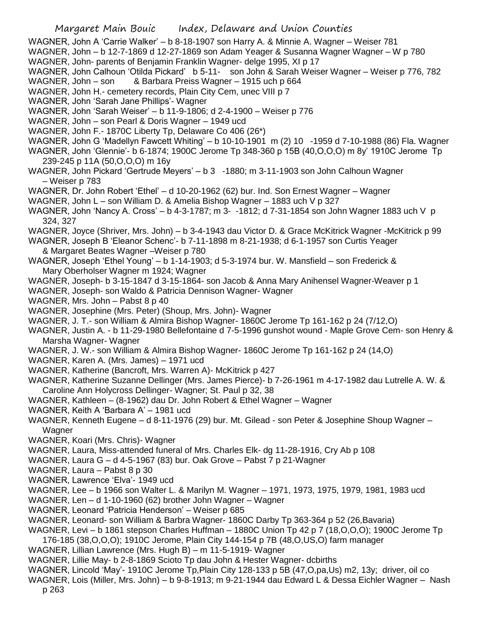- WAGNER, John A 'Carrie Walker' b 8-18-1907 son Harry A. & Minnie A. Wagner Weiser 781
- WAGNER, John b 12-7-1869 d 12-27-1869 son Adam Yeager & Susanna Wagner Wagner W p 780 WAGNER, John- parents of Benjamin Franklin Wagner- delge 1995, XI p 17
- WAGNER, John Calhoun 'Otilda Pickard' b 5-11- son John & Sarah Weiser Wagner Weiser p 776, 782 WAGNER, John – son & Barbara Preiss Wagner – 1915 uch p 664
- WAGNER, John H.- cemetery records, Plain City Cem, unec VIII p 7
- WAGNER, John 'Sarah Jane Phillips'- Wagner
- WAGNER, John 'Sarah Weiser' b 11-9-1806; d 2-4-1900 Weiser p 776
- WAGNER, John son Pearl & Doris Wagner 1949 ucd
- WAGNER, John F.- 1870C Liberty Tp, Delaware Co 406 (26\*)
- WAGNER, John G 'Madellyn Fawcett Whiting' b 10-10-1901 m (2) 10 -1959 d 7-10-1988 (86) Fla. Wagner
- WAGNER, John 'Glennie'- b 6-1874; 1900C Jerome Tp 348-360 p 15B (40,O,O,O) m 8y' 1910C Jerome Tp 239-245 p 11A (50,O,O,O) m 16y
- WAGNER, John Pickard 'Gertrude Meyers' b 3 -1880; m 3-11-1903 son John Calhoun Wagner – Weiser p 783
- WAGNER, Dr. John Robert 'Ethel' d 10-20-1962 (62) bur. Ind. Son Ernest Wagner Wagner
- WAGNER, John L son William D. & Amelia Bishop Wagner 1883 uch V p 327
- WAGNER, John 'Nancy A. Cross' b 4-3-1787; m 3- -1812; d 7-31-1854 son John Wagner 1883 uch V p 324, 327
- WAGNER, Joyce (Shriver, Mrs. John) b 3-4-1943 dau Victor D. & Grace McKitrick Wagner -McKitrick p 99
- WAGNER, Joseph B 'Eleanor Schenc'- b 7-11-1898 m 8-21-1938; d 6-1-1957 son Curtis Yeager & Margaret Beates Wagner –Weiser p 780
- WAGNER, Joseph 'Ethel Young' b 1-14-1903; d 5-3-1974 bur. W. Mansfield son Frederick & Mary Oberholser Wagner m 1924; Wagner
- WAGNER, Joseph- b 3-15-1847 d 3-15-1864- son Jacob & Anna Mary Anihensel Wagner-Weaver p 1
- WAGNER, Joseph- son Waldo & Patricia Dennison Wagner- Wagner
- WAGNER, Mrs. John Pabst 8 p 40
- WAGNER, Josephine (Mrs. Peter) (Shoup, Mrs. John)- Wagner
- WAGNER, J. T.- son William & Almira Bishop Wagner- 1860C Jerome Tp 161-162 p 24 (7/12,O)
- WAGNER, Justin A. b 11-29-1980 Bellefontaine d 7-5-1996 gunshot wound Maple Grove Cem- son Henry & Marsha Wagner- Wagner
- WAGNER, J. W.- son William & Almira Bishop Wagner- 1860C Jerome Tp 161-162 p 24 (14,O)
- WAGNER, Karen A. (Mrs. James) 1971 ucd
- WAGNER, Katherine (Bancroft, Mrs. Warren A)- McKitrick p 427
- WAGNER, Katherine Suzanne Dellinger (Mrs. James Pierce)- b 7-26-1961 m 4-17-1982 dau Lutrelle A. W. & Caroline Ann Holycross Dellinger- Wagner; St. Paul p 32, 38
- WAGNER, Kathleen (8-1962) dau Dr. John Robert & Ethel Wagner Wagner
- WAGNER, Keith A 'Barbara A' 1981 ucd
- WAGNER, Kenneth Eugene d 8-11-1976 (29) bur. Mt. Gilead son Peter & Josephine Shoup Wagner Wagner
- WAGNER, Koari (Mrs. Chris)- Wagner
- WAGNER, Laura, Miss-attended funeral of Mrs. Charles Elk- dg 11-28-1916, Cry Ab p 108
- WAGNER, Laura G d 4-5-1967 (83) bur. Oak Grove Pabst 7 p 21-Wagner
- WAGNER, Laura Pabst 8 p 30
- WAGNER, Lawrence 'Elva'- 1949 ucd
- WAGNER, Lee b 1966 son Walter L. & Marilyn M. Wagner 1971, 1973, 1975, 1979, 1981, 1983 ucd
- WAGNER, Len d 1-10-1960 (62) brother John Wagner Wagner
- WAGNER, Leonard 'Patricia Henderson' Weiser p 685
- WAGNER, Leonard- son William & Barbra Wagner- 1860C Darby Tp 363-364 p 52 (26,Bavaria)
- WAGNER, Levi b 1861 stepson Charles Huffman 1880C Union Tp 42 p 7 (18,O,O,O); 1900C Jerome Tp
- 176-185 (38,O,O,O); 1910C Jerome, Plain City 144-154 p 7B (48,O,US,O) farm manager
- WAGNER, Lillian Lawrence (Mrs. Hugh B) m 11-5-1919- Wagner
- WAGNER, Lillie May- b 2-8-1869 Scioto Tp dau John & Hester Wagner- dcbirths
- WAGNER, Lincold 'May'- 1910C Jerome Tp,Plain City 128-133 p 5B (47,O,pa,Us) m2, 13y; driver, oil co
- WAGNER, Lois (Miller, Mrs. John) b 9-8-1913; m 9-21-1944 dau Edward L & Dessa Eichler Wagner Nash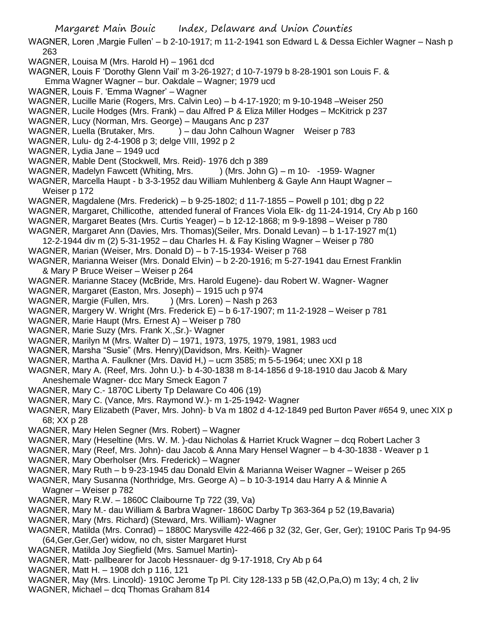- WAGNER, Loren ,Margie Fullen' b 2-10-1917; m 11-2-1941 son Edward L & Dessa Eichler Wagner Nash p 263
- WAGNER, Louisa M (Mrs. Harold H) 1961 dcd
- WAGNER, Louis F 'Dorothy Glenn Vail' m 3-26-1927; d 10-7-1979 b 8-28-1901 son Louis F. & Emma Wagner Wagner – bur. Oakdale – Wagner; 1979 ucd
- WAGNER, Louis F. 'Emma Wagner' Wagner
- WAGNER, Lucille Marie (Rogers, Mrs. Calvin Leo) b 4-17-1920; m 9-10-1948 –Weiser 250
- WAGNER, Lucile Hodges (Mrs. Frank) dau Alfred P & Eliza Miller Hodges McKitrick p 237
- WAGNER, Lucy (Norman, Mrs. George) Maugans Anc p 237
- WAGNER, Luella (Brutaker, Mrs. ) dau John Calhoun Wagner Weiser p 783
- WAGNER, Lulu- dg 2-4-1908 p 3; delge VIII, 1992 p 2
- WAGNER, Lydia Jane 1949 ucd
- WAGNER, Mable Dent (Stockwell, Mrs. Reid)- 1976 dch p 389
- WAGNER, Madelyn Fawcett (Whiting, Mrs. ) (Mrs. John G) m 10- -1959- Wagner
- WAGNER, Marcella Haupt b 3-3-1952 dau William Muhlenberg & Gayle Ann Haupt Wagner Weiser p 172
- WAGNER, Magdalene (Mrs. Frederick) b 9-25-1802; d 11-7-1855 Powell p 101; dbg p 22
- WAGNER, Margaret, Chillicothe, attended funeral of Frances Viola Elk- dg 11-24-1914, Cry Ab p 160
- WAGNER, Margaret Beates (Mrs. Curtis Yeager) b 12-12-1868; m 9-9-1898 Weiser p 780
- WAGNER, Margaret Ann (Davies, Mrs. Thomas)(Seiler, Mrs. Donald Levan) b 1-17-1927 m(1)
- 12-2-1944 div m (2) 5-31-1952 dau Charles H. & Fay Kisling Wagner Weiser p 780
- WAGNER, Marian (Weiser, Mrs. Donald D) b 7-15-1934- Weiser p 768
- WAGNER, Marianna Weiser (Mrs. Donald Elvin) b 2-20-1916; m 5-27-1941 dau Ernest Franklin & Mary P Bruce Weiser – Weiser p 264
- WAGNER. Marianne Stacey (McBride, Mrs. Harold Eugene)- dau Robert W. Wagner- Wagner
- WAGNER, Margaret (Easton, Mrs. Joseph) 1915 uch p 974
- WAGNER, Margie (Fullen, Mrs. ) (Mrs. Loren) Nash p 263
- WAGNER, Margery W. Wright (Mrs. Frederick E) b 6-17-1907; m 11-2-1928 Weiser p 781
- WAGNER, Marie Haupt (Mrs. Ernest A) Weiser p 780
- WAGNER, Marie Suzy (Mrs. Frank X.,Sr.)- Wagner
- WAGNER, Marilyn M (Mrs. Walter D) 1971, 1973, 1975, 1979, 1981, 1983 ucd
- WAGNER, Marsha "Susie" (Mrs. Henry)(Davidson, Mrs. Keith)- Wagner
- WAGNER, Martha A. Faulkner (Mrs. David H,) ucm 3585; m 5-5-1964; unec XXI p 18
- WAGNER, Mary A. (Reef, Mrs. John U.)- b 4-30-1838 m 8-14-1856 d 9-18-1910 dau Jacob & Mary Aneshemale Wagner- dcc Mary Smeck Eagon 7
- WAGNER, Mary C.- 1870C Liberty Tp Delaware Co 406 (19)
- WAGNER, Mary C. (Vance, Mrs. Raymond W.)- m 1-25-1942- Wagner
- WAGNER, Mary Elizabeth (Paver, Mrs. John)- b Va m 1802 d 4-12-1849 ped Burton Paver #654 9, unec XIX p 68; XX p 28
- WAGNER, Mary Helen Segner (Mrs. Robert) Wagner
- WAGNER, Mary (Heseltine (Mrs. W. M. )-dau Nicholas & Harriet Kruck Wagner dcq Robert Lacher 3
- WAGNER, Mary (Reef, Mrs. John)- dau Jacob & Anna Mary Hensel Wagner b 4-30-1838 Weaver p 1
- WAGNER, Mary Oberholser (Mrs. Frederick) Wagner
- WAGNER, Mary Ruth b 9-23-1945 dau Donald Elvin & Marianna Weiser Wagner Weiser p 265
- WAGNER, Mary Susanna (Northridge, Mrs. George A) b 10-3-1914 dau Harry A & Minnie A Wagner – Weiser p 782
- WAGNER, Mary R.W. 1860C Claibourne Tp 722 (39, Va)
- WAGNER, Mary M.- dau William & Barbra Wagner- 1860C Darby Tp 363-364 p 52 (19,Bavaria)
- WAGNER, Mary (Mrs. Richard) (Steward, Mrs. William)- Wagner
- WAGNER, Matilda (Mrs. Conrad) 1880C Marysville 422-466 p 32 (32, Ger, Ger, Ger); 1910C Paris Tp 94-95 (64,Ger,Ger,Ger) widow, no ch, sister Margaret Hurst
- WAGNER, Matilda Joy Siegfield (Mrs. Samuel Martin)-
- WAGNER, Matt- pallbearer for Jacob Hessnauer- dg 9-17-1918, Cry Ab p 64
- WAGNER, Matt H. 1908 dch p 116, 121
- WAGNER, May (Mrs. Lincold)- 1910C Jerome Tp Pl. City 128-133 p 5B (42,O,Pa,O) m 13y; 4 ch, 2 liv
- WAGNER, Michael dcq Thomas Graham 814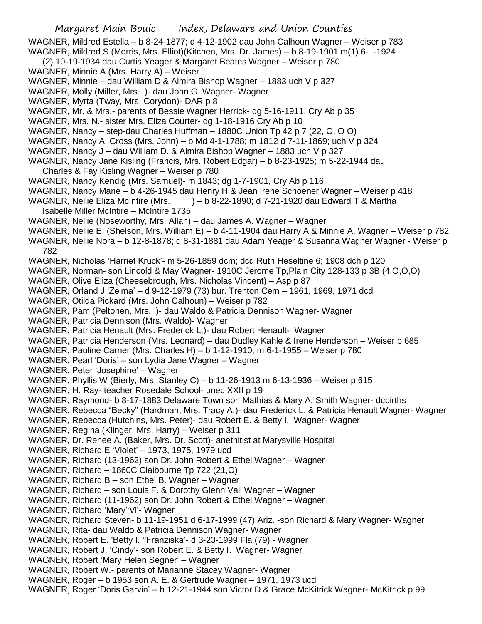Margaret Main Bouic Index, Delaware and Union Counties WAGNER, Mildred Estella – b 8-24-1877; d 4-12-1902 dau John Calhoun Wagner – Weiser p 783 WAGNER, Mildred S (Morris, Mrs. Elliot)(Kitchen, Mrs. Dr. James) – b 8-19-1901 m(1) 6- -1924 (2) 10-19-1934 dau Curtis Yeager & Margaret Beates Wagner – Weiser p 780 WAGNER, Minnie A (Mrs. Harry A) – Weiser WAGNER, Minnie – dau William D & Almira Bishop Wagner – 1883 uch V p 327 WAGNER, Molly (Miller, Mrs. )- dau John G. Wagner- Wagner WAGNER, Myrta (Tway, Mrs. Corydon)- DAR p 8 WAGNER, Mr. & Mrs.- parents of Bessie Wagner Herrick- dg 5-16-1911, Cry Ab p 35 WAGNER, Mrs. N.- sister Mrs. Eliza Courter- dg 1-18-1916 Cry Ab p 10 WAGNER, Nancy – step-dau Charles Huffman – 1880C Union Tp 42 p 7 (22, O, O O) WAGNER, Nancy A. Cross (Mrs. John) – b Md 4-1-1788; m 1812 d 7-11-1869; uch V p 324 WAGNER, Nancy J – dau William D. & Almira Bishop Wagner – 1883 uch V p 327 WAGNER, Nancy Jane Kisling (Francis, Mrs. Robert Edgar) – b 8-23-1925; m 5-22-1944 dau Charles & Fay Kisling Wagner – Weiser p 780 WAGNER, Nancy Kendig (Mrs. Samuel)- m 1843; dg 1-7-1901, Cry Ab p 116 WAGNER, Nancy Marie – b 4-26-1945 dau Henry H & Jean Irene Schoener Wagner – Weiser p 418 WAGNER, Nellie Eliza McIntire (Mrs.  $) - b 8-22-1890$ ; d 7-21-1920 dau Edward T & Martha Isabelle Miller McIntire – McIntire 1735 WAGNER, Nellie (Noseworthy, Mrs. Allan) – dau James A. Wagner – Wagner WAGNER, Nellie E. (Shelson, Mrs. William E) – b 4-11-1904 dau Harry A & Minnie A. Wagner – Weiser p 782 WAGNER, Nellie Nora – b 12-8-1878; d 8-31-1881 dau Adam Yeager & Susanna Wagner Wagner - Weiser p 782 WAGNER, Nicholas 'Harriet Kruck'- m 5-26-1859 dcm; dcq Ruth Heseltine 6; 1908 dch p 120 WAGNER, Norman- son Lincold & May Wagner- 1910C Jerome Tp,Plain City 128-133 p 3B (4,O,O,O) WAGNER, Olive Eliza (Cheesebrough, Mrs. Nicholas Vincent) – Asp p 87 WAGNER, Orland J 'Zelma' – d 9-12-1979 (73) bur. Trenton Cem – 1961, 1969, 1971 dcd WAGNER, Otilda Pickard (Mrs. John Calhoun) – Weiser p 782 WAGNER, Pam (Peltonen, Mrs. )- dau Waldo & Patricia Dennison Wagner- Wagner WAGNER, Patricia Dennison (Mrs. Waldo)- Wagner WAGNER, Patricia Henault (Mrs. Frederick L.)- dau Robert Henault- Wagner WAGNER, Patricia Henderson (Mrs. Leonard) – dau Dudley Kahle & Irene Henderson – Weiser p 685 WAGNER, Pauline Carner (Mrs. Charles H) – b 1-12-1910; m 6-1-1955 – Weiser p 780 WAGNER, Pearl 'Doris' – son Lydia Jane Wagner – Wagner WAGNER, Peter 'Josephine' – Wagner WAGNER, Phyllis W (Bierly, Mrs. Stanley C) – b 11-26-1913 m 6-13-1936 – Weiser p 615 WAGNER, H. Ray- teacher Rosedale School- unec XXII p 19 WAGNER, Raymond- b 8-17-1883 Delaware Town son Mathias & Mary A. Smith Wagner- dcbirths WAGNER, Rebecca "Becky" (Hardman, Mrs. Tracy A.)- dau Frederick L. & Patricia Henault Wagner- Wagner WAGNER, Rebecca (Hutchins, Mrs. Peter)- dau Robert E. & Betty I. Wagner- Wagner WAGNER, Regina (Klinger, Mrs. Harry) – Weiser p 311 WAGNER, Dr. Renee A. (Baker, Mrs. Dr. Scott)- anethitist at Marysville Hospital WAGNER, Richard E 'Violet' – 1973, 1975, 1979 ucd WAGNER, Richard (13-1962) son Dr. John Robert & Ethel Wagner – Wagner WAGNER, Richard – 1860C Claibourne Tp 722 (21,O) WAGNER, Richard B – son Ethel B. Wagner – Wagner WAGNER, Richard – son Louis F. & Dorothy Glenn Vail Wagner – Wagner WAGNER, Richard (11-1962) son Dr. John Robert & Ethel Wagner – Wagner WAGNER, Richard 'Mary''Vi'- Wagner WAGNER, Richard Steven- b 11-19-1951 d 6-17-1999 (47) Ariz. -son Richard & Mary Wagner- Wagner WAGNER, Rita- dau Waldo & Patricia Dennison Wagner- Wagner WAGNER, Robert E. 'Betty I. ''Franziska'- d 3-23-1999 Fla (79) - Wagner WAGNER, Robert J. 'Cindy'- son Robert E. & Betty I. Wagner- Wagner WAGNER, Robert 'Mary Helen Segner' – Wagner WAGNER, Robert W.- parents of Marianne Stacey Wagner- Wagner WAGNER, Roger – b 1953 son A. E. & Gertrude Wagner – 1971, 1973 ucd WAGNER, Roger 'Doris Garvin' – b 12-21-1944 son Victor D & Grace McKitrick Wagner- McKitrick p 99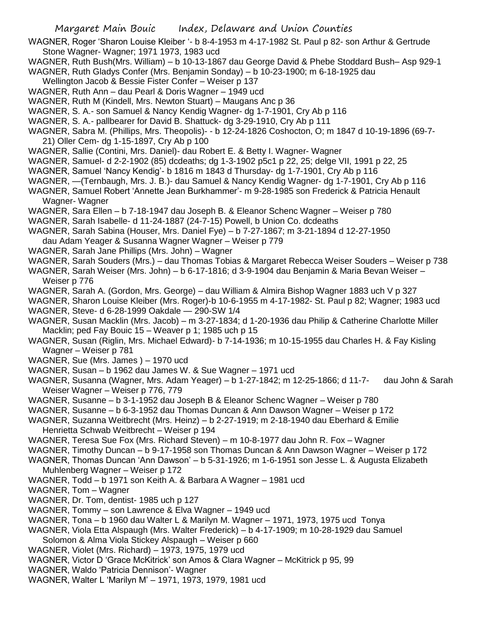WAGNER, Roger 'Sharon Louise Kleiber '- b 8-4-1953 m 4-17-1982 St. Paul p 82- son Arthur & Gertrude Stone Wagner- Wagner; 1971 1973, 1983 ucd

- WAGNER, Ruth Bush(Mrs. William) b 10-13-1867 dau George David & Phebe Stoddard Bush– Asp 929-1
- WAGNER, Ruth Gladys Confer (Mrs. Benjamin Sonday) b 10-23-1900; m 6-18-1925 dau
- Wellington Jacob & Bessie Fister Confer Weiser p 137
- WAGNER, Ruth Ann dau Pearl & Doris Wagner 1949 ucd
- WAGNER, Ruth M (Kindell, Mrs. Newton Stuart) Maugans Anc p 36
- WAGNER, S. A.- son Samuel & Nancy Kendig Wagner- dg 1-7-1901, Cry Ab p 116
- WAGNER, S. A.- pallbearer for David B. Shattuck- dg 3-29-1910, Cry Ab p 111
- WAGNER, Sabra M. (Phillips, Mrs. Theopolis)- b 12-24-1826 Coshocton, O; m 1847 d 10-19-1896 (69-7- 21) Oller Cem- dg 1-15-1897, Cry Ab p 100
- WAGNER, Sallie (Contini, Mrs. Daniel)- dau Robert E. & Betty I. Wagner- Wagner
- WAGNER, Samuel- d 2-2-1902 (85) dcdeaths; dg 1-3-1902 p5c1 p 22, 25; delge VII, 1991 p 22, 25
- WAGNER, Samuel 'Nancy Kendig'- b 1816 m 1843 d Thursday- dg 1-7-1901, Cry Ab p 116
- WAGNER, —(Ternbaugh, Mrs. J. B.)- dau Samuel & Nancy Kendig Wagner- dg 1-7-1901, Cry Ab p 116
- WAGNER, Samuel Robert 'Annette Jean Burkhammer'- m 9-28-1985 son Frederick & Patricia Henault Wagner- Wagner
- WAGNER, Sara Ellen b 7-18-1947 dau Joseph B. & Eleanor Schenc Wagner Weiser p 780
- WAGNER, Sarah Isabelle- d 11-24-1887 (24-7-15) Powell, b Union Co. dcdeaths
- WAGNER, Sarah Sabina (Houser, Mrs. Daniel Fye) b 7-27-1867; m 3-21-1894 d 12-27-1950
- dau Adam Yeager & Susanna Wagner Wagner Weiser p 779
- WAGNER, Sarah Jane Phillips (Mrs. John) Wagner
- WAGNER, Sarah Souders (Mrs.) dau Thomas Tobias & Margaret Rebecca Weiser Souders Weiser p 738
- WAGNER, Sarah Weiser (Mrs. John) b 6-17-1816; d 3-9-1904 dau Benjamin & Maria Bevan Weiser Weiser p 776
- WAGNER, Sarah A. (Gordon, Mrs. George) dau William & Almira Bishop Wagner 1883 uch V p 327
- WAGNER, Sharon Louise Kleiber (Mrs. Roger)-b 10-6-1955 m 4-17-1982- St. Paul p 82; Wagner; 1983 ucd WAGNER, Steve- d 6-28-1999 Oakdale — 290-SW 1/4
- WAGNER, Susan Macklin (Mrs. Jacob) m 3-27-1834; d 1-20-1936 dau Philip & Catherine Charlotte Miller Macklin; ped Fay Bouic 15 – Weaver p 1; 1985 uch p 15
- WAGNER, Susan (Riglin, Mrs. Michael Edward)- b 7-14-1936; m 10-15-1955 dau Charles H. & Fay Kisling Wagner – Weiser p 781
- WAGNER, Sue (Mrs. James ) 1970 ucd
- WAGNER, Susan b 1962 dau James W. & Sue Wagner 1971 ucd
- WAGNER, Susanna (Wagner, Mrs. Adam Yeager) b 1-27-1842; m 12-25-1866; d 11-7- dau John & Sarah Weiser Wagner – Weiser p 776, 779
- WAGNER, Susanne b 3-1-1952 dau Joseph B & Eleanor Schenc Wagner Weiser p 780
- WAGNER, Susanne b 6-3-1952 dau Thomas Duncan & Ann Dawson Wagner Weiser p 172
- WAGNER, Suzanna Weitbrecht (Mrs. Heinz) b 2-27-1919; m 2-18-1940 dau Eberhard & Emilie Henrietta Schwab Weitbrecht – Weiser p 194
- WAGNER, Teresa Sue Fox (Mrs. Richard Steven) m 10-8-1977 dau John R. Fox Wagner
- WAGNER, Timothy Duncan b 9-17-1958 son Thomas Duncan & Ann Dawson Wagner Weiser p 172
- WAGNER, Thomas Duncan 'Ann Dawson' b 5-31-1926; m 1-6-1951 son Jesse L. & Augusta Elizabeth Muhlenberg Wagner – Weiser p 172
- WAGNER, Todd b 1971 son Keith A. & Barbara A Wagner 1981 ucd
- WAGNER, Tom Wagner
- WAGNER, Dr. Tom, dentist- 1985 uch p 127
- WAGNER, Tommy son Lawrence & Elva Wagner 1949 ucd
- WAGNER, Tona b 1960 dau Walter L & Marilyn M. Wagner 1971, 1973, 1975 ucd Tonya
- WAGNER, Viola Etta Alspaugh (Mrs. Walter Frederick) b 4-17-1909; m 10-28-1929 dau Samuel
- Solomon & Alma Viola Stickey Alspaugh Weiser p 660
- WAGNER, Violet (Mrs. Richard) 1973, 1975, 1979 ucd
- WAGNER, Victor D 'Grace McKitrick' son Amos & Clara Wagner McKitrick p 95, 99
- WAGNER, Waldo 'Patricia Dennison'- Wagner
- WAGNER, Walter L 'Marilyn M' 1971, 1973, 1979, 1981 ucd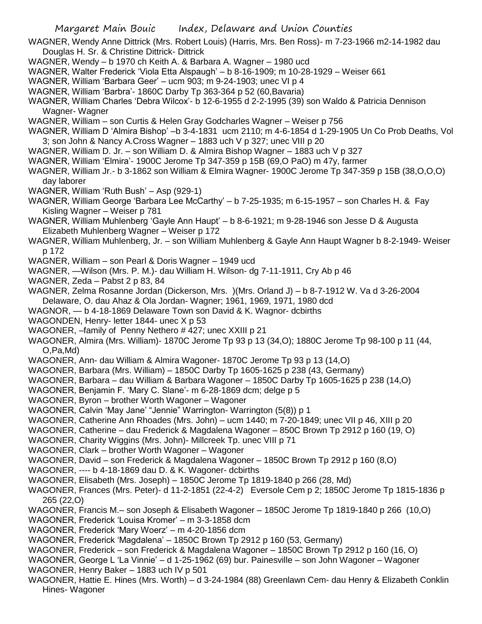WAGNER, Wendy Anne Dittrick (Mrs. Robert Louis) (Harris, Mrs. Ben Ross)- m 7-23-1966 m2-14-1982 dau Douglas H. Sr. & Christine Dittrick- Dittrick

- WAGNER, Wendy b 1970 ch Keith A. & Barbara A. Wagner 1980 ucd
- WAGNER, Walter Frederick 'Viola Etta Alspaugh' b 8-16-1909; m 10-28-1929 Weiser 661
- WAGNER, William 'Barbara Geer' ucm 903; m 9-24-1903; unec VI p 4
- WAGNER, William 'Barbra'- 1860C Darby Tp 363-364 p 52 (60,Bavaria)
- WAGNER, William Charles 'Debra Wilcox'- b 12-6-1955 d 2-2-1995 (39) son Waldo & Patricia Dennison Wagner- Wagner
- WAGNER, William son Curtis & Helen Gray Godcharles Wagner Weiser p 756
- WAGNER, William D 'Almira Bishop' –b 3-4-1831 ucm 2110; m 4-6-1854 d 1-29-1905 Un Co Prob Deaths, Vol 3; son John & Nancy A.Cross Wagner – 1883 uch V p 327; unec VIII p 20
- WAGNER, William D. Jr. son William D. & Almira Bishop Wagner 1883 uch V p 327
- WAGNER, William 'Elmira'- 1900C Jerome Tp 347-359 p 15B (69,O PaO) m 47y, farmer
- WAGNER, William Jr.- b 3-1862 son William & Elmira Wagner- 1900C Jerome Tp 347-359 p 15B (38,O,O,O) day laborer
- WAGNER, William 'Ruth Bush' Asp (929-1)
- WAGNER, William George 'Barbara Lee McCarthy' b 7-25-1935; m 6-15-1957 son Charles H. & Fay Kisling Wagner – Weiser p 781
- WAGNER, William Muhlenberg 'Gayle Ann Haupt' b 8-6-1921; m 9-28-1946 son Jesse D & Augusta Elizabeth Muhlenberg Wagner – Weiser p 172
- WAGNER, William Muhlenberg, Jr. son William Muhlenberg & Gayle Ann Haupt Wagner b 8-2-1949- Weiser p 172
- WAGNER, William son Pearl & Doris Wagner 1949 ucd
- WAGNER, —Wilson (Mrs. P. M.)- dau William H. Wilson- dg 7-11-1911, Cry Ab p 46
- WAGNER, Zeda Pabst 2 p 83, 84
- WAGNER, Zelma Rosanne Jordan (Dickerson, Mrs. )(Mrs. Orland J) b 8-7-1912 W. Va d 3-26-2004 Delaware, O. dau Ahaz & Ola Jordan- Wagner; 1961, 1969, 1971, 1980 dcd
- WAGNOR, b 4-18-1869 Delaware Town son David & K. Wagnor- dcbirths
- WAGONDEN, Henry- letter 1844- unec X p 53
- WAGONER, –family of Penny Nethero # 427; unec XXIII p 21
- WAGONER, Almira (Mrs. William)- 1870C Jerome Tp 93 p 13 (34,O); 1880C Jerome Tp 98-100 p 11 (44, O,Pa,Md)
- WAGONER, Ann- dau William & Almira Wagoner- 1870C Jerome Tp 93 p 13 (14,O)
- WAGONER, Barbara (Mrs. William) 1850C Darby Tp 1605-1625 p 238 (43, Germany)
- WAGONER, Barbara dau William & Barbara Wagoner 1850C Darby Tp 1605-1625 p 238 (14,O)
- WAGONER, Benjamin F. 'Mary C. Slane'- m 6-28-1869 dcm; delge p 5
- WAGONER, Byron brother Worth Wagoner Wagoner
- WAGONER, Calvin 'May Jane' "Jennie" Warrington- Warrington (5(8)) p 1
- WAGONER, Catherine Ann Rhoades (Mrs. John) ucm 1440; m 7-20-1849; unec VII p 46, XIII p 20
- WAGONER, Catherine dau Frederick & Magdalena Wagoner 850C Brown Tp 2912 p 160 (19, O)
- WAGONER, Charity Wiggins (Mrs. John)- Millcreek Tp. unec VIII p 71
- WAGONER, Clark brother Worth Wagoner Wagoner
- WAGONER, David son Frederick & Magdalena Wagoner 1850C Brown Tp 2912 p 160 (8,O)
- WAGONER, ---- b 4-18-1869 dau D. & K. Wagoner- dcbirths
- WAGONER, Elisabeth (Mrs. Joseph) 1850C Jerome Tp 1819-1840 p 266 (28, Md)
- WAGONER, Frances (Mrs. Peter)- d 11-2-1851 (22-4-2) Eversole Cem p 2; 1850C Jerome Tp 1815-1836 p 265 (22,O)
- WAGONER, Francis M.– son Joseph & Elisabeth Wagoner 1850C Jerome Tp 1819-1840 p 266 (10,O)
- WAGONER, Frederick 'Louisa Kromer' m 3-3-1858 dcm
- WAGONER, Frederick 'Mary Woerz' m 4-20-1856 dcm
- WAGONER, Frederick 'Magdalena' 1850C Brown Tp 2912 p 160 (53, Germany)
- WAGONER, Frederick son Frederick & Magdalena Wagoner 1850C Brown Tp 2912 p 160 (16, O)
- WAGONER, George L 'La Vinnie' d 1-25-1962 (69) bur. Painesville son John Wagoner Wagoner
- WAGONER, Henry Baker 1883 uch IV p 501
- WAGONER, Hattie E. Hines (Mrs. Worth) d 3-24-1984 (88) Greenlawn Cem- dau Henry & Elizabeth Conklin Hines- Wagoner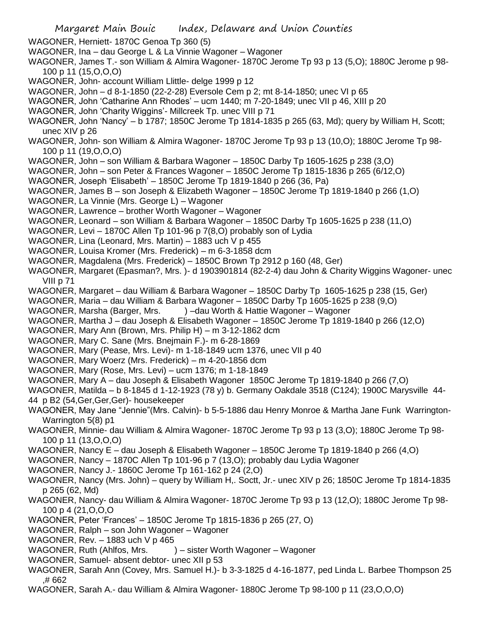Margaret Main Bouic Index, Delaware and Union Counties WAGONER, Herniett- 1870C Genoa Tp 360 (5) WAGONER, Ina – dau George L & La Vinnie Wagoner – Wagoner WAGONER, James T.- son William & Almira Wagoner- 1870C Jerome Tp 93 p 13 (5,O); 1880C Jerome p 98- 100 p 11 (15,O,O,O) WAGONER, John- account William Llittle- delge 1999 p 12 WAGONER, John – d 8-1-1850 (22-2-28) Eversole Cem p 2; mt 8-14-1850; unec VI p 65 WAGONER, John 'Catharine Ann Rhodes' – ucm 1440; m 7-20-1849; unec VII p 46, XIII p 20 WAGONER, John 'Charity Wiggins'- Millcreek Tp. unec VIII p 71 WAGONER, John 'Nancy' – b 1787; 1850C Jerome Tp 1814-1835 p 265 (63, Md); query by William H, Scott; unec XIV p 26 WAGONER, John- son William & Almira Wagoner- 1870C Jerome Tp 93 p 13 (10,O); 1880C Jerome Tp 98- 100 p 11 (19,O,O,O) WAGONER, John – son William & Barbara Wagoner – 1850C Darby Tp 1605-1625 p 238 (3,O) WAGONER, John – son Peter & Frances Wagoner – 1850C Jerome Tp 1815-1836 p 265 (6/12,O) WAGONER, Joseph 'Elisabeth' – 1850C Jerome Tp 1819-1840 p 266 (36, Pa) WAGONER, James B – son Joseph & Elizabeth Wagoner – 1850C Jerome Tp 1819-1840 p 266 (1,O) WAGONER, La Vinnie (Mrs. George L) – Wagoner WAGONER, Lawrence – brother Worth Wagoner – Wagoner WAGONER, Leonard – son William & Barbara Wagoner – 1850C Darby Tp 1605-1625 p 238 (11,O) WAGONER, Levi – 1870C Allen Tp 101-96 p 7(8,O) probably son of Lydia WAGONER, Lina (Leonard, Mrs. Martin) – 1883 uch V p 455 WAGONER, Louisa Kromer (Mrs. Frederick) – m 6-3-1858 dcm WAGONER, Magdalena (Mrs. Frederick) – 1850C Brown Tp 2912 p 160 (48, Ger) WAGONER, Margaret (Epasman?, Mrs. )- d 1903901814 (82-2-4) dau John & Charity Wiggins Wagoner- unec VIII p 71 WAGONER, Margaret – dau William & Barbara Wagoner – 1850C Darby Tp 1605-1625 p 238 (15, Ger) WAGONER, Maria – dau William & Barbara Wagoner – 1850C Darby Tp 1605-1625 p 238 (9,O) WAGONER, Marsha (Barger, Mrs. ) –dau Worth & Hattie Wagoner – Wagoner WAGONER, Martha J – dau Joseph & Elisabeth Wagoner – 1850C Jerome Tp 1819-1840 p 266 (12,O) WAGONER, Mary Ann (Brown, Mrs. Philip H) – m 3-12-1862 dcm WAGONER, Mary C. Sane (Mrs. Bnejmain F.)- m 6-28-1869 WAGONER, Mary (Pease, Mrs. Levi)- m 1-18-1849 ucm 1376, unec VII p 40 WAGONER, Mary Woerz (Mrs. Frederick) – m 4-20-1856 dcm WAGONER, Mary (Rose, Mrs. Levi) – ucm 1376; m 1-18-1849 WAGONER, Mary A – dau Joseph & Elisabeth Wagoner 1850C Jerome Tp 1819-1840 p 266 (7,O) WAGONER, Matilda – b 8-1845 d 1-12-1923 (78 y) b. Germany Oakdale 3518 (C124); 1900C Marysville 44- 44 p B2 (54,Ger,Ger,Ger)- housekeeper WAGONER, May Jane "Jennie"(Mrs. Calvin)- b 5-5-1886 dau Henry Monroe & Martha Jane Funk Warrington-Warrington 5(8) p1 WAGONER, Minnie- dau William & Almira Wagoner- 1870C Jerome Tp 93 p 13 (3,O); 1880C Jerome Tp 98- 100 p 11 (13,O,O,O) WAGONER, Nancy E – dau Joseph & Elisabeth Wagoner – 1850C Jerome Tp 1819-1840 p 266 (4,O) WAGONER, Nancy – 1870C Allen Tp 101-96 p 7 (13,O); probably dau Lydia Wagoner WAGONER, Nancy J.- 1860C Jerome Tp 161-162 p 24 (2,O) WAGONER, Nancy (Mrs. John) – query by William H,. Soctt, Jr.- unec XIV p 26; 1850C Jerome Tp 1814-1835 p 265 (62, Md) WAGONER, Nancy- dau William & Almira Wagoner- 1870C Jerome Tp 93 p 13 (12,O); 1880C Jerome Tp 98- 100 p 4 (21,O,O,O WAGONER, Peter 'Frances' – 1850C Jerome Tp 1815-1836 p 265 (27, O) WAGONER, Ralph – son John Wagoner – Wagoner WAGONER, Rev. – 1883 uch V p 465 WAGONER, Ruth (Ahlfos, Mrs. ) – sister Worth Wagoner – Wagoner WAGONER, Samuel- absent debtor- unec XII p 53 WAGONER, Sarah Ann (Covey, Mrs. Samuel H.)- b 3-3-1825 d 4-16-1877, ped Linda L. Barbee Thompson 25 ,# 662 WAGONER, Sarah A.- dau William & Almira Wagoner- 1880C Jerome Tp 98-100 p 11 (23,O,O,O)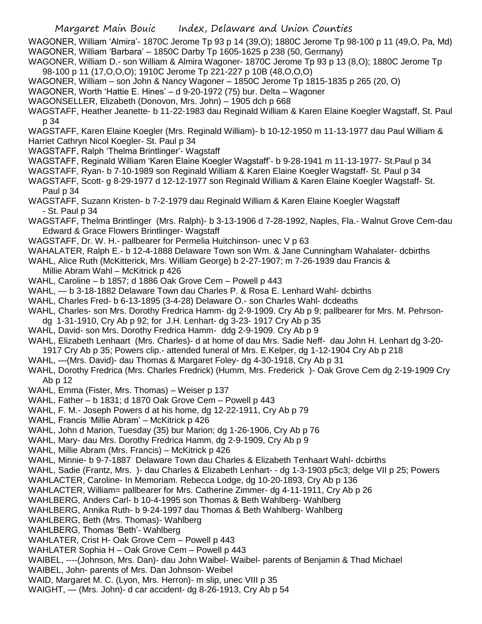WAGONER, William 'Almira'- 1870C Jerome Tp 93 p 14 (39,O); 1880C Jerome Tp 98-100 p 11 (49,O, Pa, Md) WAGONER, William 'Barbara' – 1850C Darby Tp 1605-1625 p 238 (50, Germany)

WAGONER, William D.- son William & Almira Wagoner- 1870C Jerome Tp 93 p 13 (8,O); 1880C Jerome Tp 98-100 p 11 (17,O,O,O); 1910C Jerome Tp 221-227 p 10B (48,O,O,O)

WAGONER, William – son John & Nancy Wagoner – 1850C Jerome Tp 1815-1835 p 265 (20, O)

WAGONER, Worth 'Hattie E. Hines' – d 9-20-1972 (75) bur. Delta – Wagoner

WAGONSELLER, Elizabeth (Donovon, Mrs. John) – 1905 dch p 668

WAGSTAFF, Heather Jeanette- b 11-22-1983 dau Reginald William & Karen Elaine Koegler Wagstaff, St. Paul p 34

WAGSTAFF, Karen Elaine Koegler (Mrs. Reginald William)- b 10-12-1950 m 11-13-1977 dau Paul William & Harriet Cathryn Nicol Koegler- St. Paul p 34

WAGSTAFF, Ralph 'Thelma Brintlinger'- Wagstaff

WAGSTAFF, Reginald William 'Karen Elaine Koegler Wagstaff'- b 9-28-1941 m 11-13-1977- St.Paul p 34

WAGSTAFF, Ryan- b 7-10-1989 son Reginald William & Karen Elaine Koegler Wagstaff- St. Paul p 34

WAGSTAFF, Scott- g 8-29-1977 d 12-12-1977 son Reginald William & Karen Elaine Koegler Wagstaff- St. Paul p 34

WAGSTAFF, Suzann Kristen- b 7-2-1979 dau Reginald William & Karen Elaine Koegler Wagstaff - St. Paul p 34

WAGSTAFF, Thelma Brintlinger (Mrs. Ralph)- b 3-13-1906 d 7-28-1992, Naples, Fla.- Walnut Grove Cem-dau Edward & Grace Flowers Brintlinger- Wagstaff

WAGSTAFF, Dr. W. H.- pallbearer for Permelia Huitchinson- unec V p 63

WAHALATER, Ralph E.- b 12-4-1888 Delaware Town son Wm. & Jane Cunningham Wahalater- dcbirths

- WAHL, Alice Ruth (McKitterick, Mrs. William George) b 2-27-1907; m 7-26-1939 dau Francis & Millie Abram Wahl – McKitrick p 426
- WAHL, Caroline b 1857; d 1886 Oak Grove Cem Powell p 443
- WAHL, b 3-18-1882 Delaware Town dau Charles P. & Rosa E. Lenhard Wahl- dcbirths

WAHL, Charles Fred- b 6-13-1895 (3-4-28) Delaware O.- son Charles Wahl- dcdeaths

WAHL, Charles- son Mrs. Dorothy Fredrica Hamm- dg 2-9-1909. Cry Ab p 9; pallbearer for Mrs. M. Pehrsondg 1-31-1910, Cry Ab p 92; for J.H. Lenhart- dg 3-23- 1917 Cry Ab p 35

WAHL, David- son Mrs. Dorothy Fredrica Hamm- ddg 2-9-1909. Cry Ab p 9

WAHL, Elizabeth Lenhaart (Mrs. Charles)- d at home of dau Mrs. Sadie Neff- dau John H. Lenhart dg 3-20- 1917 Cry Ab p 35; Powers clip.- attended funeral of Mrs. E.Kelper, dg 1-12-1904 Cry Ab p 218

WAHL, —(Mrs. David)- dau Thomas & Margaret Foley- dg 4-30-1918, Cry Ab p 31

WAHL, Dorothy Fredrica (Mrs. Charles Fredrick) (Humm, Mrs. Frederick )- Oak Grove Cem dg 2-19-1909 Cry Ab p 12

WAHL, Emma (Fister, Mrs. Thomas) – Weiser p 137

WAHL, Father – b 1831; d 1870 Oak Grove Cem – Powell p 443

WAHL, F. M.- Joseph Powers d at his home, dg 12-22-1911, Cry Ab p 79

WAHL, Francis 'Millie Abram' – McKitrick p 426

WAHL, John d Marion, Tuesday (35) bur Marion; dg 1-26-1906, Cry Ab p 76

WAHL, Mary- dau Mrs. Dorothy Fredrica Hamm, dg 2-9-1909, Cry Ab p 9

WAHL, Millie Abram (Mrs. Francis) – McKitrick p 426

WAHL, Minnie- b 9-7-1887 Delaware Town dau Charles & Elizabeth Tenhaart Wahl- dcbirths

WAHL, Sadie (Frantz, Mrs. )- dau Charles & Elizabeth Lenhart- - dg 1-3-1903 p5c3; delge VII p 25; Powers

WAHLACTER, Caroline- In Memoriam. Rebecca Lodge, dg 10-20-1893, Cry Ab p 136

WAHLACTER, William= pallbearer for Mrs. Catherine Zimmer- dg 4-11-1911, Cry Ab p 26

WAHLBERG, Anders Carl- b 10-4-1995 son Thomas & Beth Wahlberg- Wahlberg

WAHLBERG, Annika Ruth- b 9-24-1997 dau Thomas & Beth Wahlberg- Wahlberg

WAHLBERG, Beth (Mrs. Thomas)- Wahlberg

WAHLBERG, Thomas 'Beth'- Wahlberg

WAHLATER, Crist H- Oak Grove Cem – Powell p 443

WAHLATER Sophia H – Oak Grove Cem – Powell p 443

WAIBEL, ----(Johnson, Mrs. Dan)- dau John Waibel- Waibel- parents of Benjamin & Thad Michael

WAIBEL, John- parents of Mrs. Dan Johnson- Weibel

WAID, Margaret M. C. (Lyon, Mrs. Herron)- m slip, unec VIII p 35

WAIGHT, — (Mrs. John)- d car accident- dg 8-26-1913, Cry Ab p 54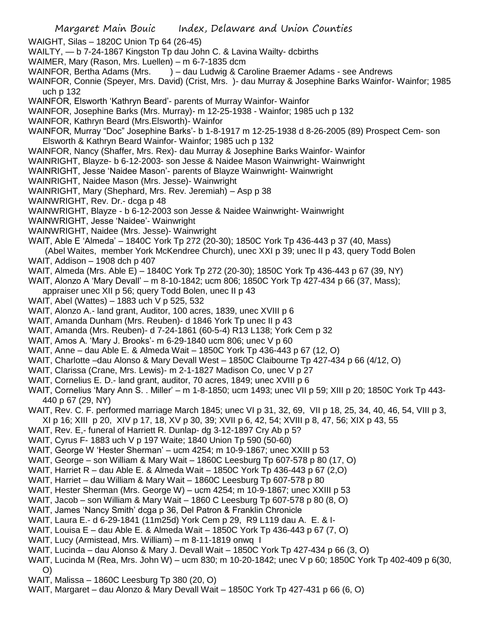- WAIGHT, Silas 1820C Union Tp 64 (26-45)
- WAILTY, b 7-24-1867 Kingston Tp dau John C. & Lavina Wailty- dcbirths
- WAIMER, Mary (Rason, Mrs. Luellen) m 6-7-1835 dcm
- WAINFOR, Bertha Adams (Mrs. ) dau Ludwig & Caroline Braemer Adams see Andrews
- WAINFOR, Connie (Speyer, Mrs. David) (Crist, Mrs. )- dau Murray & Josephine Barks Wainfor- Wainfor; 1985 uch p 132
- WAINFOR, Elsworth 'Kathryn Beard'- parents of Murray Wainfor- Wainfor
- WAINFOR, Josephine Barks (Mrs. Murray)- m 12-25-1938 Wainfor; 1985 uch p 132
- WAINFOR, Kathryn Beard (Mrs.Elsworth)- Wainfor
- WAINFOR, Murray "Doc" Josephine Barks'- b 1-8-1917 m 12-25-1938 d 8-26-2005 (89) Prospect Cem- son Elsworth & Kathryn Beard Wainfor- Wainfor; 1985 uch p 132
- WAINFOR, Nancy (Shaffer, Mrs. Rex)- dau Murray & Josephine Barks Wainfor- Wainfor
- WAINRIGHT, Blayze- b 6-12-2003- son Jesse & Naidee Mason Wainwright- Wainwright
- WAINRIGHT, Jesse 'Naidee Mason'- parents of Blayze Wainwright- Wainwright
- WAINRIGHT, Naidee Mason (Mrs. Jesse)- Wainwright
- WAINRIGHT, Mary (Shephard, Mrs. Rev. Jeremiah) Asp p 38
- WAINWRIGHT, Rev. Dr.- dcga p 48
- WAINWRIGHT, Blayze b 6-12-2003 son Jesse & Naidee Wainwright- Wainwright
- WAINWRIGHT, Jesse 'Naidee'- Wainwright
- WAINWRIGHT, Naidee (Mrs. Jesse)- Wainwright
- WAIT, Able E 'Almeda' 1840C York Tp 272 (20-30); 1850C York Tp 436-443 p 37 (40, Mass)
- (Abel Waites, member York McKendree Church), unec XXI p 39; unec II p 43, query Todd Bolen WAIT, Addison – 1908 dch p 407
- WAIT, Almeda (Mrs. Able E) 1840C York Tp 272 (20-30); 1850C York Tp 436-443 p 67 (39, NY)
- WAIT, Alonzo A 'Mary Devall' m 8-10-1842; ucm 806; 1850C York Tp 427-434 p 66 (37, Mass);
	- appraiser unec XII p 56; query Todd Bolen, unec II p 43
- WAIT, Abel (Wattes) 1883 uch V p 525, 532
- WAIT, Alonzo A.- land grant, Auditor, 100 acres, 1839, unec XVIII p 6
- WAIT, Amanda Dunham (Mrs. Reuben)- d 1846 York Tp unec II p 43
- WAIT, Amanda (Mrs. Reuben)- d 7-24-1861 (60-5-4) R13 L138; York Cem p 32
- WAIT, Amos A. 'Mary J. Brooks'- m 6-29-1840 ucm 806; unec V p 60
- WAIT, Anne dau Able E. & Almeda Wait 1850C York Tp 436-443 p 67 (12, O)
- WAIT, Charlotte –dau Alonso & Mary Devall West 1850C Claibourne Tp 427-434 p 66 (4/12, O)
- WAIT, Clarissa (Crane, Mrs. Lewis)- m 2-1-1827 Madison Co, unec V p 27
- WAIT, Cornelius E. D.- land grant, auditor, 70 acres, 1849; unec XVIII p 6
- WAIT, Cornelius 'Mary Ann S. . Miller' m 1-8-1850; ucm 1493; unec VII p 59; XIII p 20; 1850C York Tp 443- 440 p 67 (29, NY)
- WAIT, Rev. C. F. performed marriage March 1845; unec VI p 31, 32, 69, VII p 18, 25, 34, 40, 46, 54, VIII p 3,
- XI p 16; XIII p 20, XIV p 17, 18, XV p 30, 39; XVII p 6, 42, 54; XVIII p 8, 47, 56; XIX p 43, 55
- WAIT, Rev. E,- funeral of Harriett R. Dunlap- dg 3-12-1897 Cry Ab p 5?
- WAIT, Cyrus F- 1883 uch V p 197 Waite; 1840 Union Tp 590 (50-60)
- WAIT, George W 'Hester Sherman' ucm 4254; m 10-9-1867; unec XXIII p 53
- WAIT, George son William & Mary Wait 1860C Leesburg Tp 607-578 p 80 (17, O)
- WAIT, Harriet R dau Able E. & Almeda Wait 1850C York Tp 436-443 p 67 (2,O)
- WAIT, Harriet dau William & Mary Wait 1860C Leesburg Tp 607-578 p 80
- WAIT, Hester Sherman (Mrs. George W) ucm 4254; m 10-9-1867; unec XXIII p 53
- WAIT, Jacob son William & Mary Wait 1860 C Leesburg Tp 607-578 p 80 (8, O)
- WAIT, James 'Nancy Smith' dcga p 36, Del Patron & Franklin Chronicle
- WAIT, Laura E.- d 6-29-1841 (11m25d) York Cem p 29, R9 L119 dau A. E. & I-
- WAIT, Louisa E dau Able E. & Almeda Wait 1850C York Tp 436-443 p 67 (7, O)
- WAIT, Lucy (Armistead, Mrs. William) m 8-11-1819 onwq I
- WAIT, Lucinda dau Alonso & Mary J. Devall Wait 1850C York Tp 427-434 p 66 (3, O)
- WAIT, Lucinda M (Rea, Mrs. John W) ucm 830; m 10-20-1842; unec V p 60; 1850C York Tp 402-409 p 6(30, O)
- WAIT, Malissa 1860C Leesburg Tp 380 (20, O)
- WAIT, Margaret dau Alonzo & Mary Devall Wait 1850C York Tp 427-431 p 66 (6, O)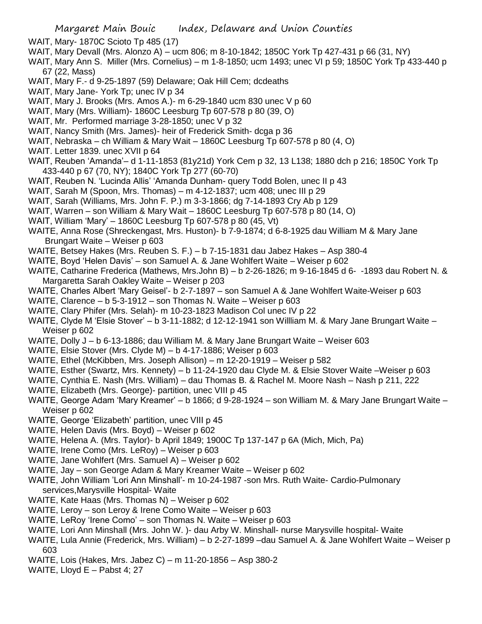- WAIT, Mary- 1870C Scioto Tp 485 (17)
- WAIT, Mary Devall (Mrs. Alonzo A) ucm 806; m 8-10-1842; 1850C York Tp 427-431 p 66 (31, NY)
- WAIT, Mary Ann S. Miller (Mrs. Cornelius) m 1-8-1850; ucm 1493; unec VI p 59; 1850C York Tp 433-440 p 67 (22, Mass)
- WAIT, Mary F.- d 9-25-1897 (59) Delaware; Oak Hill Cem; dcdeaths
- WAIT, Mary Jane- York Tp; unec IV p 34
- WAIT, Mary J. Brooks (Mrs. Amos A.)- m 6-29-1840 ucm 830 unec V p 60
- WAIT, Mary (Mrs. William)- 1860C Leesburg Tp 607-578 p 80 (39, O)
- WAIT, Mr. Performed marriage 3-28-1850; unec V p 32
- WAIT, Nancy Smith (Mrs. James)- heir of Frederick Smith- dcga p 36
- WAIT, Nebraska ch William & Mary Wait 1860C Leesburg Tp 607-578 p 80 (4, O)
- WAIT. Letter 1839. unec XVII p 64
- WAIT, Reuben 'Amanda'– d 1-11-1853 (81y21d) York Cem p 32, 13 L138; 1880 dch p 216; 1850C York Tp 433-440 p 67 (70, NY); 1840C York Tp 277 (60-70)
- WAIT, Reuben N. 'Lucinda Allis' 'Amanda Dunham- query Todd Bolen, unec II p 43
- WAIT, Sarah M (Spoon, Mrs. Thomas) m 4-12-1837; ucm 408; unec III p 29
- WAIT, Sarah (Williams, Mrs. John F. P.) m 3-3-1866; dg 7-14-1893 Cry Ab p 129
- WAIT, Warren son William & Mary Wait 1860C Leesburg Tp 607-578 p 80 (14, O)
- WAIT, William 'Mary' 1860C Leesburg Tp 607-578 p 80 (45, Vt)
- WAITE, Anna Rose (Shreckengast, Mrs. Huston)- b 7-9-1874; d 6-8-1925 dau William M & Mary Jane Brungart Waite – Weiser p 603
- WAITE, Betsey Hakes (Mrs. Reuben S. F.) b 7-15-1831 dau Jabez Hakes Asp 380-4
- WAITE, Boyd 'Helen Davis' son Samuel A. & Jane Wohlfert Waite Weiser p 602
- WAITE, Catharine Frederica (Mathews, Mrs.John B) b 2-26-1826; m 9-16-1845 d 6- -1893 dau Robert N. & Margaretta Sarah Oakley Waite – Weiser p 203
- WAITE, Charles Albert 'Mary Geisel'- b 2-7-1897 son Samuel A & Jane Wohlfert Waite-Weiser p 603
- WAITE, Clarence b 5-3-1912 son Thomas N. Waite Weiser p 603
- WAITE, Clary Phifer (Mrs. Selah)- m 10-23-1823 Madison Col unec IV p 22
- WAITE, Clyde M 'Elsie Stover' b 3-11-1882; d 12-12-1941 son Willliam M. & Mary Jane Brungart Waite Weiser p 602
- WAITE, Dolly J b 6-13-1886; dau William M. & Mary Jane Brungart Waite Weiser 603
- WAITE, Elsie Stover (Mrs. Clyde M) b 4-17-1886; Weiser p 603
- WAITE, Ethel (McKibben, Mrs. Joseph Allison) m 12-20-1919 Weiser p 582
- WAITE, Esther (Swartz, Mrs. Kennety) b 11-24-1920 dau Clyde M. & Elsie Stover Waite –Weiser p 603
- WAITE, Cynthia E. Nash (Mrs. William) dau Thomas B. & Rachel M. Moore Nash Nash p 211, 222
- WAITE, Elizabeth (Mrs. George)- partition, unec VIII p 45
- WAITE, George Adam 'Mary Kreamer' b 1866; d 9-28-1924 son William M. & Mary Jane Brungart Waite Weiser p 602
- WAITE, George 'Elizabeth' partition, unec VIII p 45
- WAITE, Helen Davis (Mrs. Boyd) Weiser p 602
- WAITE, Helena A. (Mrs. Taylor)- b April 1849; 1900C Tp 137-147 p 6A (Mich, Mich, Pa)
- WAITE, Irene Como (Mrs. LeRoy) Weiser p 603
- WAITE, Jane Wohlfert (Mrs. Samuel A) Weiser p 602
- WAITE, Jay son George Adam & Mary Kreamer Waite Weiser p 602
- WAITE, John William 'Lori Ann Minshall'- m 10-24-1987 -son Mrs. Ruth Waite- Cardio-Pulmonary services,Marysville Hospital- Waite
- WAITE, Kate Haas (Mrs. Thomas N) Weiser p 602
- WAITE, Leroy son Leroy & Irene Como Waite Weiser p 603
- WAITE, LeRoy 'Irene Como' son Thomas N. Waite Weiser p 603
- WAITE, Lori Ann Minshall (Mrs. John W. )- dau Arby W. Minshall- nurse Marysville hospital- Waite
- WAITE, Lula Annie (Frederick, Mrs. William) b 2-27-1899 –dau Samuel A. & Jane Wohlfert Waite Weiser p 603
- WAITE, Lois (Hakes, Mrs. Jabez C) m 11-20-1856 Asp 380-2
- WAITE, Lloyd E Pabst 4; 27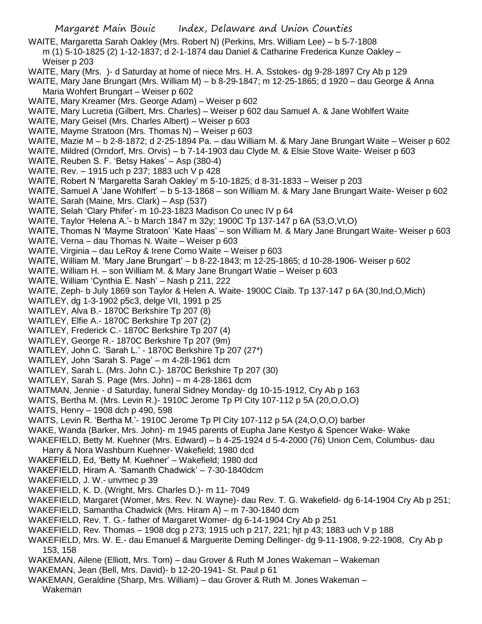WAITE, Margaretta Sarah Oakley (Mrs. Robert N) (Perkins, Mrs. William Lee) – b 5-7-1808 m (1) 5-10-1825 (2) 1-12-1837; d 2-1-1874 dau Daniel & Catharine Frederica Kunze Oakley – Weiser p 203

WAITE, Mary (Mrs. )- d Saturday at home of niece Mrs. H. A. Sstokes- dg 9-28-1897 Cry Ab p 129

WAITE, Mary Jane Brungart (Mrs. William M) – b 8-29-1847; m 12-25-1865; d 1920 – dau George & Anna Maria Wohfert Brungart – Weiser p 602

- WAITE, Mary Kreamer (Mrs. George Adam) Weiser p 602
- WAITE, Mary Lucretia (Gilbert, Mrs. Charles) Weiser p 602 dau Samuel A. & Jane Wohlfert Waite
- WAITE, Mary Geisel (Mrs. Charles Albert) Weiser p 603
- WAITE, Mayme Stratoon (Mrs. Thomas N) Weiser p 603
- WAITE, Mazie M b 2-8-1872; d 2-25-1894 Pa. dau William M. & Mary Jane Brungart Waite Weiser p 602
- WAITE, Mildred (Orndorf, Mrs. Orvis) b 7-14-1903 dau Clyde M. & Elsie Stove Waite- Weiser p 603
- WAITE, Reuben S. F. 'Betsy Hakes' Asp (380-4)
- WAITE, Rev. 1915 uch p 237; 1883 uch V p 428
- WAITE, Robert N 'Margaretta Sarah Oakley' m 5-10-1825; d 8-31-1833 Weiser p 203
- WAITE, Samuel A 'Jane Wohlfert' b 5-13-1868 son William M. & Mary Jane Brungart Waite- Weiser p 602
- WAITE, Sarah (Maine, Mrs. Clark) Asp (537)
- WAITE, Selah 'Clary Phifer'- m 10-23-1823 Madison Co unec IV p 64
- WAITE, Taylor 'Helena A.'- b March 1847 m 32y; 1900C Tp 137-147 p 6A (53,O,Vt,O)
- WAITE, Thomas N 'Mayme Stratoon' 'Kate Haas' son William M. & Mary Jane Brungart Waite- Weiser p 603
- WAITE, Verna dau Thomas N. Waite Weiser p 603
- WAITE, Virginia dau LeRoy & Irene Como Waite Weiser p 603
- WAITE, William M. 'Mary Jane Brungart' b 8-22-1843; m 12-25-1865; d 10-28-1906- Weiser p 602
- WAITE, William H. son William M. & Mary Jane Brungart Watie Weiser p 603
- WAITE, William 'Cynthia E. Nash' Nash p 211, 222
- WAITE, Zeph- b July 1869 son Taylor & Helen A. Waite- 1900C Claib. Tp 137-147 p 6A (30,Ind,O,Mich)
- WAITLEY, dg 1-3-1902 p5c3, delge VII, 1991 p 25
- WAITLEY, Alva B.- 1870C Berkshire Tp 207 (8)
- WAITLEY, Elfie A.- 1870C Berkshire Tp 207 (2)
- WAITLEY, Frederick C.- 1870C Berkshire Tp 207 (4)
- WAITLEY, George R.- 1870C Berkshire Tp 207 (9m)
- WAITLEY, John C. 'Sarah L.' 1870C Berkshire Tp 207 (27\*)
- WAITLEY, John 'Sarah S. Page' m 4-28-1961 dcm
- WAITLEY, Sarah L. (Mrs. John C.)- 1870C Berkshire Tp 207 (30)
- WAITLEY, Sarah S. Page (Mrs. John) m 4-28-1861 dcm
- WAITMAN, Jennie d Saturday, funeral Sidney Monday- dg 10-15-1912, Cry Ab p 163
- WAITS, Bertha M. (Mrs. Levin R.)- 1910C Jerome Tp Pl City 107-112 p 5A (20,O,O,O)
- WAITS, Henry 1908 dch p 490, 598
- WAITS, Levin R. 'Bertha M.'- 1910C Jerome Tp Pl City 107-112 p 5A (24,O,O,O) barber
- WAKE, Wanda (Barker, Mrs. John)- m 1945 parents of Eupha Jane Kestyo & Spencer Wake- Wake
- WAKEFIELD, Betty M. Kuehner (Mrs. Edward) b 4-25-1924 d 5-4-2000 (76) Union Cem, Columbus- dau Harry & Nora Washburn Kuehner- Wakefield; 1980 dcd
- 
- WAKEFIELD, Ed, 'Betty M. Kuehner' Wakefield; 1980 dcd
- WAKEFIELD, Hiram A. 'Samanth Chadwick' 7-30-1840dcm
- WAKEFIELD, J. W.- unvmec p 39
- WAKEFIELD, K. D. (Wright, Mrs. Charles D.)- m 11- 7049
- WAKEFIELD, Margaret (Womer, Mrs. Rev. N. Wayne)- dau Rev. T. G. Wakefield- dg 6-14-1904 Cry Ab p 251;
- WAKEFIELD, Samantha Chadwick (Mrs. Hiram A) m 7-30-1840 dcm
- WAKEFIELD, Rev. T. G.- father of Margaret Womer- dg 6-14-1904 Cry Ab p 251
- WAKEFIELD, Rev. Thomas 1908 dcg p 273; 1915 uch p 217, 221; hjt p 43; 1883 uch V p 188
- WAKEFIELD, Mrs. W. E.- dau Emanuel & Marguerite Deming Dellinger- dg 9-11-1908, 9-22-1908, Cry Ab p 153, 158
- WAKEMAN, Ailene (Elliott, Mrs. Tom) dau Grover & Ruth M Jones Wakeman Wakeman
- WAKEMAN, Jean (Bell, Mrs. David)- b 12-20-1941- St. Paul p 61
- WAKEMAN, Geraldine (Sharp, Mrs. William) dau Grover & Ruth M. Jones Wakeman
	- Wakeman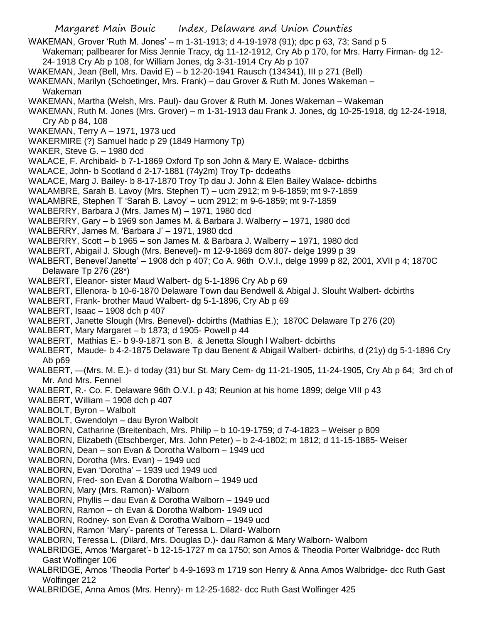- WAKEMAN, Grover 'Ruth M. Jones' m 1-31-1913; d 4-19-1978 (91); dpc p 63, 73; Sand p 5 Wakeman; pallbearer for Miss Jennie Tracy, dg 11-12-1912, Cry Ab p 170, for Mrs. Harry Firman- dg 12- 24- 1918 Cry Ab p 108, for William Jones, dg 3-31-1914 Cry Ab p 107 WAKEMAN, Jean (Bell, Mrs. David E) – b 12-20-1941 Rausch (134341), III p 271 (Bell) WAKEMAN, Marilyn (Schoetinger, Mrs. Frank) – dau Grover & Ruth M. Jones Wakeman – Wakeman WAKEMAN, Martha (Welsh, Mrs. Paul)- dau Grover & Ruth M. Jones Wakeman – Wakeman WAKEMAN, Ruth M. Jones (Mrs. Grover) – m 1-31-1913 dau Frank J. Jones, dg 10-25-1918, dg 12-24-1918, Cry Ab p 84, 108 WAKEMAN, Terry A – 1971, 1973 ucd WAKERMIRE (?) Samuel hadc p 29 (1849 Harmony Tp) WAKER, Steve G. – 1980 dcd WALACE, F. Archibald- b 7-1-1869 Oxford Tp son John & Mary E. Walace- dcbirths WALACE, John- b Scotland d 2-17-1881 (74y2m) Troy Tp- dcdeaths WALACE, Marg J. Bailey- b 8-17-1870 Troy Tp dau J. John & Elen Bailey Walace- dcbirths WALAMBRE, Sarah B. Lavoy (Mrs. Stephen T) – ucm 2912; m 9-6-1859; mt 9-7-1859 WALAMBRE, Stephen T 'Sarah B. Lavoy' – ucm 2912; m 9-6-1859; mt 9-7-1859 WALBERRY, Barbara J (Mrs. James M) – 1971, 1980 dcd WALBERRY, Gary – b 1969 son James M. & Barbara J. Walberry – 1971, 1980 dcd WALBERRY, James M. 'Barbara J' – 1971, 1980 dcd WALBERRY, Scott – b 1965 – son James M. & Barbara J. Walberry – 1971, 1980 dcd WALBERT, Abigail J. Slough (Mrs. Benevel)- m 12-9-1869 dcm 807- delge 1999 p 39 WALBERT, Benevel'Janette' – 1908 dch p 407; Co A. 96th O.V.I., delge 1999 p 82, 2001, XVII p 4; 1870C Delaware Tp 276 (28\*) WALBERT, Eleanor- sister Maud Walbert- dg 5-1-1896 Cry Ab p 69 WALBERT, Ellenora- b 10-6-1870 Delaware Town dau Bendwell & Abigal J. Slouht Walbert- dcbirths WALBERT, Frank- brother Maud Walbert- dg 5-1-1896, Cry Ab p 69 WALBERT, Isaac – 1908 dch p 407 WALBERT, Janette Slough (Mrs. Benevel)- dcbirths (Mathias E.); 1870C Delaware Tp 276 (20) WALBERT, Mary Margaret – b 1873; d 1905- Powell p 44 WALBERT, Mathias E.- b 9-9-1871 son B. & Jenetta Slough l Walbert- dcbirths WALBERT, Maude- b 4-2-1875 Delaware Tp dau Benent & Abigail Walbert- dcbirths, d (21y) dg 5-1-1896 Cry Ab p69 WALBERT, —(Mrs. M. E.)- d today (31) bur St. Mary Cem- dg 11-21-1905, 11-24-1905, Cry Ab p 64; 3rd ch of Mr. And Mrs. Fennel WALBERT, R.- Co. F. Delaware 96th O.V.I. p 43; Reunion at his home 1899; delge VIII p 43 WALBERT, William – 1908 dch p 407 WALBOLT, Byron – Walbolt WALBOLT, Gwendolyn – dau Byron Walbolt WALBORN, Catharine (Breitenbach, Mrs. Philip – b 10-19-1759; d 7-4-1823 – Weiser p 809 WALBORN, Elizabeth (Etschberger, Mrs. John Peter) – b 2-4-1802; m 1812; d 11-15-1885- Weiser WALBORN, Dean – son Evan & Dorotha Walborn – 1949 ucd WALBORN, Dorotha (Mrs. Evan) – 1949 ucd WALBORN, Evan 'Dorotha' – 1939 ucd 1949 ucd WALBORN, Fred- son Evan & Dorotha Walborn – 1949 ucd WALBORN, Mary (Mrs. Ramon)- Walborn WALBORN, Phyllis – dau Evan & Dorotha Walborn – 1949 ucd WALBORN, Ramon – ch Evan & Dorotha Walborn- 1949 ucd
- WALBORN, Rodney- son Evan & Dorotha Walborn 1949 ucd WALBORN, Ramon 'Mary'- parents of Teressa L. Dilard- Walborn
- WALBORN, Teressa L. (Dilard, Mrs. Douglas D.)- dau Ramon & Mary Walborn- Walborn
- WALBRIDGE, Amos 'Margaret'- b 12-15-1727 m ca 1750; son Amos & Theodia Porter Walbridge- dcc Ruth Gast Wolfinger 106
- WALBRIDGE, Amos 'Theodia Porter' b 4-9-1693 m 1719 son Henry & Anna Amos Walbridge- dcc Ruth Gast Wolfinger 212
- WALBRIDGE, Anna Amos (Mrs. Henry)- m 12-25-1682- dcc Ruth Gast Wolfinger 425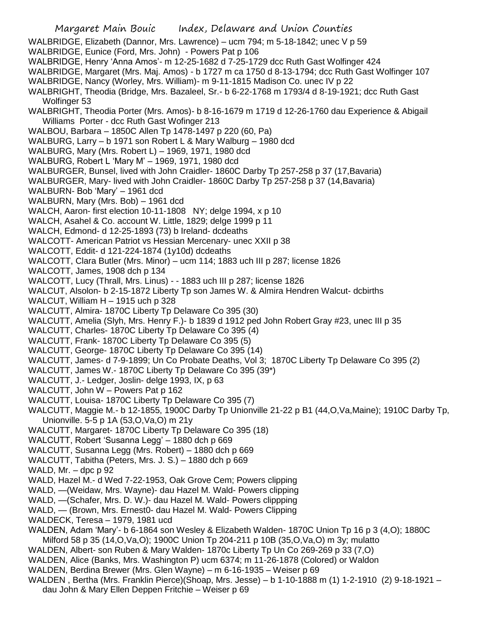- Margaret Main Bouic Index, Delaware and Union Counties WALBRIDGE, Elizabeth (Dannor, Mrs. Lawrence) – ucm 794; m 5-18-1842; unec V p 59 WALBRIDGE, Eunice (Ford, Mrs. John) - Powers Pat p 106 WALBRIDGE, Henry 'Anna Amos'- m 12-25-1682 d 7-25-1729 dcc Ruth Gast Wolfinger 424 WALBRIDGE, Margaret (Mrs. Maj. Amos) - b 1727 m ca 1750 d 8-13-1794; dcc Ruth Gast Wolfinger 107 WALBRIDGE, Nancy (Worley, Mrs. William)- m 9-11-1815 Madison Co. unec IV p 22 WALBRIGHT, Theodia (Bridge, Mrs. Bazaleel, Sr.- b 6-22-1768 m 1793/4 d 8-19-1921; dcc Ruth Gast Wolfinger 53 WALBRIGHT, Theodia Porter (Mrs. Amos)- b 8-16-1679 m 1719 d 12-26-1760 dau Experience & Abigail Williams Porter - dcc Ruth Gast Wofinger 213 WALBOU, Barbara – 1850C Allen Tp 1478-1497 p 220 (60, Pa) WALBURG, Larry – b 1971 son Robert L & Mary Walburg – 1980 dcd WALBURG, Mary (Mrs. Robert L) – 1969, 1971, 1980 dcd WALBURG, Robert L 'Mary M' – 1969, 1971, 1980 dcd WALBURGER, Bunsel, lived with John Craidler- 1860C Darby Tp 257-258 p 37 (17,Bavaria) WALBURGER, Mary- lived with John Craidler- 1860C Darby Tp 257-258 p 37 (14,Bavaria) WALBURN- Bob 'Mary' – 1961 dcd WALBURN, Mary (Mrs. Bob) – 1961 dcd WALCH, Aaron- first election 10-11-1808 NY; delge 1994, x p 10 WALCH, Asahel & Co. account W. Little, 1829; delge 1999 p 11 WALCH, Edmond- d 12-25-1893 (73) b Ireland- dcdeaths WALCOTT- American Patriot vs Hessian Mercenary- unec XXII p 38 WALCOTT, Eddit- d 121-224-1874 (1y10d) dcdeaths WALCOTT, Clara Butler (Mrs. Minor) – ucm 114; 1883 uch III p 287; license 1826 WALCOTT, James, 1908 dch p 134 WALCOTT, Lucy (Thrall, Mrs. Linus) - - 1883 uch III p 287; license 1826 WALCUT, Alsolon- b 2-15-1872 Liberty Tp son James W. & Almira Hendren Walcut- dcbirths WALCUT, William H – 1915 uch p 328 WALCUTT, Almira- 1870C Liberty Tp Delaware Co 395 (30) WALCUTT, Amelia (Slyh, Mrs. Henry F.)- b 1839 d 1912 ped John Robert Gray #23, unec III p 35 WALCUTT, Charles- 1870C Liberty Tp Delaware Co 395 (4) WALCUTT, Frank- 1870C Liberty Tp Delaware Co 395 (5) WALCUTT, George- 1870C Liberty Tp Delaware Co 395 (14) WALCUTT, James- d 7-9-1899; Un Co Probate Deaths, Vol 3; 1870C Liberty Tp Delaware Co 395 (2) WALCUTT, James W.- 1870C Liberty Tp Delaware Co 395 (39\*) WALCUTT, J.- Ledger, Joslin- delge 1993, IX, p 63 WALCUTT, John W - Powers Pat p 162 WALCUTT, Louisa- 1870C Liberty Tp Delaware Co 395 (7) WALCUTT, Maggie M.- b 12-1855, 1900C Darby Tp Unionville 21-22 p B1 (44,O,Va,Maine); 1910C Darby Tp, Unionville. 5-5 p 1A (53,O,Va,O) m 21y WALCUTT, Margaret- 1870C Liberty Tp Delaware Co 395 (18) WALCUTT, Robert 'Susanna Legg' – 1880 dch p 669 WALCUTT, Susanna Legg (Mrs. Robert) – 1880 dch p 669 WALCUTT, Tabitha (Peters, Mrs. J. S.) – 1880 dch p 669 WALD,  $Mr. -$  dpc  $p \, 92$ WALD, Hazel M.- d Wed 7-22-1953, Oak Grove Cem; Powers clipping WALD, —(Weidaw, Mrs. Wayne)- dau Hazel M. Wald- Powers clipping WALD, —(Schafer, Mrs. D. W.)- dau Hazel M. Wald- Powers clippping WALD, — (Brown, Mrs. Ernest0- dau Hazel M. Wald- Powers Clipping WALDECK, Teresa – 1979, 1981 ucd WALDEN, Adam 'Mary'- b 6-1864 son Wesley & Elizabeth Walden- 1870C Union Tp 16 p 3 (4,O); 1880C Milford 58 p 35 (14,O,Va,O); 1900C Union Tp 204-211 p 10B (35,O,Va,O) m 3y; mulatto WALDEN, Albert- son Ruben & Mary Walden- 1870c Liberty Tp Un Co 269-269 p 33 (7,O) WALDEN, Alice (Banks, Mrs. Washington P) ucm 6374; m 11-26-1878 (Colored) or Waldon WALDEN, Berdina Brewer (Mrs. Glen Wayne) – m 6-16-1935 – Weiser p 69 WALDEN , Bertha (Mrs. Franklin Pierce)(Shoap, Mrs. Jesse) – b 1-10-1888 m (1) 1-2-1910 (2) 9-18-1921 –
	- dau John & Mary Ellen Deppen Fritchie Weiser p 69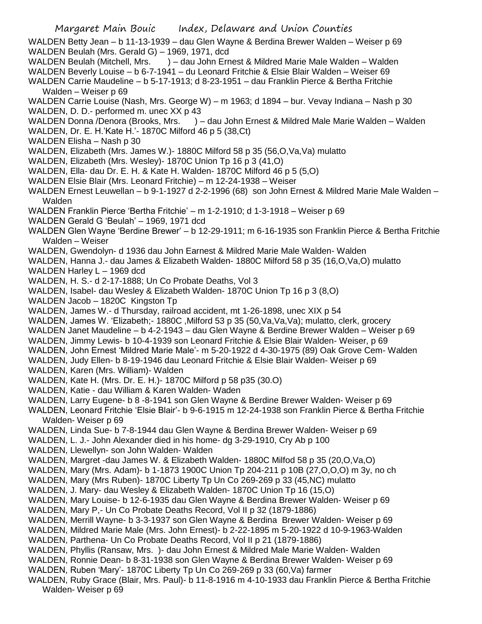WALDEN Betty Jean – b 11-13-1939 – dau Glen Wayne & Berdina Brewer Walden – Weiser p 69 WALDEN Beulah (Mrs. Gerald G) – 1969, 1971, dcd

- WALDEN Beulah (Mitchell, Mrs. ) dau John Ernest & Mildred Marie Male Walden Walden
- WALDEN Beverly Louise b 6-7-1941 du Leonard Fritchie & Elsie Blair Walden Weiser 69 WALDEN Carrie Maudeline – b 5-17-1913; d 8-23-1951 – dau Franklin Pierce & Bertha Fritchie

Walden – Weiser p 69

WALDEN Carrie Louise (Nash, Mrs. George W) – m 1963; d 1894 – bur. Vevay Indiana – Nash p 30 WALDEN, D. D.- performed m. unec XX p 43

WALDEN Donna /Denora (Brooks, Mrs. ) – dau John Ernest & Mildred Male Marie Walden – Walden WALDEN, Dr. E. H.'Kate H.'- 1870C Milford 46 p 5 (38,Ct)

- WALDEN Elisha Nash p 30
- WALDEN, Elizabeth (Mrs. James W.)- 1880C Milford 58 p 35 (56,O,Va,Va) mulatto
- WALDEN, Elizabeth (Mrs. Wesley)- 1870C Union Tp 16 p 3 (41,O)
- WALDEN, Ella- dau Dr. E. H. & Kate H. Walden- 1870C Milford 46 p 5 (5,O)
- WALDEN Elsie Blair (Mrs. Leonard Fritchie) m 12-24-1938 Weiser
- WALDEN Ernest Leuwellan b 9-1-1927 d 2-2-1996 (68) son John Ernest & Mildred Marie Male Walden Walden
- WALDEN Franklin Pierce 'Bertha Fritchie' m 1-2-1910; d 1-3-1918 Weiser p 69
- WALDEN Gerald G 'Beulah' 1969, 1971 dcd
- WALDEN Glen Wayne 'Berdine Brewer' b 12-29-1911; m 6-16-1935 son Franklin Pierce & Bertha Fritchie Walden – Weiser
- WALDEN, Gwendolyn- d 1936 dau John Earnest & Mildred Marie Male Walden- Walden
- WALDEN, Hanna J.- dau James & Elizabeth Walden- 1880C Milford 58 p 35 (16,O,Va,O) mulatto

WALDEN Harley L - 1969 dcd

- WALDEN, H. S.- d 2-17-1888; Un Co Probate Deaths, Vol 3
- WALDEN, Isabel- dau Wesley & Elizabeth Walden- 1870C Union Tp 16 p 3 (8,O)
- WALDEN Jacob 1820C Kingston Tp
- WALDEN, James W.- d Thursday, railroad accident, mt 1-26-1898, unec XIX p 54
- WALDEN, James W. 'Elizabeth; 1880C, Milford 53 p 35 (50, Va, Va, Va); mulatto, clerk, grocery
- WALDEN Janet Maudeline b 4-2-1943 dau Glen Wayne & Berdine Brewer Walden Weiser p 69
- WALDEN, Jimmy Lewis- b 10-4-1939 son Leonard Fritchie & Elsie Blair Walden- Weiser, p 69
- WALDEN, John Ernest 'Mildred Marie Male'- m 5-20-1922 d 4-30-1975 (89) Oak Grove Cem- Walden
- WALDEN, Judy Ellen- b 8-19-1946 dau Leonard Fritchie & Elsie Blair Walden- Weiser p 69
- WALDEN, Karen (Mrs. William)- Walden
- WALDEN, Kate H. (Mrs. Dr. E. H.)- 1870C Milford p 58 p35 (30.O)
- WALDEN, Katie dau William & Karen Walden- Waden
- WALDEN, Larry Eugene- b 8 -8-1941 son Glen Wayne & Berdine Brewer Walden- Weiser p 69
- WALDEN, Leonard Fritchie 'Elsie Blair'- b 9-6-1915 m 12-24-1938 son Franklin Pierce & Bertha Fritchie Walden- Weiser p 69
- WALDEN, Linda Sue- b 7-8-1944 dau Glen Wayne & Berdina Brewer Walden- Weiser p 69
- WALDEN, L. J.- John Alexander died in his home- dg 3-29-1910, Cry Ab p 100
- WALDEN, Llewellyn- son John Walden- Walden
- WALDEN, Margret -dau James W. & Elizabeth Walden- 1880C Milfod 58 p 35 (20,O,Va,O)
- WALDEN, Mary (Mrs. Adam)- b 1-1873 1900C Union Tp 204-211 p 10B (27,O,O,O) m 3y, no ch
- WALDEN, Mary (Mrs Ruben)- 1870C Liberty Tp Un Co 269-269 p 33 (45,NC) mulatto
- WALDEN, J. Mary- dau Wesley & Elizabeth Walden- 1870C Union Tp 16 (15,O)
- WALDEN, Mary Louise- b 12-6-1935 dau Glen Wayne & Berdina Brewer Walden- Weiser p 69
- WALDEN, Mary P,- Un Co Probate Deaths Record, Vol II p 32 (1879-1886)
- WALDEN, Merrill Wayne- b 3-3-1937 son Glen Wayne & Berdina Brewer Walden- Weiser p 69
- WALDEN, Mildred Marie Male (Mrs. John Ernest)- b 2-22-1895 m 5-20-1922 d 10-9-1963-Walden WALDEN, Parthena- Un Co Probate Deaths Record, Vol II p 21 (1879-1886)
- 
- WALDEN, Phyllis (Ransaw, Mrs. )- dau John Ernest & Mildred Male Marie Walden- Walden
- WALDEN, Ronnie Dean- b 8-31-1938 son Glen Wayne & Berdina Brewer Walden- Weiser p 69
- WALDEN, Ruben 'Mary'- 1870C Liberty Tp Un Co 269-269 p 33 (60,Va) farmer
- WALDEN, Ruby Grace (Blair, Mrs. Paul)- b 11-8-1916 m 4-10-1933 dau Franklin Pierce & Bertha Fritchie Walden- Weiser p 69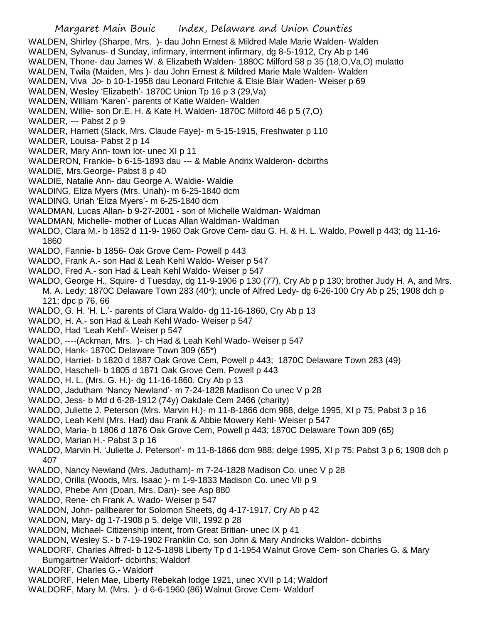## Margaret Main Bouic Index, Delaware and Union Counties

- WALDEN, Shirley (Sharpe, Mrs. )- dau John Ernest & Mildred Male Marie Walden- Walden
- WALDEN, Sylvanus- d Sunday, infirmary, interment infirmary, dg 8-5-1912, Cry Ab p 146
- WALDEN, Thone- dau James W. & Elizabeth Walden- 1880C Milford 58 p 35 (18,O,Va,O) mulatto
- WALDEN, Twila (Maiden, Mrs )- dau John Ernest & Mildred Marie Male Walden- Walden
- WALDEN, Viva Jo- b 10-1-1958 dau Leonard Fritchie & Elsie Blair Waden- Weiser p 69
- WALDEN, Wesley 'Elizabeth'- 1870C Union Tp 16 p 3 (29,Va)
- WALDEN, William 'Karen'- parents of Katie Walden- Walden
- WALDEN, Willie- son Dr.E. H. & Kate H. Walden- 1870C Milford 46 p 5 (7,O)
- WALDER, --- Pabst 2 p 9
- WALDER, Harriett (Slack, Mrs. Claude Faye)- m 5-15-1915, Freshwater p 110
- WALDER, Louisa- Pabst 2 p 14
- WALDER, Mary Ann- town lot- unec XI p 11
- WALDERON, Frankie- b 6-15-1893 dau --- & Mable Andrix Walderon- dcbirths
- WALDIE, Mrs.George- Pabst 8 p 40
- WALDIE, Natalie Ann- dau George A. Waldie- Waldie
- WALDING, Eliza Myers (Mrs. Uriah)- m 6-25-1840 dcm
- WALDING, Uriah 'Eliza Myers'- m 6-25-1840 dcm
- WALDMAN, Lucas Allan- b 9-27-2001 son of Michelle Waldman- Waldman
- WALDMAN, Michelle- mother of Lucas Allan Waldman- Waldman
- WALDO, Clara M.- b 1852 d 11-9- 1960 Oak Grove Cem- dau G. H. & H. L. Waldo, Powell p 443; dg 11-16- 1860
- WALDO, Fannie- b 1856- Oak Grove Cem- Powell p 443
- WALDO, Frank A.- son Had & Leah Kehl Waldo- Weiser p 547
- WALDO, Fred A.- son Had & Leah Kehl Waldo- Weiser p 547
- WALDO, George H., Squire- d Tuesday, dg 11-9-1906 p 130 (77), Cry Ab p p 130; brother Judy H. A, and Mrs. M. A. Ledy; 1870C Delaware Town 283 (40\*); uncle of Alfred Ledy- dg 6-26-100 Cry Ab p 25; 1908 dch p 121; dpc p 76, 66
- WALDO, G. H. 'H. L.'- parents of Clara Waldo- dg 11-16-1860, Cry Ab p 13
- WALDO, H. A.- son Had & Leah Kehl Wado- Weiser p 547
- WALDO, Had 'Leah Kehl'- Weiser p 547
- WALDO, ----(Ackman, Mrs. )- ch Had & Leah Kehl Wado- Weiser p 547
- WALDO, Hank- 1870C Delaware Town 309 (65\*)
- WALDO, Harriet- b 1820 d 1887 Oak Grove Cem, Powell p 443; 1870C Delaware Town 283 (49)
- WALDO, Haschell- b 1805 d 1871 Oak Grove Cem, Powell p 443
- WALDO, H. L. (Mrs. G. H.)- dg 11-16-1860. Cry Ab p 13
- WALDO, Jadutham 'Nancy Newland'- m 7-24-1828 Madison Co unec V p 28
- WALDO, Jess- b Md d 6-28-1912 (74y) Oakdale Cem 2466 (charity)
- WALDO, Juliette J. Peterson (Mrs. Marvin H.)- m 11-8-1866 dcm 988, delge 1995, XI p 75; Pabst 3 p 16
- WALDO, Leah Kehl (Mrs. Had) dau Frank & Abbie Mowery Kehl- Weiser p 547
- WALDO, Maria- b 1806 d 1876 Oak Grove Cem, Powell p 443; 1870C Delaware Town 309 (65)
- WALDO, Marian H.- Pabst 3 p 16
- WALDO, Marvin H. 'Juliette J. Peterson'- m 11-8-1866 dcm 988; delge 1995, XI p 75; Pabst 3 p 6; 1908 dch p 407
- WALDO, Nancy Newland (Mrs. Jadutham)- m 7-24-1828 Madison Co. unec V p 28
- WALDO, Orilla (Woods, Mrs. Isaac )- m 1-9-1833 Madison Co. unec VII p 9
- WALDO, Phebe Ann (Doan, Mrs. Dan)- see Asp 880
- WALDO, Rene- ch Frank A. Wado- Weiser p 547
- WALDON, John- pallbearer for Solomon Sheets, dg 4-17-1917, Cry Ab p 42
- WALDON, Mary- dg 1-7-1908 p 5, delge VIII, 1992 p 28
- WALDON, Michael- Citizenship intent, from Great Britian- unec IX p 41
- WALDON, Wesley S.- b 7-19-1902 Franklin Co, son John & Mary Andricks Waldon- dcbirths
- WALDORF, Charles Alfred- b 12-5-1898 Liberty Tp d 1-1954 Walnut Grove Cem- son Charles G. & Mary Bumgartner Waldorf- dcbirths; Waldorf
- WALDORF, Charles G.- Waldorf
- WALDORF, Helen Mae, Liberty Rebekah lodge 1921, unec XVII p 14; Waldorf
- WALDORF, Mary M. (Mrs. )- d 6-6-1960 (86) Walnut Grove Cem- Waldorf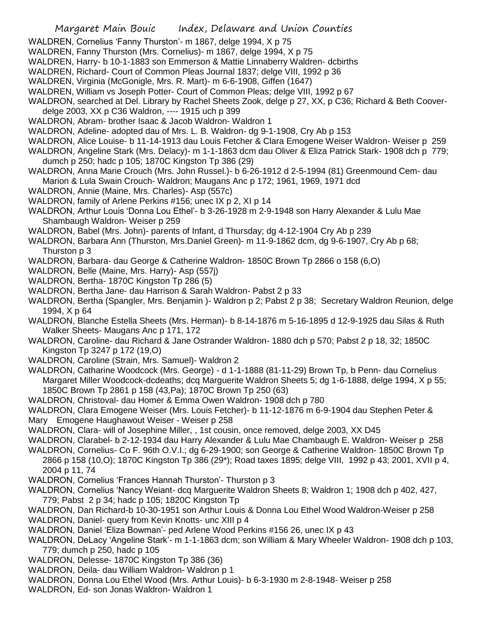- WALDREN, Cornelius 'Fanny Thurston'- m 1867, delge 1994, X p 75
- WALDREN, Fanny Thurston (Mrs. Cornelius)- m 1867, delge 1994, X p 75
- WALDREN, Harry- b 10-1-1883 son Emmerson & Mattie Linnaberry Waldren- dcbirths
- WALDREN, Richard- Court of Common Pleas Journal 1837; delge VIII, 1992 p 36
- WALDREN, Virginia (McGonigle, Mrs. R. Mart)- m 6-6-1908, Giffen (1647)
- WALDREN, William vs Joseph Potter- Court of Common Pleas; delge VIII, 1992 p 67
- WALDRON, searched at Del. Library by Rachel Sheets Zook, delge p 27, XX, p C36; Richard & Beth Cooverdelge 2003, XX p C36 Waldron, ---- 1915 uch p 399
- WALDRON, Abram- brother Isaac & Jacob Waldron- Waldron 1
- WALDRON, Adeline- adopted dau of Mrs. L. B. Waldron- dg 9-1-1908, Cry Ab p 153
- WALDRON, Alice Louise- b 11-14-1913 dau Louis Fetcher & Clara Emogene Weiser Waldron- Weiser p 259
- WALDRON, Angeline Stark (Mrs. Delacy)- m 1-1-1863 dcm dau Oliver & Eliza Patrick Stark- 1908 dch p 779; dumch p 250; hadc p 105; 1870C Kingston Tp 386 (29)
- WALDRON, Anna Marie Crouch (Mrs. John Russel.)- b 6-26-1912 d 2-5-1994 (81) Greenmound Cem- dau Marion & Lula Swain Crouch- Waldron; Maugans Anc p 172; 1961, 1969, 1971 dcd
- WALDRON, Annie (Maine, Mrs. Charles)- Asp (557c)
- WALDRON, family of Arlene Perkins #156; unec IX p 2, XI p 14
- WALDRON, Arthur Louis 'Donna Lou Ethel'- b 3-26-1928 m 2-9-1948 son Harry Alexander & Lulu Mae Shambaugh Waldron- Weiser p 259
- WALDRON, Babel (Mrs. John)- parents of Infant, d Thursday; dg 4-12-1904 Cry Ab p 239
- WALDRON, Barbara Ann (Thurston, Mrs.Daniel Green)- m 11-9-1862 dcm, dg 9-6-1907, Cry Ab p 68; Thurston p 3
- WALDRON, Barbara- dau George & Catherine Waldron- 1850C Brown Tp 2866 o 158 (6,O)
- WALDRON, Belle (Maine, Mrs. Harry)- Asp (557j)
- WALDRON, Bertha- 1870C Kingston Tp 286 (5)
- WALDRON, Bertha Jane- dau Harrison & Sarah Waldron- Pabst 2 p 33
- WALDRON, Bertha (Spangler, Mrs. Benjamin )- Waldron p 2; Pabst 2 p 38; Secretary Waldron Reunion, delge 1994, X p 64
- WALDRON, Blanche Estella Sheets (Mrs. Herman)- b 8-14-1876 m 5-16-1895 d 12-9-1925 dau Silas & Ruth Walker Sheets- Maugans Anc p 171, 172
- WALDRON, Caroline- dau Richard & Jane Ostrander Waldron- 1880 dch p 570; Pabst 2 p 18, 32; 1850C Kingston Tp 3247 p 172 (19,O)
- WALDRON, Caroline (Strain, Mrs. Samuel)- Waldron 2
- WALDRON, Catharine Woodcock (Mrs. George) d 1-1-1888 (81-11-29) Brown Tp, b Penn- dau Cornelius Margaret Miller Woodcock-dcdeaths; dcq Marguerite Waldron Sheets 5; dg 1-6-1888, delge 1994, X p 55; 1850C Brown Tp 2861 p 158 (43,Pa); 1870C Brown Tp 250 (63)
- WALDRON, Christoval- dau Homer & Emma Owen Waldron- 1908 dch p 780
- WALDRON, Clara Emogene Weiser (Mrs. Louis Fetcher)- b 11-12-1876 m 6-9-1904 dau Stephen Peter & Mary Emogene Haughawout Weiser - Weiser p 258
- WALDRON, Clara- will of Josephine Miller, , 1st cousin, once removed, delge 2003, XX D45
- WALDRON, Clarabel- b 2-12-1934 dau Harry Alexander & Lulu Mae Chambaugh E. Waldron- Weiser p 258
- WALDRON, Cornelius- Co F. 96th O.V.I.; dg 6-29-1900; son George & Catherine Waldron- 1850C Brown Tp 2866 p 158 (10,O); 1870C Kingston Tp 386 (29\*); Road taxes 1895; delge VIII, 1992 p 43; 2001, XVII p 4, 2004 p 11, 74
- WALDRON, Cornelius 'Frances Hannah Thurston'- Thurston p 3
- WALDRON, Cornelius 'Nancy Weiant- dcq Marguerite Waldron Sheets 8; Waldron 1; 1908 dch p 402, 427, 779; Pabst 2 p 34; hadc p 105; 1820C Kingston Tp
- WALDRON, Dan Richard-b 10-30-1951 son Arthur Louis & Donna Lou Ethel Wood Waldron-Weiser p 258 WALDRON, Daniel- query from Kevin Knotts- unc XIII p 4
- WALDRON, Daniel 'Eliza Bowman'- ped Arlene Wood Perkins #156 26, unec IX p 43
- WALDRON, DeLacy 'Angeline Stark'- m 1-1-1863 dcm; son William & Mary Wheeler Waldron- 1908 dch p 103, 779; dumch p 250, hadc p 105
- WALDRON, Delesse- 1870C Kingston Tp 386 (36)
- WALDRON, Deila- dau William Waldron- Waldron p 1
- WALDRON, Donna Lou Ethel Wood (Mrs. Arthur Louis)- b 6-3-1930 m 2-8-1948- Weiser p 258
- WALDRON, Ed- son Jonas Waldron- Waldron 1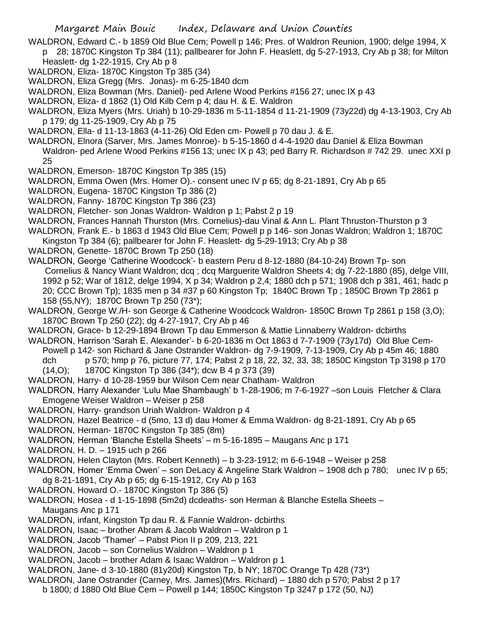WALDRON, Edward C.- b 1859 Old Blue Cem; Powell p 146; Pres. of Waldron Reunion, 1900; delge 1994, X p 28; 1870C Kingston Tp 384 (11); pallbearer for John F. Heaslett, dg 5-27-1913, Cry Ab p 38; for Milton

- Heaslett- dg 1-22-1915, Cry Ab p 8
- WALDRON, Eliza- 1870C Kingston Tp 385 (34)
- WALDRON, Eliza Gregg (Mrs. Jonas)- m 6-25-1840 dcm
- WALDRON, Eliza Bowman (Mrs. Daniel)- ped Arlene Wood Perkins #156 27; unec IX p 43
- WALDRON, Eliza- d 1862 (1) Old Kilb Cem p 4; dau H. & E. Waldron
- WALDRON, Eliza Myers (Mrs. Uriah) b 10-29-1836 m 5-11-1854 d 11-21-1909 (73y22d) dg 4-13-1903, Cry Ab p 179; dg 11-25-1909, Cry Ab p 75
- WALDRON, Ella- d 11-13-1863 (4-11-26) Old Eden cm- Powell p 70 dau J. & E.
- WALDRON, Elnora (Sarver, Mrs. James Monroe)- b 5-15-1860 d 4-4-1920 dau Daniel & Eliza Bowman Waldron- ped Arlene Wood Perkins #156 13; unec IX p 43; ped Barry R. Richardson # 742 29. unec XXI p 25
- WALDRON, Emerson- 1870C Kingston Tp 385 (15)
- WALDRON, Emma Owen (Mrs. Homer O).- consent unec IV p 65; dg 8-21-1891, Cry Ab p 65
- WALDRON, Eugena- 1870C Kingston Tp 386 (2)
- WALDRON, Fanny- 1870C Kingston Tp 386 (23)
- WALDRON, Fletcher- son Jonas Waldron- Waldron p 1; Pabst 2 p 19
- WALDRON, Frances Hannah Thurston (Mrs. Cornelius)-dau Vinal & Ann L. Plant Thruston-Thurston p 3

WALDRON, Frank E.- b 1863 d 1943 Old Blue Cem; Powell p p 146- son Jonas Waldron; Waldron 1; 1870C

- Kingston Tp 384 (6); pallbearer for John F. Heaslett- dg 5-29-1913; Cry Ab p 38
- WALDRON, Genette- 1870C Brown Tp 250 (18)
- WALDRON, George 'Catherine Woodcock'- b eastern Peru d 8-12-1880 (84-10-24) Brown Tp- son Cornelius & Nancy Wiant Waldron; dcq ; dcq Marguerite Waldron Sheets 4; dg 7-22-1880 (85), delge VIII, 1992 p 52; War of 1812, delge 1994, X p 34; Waldron p 2,4; 1880 dch p 571; 1908 dch p 381, 461; hadc p 20; CCC Brown Tp); 1835 men p 34 #37 p 60 Kingston Tp; 1840C Brown Tp ; 1850C Brown Tp 2861 p 158 (55,NY); 1870C Brown Tp 250 (73\*);
- WALDRON, George W./H- son George & Catherine Woodcock Waldron- 1850C Brown Tp 2861 p 158 (3,O); 1870C Brown Tp 250 (22); dg 4-27-1917, Cry Ab p 46
- WALDRON, Grace- b 12-29-1894 Brown Tp dau Emmerson & Mattie Linnaberry Waldron- dcbirths
- WALDRON, Harrison 'Sarah E. Alexander'- b 6-20-1836 m Oct 1863 d 7-7-1909 (73y17d) Old Blue Cem-Powell p 142- son Richard & Jane Ostrander Waldron- dg 7-9-1909, 7-13-1909, Cry Ab p 45m 46; 1880 dch p 570; hmp p 76, picture 77, 174; Pabst 2 p 18, 22, 32, 33, 38; 1850C Kingston Tp 3198 p 170
	- (14,O); 1870C Kingston Tp 386 (34\*); dcw B 4 p 373 (39)
- WALDRON, Harry- d 10-28-1959 bur Wilson Cem near Chatham- Waldron
- WALDRON, Harry Alexander 'Lulu Mae Shambaugh' b 1-28-1906; m 7-6-1927 –son Louis Fletcher & Clara Emogene Weiser Waldron – Weiser p 258
- WALDRON, Harry- grandson Uriah Waldron- Waldron p 4
- WALDRON, Hazel Beatrice d (5mo, 13 d) dau Homer & Emma Waldron- dg 8-21-1891, Cry Ab p 65
- WALDRON, Herman- 1870C Kingston Tp 385 (8m)
- WALDRON, Herman 'Blanche Estella Sheets' m 5-16-1895 Maugans Anc p 171
- WALDRON, H. D. 1915 uch p 266
- WALDRON, Helen Clayton (Mrs. Robert Kenneth) b 3-23-1912; m 6-6-1948 Weiser p 258
- WALDRON, Homer 'Emma Owen' son DeLacy & Angeline Stark Waldron 1908 dch p 780; unec IV p 65; dg 8-21-1891, Cry Ab p 65; dg 6-15-1912, Cry Ab p 163
- WALDRON, Howard O.- 1870C Kingston Tp 386 (5)
- WALDRON, Hosea d 1-15-1898 (5m2d) dcdeaths- son Herman & Blanche Estella Sheets Maugans Anc p 171
- WALDRON, infant, Kingston Tp dau R. & Fannie Waldron- dcbirths
- WALDRON, Isaac brother Abram & Jacob Waldron Waldron p 1
- WALDRON, Jacob 'Thamer' Pabst Pion II p 209, 213, 221
- WALDRON, Jacob son Cornelius Waldron Waldron p 1
- WALDRON, Jacob brother Adam & Isaac Waldron Waldron p 1
- WALDRON, Jane- d 3-10-1880 (81y20d) Kingston Tp, b NY; 1870C Orange Tp 428 (73\*)
- WALDRON, Jane Ostrander (Carney, Mrs. James)(Mrs. Richard) 1880 dch p 570; Pabst 2 p 17
	- b 1800; d 1880 Old Blue Cem Powell p 144; 1850C Kingston Tp 3247 p 172 (50, NJ)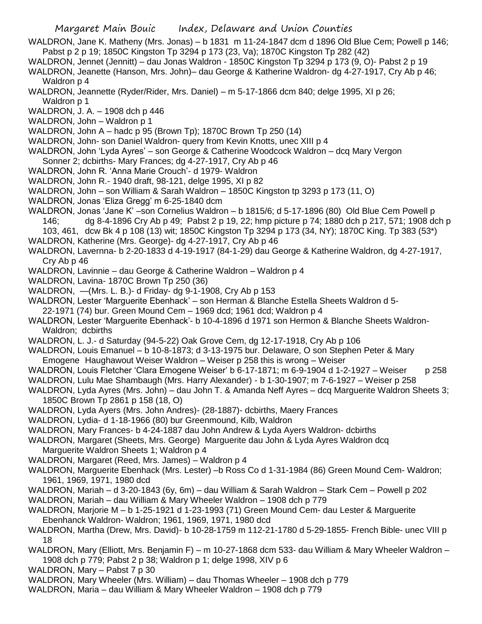WALDRON, Jane K. Matheny (Mrs. Jonas) – b 1831 m 11-24-1847 dcm d 1896 Old Blue Cem; Powell p 146; Pabst p 2 p 19; 1850C Kingston Tp 3294 p 173 (23, Va); 1870C Kingston Tp 282 (42)

WALDRON, Jennet (Jennitt) – dau Jonas Waldron - 1850C Kingston Tp 3294 p 173 (9, O)- Pabst 2 p 19

WALDRON, Jeanette (Hanson, Mrs. John)– dau George & Katherine Waldron- dg 4-27-1917, Cry Ab p 46; Waldron p 4

WALDRON, Jeannette (Ryder/Rider, Mrs. Daniel) – m 5-17-1866 dcm 840; delge 1995, XI p 26; Waldron p 1

WALDRON, J. A. – 1908 dch p 446

WALDRON, John – Waldron p 1

WALDRON, John A – hadc p 95 (Brown Tp); 1870C Brown Tp 250 (14)

- WALDRON, John- son Daniel Waldron- query from Kevin Knotts, unec XIII p 4
- WALDRON, John 'Lyda Ayres' son George & Catherine Woodcock Waldron dcq Mary Vergon
- Sonner 2; dcbirths- Mary Frances; dg 4-27-1917, Cry Ab p 46
- WALDRON, John R. 'Anna Marie Crouch'- d 1979- Waldron
- WALDRON, John R.- 1940 draft, 98-121, delge 1995, XI p 82
- WALDRON, John son William & Sarah Waldron 1850C Kingston tp 3293 p 173 (11, O)
- WALDRON, Jonas 'Eliza Gregg' m 6-25-1840 dcm
- WALDRON, Jonas 'Jane K' –son Cornelius Waldron b 1815/6; d 5-17-1896 (80) Old Blue Cem Powell p 146; dg 8-4-1896 Cry Ab p 49; Pabst 2 p 19, 22; hmp picture p 74; 1880 dch p 217, 571; 1908 dch p 103, 461, dcw Bk 4 p 108 (13) wit; 1850C Kingston Tp 3294 p 173 (34, NY); 1870C King. Tp 383 (53\*)
- WALDRON, Katherine (Mrs. George)- dg 4-27-1917, Cry Ab p 46
- WALDRON, Lavernna- b 2-20-1833 d 4-19-1917 (84-1-29) dau George & Katherine Waldron, dg 4-27-1917, Cry Ab p 46
- WALDRON, Lavinnie dau George & Catherine Waldron Waldron p 4
- WALDRON, Lavina- 1870C Brown Tp 250 (36)
- WALDRON, —(Mrs. L. B.)- d Friday- dg 9-1-1908, Cry Ab p 153
- WALDRON, Lester 'Marguerite Ebenhack' son Herman & Blanche Estella Sheets Waldron d 5-
- 22-1971 (74) bur. Green Mound Cem 1969 dcd; 1961 dcd; Waldron p 4
- WALDRON, Lester 'Marguerite Ebenhack'- b 10-4-1896 d 1971 son Hermon & Blanche Sheets Waldron-Waldron; dcbirths
- WALDRON, L. J.- d Saturday (94-5-22) Oak Grove Cem, dg 12-17-1918, Cry Ab p 106
- WALDRON, Louis Emanuel b 10-8-1873; d 3-13-1975 bur. Delaware, O son Stephen Peter & Mary Emogene Haughawout Weiser Waldron – Weiser p 258 this is wrong – Weiser
- WALDRON, Louis Fletcher 'Clara Emogene Weiser' b 6-17-1871; m 6-9-1904 d 1-2-1927 Weiser p 258 WALDRON, Lulu Mae Shambaugh (Mrs. Harry Alexander) - b 1-30-1907; m 7-6-1927 – Weiser p 258
- WALDRON, Lyda Ayres (Mrs. John) dau John T. & Amanda Neff Ayres dcq Marguerite Waldron Sheets 3; 1850C Brown Tp 2861 p 158 (18, O)
- WALDRON, Lyda Ayers (Mrs. John Andres)- (28-1887)- dcbirths, Maery Frances
- WALDRON, Lydia- d 1-18-1966 (80) bur Greenmound, Kilb, Waldron
- WALDRON, Mary Frances- b 4-24-1887 dau John Andrew & Lyda Ayers Waldron- dcbirths
- WALDRON, Margaret (Sheets, Mrs. George) Marguerite dau John & Lyda Ayres Waldron dcq Marguerite Waldron Sheets 1; Waldron p 4
- WALDRON, Margaret (Reed, Mrs. James) Waldron p 4
- WALDRON, Marguerite Ebenhack (Mrs. Lester) –b Ross Co d 1-31-1984 (86) Green Mound Cem- Waldron; 1961, 1969, 1971, 1980 dcd
- WALDRON, Mariah d 3-20-1843 (6y, 6m) dau William & Sarah Waldron Stark Cem Powell p 202
- WALDRON, Mariah dau William & Mary Wheeler Waldron 1908 dch p 779
- WALDRON, Marjorie M b 1-25-1921 d 1-23-1993 (71) Green Mound Cem- dau Lester & Marguerite Ebenhanck Waldron- Waldron; 1961, 1969, 1971, 1980 dcd
- WALDRON, Martha (Drew, Mrs. David)- b 10-28-1759 m 112-21-1780 d 5-29-1855- French Bible- unec VIII p 18
- WALDRON, Mary (Elliott, Mrs. Benjamin F) m 10-27-1868 dcm 533- dau William & Mary Wheeler Waldron 1908 dch p 779; Pabst 2 p 38; Waldron p 1; delge 1998, XIV p 6
- WALDRON, Mary Pabst 7 p 30
- WALDRON, Mary Wheeler (Mrs. William) dau Thomas Wheeler 1908 dch p 779
- WALDRON, Maria dau William & Mary Wheeler Waldron 1908 dch p 779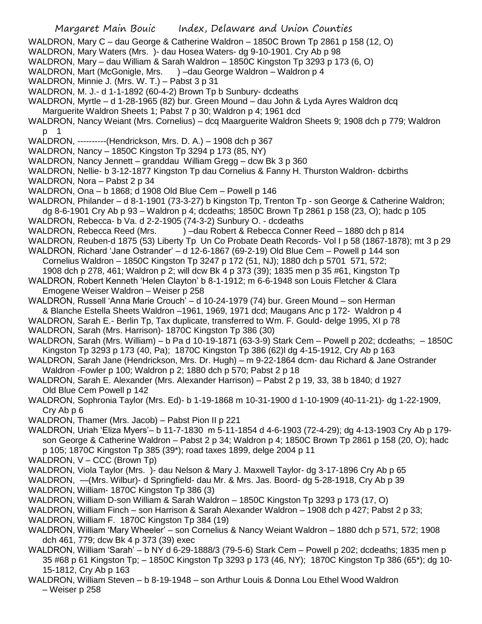Margaret Main Bouic Index, Delaware and Union Counties WALDRON, Mary C – dau George & Catherine Waldron – 1850C Brown Tp 2861 p 158 (12, O) WALDRON, Mary Waters (Mrs. )- dau Hosea Waters- dg 9-10-1901. Cry Ab p 98 WALDRON, Mary – dau William & Sarah Waldron – 1850C Kingston Tp 3293 p 173 (6, O) WALDRON, Mart (McGonigle, Mrs. ) –dau George Waldron – Waldron p 4 WALDRON, Minnie J. (Mrs. W. T.) – Pabst 3 p 31 WALDRON, M. J.- d 1-1-1892 (60-4-2) Brown Tp b Sunbury- dcdeaths WALDRON, Myrtle – d 1-28-1965 (82) bur. Green Mound – dau John & Lyda Ayres Waldron dcq Marguerite Waldron Sheets 1; Pabst 7 p 30; Waldron p 4; 1961 dcd WALDRON, Nancy Weiant (Mrs. Cornelius) – dcq Maarguerite Waldron Sheets 9; 1908 dch p 779; Waldron p 1 WALDRON, ----------(Hendrickson, Mrs. D. A.) – 1908 dch p 367 WALDRON, Nancy – 1850C Kingston Tp 3294 p 173 (85, NY) WALDRON, Nancy Jennett – granddau William Gregg – dcw Bk 3 p 360 WALDRON, Nellie- b 3-12-1877 Kingston Tp dau Cornelius & Fanny H. Thurston Waldron- dcbirths WALDRON, Nora - Pabst 2 p 34 WALDRON, Ona – b 1868; d 1908 Old Blue Cem – Powell p 146 WALDRON, Philander – d 8-1-1901 (73-3-27) b Kingston Tp, Trenton Tp - son George & Catherine Waldron; dg 8-6-1901 Cry Ab p 93 – Waldron p 4; dcdeaths; 1850C Brown Tp 2861 p 158 (23, O); hadc p 105 WALDRON, Rebecca- b Va. d 2-2-1905 (74-3-2) Sunbury O. - dcdeaths WALDRON, Rebecca Reed (Mrs. ) –dau Robert & Rebecca Conner Reed – 1880 dch p 814 WALDRON, Reuben-d 1875 (53) Liberty Tp Un Co Probate Death Records- Vol I p 58 (1867-1878); mt 3 p 29 WALDRON, Richard 'Jane Ostrander' – d 12-6-1867 (69-2-19) Old Blue Cem – Powell p 144 son Cornelius Waldron – 1850C Kingston Tp 3247 p 172 (51, NJ); 1880 dch p 5701 571, 572; 1908 dch p 278, 461; Waldron p 2; will dcw Bk 4 p 373 (39); 1835 men p 35 #61, Kingston Tp WALDRON, Robert Kenneth 'Helen Clayton' b 8-1-1912; m 6-6-1948 son Louis Fletcher & Clara Emogene Weiser Waldron – Weiser p 258 WALDRON, Russell 'Anna Marie Crouch' – d 10-24-1979 (74) bur. Green Mound – son Herman & Blanche Estella Sheets Waldron –1961, 1969, 1971 dcd; Maugans Anc p 172- Waldron p 4 WALDRON, Sarah E.- Berlin Tp, Tax duplicate, transferred to Wm. F. Gould- delge 1995, XI p 78 WALDRON, Sarah (Mrs. Harrison)- 1870C Kingston Tp 386 (30) WALDRON, Sarah (Mrs. William) – b Pa d 10-19-1871 (63-3-9) Stark Cem – Powell p 202; dcdeaths; – 1850C Kingston Tp 3293 p 173 (40, Pa); 1870C Kingston Tp 386 (62)l dg 4-15-1912, Cry Ab p 163 WALDRON, Sarah Jane (Hendrickson, Mrs. Dr. Hugh) – m 9-22-1864 dcm- dau Richard & Jane Ostrander Waldron -Fowler p 100; Waldron p 2; 1880 dch p 570; Pabst 2 p 18 WALDRON, Sarah E. Alexander (Mrs. Alexander Harrison) – Pabst 2 p 19, 33, 38 b 1840; d 1927 Old Blue Cem Powell p 142 WALDRON, Sophronia Taylor (Mrs. Ed)- b 1-19-1868 m 10-31-1900 d 1-10-1909 (40-11-21)- dg 1-22-1909, Cry Ab p 6 WALDRON, Thamer (Mrs. Jacob) – Pabst Pion II p 221 WALDRON, Uriah 'Eliza Myers'– b 11-7-1830 m 5-11-1854 d 4-6-1903 (72-4-29); dg 4-13-1903 Cry Ab p 179 son George & Catherine Waldron – Pabst 2 p 34; Waldron p 4; 1850C Brown Tp 2861 p 158 (20, O); hadc p 105; 1870C Kingston Tp 385 (39\*); road taxes 1899, delge 2004 p 11 WALDRON, V – CCC (Brown Tp) WALDRON, Viola Taylor (Mrs. )- dau Nelson & Mary J. Maxwell Taylor- dg 3-17-1896 Cry Ab p 65 WALDRON, —(Mrs. Wilbur)- d Springfield- dau Mr. & Mrs. Jas. Boord- dg 5-28-1918, Cry Ab p 39 WALDRON, William- 1870C Kingston Tp 386 (3) WALDRON, William D-son William & Sarah Waldron – 1850C Kingston Tp 3293 p 173 (17, O) WALDRON, William Finch – son Harrison & Sarah Alexander Waldron – 1908 dch p 427; Pabst 2 p 33; WALDRON, William F. 1870C Kingston Tp 384 (19) WALDRON, William 'Mary Wheeler' – son Cornelius & Nancy Weiant Waldron – 1880 dch p 571, 572; 1908 dch 461, 779; dcw Bk 4 p 373 (39) exec WALDRON, William 'Sarah' – b NY d 6-29-1888/3 (79-5-6) Stark Cem – Powell p 202; dcdeaths; 1835 men p 35 #68 p 61 Kingston Tp; – 1850C Kingston Tp 3293 p 173 (46, NY); 1870C Kingston Tp 386 (65\*); dg 10- 15-1812, Cry Ab p 163 WALDRON, William Steven – b 8-19-1948 – son Arthur Louis & Donna Lou Ethel Wood Waldron

– Weiser p 258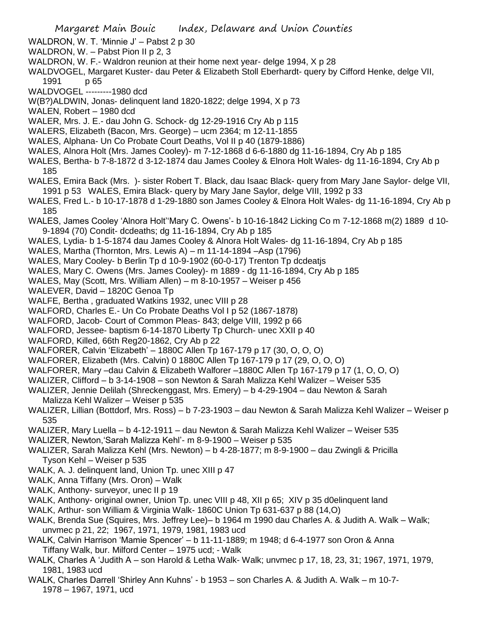- WALDRON, W. T. 'Minnie J' Pabst 2 p 30
- WALDRON, W. Pabst Pion II p 2, 3
- WALDRON, W. F.- Waldron reunion at their home next year- delge 1994, X p 28
- WALDVOGEL, Margaret Kuster- dau Peter & Elizabeth Stoll Eberhardt- query by Cifford Henke, delge VII,
- 1991 p 65
- WALDVOGEL ---------1980 dcd
- W(B?)ALDWIN, Jonas- delinquent land 1820-1822; delge 1994, X p 73
- WALEN, Robert 1980 dcd
- WALER, Mrs. J. E.- dau John G. Schock- dg 12-29-1916 Cry Ab p 115
- WALERS, Elizabeth (Bacon, Mrs. George) ucm 2364; m 12-11-1855
- WALES, Alphana- Un Co Probate Court Deaths, Vol II p 40 (1879-1886)
- WALES, Alnora Holt (Mrs. James Cooley)- m 7-12-1868 d 6-6-1880 dg 11-16-1894, Cry Ab p 185
- WALES, Bertha- b 7-8-1872 d 3-12-1874 dau James Cooley & Elnora Holt Wales- dg 11-16-1894, Cry Ab p 185
- WALES, Emira Back (Mrs. )- sister Robert T. Black, dau Isaac Black- query from Mary Jane Saylor- delge VII, 1991 p 53 WALES, Emira Black- query by Mary Jane Saylor, delge VIII, 1992 p 33
- WALES, Fred L.- b 10-17-1878 d 1-29-1880 son James Cooley & Elnora Holt Wales- dg 11-16-1894, Cry Ab p 185
- WALES, James Cooley 'Alnora Holt''Mary C. Owens'- b 10-16-1842 Licking Co m 7-12-1868 m(2) 1889 d 10- 9-1894 (70) Condit- dcdeaths; dg 11-16-1894, Cry Ab p 185
- WALES, Lydia- b 1-5-1874 dau James Cooley & Alnora Holt Wales- dg 11-16-1894, Cry Ab p 185
- WALES, Martha (Thornton, Mrs. Lewis A) m 11-14-1894 –Asp (1796)
- WALES, Mary Cooley- b Berlin Tp d 10-9-1902 (60-0-17) Trenton Tp dcdeatjs
- WALES, Mary C. Owens (Mrs. James Cooley)- m 1889 dg 11-16-1894, Cry Ab p 185
- WALES, May (Scott, Mrs. William Allen) m 8-10-1957 Weiser p 456
- WALEVER, David 1820C Genoa Tp
- WALFE, Bertha , graduated Watkins 1932, unec VIII p 28
- WALFORD, Charles E.- Un Co Probate Deaths Vol I p 52 (1867-1878)
- WALFORD, Jacob- Court of Common Pleas- 843; delge VIII, 1992 p 66
- WALFORD, Jessee- baptism 6-14-1870 Liberty Tp Church- unec XXII p 40
- WALFORD, Killed, 66th Reg20-1862, Cry Ab p 22
- WALFORER, Calvin 'Elizabeth' 1880C Allen Tp 167-179 p 17 (30, O, O, O)
- WALFORER, Elizabeth (Mrs. Calvin) 0 1880C Allen Tp 167-179 p 17 (29, O, O, O)
- WALFORER, Mary –dau Calvin & Elizabeth Walforer –1880C Allen Tp 167-179 p 17 (1, O, O, O)
- WALIZER, Clifford b 3-14-1908 son Newton & Sarah Malizza Kehl Walizer Weiser 535
- WALIZER, Jennie Delilah (Shreckenggast, Mrs. Emery) b 4-29-1904 dau Newton & Sarah Malizza Kehl Walizer – Weiser p 535
- WALIZER, Lillian (Bottdorf, Mrs. Ross) b 7-23-1903 dau Newton & Sarah Malizza Kehl Walizer Weiser p 535
- WALIZER, Mary Luella b 4-12-1911 dau Newton & Sarah Malizza Kehl Walizer Weiser 535
- WALIZER, Newton,'Sarah Malizza Kehl'- m 8-9-1900 Weiser p 535
- WALIZER, Sarah Malizza Kehl (Mrs. Newton) b 4-28-1877; m 8-9-1900 dau Zwingli & Pricilla Tyson Kehl – Weiser p 535
- WALK, A. J. delinquent land, Union Tp. unec XIII p 47
- WALK, Anna Tiffany (Mrs. Oron) Walk
- WALK, Anthony- surveyor, unec II p 19
- WALK, Anthony- original owner, Union Tp. unec VIII p 48, XII p 65; XIV p 35 d0elinquent land
- WALK, Arthur- son William & Virginia Walk- 1860C Union Tp 631-637 p 88 (14,O)
- WALK, Brenda Sue (Squires, Mrs. Jeffrey Lee)– b 1964 m 1990 dau Charles A. & Judith A. Walk Walk; unvmec p 21, 22; 1967, 1971, 1979, 1981, 1983 ucd
- WALK, Calvin Harrison 'Mamie Spencer' b 11-11-1889; m 1948; d 6-4-1977 son Oron & Anna Tiffany Walk, bur. Milford Center – 1975 ucd; - Walk
- WALK, Charles A 'Judith A son Harold & Letha Walk- Walk; unvmec p 17, 18, 23, 31; 1967, 1971, 1979, 1981, 1983 ucd
- WALK, Charles Darrell 'Shirley Ann Kuhns' b 1953 son Charles A. & Judith A. Walk m 10-7- 1978 – 1967, 1971, ucd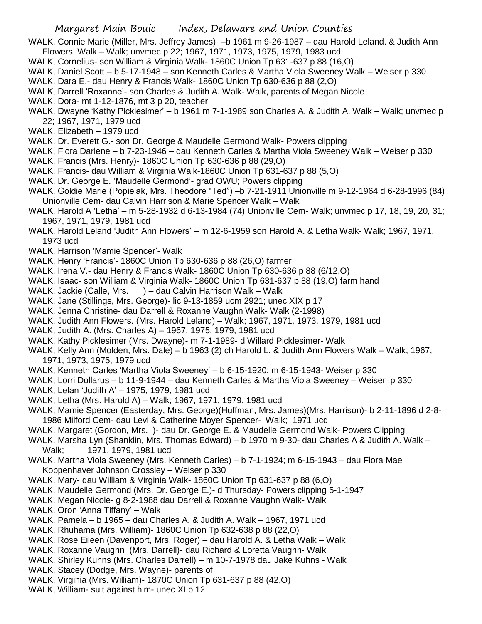WALK, Connie Marie (Miller, Mrs. Jeffrey James) –b 1961 m 9-26-1987 – dau Harold Leland. & Judith Ann Flowers Walk – Walk; unvmec p 22; 1967, 1971, 1973, 1975, 1979, 1983 ucd

- WALK, Cornelius- son William & Virginia Walk- 1860C Union Tp 631-637 p 88 (16,O)
- WALK, Daniel Scott b 5-17-1948 son Kenneth Carles & Martha Viola Sweeney Walk Weiser p 330
- WALK, Dara E.- dau Henry & Francis Walk- 1860C Union Tp 630-636 p 88 (2,O)
- WALK, Darrell 'Roxanne'- son Charles & Judith A. Walk- Walk, parents of Megan Nicole
- WALK, Dora- mt 1-12-1876, mt 3 p 20, teacher
- WALK, Dwayne 'Kathy Picklesimer' b 1961 m 7-1-1989 son Charles A. & Judith A. Walk Walk; unvmec p 22; 1967, 1971, 1979 ucd
- WALK, Elizabeth 1979 ucd
- WALK, Dr. Everett G.- son Dr. George & Maudelle Germond Walk- Powers clipping
- WALK, Flora Darlene b 7-23-1946 dau Kenneth Carles & Martha Viola Sweeney Walk Weiser p 330
- WALK, Francis (Mrs. Henry)- 1860C Union Tp 630-636 p 88 (29,O)
- WALK, Francis- dau William & Virginia Walk-1860C Union Tp 631-637 p 88 (5,O)
- WALK, Dr. George E. 'Maudelle Germond'- grad OWU; Powers clipping
- WALK, Goldie Marie (Popielak, Mrs. Theodore "Ted") –b 7-21-1911 Unionville m 9-12-1964 d 6-28-1996 (84) Unionville Cem- dau Calvin Harrison & Marie Spencer Walk – Walk
- WALK, Harold A 'Letha' m 5-28-1932 d 6-13-1984 (74) Unionville Cem- Walk; unvmec p 17, 18, 19, 20, 31; 1967, 1971, 1979, 1981 ucd
- WALK, Harold Leland 'Judith Ann Flowers' m 12-6-1959 son Harold A. & Letha Walk- Walk; 1967, 1971, 1973 ucd
- WALK, Harrison 'Mamie Spencer'- Walk
- WALK, Henry 'Francis'- 1860C Union Tp 630-636 p 88 (26,O) farmer
- WALK, Irena V.- dau Henry & Francis Walk- 1860C Union Tp 630-636 p 88 (6/12,O)
- WALK, Isaac- son William & Virginia Walk- 1860C Union Tp 631-637 p 88 (19,O) farm hand
- WALK, Jackie (Calle, Mrs. ) dau Calvin Harrison Walk Walk
- WALK, Jane (Stillings, Mrs. George)- lic 9-13-1859 ucm 2921; unec XIX p 17
- WALK, Jenna Christine- dau Darrell & Roxanne Vaughn Walk- Walk (2-1998)
- WALK, Judith Ann Flowers. (Mrs. Harold Leland) Walk; 1967, 1971, 1973, 1979, 1981 ucd
- WALK, Judith A. (Mrs. Charles A) 1967, 1975, 1979, 1981 ucd
- WALK, Kathy Picklesimer (Mrs. Dwayne)- m 7-1-1989- d Willard Picklesimer- Walk
- WALK, Kelly Ann (Molden, Mrs. Dale) b 1963 (2) ch Harold L. & Judith Ann Flowers Walk Walk; 1967, 1971, 1973, 1975, 1979 ucd
- WALK, Kenneth Carles 'Martha Viola Sweeney' b 6-15-1920; m 6-15-1943- Weiser p 330
- WALK, Lorri Dollarus b 11-9-1944 dau Kenneth Carles & Martha Viola Sweeney Weiser p 330
- WALK, Lelan 'Judith A' 1975, 1979, 1981 ucd
- WALK, Letha (Mrs. Harold A) Walk; 1967, 1971, 1979, 1981 ucd
- WALK, Mamie Spencer (Easterday, Mrs. George)(Huffman, Mrs. James)(Mrs. Harrison)- b 2-11-1896 d 2-8- 1986 Milford Cem- dau Levi & Catherine Moyer Spencer- Walk; 1971 ucd
- WALK, Margaret (Gordon, Mrs. )- dau Dr. George E. & Maudelle Germond Walk- Powers Clipping
- WALK, Marsha Lyn (Shanklin, Mrs. Thomas Edward) b 1970 m 9-30- dau Charles A & Judith A. Walk Walk; 1971, 1979, 1981 ucd
- WALK, Martha Viola Sweeney (Mrs. Kenneth Carles) b 7-1-1924; m 6-15-1943 dau Flora Mae Koppenhaver Johnson Crossley – Weiser p 330
- WALK, Mary- dau William & Virginia Walk- 1860C Union Tp 631-637 p 88 (6,O)
- WALK, Maudelle Germond (Mrs. Dr. George E.)- d Thursday- Powers clipping 5-1-1947
- WALK, Megan Nicole- g 8-2-1988 dau Darrell & Roxanne Vaughn Walk- Walk
- WALK, Oron 'Anna Tiffany' Walk
- WALK, Pamela b 1965 dau Charles A. & Judith A. Walk 1967, 1971 ucd
- WALK, Rhuhama (Mrs. William)- 1860C Union Tp 632-638 p 88 (22,O)
- WALK, Rose Eileen (Davenport, Mrs. Roger) dau Harold A. & Letha Walk Walk
- WALK, Roxanne Vaughn (Mrs. Darrell)- dau Richard & Loretta Vaughn- Walk
- WALK, Shirley Kuhns (Mrs. Charles Darrell) m 10-7-1978 dau Jake Kuhns Walk
- WALK, Stacey (Dodge, Mrs. Wayne)- parents of
- WALK, Virginia (Mrs. William)- 1870C Union Tp 631-637 p 88 (42,O)
- WALK, William- suit against him- unec XI p 12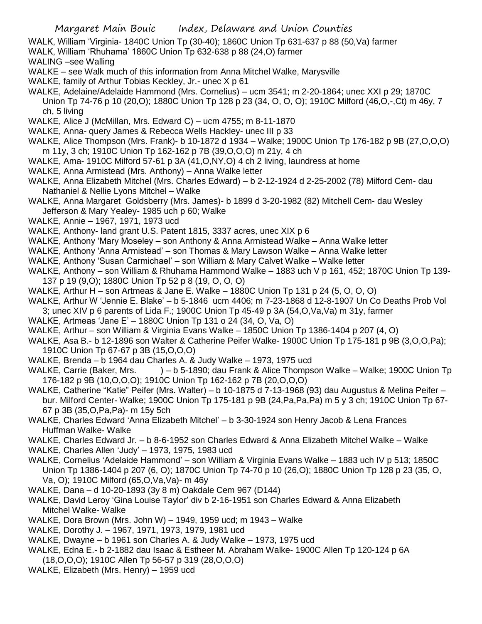- WALK, William 'Virginia- 1840C Union Tp (30-40); 1860C Union Tp 631-637 p 88 (50,Va) farmer
- WALK, William 'Rhuhama' 1860C Union Tp 632-638 p 88 (24,O) farmer
- WALING –see Walling
- WALKE see Walk much of this information from Anna Mitchel Walke, Marysville
- WALKE, family of Arthur Tobias Keckley, Jr.- unec X p 61
- WALKE, Adelaine/Adelaide Hammond (Mrs. Cornelius) ucm 3541; m 2-20-1864; unec XXI p 29; 1870C Union Tp 74-76 p 10 (20,O); 1880C Union Tp 128 p 23 (34, O, O, O); 1910C Milford (46,O,-,Ct) m 46y, 7 ch, 5 living
- WALKE, Alice J (McMillan, Mrs. Edward C) ucm 4755; m 8-11-1870
- WALKE, Anna- query James & Rebecca Wells Hackley- unec III p 33
- WALKE, Alice Thompson (Mrs. Frank)- b 10-1872 d 1934 Walke; 1900C Union Tp 176-182 p 9B (27,O,O,O) m 11y, 3 ch; 1910C Union Tp 162-162 p 7B (39,O,O,O) m 21y, 4 ch
- WALKE, Ama- 1910C Milford 57-61 p 3A (41,O,NY,O) 4 ch 2 living, laundress at home
- WALKE, Anna Armistead (Mrs. Anthony) Anna Walke letter
- WALKE, Anna Elizabeth Mitchel (Mrs. Charles Edward) b 2-12-1924 d 2-25-2002 (78) Milford Cem- dau Nathaniel & Nellie Lyons Mitchel – Walke
- WALKE, Anna Margaret Goldsberry (Mrs. James)- b 1899 d 3-20-1982 (82) Mitchell Cem- dau Wesley Jefferson & Mary Yealey- 1985 uch p 60; Walke
- WALKE, Annie 1967, 1971, 1973 ucd
- WALKE, Anthony- land grant U.S. Patent 1815, 3337 acres, unec XIX p 6
- WALKE, Anthony 'Mary Moseley son Anthony & Anna Armistead Walke Anna Walke letter
- WALKE, Anthony 'Anna Armistead' son Thomas & Mary Lawson Walke Anna Walke letter
- WALKE, Anthony 'Susan Carmichael' son William & Mary Calvet Walke Walke letter
- WALKE, Anthony son William & Rhuhama Hammond Walke 1883 uch V p 161, 452; 1870C Union Tp 139- 137 p 19 (9,O); 1880C Union Tp 52 p 8 (19, O, O, O)
- WALKE, Arthur H son Artmeas & Jane E. Walke 1880C Union Tp 131 p 24 (5, O, O, O)
- WALKE, Arthur W 'Jennie E. Blake' b 5-1846 ucm 4406; m 7-23-1868 d 12-8-1907 Un Co Deaths Prob Vol 3; unec XIV p 6 parents of Lida F.; 1900C Union Tp 45-49 p 3A (54,O,Va,Va) m 31y, farmer
- WALKE, Artmeas 'Jane E' 1880C Union Tp 131 o 24 (34, O, Va, O)
- WALKE, Arthur son William & Virginia Evans Walke 1850C Union Tp 1386-1404 p 207 (4, O)
- WALKE, Asa B.- b 12-1896 son Walter & Catherine Peifer Walke- 1900C Union Tp 175-181 p 9B (3,O,O,Pa); 1910C Union Tp 67-67 p 3B (15,O,O,O)
- WALKE, Brenda b 1964 dau Charles A. & Judy Walke 1973, 1975 ucd
- WALKE, Carrie (Baker, Mrs. ) b 5-1890; dau Frank & Alice Thompson Walke Walke; 1900C Union Tp 176-182 p 9B (10,O,O,O); 1910C Union Tp 162-162 p 7B (20,O,O,O)
- WALKE, Catherine "Katie" Peifer (Mrs. Walter) b 10-1875 d 7-13-1968 (93) dau Augustus & Melina Peifer bur. Milford Center- Walke; 1900C Union Tp 175-181 p 9B (24,Pa,Pa,Pa) m 5 y 3 ch; 1910C Union Tp 67- 67 p 3B (35,O,Pa,Pa)- m 15y 5ch
- WALKE, Charles Edward 'Anna Elizabeth Mitchel' b 3-30-1924 son Henry Jacob & Lena Frances Huffman Walke- Walke
- WALKE, Charles Edward Jr. b 8-6-1952 son Charles Edward & Anna Elizabeth Mitchel Walke Walke
- WALKE, Charles Allen 'Judy' 1973, 1975, 1983 ucd
- WALKE, Cornelius 'Adelaide Hammond' son William & Virginia Evans Walke 1883 uch IV p 513; 1850C Union Tp 1386-1404 p 207 (6, O); 1870C Union Tp 74-70 p 10 (26,O); 1880C Union Tp 128 p 23 (35, O, Va, O); 1910C Milford (65,O,Va,Va)- m 46y
- WALKE, Dana d 10-20-1893 (3y 8 m) Oakdale Cem 967 (D144)
- WALKE, David Leroy 'Gina Louise Taylor' div b 2-16-1951 son Charles Edward & Anna Elizabeth Mitchel Walke- Walke
- WALKE, Dora Brown (Mrs. John W) 1949, 1959 ucd; m 1943 Walke
- WALKE, Dorothy J. 1967, 1971, 1973, 1979, 1981 ucd
- WALKE, Dwayne b 1961 son Charles A. & Judy Walke 1973, 1975 ucd
- WALKE, Edna E.- b 2-1882 dau Isaac & Estheer M. Abraham Walke- 1900C Allen Tp 120-124 p 6A (18,O,O,O); 1910C Allen Tp 56-57 p 319 (28,O,O,O)
- WALKE, Elizabeth (Mrs. Henry) 1959 ucd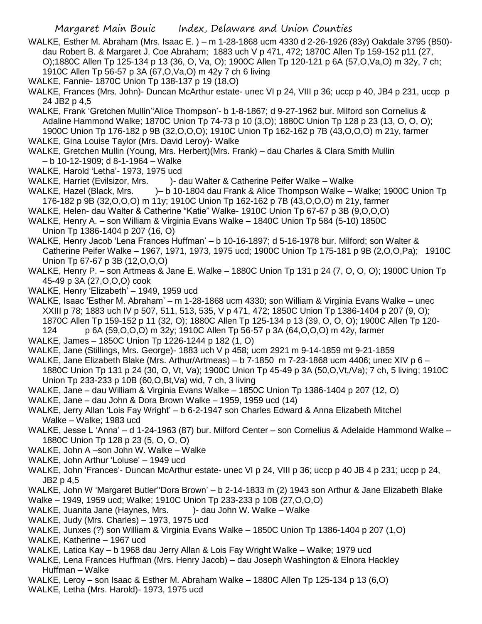- WALKE, Esther M. Abraham (Mrs. Isaac E. ) m 1-28-1868 ucm 4330 d 2-26-1926 (83y) Oakdale 3795 (B50) dau Robert B. & Margaret J. Coe Abraham; 1883 uch V p 471, 472; 1870C Allen Tp 159-152 p11 (27, O);1880C Allen Tp 125-134 p 13 (36, O, Va, O); 1900C Allen Tp 120-121 p 6A (57,O,Va,O) m 32y, 7 ch; 1910C Allen Tp 56-57 p 3A (67,O,Va,O) m 42y 7 ch 6 living
- WALKE, Fannie- 1870C Union Tp 138-137 p 19 (18,O)
- WALKE, Frances (Mrs. John)- Duncan McArthur estate- unec VI p 24, VIII p 36; uccp p 40, JB4 p 231, uccp p 24 JB2 p 4,5
- WALKE, Frank 'Gretchen Mullin''Alice Thompson'- b 1-8-1867; d 9-27-1962 bur. Milford son Cornelius & Adaline Hammond Walke; 1870C Union Tp 74-73 p 10 (3,O); 1880C Union Tp 128 p 23 (13, O, O, O); 1900C Union Tp 176-182 p 9B (32,O,O,O); 1910C Union Tp 162-162 p 7B (43,O,O,O) m 21y, farmer
- WALKE, Gina Louise Taylor (Mrs. David Leroy)- Walke
- WALKE, Gretchen Mullin (Young, Mrs. Herbert)(Mrs. Frank) dau Charles & Clara Smith Mullin – b 10-12-1909; d 8-1-1964 – Walke
- WALKE, Harold 'Letha'- 1973, 1975 ucd
- WALKE, Harriet (Evilsizor, Mrs. )- dau Walter & Catherine Peifer Walke Walke
- WALKE, Hazel (Black, Mrs. )– b 10-1804 dau Frank & Alice Thompson Walke Walke; 1900C Union Tp 176-182 p 9B (32,O,O,O) m 11y; 1910C Union Tp 162-162 p 7B (43,O,O,O) m 21y, farmer
- WALKE, Helen- dau Walter & Catherine "Katie" Walke- 1910C Union Tp 67-67 p 3B (9,O,O,O)
- WALKE, Henry A. son William & Virginia Evans Walke 1840C Union Tp 584 (5-10) 1850C Union Tp 1386-1404 p 207 (16, O)
- WALKE, Henry Jacob 'Lena Frances Huffman' b 10-16-1897; d 5-16-1978 bur. Milford; son Walter & Catherine Peifer Walke – 1967, 1971, 1973, 1975 ucd; 1900C Union Tp 175-181 p 9B (2,O,O,Pa); 1910C Union Tp 67-67 p 3B (12,O,O,O)
- WALKE, Henry P. son Artmeas & Jane E. Walke 1880C Union Tp 131 p 24 (7, O, O, O); 1900C Union Tp 45-49 p 3A (27,O,O,O) cook
- WALKE, Henry 'Elizabeth' 1949, 1959 ucd
- WALKE, Isaac 'Esther M. Abraham' m 1-28-1868 ucm 4330; son William & Virginia Evans Walke unec XXIII p 78; 1883 uch IV p 507, 511, 513, 535, V p 471, 472; 1850C Union Tp 1386-1404 p 207 (9, O); 1870C Allen Tp 159-152 p 11 (32, O); 1880C Allen Tp 125-134 p 13 (39, O, O, O); 1900C Allen Tp 120- 124 p 6A (59,O,O,O) m 32y; 1910C Allen Tp 56-57 p 3A (64,O,O,O) m 42y, farmer
- WALKE, James 1850C Union Tp 1226-1244 p 182 (1, O)
- WALKE, Jane (Stillings, Mrs. George)- 1883 uch V p 458; ucm 2921 m 9-14-1859 mt 9-21-1859
- WALKE, Jane Elizabeth Blake (Mrs. Arthur/Artmeas) b 7-1850 m 7-23-1868 ucm 4406; unec XIV p 6 1880C Union Tp 131 p 24 (30, O, Vt, Va); 1900C Union Tp 45-49 p 3A (50,O,Vt,/Va); 7 ch, 5 living; 1910C Union Tp 233-233 p 10B (60,O,Bt,Va) wid, 7 ch, 3 living
- WALKE, Jane dau William & Virginia Evans Walke 1850C Union Tp 1386-1404 p 207 (12, O)
- WALKE, Jane dau John & Dora Brown Walke 1959, 1959 ucd (14)
- WALKE, Jerry Allan 'Lois Fay Wright' b 6-2-1947 son Charles Edward & Anna Elizabeth Mitchel Walke – Walke; 1983 ucd
- WALKE, Jesse L 'Anna' d 1-24-1963 (87) bur. Milford Center son Cornelius & Adelaide Hammond Walke 1880C Union Tp 128 p 23 (5, O, O, O)
- WALKE, John A –son John W. Walke Walke
- WALKE, John Arthur 'Loiuse' 1949 ucd
- WALKE, John 'Frances'- Duncan McArthur estate- unec VI p 24, VIII p 36; uccp p 40 JB 4 p 231; uccp p 24, JB2 p 4,5
- WALKE, John W 'Margaret Butler''Dora Brown' b 2-14-1833 m (2) 1943 son Arthur & Jane Elizabeth Blake
- Walke 1949, 1959 ucd; Walke; 1910C Union Tp 233-233 p 10B (27,O,O,O)
- WALKE, Juanita Jane (Haynes, Mrs. )- dau John W. Walke Walke
- WALKE, Judy (Mrs. Charles) 1973, 1975 ucd
- WALKE, Junxes (?) son William & Virginia Evans Walke 1850C Union Tp 1386-1404 p 207 (1,O)
- WALKE, Katherine 1967 ucd
- WALKE, Latica Kay b 1968 dau Jerry Allan & Lois Fay Wright Walke Walke; 1979 ucd
- WALKE, Lena Frances Huffman (Mrs. Henry Jacob) dau Joseph Washington & Elnora Hackley Huffman – Walke
- WALKE, Leroy son Isaac & Esther M. Abraham Walke 1880C Allen Tp 125-134 p 13 (6,O)
- WALKE, Letha (Mrs. Harold)- 1973, 1975 ucd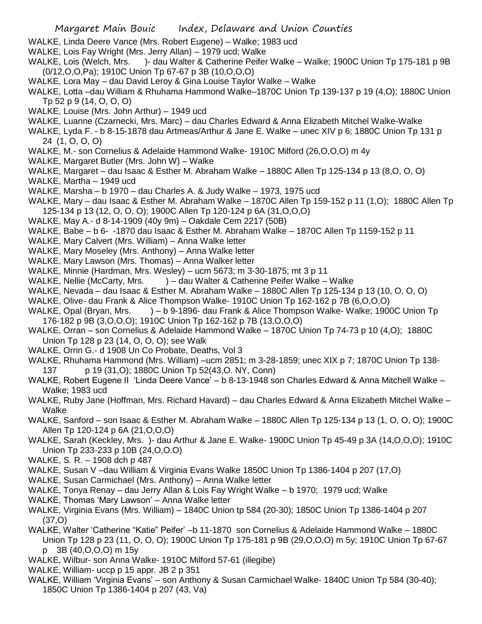- WALKE, Linda Deere Vance (Mrs. Robert Eugene) Walke; 1983 ucd
- WALKE, Lois Fay Wright (Mrs. Jerry Allan) 1979 ucd; Walke
- WALKE, Lois (Welch, Mrs. )- dau Walter & Catherine Peifer Walke Walke; 1900C Union Tp 175-181 p 9B (0/12,O,O,Pa); 1910C Union Tp 67-67 p 3B (10,O,O,O)
- WALKE, Lora May dau David Leroy & Gina Louise Taylor Walke Walke
- WALKE, Lotta –dau William & Rhuhama Hammond Walke–1870C Union Tp 139-137 p 19 (4,O); 1880C Union Tp 52 p 9 (14, O, O, O)
- WALKE, Louise (Mrs. John Arthur) 1949 ucd
- WALKE, Luanne (Czarnecki, Mrs. Marc) dau Charles Edward & Anna Elizabeth Mitchel Walke-Walke
- WALKE, Lyda F. b 8-15-1878 dau Artmeas/Arthur & Jane E. Walke unec XIV p 6; 1880C Union Tp 131 p 24 (1, O, O, O)
- WALKE, M.- son Cornelius & Adelaide Hammond Walke- 1910C Milford (26,O,O,O) m 4y
- WALKE, Margaret Butler (Mrs. John W) Walke
- WALKE, Margaret dau Isaac & Esther M. Abraham Walke 1880C Allen Tp 125-134 p 13 (8,O, O, O)
- WALKE, Martha 1949 ucd
- WALKE, Marsha b 1970 dau Charles A. & Judy Walke 1973, 1975 ucd
- WALKE, Mary dau Isaac & Esther M. Abraham Walke 1870C Allen Tp 159-152 p 11 (1,O); 1880C Allen Tp 125-134 p 13 (12, O, O, O); 1900C Allen Tp 120-124 p 6A (31,O,O,O)
- WALKE, May A.- d 8-14-1909 (40y 9m) Oakdale Cem 2217 (50B)
- WALKE, Babe b 6- -1870 dau Isaac & Esther M. Abraham Walke 1870C Allen Tp 1159-152 p 11
- WALKE, Mary Calvert (Mrs. William) Anna Walke letter
- WALKE, Mary Moseley (Mrs. Anthony) Anna Walke letter
- WALKE, Mary Lawson (Mrs. Thomas) Anna Walker letter
- WALKE, Minnie (Hardman, Mrs. Wesley) ucm 5673; m 3-30-1875; mt 3 p 11
- WALKE, Nellie (McCarty, Mrs. ) dau Walter & Catherine Peifer Walke Walke
- WALKE, Nevada dau Isaac & Esther M. Abraham Walke 1880C Allen Tp 125-134 p 13 (10, O, O, O)
- WALKE, Olive- dau Frank & Alice Thompson Walke- 1910C Union Tp 162-162 p 7B (6,O,O,O)
- WALKE, Opal (Bryan, Mrs. ) b 9-1896- dau Frank & Alice Thompson Walke- Walke; 1900C Union Tp 176-182 p 9B (3,O,O,O); 1910C Union Tp 162-162 p 7B (13,O,O,O)
- WALKE, Orran son Cornelius & Adelaide Hammond Walke 1870C Union Tp 74-73 p 10 (4,O); 1880C Union Tp 128 p 23 (14, O, O, O); see Walk
- WALKE, Orrin G.- d 1908 Un Co Probate, Deaths, Vol 3
- WALKE, Rhuhama Hammond (Mrs. William) –ucm 2851; m 3-28-1859; unec XIX p 7; 1870C Union Tp 138- 137 p 19 (31,O); 1880C Union Tp 52(43,O. NY, Conn)
- WALKE, Robert Eugene II 'Linda Deere Vance' b 8-13-1948 son Charles Edward & Anna Mitchell Walke Walke; 1983 ucd
- WALKE, Ruby Jane (Hoffman, Mrs. Richard Havard) dau Charles Edward & Anna Elizabeth Mitchel Walke Walke
- WALKE, Sanford son Isaac & Esther M. Abraham Walke 1880C Allen Tp 125-134 p 13 (1, O, O, O); 1900C Allen Tp 120-124 p 6A (21,O,O,O)
- WALKE, Sarah (Keckley, Mrs. )- dau Arthur & Jane E. Walke- 1900C Union Tp 45-49 p 3A (14,O,O,O); 1910C Union Tp 233-233 p 10B (24,O,O.O)
- WALKE, S. R. 1908 dch p 487
- WALKE, Susan V –dau William & Virginia Evans Walke 1850C Union Tp 1386-1404 p 207 (17,O)
- WALKE, Susan Carmichael (Mrs. Anthony) Anna Walke letter
- WALKE, Tonya Renay dau Jerry Allan & Lois Fay Wright Walke b 1970; 1979 ucd; Walke
- WALKE, Thomas 'Mary Lawson' Anna Walke letter
- WALKE, Virginia Evans (Mrs. William) 1840C Union tp 584 (20-30); 1850C Union Tp 1386-1404 p 207 (37,O)
- WALKE, Walter 'Catherine "Katie" Peifer' –b 11-1870 son Cornelius & Adelaide Hammond Walke 1880C Union Tp 128 p 23 (11, O, O, O); 1900C Union Tp 175-181 p 9B (29,O,O,O) m 5y; 1910C Union Tp 67-67 p 3B (40,O,O,O) m 15y
- WALKE, Wilbur- son Anna Walke- 1910C Milford 57-61 (illegibe)
- WALKE, William- uccp p 15 appr. JB 2 p 351
- WALKE, William 'Virginia Evans' son Anthony & Susan Carmichael Walke- 1840C Union Tp 584 (30-40); 1850C Union Tp 1386-1404 p 207 (43, Va)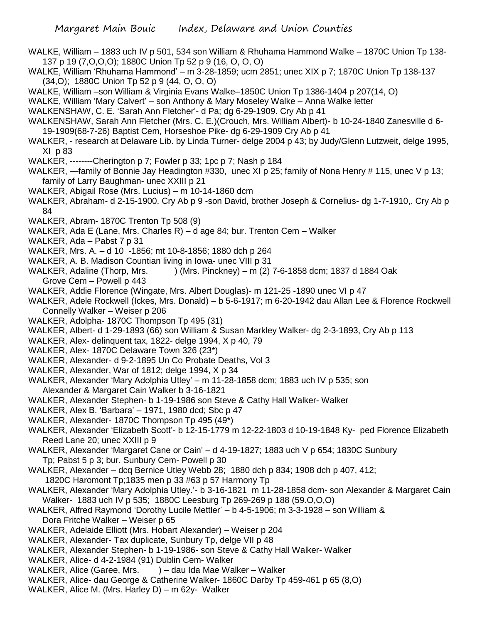- WALKE, William 1883 uch IV p 501, 534 son William & Rhuhama Hammond Walke 1870C Union Tp 138- 137 p 19 (7,O,O,O); 1880C Union Tp 52 p 9 (16, O, O, O)
- WALKE, William 'Rhuhama Hammond' m 3-28-1859; ucm 2851; unec XIX p 7; 1870C Union Tp 138-137 (34,O); 1880C Union Tp 52 p 9 (44, O, O, O)
- WALKE, William –son William & Virginia Evans Walke–1850C Union Tp 1386-1404 p 207(14, O)
- WALKE, William 'Mary Calvert' son Anthony & Mary Moseley Walke Anna Walke letter
- WALKENSHAW, C. E. 'Sarah Ann Fletcher'- d Pa; dg 6-29-1909. Cry Ab p 41
- WALKENSHAW, Sarah Ann Fletcher (Mrs. C. E.)(Crouch, Mrs. William Albert)- b 10-24-1840 Zanesville d 6- 19-1909(68-7-26) Baptist Cem, Horseshoe Pike- dg 6-29-1909 Cry Ab p 41
- WALKER, research at Delaware Lib. by Linda Turner- delge 2004 p 43; by Judy/Glenn Lutzweit, delge 1995, XI p 83
- WALKER, --------Cherington p 7; Fowler p 33; 1pc p 7; Nash p 184
- WALKER, —family of Bonnie Jay Headington #330, unec XI p 25; family of Nona Henry # 115, unec V p 13; family of Larry Baughman- unec XXIII p 21
- WALKER, Abigail Rose (Mrs. Lucius) m 10-14-1860 dcm
- WALKER, Abraham- d 2-15-1900. Cry Ab p 9 -son David, brother Joseph & Cornelius- dg 1-7-1910,. Cry Ab p 84
- WALKER, Abram- 1870C Trenton Tp 508 (9)
- WALKER, Ada E (Lane, Mrs. Charles R) d age 84; bur. Trenton Cem Walker
- WALKER, Ada Pabst 7 p 31
- WALKER, Mrs. A. d 10 -1856; mt 10-8-1856; 1880 dch p 264
- WALKER, A. B. Madison Countian living in Iowa- unec VIII p 31
- WALKER, Adaline (Thorp, Mrs. ) (Mrs. Pinckney) m (2) 7-6-1858 dcm; 1837 d 1884 Oak Grove Cem – Powell p 443
- WALKER, Addie Florence (Wingate, Mrs. Albert Douglas)- m 121-25 -1890 unec VI p 47
- WALKER, Adele Rockwell (Ickes, Mrs. Donald) b 5-6-1917; m 6-20-1942 dau Allan Lee & Florence Rockwell Connelly Walker – Weiser p 206
- WALKER, Adolpha- 1870C Thompson Tp 495 (31)
- WALKER, Albert- d 1-29-1893 (66) son William & Susan Markley Walker- dg 2-3-1893, Cry Ab p 113
- WALKER, Alex- delinquent tax, 1822- delge 1994, X p 40, 79
- WALKER, Alex- 1870C Delaware Town 326 (23\*)
- WALKER, Alexander- d 9-2-1895 Un Co Probate Deaths, Vol 3
- WALKER, Alexander, War of 1812; delge 1994, X p 34
- WALKER, Alexander 'Mary Adolphia Utley' m 11-28-1858 dcm; 1883 uch IV p 535; son Alexander & Margaret Cain Walker b 3-16-1821
- WALKER, Alexander Stephen- b 1-19-1986 son Steve & Cathy Hall Walker- Walker
- WALKER, Alex B. 'Barbara' 1971, 1980 dcd; Sbc p 47
- WALKER, Alexander- 1870C Thompson Tp 495 (49\*)
- WALKER, Alexander 'Elizabeth Scott'- b 12-15-1779 m 12-22-1803 d 10-19-1848 Ky- ped Florence Elizabeth Reed Lane 20; unec XXIII p 9
- WALKER, Alexander 'Margaret Cane or Cain' d 4-19-1827; 1883 uch V p 654; 1830C Sunbury Tp; Pabst 5 p 3; bur. Sunbury Cem- Powell p 30
- WALKER, Alexander dcq Bernice Utley Webb 28; 1880 dch p 834; 1908 dch p 407, 412;
- 1820C Haromont Tp;1835 men p 33 #63 p 57 Harmony Tp
- WALKER, Alexander 'Mary Adolphia Utley.'- b 3-16-1821 m 11-28-1858 dcm- son Alexander & Margaret Cain Walker- 1883 uch IV p 535; 1880C Leesburg Tp 269-269 p 188 (59.O,O,O)
- WALKER, Alfred Raymond 'Dorothy Lucile Mettler' b 4-5-1906; m 3-3-1928 son William & Dora Fritche Walker – Weiser p 65
- WALKER, Adelaide Elliott (Mrs. Hobart Alexander) Weiser p 204
- WALKER, Alexander- Tax duplicate, Sunbury Tp, delge VII p 48
- WALKER, Alexander Stephen- b 1-19-1986- son Steve & Cathy Hall Walker- Walker
- WALKER, Alice- d 4-2-1984 (91) Dublin Cem- Walker
- WALKER, Alice (Garee, Mrs. ) dau Ida Mae Walker Walker
- WALKER, Alice- dau George & Catherine Walker- 1860C Darby Tp 459-461 p 65 (8,O)
- WALKER, Alice M. (Mrs. Harley D) m 62y- Walker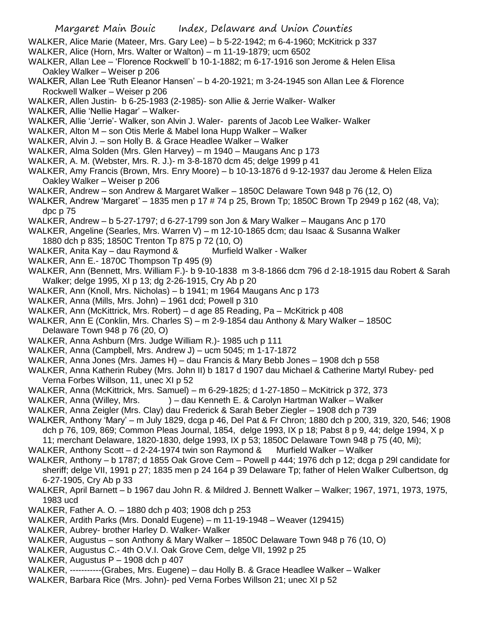- WALKER, Alice Marie (Mateer, Mrs. Gary Lee) b 5-22-1942; m 6-4-1960; McKitrick p 337
- WALKER, Alice (Horn, Mrs. Walter or Walton) m 11-19-1879; ucm 6502
- WALKER, Allan Lee 'Florence Rockwell' b 10-1-1882; m 6-17-1916 son Jerome & Helen Elisa Oakley Walker – Weiser p 206
- WALKER, Allan Lee 'Ruth Eleanor Hansen' b 4-20-1921; m 3-24-1945 son Allan Lee & Florence Rockwell Walker – Weiser p 206
- WALKER, Allen Justin- b 6-25-1983 (2-1985)- son Allie & Jerrie Walker- Walker
- WALKER, Allie 'Nellie Hagar' Walker-
- WALKER, Allie 'Jerrie'- Walker, son Alvin J. Waler- parents of Jacob Lee Walker- Walker
- WALKER, Alton M son Otis Merle & Mabel Iona Hupp Walker Walker
- WALKER, Alvin J. son Holly B. & Grace Headlee Walker Walker
- WALKER, Alma Solden (Mrs. Glen Harvey) m 1940 Maugans Anc p 173
- WALKER, A. M. (Webster, Mrs. R. J.)- m 3-8-1870 dcm 45; delge 1999 p 41
- WALKER, Amy Francis (Brown, Mrs. Enry Moore) b 10-13-1876 d 9-12-1937 dau Jerome & Helen Eliza Oakley Walker – Weiser p 206
- WALKER, Andrew son Andrew & Margaret Walker 1850C Delaware Town 948 p 76 (12, O)
- WALKER, Andrew 'Margaret' 1835 men p 17 # 74 p 25, Brown Tp; 1850C Brown Tp 2949 p 162 (48, Va); dpc p 75
- WALKER, Andrew b 5-27-1797; d 6-27-1799 son Jon & Mary Walker Maugans Anc p 170
- WALKER, Angeline (Searles, Mrs. Warren V) m 12-10-1865 dcm; dau Isaac & Susanna Walker
- 1880 dch p 835; 1850C Trenton Tp 875 p 72 (10, O)
- WALKER, Anita Kay dau Raymond & Murfield Walker Walker
- WALKER, Ann E.- 1870C Thompson Tp 495 (9)
- WALKER, Ann (Bennett, Mrs. William F.)- b 9-10-1838 m 3-8-1866 dcm 796 d 2-18-1915 dau Robert & Sarah Walker; delge 1995, XI p 13; dg 2-26-1915, Cry Ab p 20
- WALKER, Ann (Knoll, Mrs. Nicholas) b 1941; m 1964 Maugans Anc p 173
- WALKER, Anna (Mills, Mrs. John) 1961 dcd; Powell p 310
- WALKER, Ann (McKittrick, Mrs. Robert) d age 85 Reading, Pa McKitrick p 408
- WALKER, Ann E (Conklin, Mrs. Charles S) m 2-9-1854 dau Anthony & Mary Walker 1850C Delaware Town 948 p 76 (20, O)
- WALKER, Anna Ashburn (Mrs. Judge William R.)- 1985 uch p 111
- WALKER, Anna (Campbell, Mrs. Andrew J) ucm 5045; m 1-17-1872
- WALKER, Anna Jones (Mrs. James H) dau Francis & Mary Bebb Jones 1908 dch p 558
- WALKER, Anna Katherin Rubey (Mrs. John II) b 1817 d 1907 dau Michael & Catherine Martyl Rubey- ped Verna Forbes Willson, 11, unec XI p 52
- WALKER, Anna (McKittrick, Mrs. Samuel) m 6-29-1825; d 1-27-1850 McKitrick p 372, 373
- WALKER, Anna (Willey, Mrs. ) dau Kenneth E. & Carolyn Hartman Walker Walker
- WALKER, Anna Zeigler (Mrs. Clay) dau Frederick & Sarah Beber Ziegler 1908 dch p 739
- WALKER, Anthony 'Mary' m July 1829, dcga p 46, Del Pat & Fr Chron; 1880 dch p 200, 319, 320, 546; 1908 dch p 76, 109, 869; Common Pleas Journal, 1854, delge 1993, IX p 18; Pabst 8 p 9, 44; delge 1994, X p 11; merchant Delaware, 1820-1830, delge 1993, IX p 53; 1850C Delaware Town 948 p 75 (40, Mi);
- WALKER, Anthony Scott d 2-24-1974 twin son Raymond & Murfield Walker Walker
- WALKER, Anthony b 1787; d 1855 Oak Grove Cem Powell p 444; 1976 dch p 12; dcga p 29l candidate for sheriff; delge VII, 1991 p 27; 1835 men p 24 164 p 39 Delaware Tp; father of Helen Walker Culbertson, dg 6-27-1905, Cry Ab p 33
- WALKER, April Barnett b 1967 dau John R. & Mildred J. Bennett Walker Walker; 1967, 1971, 1973, 1975, 1983 ucd
- WALKER, Father A. O. 1880 dch p 403; 1908 dch p 253
- WALKER, Ardith Parks (Mrs. Donald Eugene) m 11-19-1948 Weaver (129415)
- WALKER, Aubrey- brother Harley D. Walker- Walker
- WALKER, Augustus son Anthony & Mary Walker 1850C Delaware Town 948 p 76 (10, O)
- WALKER, Augustus C.- 4th O.V.I. Oak Grove Cem, delge VII, 1992 p 25
- WALKER, Augustus P 1908 dch p 407
- WALKER, -----------(Grabes, Mrs. Eugene) dau Holly B. & Grace Headlee Walker Walker
- WALKER, Barbara Rice (Mrs. John)- ped Verna Forbes Willson 21; unec XI p 52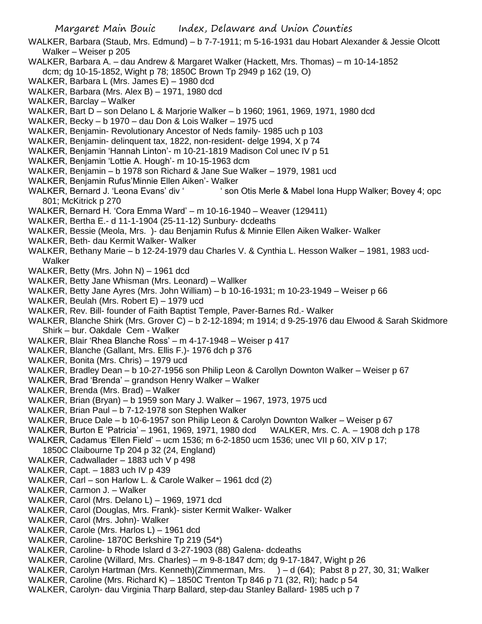- WALKER, Barbara (Staub, Mrs. Edmund) b 7-7-1911; m 5-16-1931 dau Hobart Alexander & Jessie Olcott Walker – Weiser p 205
- WALKER, Barbara A. dau Andrew & Margaret Walker (Hackett, Mrs. Thomas) m 10-14-1852 dcm; dg 10-15-1852, Wight p 78; 1850C Brown Tp 2949 p 162 (19, O)
- WALKER, Barbara L (Mrs. James E) 1980 dcd
- WALKER, Barbara (Mrs. Alex B) 1971, 1980 dcd
- WALKER, Barclay Walker
- WALKER, Bart D son Delano L & Marjorie Walker b 1960; 1961, 1969, 1971, 1980 dcd
- WALKER, Becky b 1970 dau Don & Lois Walker 1975 ucd
- WALKER, Benjamin- Revolutionary Ancestor of Neds family- 1985 uch p 103
- WALKER, Benjamin- delinquent tax, 1822, non-resident- delge 1994, X p 74
- WALKER, Benjamin 'Hannah Linton'- m 10-21-1819 Madison Col unec IV p 51
- WALKER, Benjamin 'Lottie A. Hough'- m 10-15-1963 dcm
- WALKER, Benjamin b 1978 son Richard & Jane Sue Walker 1979, 1981 ucd
- WALKER, Benjamin Rufus'Minnie Ellen Aiken'- Walker
- WALKER, Bernard J. 'Leona Evans' div ' ' son Otis Merle & Mabel Iona Hupp Walker; Bovey 4; opc 801; McKitrick p 270
- WALKER, Bernard H. 'Cora Emma Ward' m 10-16-1940 Weaver (129411)
- WALKER, Bertha E.- d 11-1-1904 (25-11-12) Sunbury- dcdeaths
- WALKER, Bessie (Meola, Mrs. )- dau Benjamin Rufus & Minnie Ellen Aiken Walker- Walker
- WALKER, Beth- dau Kermit Walker- Walker
- WALKER, Bethany Marie b 12-24-1979 dau Charles V. & Cynthia L. Hesson Walker 1981, 1983 ucd-**Walker**
- WALKER, Betty (Mrs. John N) 1961 dcd
- WALKER, Betty Jane Whisman (Mrs. Leonard) Wallker
- WALKER, Betty Jane Ayres (Mrs. John William) b 10-16-1931; m 10-23-1949 Weiser p 66
- WALKER, Beulah (Mrs. Robert E) 1979 ucd
- WALKER, Rev. Bill- founder of Faith Baptist Temple, Paver-Barnes Rd.- Walker
- WALKER, Blanche Shirk (Mrs. Grover C) b 2-12-1894; m 1914; d 9-25-1976 dau Elwood & Sarah Skidmore Shirk – bur. Oakdale Cem - Walker
- WALKER, Blair 'Rhea Blanche Ross' m 4-17-1948 Weiser p 417
- WALKER, Blanche (Gallant, Mrs. Ellis F.)- 1976 dch p 376
- WALKER, Bonita (Mrs. Chris) 1979 ucd
- WALKER, Bradley Dean b 10-27-1956 son Philip Leon & Carollyn Downton Walker Weiser p 67
- WALKER, Brad 'Brenda' grandson Henry Walker Walker
- WALKER, Brenda (Mrs. Brad) Walker
- WALKER, Brian (Bryan) b 1959 son Mary J. Walker 1967, 1973, 1975 ucd
- WALKER, Brian Paul b 7-12-1978 son Stephen Walker
- WALKER, Bruce Dale b 10-6-1957 son Philip Leon & Carolyn Downton Walker Weiser p 67
- WALKER, Burton E 'Patricia' 1961, 1969, 1971, 1980 dcd WALKER, Mrs. C. A. 1908 dch p 178
- WALKER, Cadamus 'Ellen Field' ucm 1536; m 6-2-1850 ucm 1536; unec VII p 60, XIV p 17;
- 1850C Claibourne Tp 204 p 32 (24, England)
- WALKER, Cadwallader 1883 uch V p 498
- WALKER, Capt. 1883 uch IV p 439
- WALKER, Carl son Harlow L. & Carole Walker 1961 dcd (2)
- WALKER, Carmon J. Walker
- WALKER, Carol (Mrs. Delano L) 1969, 1971 dcd
- WALKER, Carol (Douglas, Mrs. Frank)- sister Kermit Walker- Walker
- WALKER, Carol (Mrs. John)- Walker
- WALKER, Carole (Mrs. Harlos L) 1961 dcd
- WALKER, Caroline- 1870C Berkshire Tp 219 (54\*)
- WALKER, Caroline- b Rhode Islard d 3-27-1903 (88) Galena- dcdeaths
- WALKER, Caroline (Willard, Mrs. Charles) m 9-8-1847 dcm; dg 9-17-1847, Wight p 26
- WALKER, Carolyn Hartman (Mrs. Kenneth)(Zimmerman, Mrs. ) d (64); Pabst 8 p 27, 30, 31; Walker
- WALKER, Caroline (Mrs. Richard K) 1850C Trenton Tp 846 p 71 (32, RI); hadc p 54
- WALKER, Carolyn- dau Virginia Tharp Ballard, step-dau Stanley Ballard- 1985 uch p 7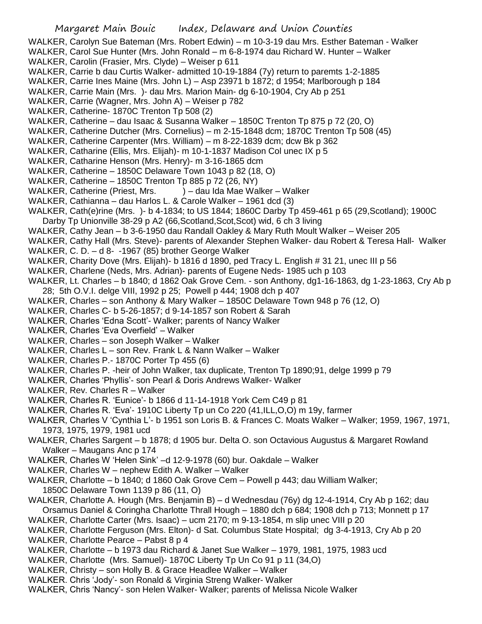- WALKER, Carolyn Sue Bateman (Mrs. Robert Edwin) m 10-3-19 dau Mrs. Esther Bateman Walker
- WALKER, Carol Sue Hunter (Mrs. John Ronald m 6-8-1974 dau Richard W. Hunter Walker WALKER, Carolin (Frasier, Mrs. Clyde) – Weiser p 611
- WALKER, Carrie b dau Curtis Walker- admitted 10-19-1884 (7y) return to paremts 1-2-1885
- WALKER, Carrie Ines Maine (Mrs. John L) Asp 23971 b 1872; d 1954; Marlborough p 184
- WALKER, Carrie Main (Mrs. )- dau Mrs. Marion Main- dg 6-10-1904, Cry Ab p 251
- WALKER, Carrie (Wagner, Mrs. John A) Weiser p 782
- WALKER, Catherine- 1870C Trenton Tp 508 (2)
- WALKER, Catherine dau Isaac & Susanna Walker 1850C Trenton Tp 875 p 72 (20, O)
- WALKER, Catherine Dutcher (Mrs. Cornelius) m 2-15-1848 dcm; 1870C Trenton Tp 508 (45)
- WALKER, Catherine Carpenter (Mrs. William) m 8-22-1839 dcm; dcw Bk p 362
- WALKER, Catharine (Ellis, Mrs. Elijah)- m 10-1-1837 Madison Col unec IX p 5
- WALKER, Catharine Henson (Mrs. Henry)- m 3-16-1865 dcm
- WALKER, Catherine 1850C Delaware Town 1043 p 82 (18, O)
- WALKER, Catherine 1850C Trenton Tp 885 p 72 (26, NY)
- WALKER, Catherine (Priest, Mrs. ) dau Ida Mae Walker Walker
- WALKER, Cathianna dau Harlos L. & Carole Walker 1961 dcd (3)
- WALKER, Cath(e)rine (Mrs. )- b 4-1834; to US 1844; 1860C Darby Tp 459-461 p 65 (29,Scotland); 1900C Darby Tp Unionville 38-29 p A2 (66,Scotland,Scot,Scot) wid, 6 ch 3 living
- WALKER, Cathy Jean b 3-6-1950 dau Randall Oakley & Mary Ruth Moult Walker Weiser 205
- WALKER, Cathy Hall (Mrs. Steve)- parents of Alexander Stephen Walker- dau Robert & Teresa Hall- Walker
- WALKER, C. D. d 8- -1967 (85) brother George Walker
- WALKER, Charity Dove (Mrs. Elijah)- b 1816 d 1890, ped Tracy L. English # 31 21, unec III p 56
- WALKER, Charlene (Neds, Mrs. Adrian)- parents of Eugene Neds- 1985 uch p 103
- WALKER, Lt. Charles b 1840; d 1862 Oak Grove Cem. son Anthony, dg1-16-1863, dg 1-23-1863, Cry Ab p 28; 5th O.V.I. delge VIII, 1992 p 25; Powell p 444; 1908 dch p 407
- WALKER, Charles son Anthony & Mary Walker 1850C Delaware Town 948 p 76 (12, O)
- WALKER, Charles C- b 5-26-1857; d 9-14-1857 son Robert & Sarah
- WALKER, Charles 'Edna Scott'- Walker; parents of Nancy Walker
- WALKER, Charles 'Eva Overfield' Walker
- WALKER, Charles son Joseph Walker Walker
- WALKER, Charles L son Rev. Frank L & Nann Walker Walker
- WALKER, Charles P.- 1870C Porter Tp 455 (6)
- WALKER, Charles P. -heir of John Walker, tax duplicate, Trenton Tp 1890;91, delge 1999 p 79
- WALKER, Charles 'Phyllis'- son Pearl & Doris Andrews Walker- Walker
- WALKER, Rev. Charles R Walker
- WALKER, Charles R. 'Eunice'- b 1866 d 11-14-1918 York Cem C49 p 81
- WALKER, Charles R. 'Eva'- 1910C Liberty Tp un Co 220 (41,ILL,O,O) m 19y, farmer
- WALKER, Charles V 'Cynthia L'- b 1951 son Loris B. & Frances C. Moats Walker Walker; 1959, 1967, 1971, 1973, 1975, 1979, 1981 ucd
- WALKER, Charles Sargent b 1878; d 1905 bur. Delta O. son Octavious Augustus & Margaret Rowland Walker – Maugans Anc p 174
- WALKER, Charles W 'Helen Sink' –d 12-9-1978 (60) bur. Oakdale Walker
- WALKER, Charles W nephew Edith A. Walker Walker
- WALKER, Charlotte b 1840; d 1860 Oak Grove Cem Powell p 443; dau William Walker; 1850C Delaware Town 1139 p 86 (11, O)
- WALKER, Charlotte A. Hough (Mrs. Benjamin B) d Wednesdau (76y) dg 12-4-1914, Cry Ab p 162; dau Orsamus Daniel & Coringha Charlotte Thrall Hough – 1880 dch p 684; 1908 dch p 713; Monnett p 17
- WALKER, Charlotte Carter (Mrs. Isaac) ucm 2170; m 9-13-1854, m slip unec VIII p 20
- WALKER, Charlotte Ferguson (Mrs. Elton)- d Sat. Columbus State Hospital; dg 3-4-1913, Cry Ab p 20
- WALKER, Charlotte Pearce Pabst 8 p 4
- WALKER, Charlotte b 1973 dau Richard & Janet Sue Walker 1979, 1981, 1975, 1983 ucd
- WALKER, Charlotte (Mrs. Samuel)- 1870C Liberty Tp Un Co 91 p 11 (34,O)
- WALKER, Christy son Holly B. & Grace Headlee Walker Walker
- WALKER. Chris 'Jody'- son Ronald & Virginia Streng Walker- Walker
- WALKER, Chris 'Nancy'- son Helen Walker- Walker; parents of Melissa Nicole Walker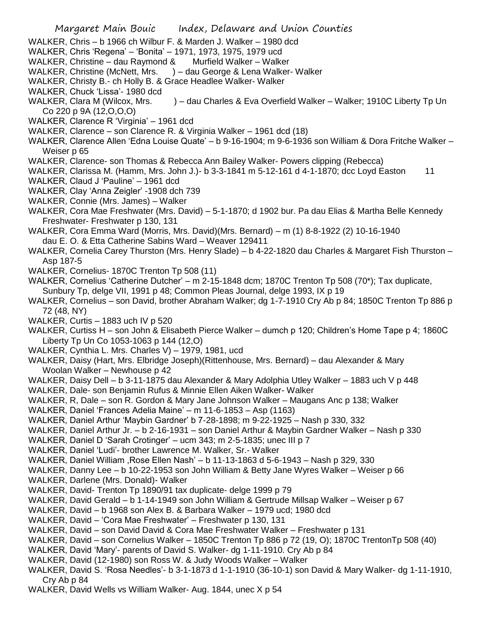- WALKER, Chris b 1966 ch Wilbur F. & Marden J. Walker 1980 dcd
- WALKER, Chris 'Regena' 'Bonita' 1971, 1973, 1975, 1979 ucd
- WALKER, Christine dau Raymond & Murfield Walker Walker
- WALKER, Christine (McNett, Mrs. ) dau George & Lena Walker- Walker
- WALKER, Christy B.- ch Holly B. & Grace Headlee Walker- Walker
- WALKER, Chuck 'Lissa'- 1980 dcd
- WALKER, Clara M (Wilcox, Mrs. ) dau Charles & Eva Overfield Walker Walker; 1910C Liberty Tp Un Co 220 p 9A (12,O,O,O)
- WALKER, Clarence R 'Virginia' 1961 dcd
- WALKER, Clarence son Clarence R. & Virginia Walker 1961 dcd (18)
- WALKER, Clarence Allen 'Edna Louise Quate' b 9-16-1904; m 9-6-1936 son William & Dora Fritche Walker Weiser p 65
- WALKER, Clarence- son Thomas & Rebecca Ann Bailey Walker- Powers clipping (Rebecca)
- WALKER, Clarissa M. (Hamm, Mrs. John J.)- b 3-3-1841 m 5-12-161 d 4-1-1870; dcc Loyd Easton 11
- WALKER, Claud J 'Pauline' 1961 dcd
- WALKER, Clay 'Anna Zeigler' -1908 dch 739
- WALKER, Connie (Mrs. James) Walker
- WALKER, Cora Mae Freshwater (Mrs. David) 5-1-1870; d 1902 bur. Pa dau Elias & Martha Belle Kennedy Freshwater- Freshwater p 130, 131
- WALKER, Cora Emma Ward (Morris, Mrs. David)(Mrs. Bernard) m (1) 8-8-1922 (2) 10-16-1940 dau E. O. & Etta Catherine Sabins Ward – Weaver 129411
- WALKER, Cornelia Carey Thurston (Mrs. Henry Slade) b 4-22-1820 dau Charles & Margaret Fish Thurston Asp 187-5
- WALKER, Cornelius- 1870C Trenton Tp 508 (11)
- WALKER, Cornelius 'Catherine Dutcher' m 2-15-1848 dcm; 1870C Trenton Tp 508 (70\*); Tax duplicate, Sunbury Tp, delge VII, 1991 p 48; Common Pleas Journal, delge 1993, IX p 19
- WALKER, Cornelius son David, brother Abraham Walker; dg 1-7-1910 Cry Ab p 84; 1850C Trenton Tp 886 p 72 (48, NY)
- WALKER, Curtis 1883 uch IV p 520
- WALKER, Curtiss H son John & Elisabeth Pierce Walker dumch p 120; Children's Home Tape p 4; 1860C Liberty Tp Un Co 1053-1063 p 144 (12,O)
- WALKER, Cynthia L. Mrs. Charles V) 1979, 1981, ucd
- WALKER, Daisy (Hart, Mrs. Elbridge Joseph)(Rittenhouse, Mrs. Bernard) dau Alexander & Mary Woolan Walker – Newhouse p 42
- WALKER, Daisy Dell b 3-11-1875 dau Alexander & Mary Adolphia Utley Walker 1883 uch V p 448
- WALKER, Dale- son Benjamin Rufus & Minnie Ellen Aiken Walker- Walker
- WALKER, R, Dale son R. Gordon & Mary Jane Johnson Walker Maugans Anc p 138; Walker
- WALKER, Daniel 'Frances Adelia Maine' m 11-6-1853 Asp (1163)
- WALKER, Daniel Arthur 'Maybin Gardner' b 7-28-1898; m 9-22-1925 Nash p 330, 332
- WALKER, Daniel Arthur Jr. b 2-16-1931 son Daniel Arthur & Maybin Gardner Walker Nash p 330
- WALKER, Daniel D 'Sarah Crotinger' ucm 343; m 2-5-1835; unec III p 7
- WALKER, Daniel 'Ludi'- brother Lawrence M. Walker, Sr.- Walker
- WALKER, Daniel William ,Rose Ellen Nash' b 11-13-1863 d 5-6-1943 Nash p 329, 330
- WALKER, Danny Lee b 10-22-1953 son John William & Betty Jane Wyres Walker Weiser p 66
- WALKER, Darlene (Mrs. Donald)- Walker
- WALKER, David- Trenton Tp 1890/91 tax duplicate- delge 1999 p 79
- WALKER, David Gerald b 1-14-1949 son John William & Gertrude Millsap Walker Weiser p 67
- WALKER, David b 1968 son Alex B. & Barbara Walker 1979 ucd; 1980 dcd
- WALKER, David 'Cora Mae Freshwater' Freshwater p 130, 131
- WALKER, David son David David & Cora Mae Freshwater Walker Freshwater p 131
- WALKER, David son Cornelius Walker 1850C Trenton Tp 886 p 72 (19, O); 1870C TrentonTp 508 (40)
- WALKER, David 'Mary'- parents of David S. Walker- dg 1-11-1910. Cry Ab p 84
- WALKER, David (12-1980) son Ross W. & Judy Woods Walker Walker
- WALKER, David S. 'Rosa Needles'- b 3-1-1873 d 1-1-1910 (36-10-1) son David & Mary Walker- dg 1-11-1910, Cry Ab p 84
- WALKER, David Wells vs William Walker- Aug. 1844, unec X p 54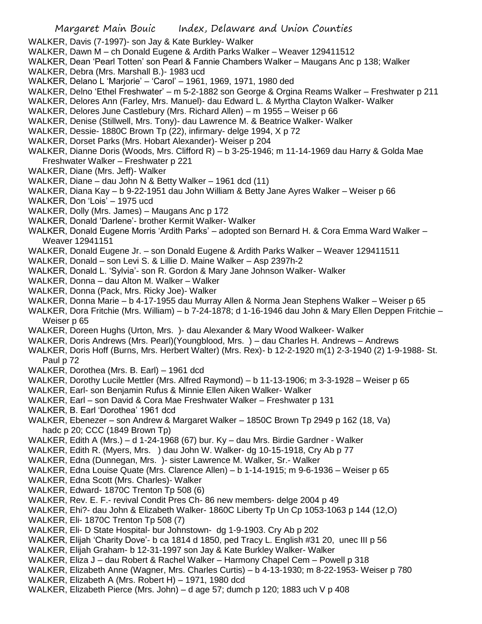- WALKER, Davis (7-1997)- son Jay & Kate Burkley- Walker
- WALKER, Dawn M ch Donald Eugene & Ardith Parks Walker Weaver 129411512
- WALKER, Dean 'Pearl Totten' son Pearl & Fannie Chambers Walker Maugans Anc p 138; Walker
- WALKER, Debra (Mrs. Marshall B.)- 1983 ucd
- WALKER, Delano L 'Marjorie' 'Carol' 1961, 1969, 1971, 1980 ded
- WALKER, Delno 'Ethel Freshwater' m 5-2-1882 son George & Orgina Reams Walker Freshwater p 211
- WALKER, Delores Ann (Farley, Mrs. Manuel)- dau Edward L. & Myrtha Clayton Walker- Walker
- WALKER, Delores June Castlebury (Mrs. Richard Allen) m 1955 Weiser p 66
- WALKER, Denise (Stillwell, Mrs. Tony)- dau Lawrence M. & Beatrice Walker- Walker
- WALKER, Dessie- 1880C Brown Tp (22), infirmary- delge 1994, X p 72
- WALKER, Dorset Parks (Mrs. Hobart Alexander)- Weiser p 204
- WALKER, Dianne Doris (Woods, Mrs. Clifford R) b 3-25-1946; m 11-14-1969 dau Harry & Golda Mae Freshwater Walker – Freshwater p 221
- WALKER, Diane (Mrs. Jeff)- Walker
- WALKER, Diane dau John N & Betty Walker 1961 dcd (11)
- WALKER, Diana Kay b 9-22-1951 dau John William & Betty Jane Ayres Walker Weiser p 66
- WALKER, Don 'Lois' 1975 ucd
- WALKER, Dolly (Mrs. James) Maugans Anc p 172
- WALKER, Donald 'Darlene'- brother Kermit Walker- Walker
- WALKER, Donald Eugene Morris 'Ardith Parks' adopted son Bernard H. & Cora Emma Ward Walker Weaver 12941151
- WALKER, Donald Eugene Jr. son Donald Eugene & Ardith Parks Walker Weaver 129411511
- WALKER, Donald son Levi S. & Lillie D. Maine Walker Asp 2397h-2
- WALKER, Donald L. 'Sylvia'- son R. Gordon & Mary Jane Johnson Walker- Walker
- WALKER, Donna dau Alton M. Walker Walker
- WALKER, Donna (Pack, Mrs. Ricky Joe)- Walker
- WALKER, Donna Marie b 4-17-1955 dau Murray Allen & Norma Jean Stephens Walker Weiser p 65
- WALKER, Dora Fritchie (Mrs. William) b 7-24-1878; d 1-16-1946 dau John & Mary Ellen Deppen Fritchie Weiser p 65
- WALKER, Doreen Hughs (Urton, Mrs. )- dau Alexander & Mary Wood Walkeer- Walker
- WALKER, Doris Andrews (Mrs. Pearl)(Youngblood, Mrs. ) dau Charles H. Andrews Andrews
- WALKER, Doris Hoff (Burns, Mrs. Herbert Walter) (Mrs. Rex)- b 12-2-1920 m(1) 2-3-1940 (2) 1-9-1988- St. Paul p 72
- WALKER, Dorothea (Mrs. B. Earl) 1961 dcd
- WALKER, Dorothy Lucile Mettler (Mrs. Alfred Raymond) b 11-13-1906; m 3-3-1928 Weiser p 65
- WALKER, Earl- son Benjamin Rufus & Minnie Ellen Aiken Walker- Walker
- WALKER, Earl son David & Cora Mae Freshwater Walker Freshwater p 131
- WALKER, B. Earl 'Dorothea' 1961 dcd
- WALKER, Ebenezer son Andrew & Margaret Walker 1850C Brown Tp 2949 p 162 (18, Va) hadc p 20; CCC (1849 Brown Tp)
- WALKER, Edith A (Mrs.) d 1-24-1968 (67) bur. Ky dau Mrs. Birdie Gardner Walker
- WALKER, Edith R. (Myers, Mrs. ) dau John W. Walker- dg 10-15-1918, Cry Ab p 77
- WALKER, Edna (Dunnegan, Mrs. )- sister Lawrence M. Walker, Sr.- Walker
- WALKER, Edna Louise Quate (Mrs. Clarence Allen) b 1-14-1915; m 9-6-1936 Weiser p 65
- WALKER, Edna Scott (Mrs. Charles)- Walker
- WALKER, Edward- 1870C Trenton Tp 508 (6)
- WALKER, Rev. E. F.- revival Condit Pres Ch- 86 new members- delge 2004 p 49
- WALKER, Ehi?- dau John & Elizabeth Walker- 1860C Liberty Tp Un Cp 1053-1063 p 144 (12,O)
- WALKER, Eli- 1870C Trenton Tp 508 (7)
- WALKER, Eli- D State Hospital- bur Johnstown- dg 1-9-1903. Cry Ab p 202
- WALKER, Elijah 'Charity Dove'- b ca 1814 d 1850, ped Tracy L. English #31 20, unec III p 56
- WALKER, Elijah Graham- b 12-31-1997 son Jay & Kate Burkley Walker- Walker
- WALKER, Eliza J dau Robert & Rachel Walker Harmony Chapel Cem Powell p 318
- WALKER, Elizabeth Anne (Wagner, Mrs. Charles Curtis) b 4-13-1930; m 8-22-1953- Weiser p 780
- WALKER, Elizabeth A (Mrs. Robert H) 1971, 1980 dcd
- WALKER, Elizabeth Pierce (Mrs. John) d age 57; dumch p 120; 1883 uch V p 408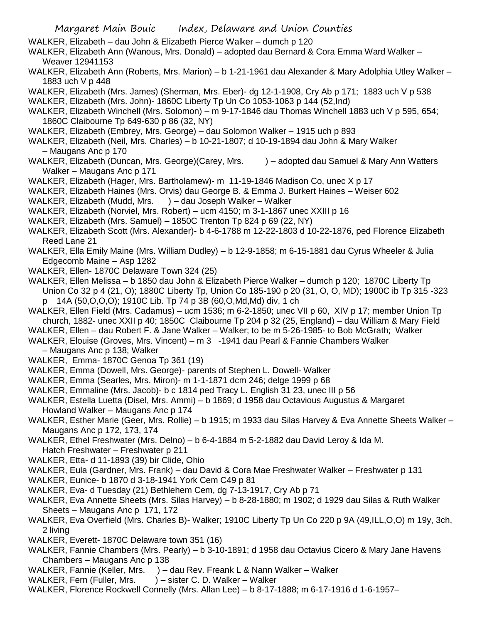- WALKER, Elizabeth dau John & Elizabeth Pierce Walker dumch p 120
- WALKER, Elizabeth Ann (Wanous, Mrs. Donald) adopted dau Bernard & Cora Emma Ward Walker Weaver 12941153
- WALKER, Elizabeth Ann (Roberts, Mrs. Marion) b 1-21-1961 dau Alexander & Mary Adolphia Utley Walker 1883 uch V p 448
- WALKER, Elizabeth (Mrs. James) (Sherman, Mrs. Eber)- dg 12-1-1908, Cry Ab p 171; 1883 uch V p 538
- WALKER, Elizabeth (Mrs. John)- 1860C Liberty Tp Un Co 1053-1063 p 144 (52,Ind)
- WALKER, Elizabeth Winchell (Mrs. Solomon) m 9-17-1846 dau Thomas Winchell 1883 uch V p 595, 654; 1860C Claibourne Tp 649-630 p 86 (32, NY)
- WALKER, Elizabeth (Embrey, Mrs. George) dau Solomon Walker 1915 uch p 893
- WALKER, Elizabeth (Neil, Mrs. Charles) b 10-21-1807; d 10-19-1894 dau John & Mary Walker – Maugans Anc p 170
- WALKER, Elizabeth (Duncan, Mrs. George) (Carey, Mrs. ) adopted dau Samuel & Mary Ann Watters Walker – Maugans Anc p 171
- WALKER, Elizabeth (Hager, Mrs. Bartholamew)- m 11-19-1846 Madison Co, unec X p 17
- WALKER, Elizabeth Haines (Mrs. Orvis) dau George B. & Emma J. Burkert Haines Weiser 602
- WALKER, Elizabeth (Mudd, Mrs. ) dau Joseph Walker Walker
- WALKER, Elizabeth (Norviel, Mrs. Robert) ucm 4150; m 3-1-1867 unec XXIII p 16
- WALKER, Elizabeth (Mrs. Samuel) 1850C Trenton Tp 824 p 69 (22, NY)
- WALKER, Elizabeth Scott (Mrs. Alexander)- b 4-6-1788 m 12-22-1803 d 10-22-1876, ped Florence Elizabeth Reed Lane 21
- WALKER, Ella Emily Maine (Mrs. William Dudley) b 12-9-1858; m 6-15-1881 dau Cyrus Wheeler & Julia Edgecomb Maine – Asp 1282
- WALKER, Ellen- 1870C Delaware Town 324 (25)

WALKER, Ellen Melissa – b 1850 dau John & Elizabeth Pierce Walker – dumch p 120; 1870C Liberty Tp Union Co 32 p 4 (21, O); 1880C Liberty Tp, Union Co 185-190 p 20 (31, O, O, MD); 1900C ib Tp 315 -323 p 14A (50,O,O,O); 1910C Lib. Tp 74 p 3B (60,O,Md,Md) div, 1 ch

- WALKER, Ellen Field (Mrs. Cadamus) ucm 1536; m 6-2-1850; unec VII p 60, XIV p 17; member Union Tp church, 1882- unec XXII p 40; 1850C Claibourne Tp 204 p 32 (25, England) – dau William & Mary Field
- WALKER, Ellen dau Robert F. & Jane Walker Walker; to be m 5-26-1985- to Bob McGrath; Walker

WALKER, Elouise (Groves, Mrs. Vincent) – m 3 -1941 dau Pearl & Fannie Chambers Walker

- Maugans Anc p 138; Walker
- WALKER, Emma- 1870C Genoa Tp 361 (19)
- WALKER, Emma (Dowell, Mrs. George)- parents of Stephen L. Dowell- Walker
- WALKER, Emma (Searles, Mrs. Miron)- m 1-1-1871 dcm 246; delge 1999 p 68
- WALKER, Emmaline (Mrs. Jacob)- b c 1814 ped Tracy L. English 31 23, unec III p 56
- WALKER, Estella Luetta (Disel, Mrs. Ammi) b 1869; d 1958 dau Octavious Augustus & Margaret Howland Walker – Maugans Anc p 174
- WALKER, Esther Marie (Geer, Mrs. Rollie) b 1915; m 1933 dau Silas Harvey & Eva Annette Sheets Walker Maugans Anc p 172, 173, 174
- WALKER, Ethel Freshwater (Mrs. Delno) b 6-4-1884 m 5-2-1882 dau David Leroy & Ida M. Hatch Freshwater – Freshwater p 211
- WALKER, Etta- d 11-1893 (39) bir Clide, Ohio
- WALKER, Eula (Gardner, Mrs. Frank) dau David & Cora Mae Freshwater Walker Freshwater p 131
- WALKER, Eunice- b 1870 d 3-18-1941 York Cem C49 p 81
- WALKER, Eva- d Tuesday (21) Bethlehem Cem, dg 7-13-1917, Cry Ab p 71
- WALKER, Eva Annette Sheets (Mrs. Silas Harvey) b 8-28-1880; m 1902; d 1929 dau Silas & Ruth Walker Sheets – Maugans Anc p 171, 172
- WALKER, Eva Overfield (Mrs. Charles B)- Walker; 1910C Liberty Tp Un Co 220 p 9A (49,ILL,O,O) m 19y, 3ch, 2 living
- WALKER, Everett- 1870C Delaware town 351 (16)
- WALKER, Fannie Chambers (Mrs. Pearly) b 3-10-1891; d 1958 dau Octavius Cicero & Mary Jane Havens Chambers – Maugans Anc p 138
- WALKER, Fannie (Keller, Mrs. ) dau Rev. Freank L & Nann Walker Walker
- WALKER, Fern (Fuller, Mrs. ) sister C. D. Walker Walker
- WALKER, Florence Rockwell Connelly (Mrs. Allan Lee) b 8-17-1888; m 6-17-1916 d 1-6-1957–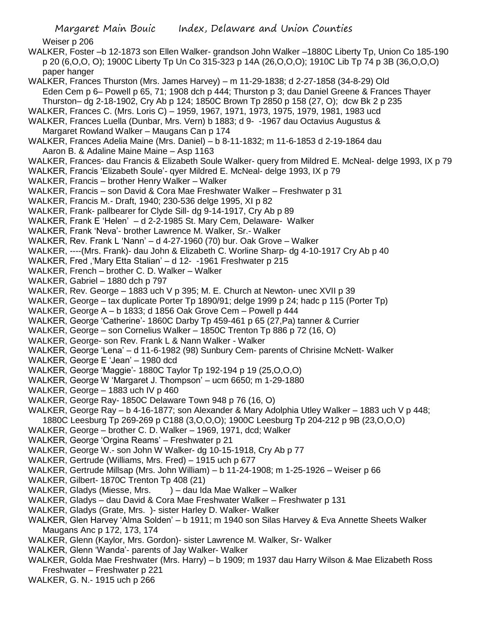Margaret Main Bouic Index, Delaware and Union Counties Weiser p 206 WALKER, Foster –b 12-1873 son Ellen Walker- grandson John Walker –1880C Liberty Tp, Union Co 185-190 p 20 (6,O,O, O); 1900C Liberty Tp Un Co 315-323 p 14A (26,O,O,O); 1910C Lib Tp 74 p 3B (36,O,O,O) paper hanger WALKER, Frances Thurston (Mrs. James Harvey) – m 11-29-1838; d 2-27-1858 (34-8-29) Old Eden Cem p 6– Powell p 65, 71; 1908 dch p 444; Thurston p 3; dau Daniel Greene & Frances Thayer Thurston– dg 2-18-1902, Cry Ab p 124; 1850C Brown Tp 2850 p 158 (27, O); dcw Bk 2 p 235 WALKER, Frances C. (Mrs. Loris C) – 1959, 1967, 1971, 1973, 1975, 1979, 1981, 1983 ucd WALKER, Frances Luella (Dunbar, Mrs. Vern) b 1883; d 9- -1967 dau Octavius Augustus & Margaret Rowland Walker – Maugans Can p 174 WALKER, Frances Adelia Maine (Mrs. Daniel) – b 8-11-1832; m 11-6-1853 d 2-19-1864 dau Aaron B. & Adaline Maine Maine – Asp 1163 WALKER, Frances- dau Francis & Elizabeth Soule Walker- query from Mildred E. McNeal- delge 1993, IX p 79 WALKER, Francis 'Elizabeth Soule'- qyer Mildred E. McNeal- delge 1993, IX p 79 WALKER, Francis – brother Henry Walker – Walker WALKER, Francis – son David & Cora Mae Freshwater Walker – Freshwater p 31 WALKER, Francis M.- Draft, 1940; 230-536 delge 1995, XI p 82 WALKER, Frank- pallbearer for Clyde Sill- dg 9-14-1917, Cry Ab p 89 WALKER, Frank E 'Helen' – d 2-2-1985 St. Mary Cem, Delaware- Walker WALKER, Frank 'Neva'- brother Lawrence M. Walker, Sr.- Walker WALKER, Rev. Frank L 'Nann' – d 4-27-1960 (70) bur. Oak Grove – Walker WALKER, ----(Mrs. Frank)- dau John & Elizabeth C. Worline Sharp- dg 4-10-1917 Cry Ab p 40 WALKER, Fred ,'Mary Etta Stalian' – d 12- -1961 Freshwater p 215 WALKER, French – brother C. D. Walker – Walker WALKER, Gabriel – 1880 dch p 797 WALKER, Rev. George – 1883 uch V p 395; M. E. Church at Newton- unec XVII p 39 WALKER, George – tax duplicate Porter Tp 1890/91; delge 1999 p 24; hadc p 115 (Porter Tp) WALKER, George A – b 1833; d 1856 Oak Grove Cem – Powell p 444 WALKER, George 'Catherine'- 1860C Darby Tp 459-461 p 65 (27,Pa) tanner & Currier WALKER, George – son Cornelius Walker – 1850C Trenton Tp 886 p 72 (16, O) WALKER, George- son Rev. Frank L & Nann Walker - Walker WALKER, George 'Lena' – d 11-6-1982 (98) Sunbury Cem- parents of Chrisine McNett- Walker WALKER, George E 'Jean' – 1980 dcd WALKER, George 'Maggie'- 1880C Taylor Tp 192-194 p 19 (25,O,O,O) WALKER, George W 'Margaret J. Thompson' – ucm 6650; m 1-29-1880 WALKER, George – 1883 uch IV p 460 WALKER, George Ray- 1850C Delaware Town 948 p 76 (16, O) WALKER, George Ray – b 4-16-1877; son Alexander & Mary Adolphia Utley Walker – 1883 uch V p 448; 1880C Leesburg Tp 269-269 p C188 (3,O,O,O); 1900C Leesburg Tp 204-212 p 9B (23,O,O,O) WALKER, George – brother C. D. Walker – 1969, 1971, dcd; Walker WALKER, George 'Orgina Reams' – Freshwater p 21 WALKER, George W.- son John W Walker- dg 10-15-1918, Cry Ab p 77 WALKER, Gertrude (Williams, Mrs. Fred) – 1915 uch p 677 WALKER, Gertrude Millsap (Mrs. John William) – b 11-24-1908; m 1-25-1926 – Weiser p 66 WALKER, Gilbert- 1870C Trenton Tp 408 (21) WALKER, Gladys (Miesse, Mrs. ) – dau Ida Mae Walker – Walker WALKER, Gladys – dau David & Cora Mae Freshwater Walker – Freshwater p 131 WALKER, Gladys (Grate, Mrs. )- sister Harley D. Walker- Walker WALKER, Glen Harvey 'Alma Solden' – b 1911; m 1940 son Silas Harvey & Eva Annette Sheets Walker Maugans Anc p 172, 173, 174 WALKER, Glenn (Kaylor, Mrs. Gordon)- sister Lawrence M. Walker, Sr- Walker WALKER, Glenn 'Wanda'- parents of Jay Walker- Walker WALKER, Golda Mae Freshwater (Mrs. Harry) – b 1909; m 1937 dau Harry Wilson & Mae Elizabeth Ross Freshwater – Freshwater p 221

WALKER, G. N.- 1915 uch p 266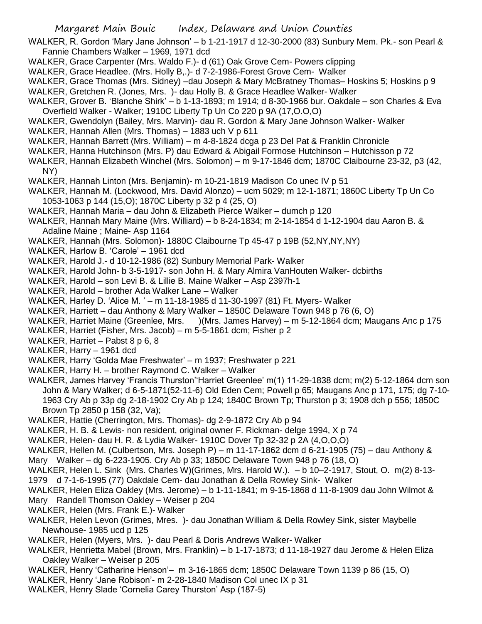- WALKER, R. Gordon 'Mary Jane Johnson' b 1-21-1917 d 12-30-2000 (83) Sunbury Mem. Pk.- son Pearl & Fannie Chambers Walker – 1969, 1971 dcd
- WALKER, Grace Carpenter (Mrs. Waldo F.)- d (61) Oak Grove Cem- Powers clipping
- WALKER, Grace Headlee. (Mrs. Holly B,.)- d 7-2-1986-Forest Grove Cem- Walker
- WALKER, Grace Thomas (Mrs. Sidney) –dau Joseph & Mary McBratney Thomas– Hoskins 5; Hoskins p 9 WALKER, Gretchen R. (Jones, Mrs. )- dau Holly B. & Grace Headlee Walker- Walker
- WALKER, Grover B. 'Blanche Shirk' b 1-13-1893; m 1914; d 8-30-1966 bur. Oakdale son Charles & Eva Overfield Walker - Walker; 1910C Liberty Tp Un Co 220 p 9A (17,O.O,O)
- WALKER, Gwendolyn (Bailey, Mrs. Marvin)- dau R. Gordon & Mary Jane Johnson Walker- Walker
- WALKER, Hannah Allen (Mrs. Thomas) 1883 uch V p 611
- WALKER, Hannah Barrett (Mrs. William) m 4-8-1824 dcga p 23 Del Pat & Franklin Chronicle
- WALKER, Hanna Hutchinson (Mrs. P) dau Edward & Abigail Formose Hutchinson Hutchisson p 72
- WALKER, Hannah Elizabeth Winchel (Mrs. Solomon) m 9-17-1846 dcm; 1870C Claibourne 23-32, p3 (42, NY)
- WALKER, Hannah Linton (Mrs. Benjamin)- m 10-21-1819 Madison Co unec IV p 51
- WALKER, Hannah M. (Lockwood, Mrs. David Alonzo) ucm 5029; m 12-1-1871; 1860C Liberty Tp Un Co 1053-1063 p 144 (15,O); 1870C Liberty p 32 p 4 (25, O)
- WALKER, Hannah Maria dau John & Elizabeth Pierce Walker dumch p 120
- WALKER, Hannah Mary Maine (Mrs. Williard) b 8-24-1834; m 2-14-1854 d 1-12-1904 dau Aaron B. & Adaline Maine ; Maine- Asp 1164
- WALKER, Hannah (Mrs. Solomon)- 1880C Claibourne Tp 45-47 p 19B (52,NY,NY,NY)
- WALKER, Harlow B. 'Carole' 1961 dcd
- WALKER, Harold J.- d 10-12-1986 (82) Sunbury Memorial Park- Walker
- WALKER, Harold John- b 3-5-1917- son John H. & Mary Almira VanHouten Walker- dcbirths
- WALKER, Harold son Levi B. & Lillie B. Maine Walker Asp 2397h-1
- WALKER, Harold brother Ada Walker Lane Walker
- WALKER, Harley D. 'Alice M. ' m 11-18-1985 d 11-30-1997 (81) Ft. Myers- Walker
- WALKER, Harriett dau Anthony & Mary Walker 1850C Delaware Town 948 p 76 (6, O)
- WALKER, Harriet Maine (Greenlee, Mrs. )(Mrs. James Harvey) m 5-12-1864 dcm; Maugans Anc p 175
- WALKER, Harriet (Fisher, Mrs. Jacob) m 5-5-1861 dcm; Fisher p 2
- WALKER, Harriet Pabst 8 p 6, 8
- WALKER, Harry 1961 dcd
- WALKER, Harry 'Golda Mae Freshwater' m 1937; Freshwater p 221
- WALKER, Harry H. brother Raymond C. Walker Walker
- WALKER, James Harvey 'Francis Thurston''Harriet Greenlee' m(1) 11-29-1838 dcm; m(2) 5-12-1864 dcm son John & Mary Walker; d 6-5-1871(52-11-6) Old Eden Cem; Powell p 65; Maugans Anc p 171, 175; dg 7-10- 1963 Cry Ab p 33p dg 2-18-1902 Cry Ab p 124; 1840C Brown Tp; Thurston p 3; 1908 dch p 556; 1850C Brown Tp 2850 p 158 (32, Va);
- WALKER, Hattie (Cherrington, Mrs. Thomas)- dg 2-9-1872 Cry Ab p 94
- WALKER, H. B. & Lewis- non resident, original owner F. Rickman- delge 1994, X p 74
- WALKER, Helen- dau H. R. & Lydia Walker- 1910C Dover Tp 32-32 p 2A (4,O,O,O)
- WALKER, Hellen M. (Culbertson, Mrs. Joseph P) m 11-17-1862 dcm d 6-21-1905 (75) dau Anthony & Mary Walker – dg 6-223-1905. Cry Ab p 33; 1850C Delaware Town 948 p 76 (18, O)
- WALKER, Helen L. Sink (Mrs. Charles W)(Grimes, Mrs. Harold W.). b 10–2-1917, Stout, O. m(2) 8-13- 1979 d 7-1-6-1995 (77) Oakdale Cem- dau Jonathan & Della Rowley Sink- Walker
- WALKER, Helen Eliza Oakley (Mrs. Jerome) b 1-11-1841; m 9-15-1868 d 11-8-1909 dau John Wilmot &
- Mary Randell Thomson Oakley Weiser p 204
- WALKER, Helen (Mrs. Frank E.)- Walker
- WALKER, Helen Levon (Grimes, Mres. )- dau Jonathan William & Della Rowley Sink, sister Maybelle Newhouse- 1985 ucd p 125
- WALKER, Helen (Myers, Mrs. )- dau Pearl & Doris Andrews Walker- Walker
- WALKER, Henrietta Mabel (Brown, Mrs. Franklin) b 1-17-1873; d 11-18-1927 dau Jerome & Helen Eliza Oakley Walker – Weiser p 205
- WALKER, Henry 'Catharine Henson'– m 3-16-1865 dcm; 1850C Delaware Town 1139 p 86 (15, O)
- WALKER, Henry 'Jane Robison'- m 2-28-1840 Madison Col unec IX p 31
- WALKER, Henry Slade 'Cornelia Carey Thurston' Asp (187-5)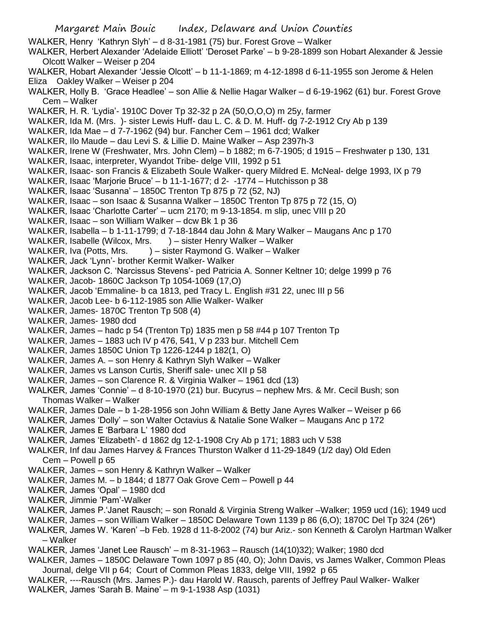WALKER, Henry 'Kathryn Slyh' – d 8-31-1981 (75) bur. Forest Grove – Walker

- WALKER, Herbert Alexander 'Adelaide Elliott' 'Deroset Parke' b 9-28-1899 son Hobart Alexander & Jessie Olcott Walker – Weiser p 204
- WALKER, Hobart Alexander 'Jessie Olcott' b 11-1-1869; m 4-12-1898 d 6-11-1955 son Jerome & Helen Eliza Oakley Walker – Weiser p 204
- WALKER, Holly B. 'Grace Headlee' son Allie & Nellie Hagar Walker d 6-19-1962 (61) bur. Forest Grove Cem – Walker

WALKER, H. R. 'Lydia'- 1910C Dover Tp 32-32 p 2A (50,O,O,O) m 25y, farmer

- WALKER, Ida M. (Mrs. )- sister Lewis Huff- dau L. C. & D. M. Huff- dg 7-2-1912 Cry Ab p 139
- WALKER, Ida Mae d 7-7-1962 (94) bur. Fancher Cem 1961 dcd; Walker
- WALKER, Ilo Maude dau Levi S. & Lillie D. Maine Walker Asp 2397h-3
- WALKER, Irene W (Freshwater, Mrs. John Clem) b 1882; m 6-7-1905; d 1915 Freshwater p 130, 131
- WALKER, Isaac, interpreter, Wyandot Tribe- delge VIII, 1992 p 51
- WALKER, Isaac- son Francis & Elizabeth Soule Walker- query Mildred E. McNeal- delge 1993, IX p 79
- WALKER, Isaac 'Marjorie Bruce' b 11-1-1677; d 2- -1774 Hutchisson p 38
- WALKER, Isaac 'Susanna' 1850C Trenton Tp 875 p 72 (52, NJ)
- WALKER, Isaac son Isaac & Susanna Walker 1850C Trenton Tp 875 p 72 (15, O)
- WALKER, Isaac 'Charlotte Carter' ucm 2170; m 9-13-1854. m slip, unec VIII p 20
- WALKER, Isaac son William Walker dcw Bk 1 p 36
- WALKER, Isabella b 1-11-1799; d 7-18-1844 dau John & Mary Walker Maugans Anc p 170
- WALKER, Isabelle (Wilcox, Mrs. ) sister Henry Walker Walker
- WALKER, Iva (Potts, Mrs. ) sister Raymond G. Walker Walker
- WALKER, Jack 'Lynn'- brother Kermit Walker- Walker
- WALKER, Jackson C. 'Narcissus Stevens'- ped Patricia A. Sonner Keltner 10; delge 1999 p 76
- WALKER, Jacob- 1860C Jackson Tp 1054-1069 (17,O)
- WALKER, Jacob 'Emmaline- b ca 1813, ped Tracy L. English #31 22, unec III p 56
- WALKER, Jacob Lee- b 6-112-1985 son Allie Walker- Walker
- WALKER, James- 1870C Trenton Tp 508 (4)
- WALKER, James- 1980 dcd
- WALKER, James hadc p 54 (Trenton Tp) 1835 men p 58 #44 p 107 Trenton Tp
- WALKER, James 1883 uch IV p 476, 541, V p 233 bur. Mitchell Cem
- WALKER, James 1850C Union Tp 1226-1244 p 182(1, O)
- WALKER, James A. son Henry & Kathryn Slyh Walker Walker
- WALKER, James vs Lanson Curtis, Sheriff sale- unec XII p 58
- WALKER, James son Clarence R. & Virginia Walker 1961 dcd (13)
- WALKER, James 'Connie' d 8-10-1970 (21) bur. Bucyrus nephew Mrs. & Mr. Cecil Bush; son Thomas Walker – Walker
- WALKER, James Dale b 1-28-1956 son John William & Betty Jane Ayres Walker Weiser p 66
- WALKER, James 'Dolly' son Walter Octavius & Natalie Sone Walker Maugans Anc p 172
- WALKER, James E 'Barbara L' 1980 dcd
- WALKER, James 'Elizabeth'- d 1862 dg 12-1-1908 Cry Ab p 171; 1883 uch V 538
- WALKER, Inf dau James Harvey & Frances Thurston Walker d 11-29-1849 (1/2 day) Old Eden Cem – Powell p 65
- WALKER, James son Henry & Kathryn Walker Walker
- WALKER, James M. b 1844; d 1877 Oak Grove Cem Powell p 44
- WALKER, James 'Opal' 1980 dcd
- WALKER, Jimmie 'Pam'-Walker
- WALKER, James P.'Janet Rausch; son Ronald & Virginia Streng Walker –Walker; 1959 ucd (16); 1949 ucd
- WALKER, James son William Walker 1850C Delaware Town 1139 p 86 (6,O); 1870C Del Tp 324 (26\*)
- WALKER, James W. 'Karen' –b Feb. 1928 d 11-8-2002 (74) bur Ariz.- son Kenneth & Carolyn Hartman Walker – Walker
- WALKER, James 'Janet Lee Rausch' m 8-31-1963 Rausch (14(10)32); Walker; 1980 dcd
- WALKER, James 1850C Delaware Town 1097 p 85 (40, O); John Davis, vs James Walker, Common Pleas Journal, delge VII p 64; Court of Common Pleas 1833, delge VIII, 1992 p 65
- WALKER, ----Rausch (Mrs. James P.)- dau Harold W. Rausch, parents of Jeffrey Paul Walker- Walker WALKER, James 'Sarah B. Maine' – m 9-1-1938 Asp (1031)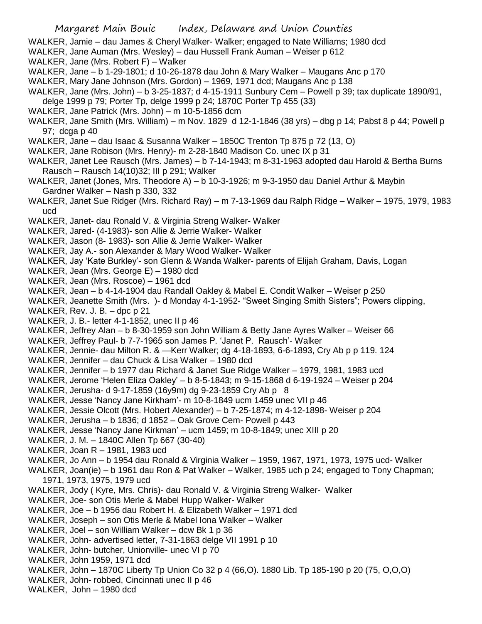- WALKER, Jamie dau James & Cheryl Walker- Walker; engaged to Nate Williams; 1980 dcd
- WALKER, Jane Auman (Mrs. Wesley) dau Hussell Frank Auman Weiser p 612
- WALKER, Jane (Mrs. Robert F) Walker
- WALKER, Jane b 1-29-1801; d 10-26-1878 dau John & Mary Walker Maugans Anc p 170
- WALKER, Mary Jane Johnson (Mrs. Gordon) 1969, 1971 dcd; Maugans Anc p 138
- WALKER, Jane (Mrs. John) b 3-25-1837; d 4-15-1911 Sunbury Cem Powell p 39; tax duplicate 1890/91, delge 1999 p 79; Porter Tp, delge 1999 p 24; 1870C Porter Tp 455 (33)
- WALKER, Jane Patrick (Mrs. John) m 10-5-1856 dcm
- WALKER, Jane Smith (Mrs. William) m Nov. 1829 d 12-1-1846 (38 yrs) dbg p 14; Pabst 8 p 44; Powell p 97; dcga p 40
- WALKER, Jane dau Isaac & Susanna Walker 1850C Trenton Tp 875 p 72 (13, O)
- WALKER, Jane Robison (Mrs. Henry)- m 2-28-1840 Madison Co. unec IX p 31
- WALKER, Janet Lee Rausch (Mrs. James) b 7-14-1943; m 8-31-1963 adopted dau Harold & Bertha Burns Rausch – Rausch 14(10)32; III p 291; Walker
- WALKER, Janet (Jones, Mrs. Theodore A) b 10-3-1926; m 9-3-1950 dau Daniel Arthur & Maybin Gardner Walker – Nash p 330, 332
- WALKER, Janet Sue Ridger (Mrs. Richard Ray) m 7-13-1969 dau Ralph Ridge Walker 1975, 1979, 1983 ucd
- WALKER, Janet- dau Ronald V. & Virginia Streng Walker- Walker
- WALKER, Jared- (4-1983)- son Allie & Jerrie Walker- Walker
- WALKER, Jason (8- 1983)- son Allie & Jerrie Walker- Walker
- WALKER, Jay A.- son Alexander & Mary Wood Walker- Walker
- WALKER, Jay 'Kate Burkley'- son Glenn & Wanda Walker- parents of Elijah Graham, Davis, Logan
- WALKER, Jean (Mrs. George E) 1980 dcd
- WALKER, Jean (Mrs. Roscoe) 1961 dcd
- WALKER, Jean b 4-14-1904 dau Randall Oakley & Mabel E. Condit Walker Weiser p 250
- WALKER, Jeanette Smith (Mrs. )- d Monday 4-1-1952- "Sweet Singing Smith Sisters"; Powers clipping,
- WALKER, Rev. J. B. dpc p 21
- WALKER, J. B.- letter 4-1-1852, unec II p 46
- WALKER, Jeffrey Alan b 8-30-1959 son John William & Betty Jane Ayres Walker Weiser 66 WALKER, Jeffrey Paul- b 7-7-1965 son James P. 'Janet P. Rausch'- Walker
- WALKER, Jennie- dau Milton R. & —Kerr Walker; dg 4-18-1893, 6-6-1893, Cry Ab p p 119. 124
- WALKER, Jennifer dau Chuck & Lisa Walker 1980 dcd
- WALKER, Jennifer b 1977 dau Richard & Janet Sue Ridge Walker 1979, 1981, 1983 ucd
- WALKER, Jerome 'Helen Eliza Oakley' b 8-5-1843; m 9-15-1868 d 6-19-1924 Weiser p 204
- WALKER, Jerusha- d 9-17-1859 (16y9m) dg 9-23-1859 Cry Ab p 8
- WALKER, Jesse 'Nancy Jane Kirkham'- m 10-8-1849 ucm 1459 unec VII p 46
- WALKER, Jessie Olcott (Mrs. Hobert Alexander) b 7-25-1874; m 4-12-1898- Weiser p 204
- WALKER, Jerusha b 1836; d 1852 Oak Grove Cem- Powell p 443
- WALKER, Jesse 'Nancy Jane Kirkman' ucm 1459; m 10-8-1849; unec XIII p 20
- WALKER, J. M. 1840C Allen Tp 667 (30-40)
- WALKER, Joan R 1981, 1983 ucd
- WALKER, Jo Ann b 1954 dau Ronald & Virginia Walker 1959, 1967, 1971, 1973, 1975 ucd- Walker
- WALKER, Joan(ie) b 1961 dau Ron & Pat Walker Walker, 1985 uch p 24; engaged to Tony Chapman; 1971, 1973, 1975, 1979 ucd
- WALKER, Jody ( Kyre, Mrs. Chris)- dau Ronald V. & Virginia Streng Walker- Walker
- WALKER, Joe- son Otis Merle & Mabel Hupp Walker- Walker
- WALKER, Joe b 1956 dau Robert H. & Elizabeth Walker 1971 dcd
- WALKER, Joseph son Otis Merle & Mabel Iona Walker Walker
- WALKER, Joel son William Walker dcw Bk 1 p 36
- WALKER, John- advertised letter, 7-31-1863 delge VII 1991 p 10
- WALKER, John- butcher, Unionville- unec VI p 70
- WALKER, John 1959, 1971 dcd
- WALKER, John 1870C Liberty Tp Union Co 32 p 4 (66,O). 1880 Lib. Tp 185-190 p 20 (75, O,O,O)
- WALKER, John- robbed, Cincinnati unec II p 46
- WALKER, John 1980 dcd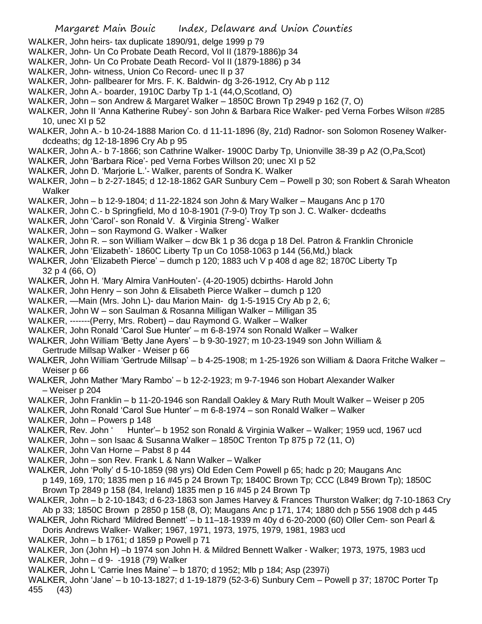- WALKER, John heirs- tax duplicate 1890/91, delge 1999 p 79
- WALKER, John- Un Co Probate Death Record, Vol II (1879-1886)p 34
- WALKER, John- Un Co Probate Death Record- Vol II (1879-1886) p 34
- WALKER, John- witness, Union Co Record- unec II p 37
- WALKER, John- pallbearer for Mrs. F. K. Baldwin- dg 3-26-1912, Cry Ab p 112
- WALKER, John A.- boarder, 1910C Darby Tp 1-1 (44,O,Scotland, O)
- WALKER, John son Andrew & Margaret Walker 1850C Brown Tp 2949 p 162 (7, O)
- WALKER, John II 'Anna Katherine Rubey'- son John & Barbara Rice Walker- ped Verna Forbes Wilson #285 10, unec XI p 52
- WALKER, John A.- b 10-24-1888 Marion Co. d 11-11-1896 (8y, 21d) Radnor- son Solomon Roseney Walkerdcdeaths; dg 12-18-1896 Cry Ab p 95
- WALKER, John A.- b 7-1866; son Cathrine Walker- 1900C Darby Tp, Unionville 38-39 p A2 (O,Pa,Scot)
- WALKER, John 'Barbara Rice'- ped Verna Forbes Willson 20; unec XI p 52
- WALKER, John D. 'Marjorie L.'- Walker, parents of Sondra K. Walker
- WALKER, John b 2-27-1845; d 12-18-1862 GAR Sunbury Cem Powell p 30; son Robert & Sarah Wheaton Walker
- WALKER, John b 12-9-1804; d 11-22-1824 son John & Mary Walker Maugans Anc p 170
- WALKER, John C.- b Springfield, Mo d 10-8-1901 (7-9-0) Troy Tp son J. C. Walker- dcdeaths
- WALKER, John 'Carol'- son Ronald V. & Virginia Streng'- Walker
- WALKER, John son Raymond G. Walker Walker
- WALKER, John R. son William Walker dcw Bk 1 p 36 dcga p 18 Del. Patron & Franklin Chronicle
- WALKER, John 'Elizabeth'- 1860C Liberty Tp un Co 1058-1063 p 144 (56,Md,) black
- WALKER, John 'Elizabeth Pierce' dumch p 120; 1883 uch V p 408 d age 82; 1870C Liberty Tp 32 p 4 (66, O)
- WALKER, John H. 'Mary Almira VanHouten'- (4-20-1905) dcbirths- Harold John
- WALKER, John Henry son John & Elisabeth Pierce Walker dumch p 120
- WALKER, —Main (Mrs. John L)- dau Marion Main- dg 1-5-1915 Cry Ab p 2, 6;
- WALKER, John W son Saulman & Rosanna Milligan Walker Milligan 35
- WALKER, -------(Perry, Mrs. Robert) dau Raymond G. Walker Walker
- WALKER, John Ronald 'Carol Sue Hunter' m 6-8-1974 son Ronald Walker Walker
- WALKER, John William 'Betty Jane Ayers' b 9-30-1927; m 10-23-1949 son John William & Gertrude Millsap Walker - Weiser p 66
- WALKER, John William 'Gertrude Millsap' b 4-25-1908; m 1-25-1926 son William & Daora Fritche Walker Weiser p 66
- WALKER, John Mather 'Mary Rambo' b 12-2-1923; m 9-7-1946 son Hobart Alexander Walker – Weiser p 204
- WALKER, John Franklin b 11-20-1946 son Randall Oakley & Mary Ruth Moult Walker Weiser p 205
- WALKER, John Ronald 'Carol Sue Hunter' m 6-8-1974 son Ronald Walker Walker
- WALKER, John Powers p 148
- WALKER, Rev. John ' Hunter'– b 1952 son Ronald & Virginia Walker Walker; 1959 ucd, 1967 ucd
- WALKER, John son Isaac & Susanna Walker 1850C Trenton Tp 875 p 72 (11, O)
- WALKER, John Van Horne Pabst 8 p 44
- WALKER, John son Rev. Frank L & Nann Walker Walker
- WALKER, John 'Polly' d 5-10-1859 (98 yrs) Old Eden Cem Powell p 65; hadc p 20; Maugans Anc p 149, 169, 170; 1835 men p 16 #45 p 24 Brown Tp; 1840C Brown Tp; CCC (L849 Brown Tp); 1850C Brown Tp 2849 p 158 (84, Ireland) 1835 men p 16 #45 p 24 Brown Tp
- WALKER, John b 2-10-1843; d 6-23-1863 son James Harvey & Frances Thurston Walker; dg 7-10-1863 Cry
- Ab p 33; 1850C Brown p 2850 p 158 (8, O); Maugans Anc p 171, 174; 1880 dch p 556 1908 dch p 445 WALKER, John Richard 'Mildred Bennett' – b 11–18-1939 m 40y d 6-20-2000 (60) Oller Cem- son Pearl &
- Doris Andrews Walker- Walker; 1967, 1971, 1973, 1975, 1979, 1981, 1983 ucd
- WALKER, John b 1761; d 1859 p Powell p 71
- WALKER, Jon (John H) –b 1974 son John H. & Mildred Bennett Walker Walker; 1973, 1975, 1983 ucd WALKER, John – d 9- -1918 (79) Walker
- WALKER, John L 'Carrie Ines Maine' b 1870; d 1952; Mlb p 184; Asp (2397i)
- WALKER, John 'Jane' b 10-13-1827; d 1-19-1879 (52-3-6) Sunbury Cem Powell p 37; 1870C Porter Tp 455 (43)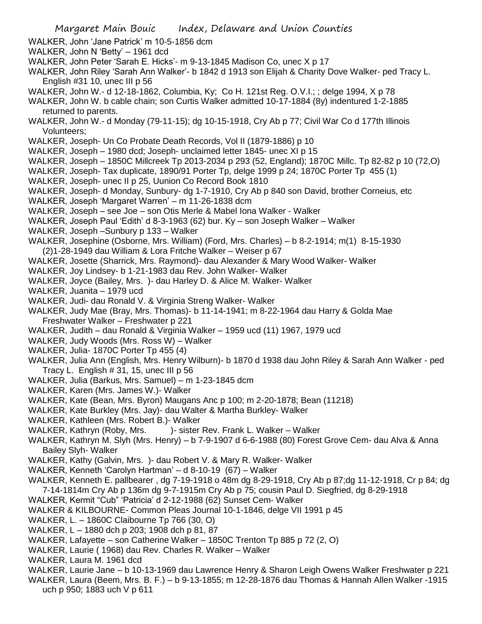- WALKER, John 'Jane Patrick' m 10-5-1856 dcm
- WALKER, John N 'Betty' 1961 dcd
- WALKER, John Peter 'Sarah E. Hicks'- m 9-13-1845 Madison Co, unec X p 17
- WALKER, John Riley 'Sarah Ann Walker'- b 1842 d 1913 son Elijah & Charity Dove Walker- ped Tracy L. English #31 10, unec III p 56
- WALKER, John W.- d 12-18-1862, Columbia, Ky; Co H. 121st Reg. O.V.I.; ; delge 1994, X p 78
- WALKER, John W. b cable chain; son Curtis Walker admitted 10-17-1884 (8y) indentured 1-2-1885 returned to parents.
- WALKER, John W.- d Monday (79-11-15); dg 10-15-1918, Cry Ab p 77; Civil War Co d 177th Illinois Volunteers;
- WALKER, Joseph- Un Co Probate Death Records, Vol II (1879-1886) p 10
- WALKER, Joseph 1980 dcd; Joseph- unclaimed letter 1845- unec XI p 15
- WALKER, Joseph 1850C Millcreek Tp 2013-2034 p 293 (52, England); 1870C Millc. Tp 82-82 p 10 (72,O)
- WALKER, Joseph- Tax duplicate, 1890/91 Porter Tp, delge 1999 p 24; 1870C Porter Tp 455 (1)
- WALKER, Joseph- unec II p 25, Uunion Co Record Book 1810
- WALKER, Joseph- d Monday, Sunbury- dg 1-7-1910, Cry Ab p 840 son David, brother Corneius, etc
- WALKER, Joseph 'Margaret Warren' m 11-26-1838 dcm
- WALKER, Joseph see Joe son Otis Merle & Mabel Iona Walker Walker
- WALKER, Joseph Paul 'Edith' d 8-3-1963 (62) bur. Ky son Joseph Walker Walker
- WALKER, Joseph –Sunbury p 133 Walker
- WALKER, Josephine (Osborne, Mrs. William) (Ford, Mrs. Charles) b 8-2-1914; m(1) 8-15-1930 (2)1-28-1949 dau William & Lora Fritche Walker – Weiser p 67
- WALKER, Josette (Sharrick, Mrs. Raymond)- dau Alexander & Mary Wood Walker- Walker
- WALKER, Joy Lindsey- b 1-21-1983 dau Rev. John Walker- Walker
- WALKER, Joyce (Bailey, Mrs. )- dau Harley D. & Alice M. Walker- Walker
- WALKER, Juanita 1979 ucd
- WALKER, Judi- dau Ronald V. & Virginia Streng Walker- Walker
- WALKER, Judy Mae (Bray, Mrs. Thomas)- b 11-14-1941; m 8-22-1964 dau Harry & Golda Mae Freshwater Walker – Freshwater p 221
- WALKER, Judith dau Ronald & Virginia Walker 1959 ucd (11) 1967, 1979 ucd
- WALKER, Judy Woods (Mrs. Ross W) Walker
- WALKER, Julia- 1870C Porter Tp 455 (4)
- WALKER, Julia Ann (English, Mrs. Henry Wilburn)- b 1870 d 1938 dau John Riley & Sarah Ann Walker ped Tracy L. English # 31, 15, unec III p 56
- WALKER, Julia (Barkus, Mrs. Samuel) m 1-23-1845 dcm
- WALKER, Karen (Mrs. James W.)- Walker
- WALKER, Kate (Bean, Mrs. Byron) Maugans Anc p 100; m 2-20-1878; Bean (11218)
- WALKER, Kate Burkley (Mrs. Jay)- dau Walter & Martha Burkley- Walker
- WALKER, Kathleen (Mrs. Robert B.)- Walker
- WALKER, Kathryn (Roby, Mrs. )- sister Rev. Frank L. Walker Walker
- WALKER, Kathryn M. Slyh (Mrs. Henry) b 7-9-1907 d 6-6-1988 (80) Forest Grove Cem- dau Alva & Anna Bailey Slyh- Walker
- WALKER, Kathy (Galvin, Mrs. )- dau Robert V. & Mary R. Walker- Walker
- WALKER, Kenneth 'Carolyn Hartman' d 8-10-19 (67) Walker
- WALKER, Kenneth E. pallbearer , dg 7-19-1918 o 48m dg 8-29-1918, Cry Ab p 87;dg 11-12-1918, Cr p 84; dg 7-14-1814m Cry Ab p 136m dg 9-7-1915m Cry Ab p 75; cousin Paul D. Siegfried, dg 8-29-1918
- WALKER, Kermit "Cub" 'Patricia' d 2-12-1988 (62) Sunset Cem- Walker
- WALKER & KILBOURNE- Common Pleas Journal 10-1-1846, delge VII 1991 p 45
- WALKER, L. 1860C Claibourne Tp 766 (30, O)
- WALKER, L 1880 dch p 203; 1908 dch p 81, 87
- WALKER, Lafayette son Catherine Walker 1850C Trenton Tp 885 p 72 (2, O)
- WALKER, Laurie ( 1968) dau Rev. Charles R. Walker Walker
- WALKER, Laura M. 1961 dcd
- WALKER, Laurie Jane b 10-13-1969 dau Lawrence Henry & Sharon Leigh Owens Walker Freshwater p 221
- WALKER, Laura (Beem, Mrs. B. F.) b 9-13-1855; m 12-28-1876 dau Thomas & Hannah Allen Walker -1915 uch p 950; 1883 uch V p 611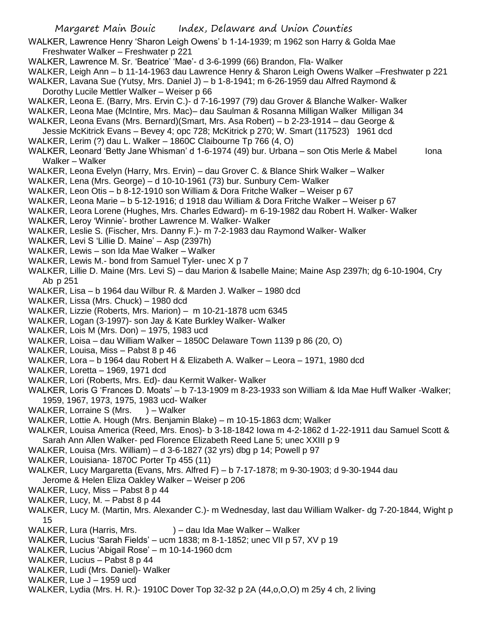WALKER, Lawrence Henry 'Sharon Leigh Owens' b 1-14-1939; m 1962 son Harry & Golda Mae Freshwater Walker – Freshwater p 221

- WALKER, Lawrence M. Sr. 'Beatrice' 'Mae'- d 3-6-1999 (66) Brandon, Fla- Walker
- WALKER, Leigh Ann b 11-14-1963 dau Lawrence Henry & Sharon Leigh Owens Walker –Freshwater p 221
- WALKER, Lavana Sue (Yutsy, Mrs. Daniel J) b 1-8-1941; m 6-26-1959 dau Alfred Raymond & Dorothy Lucile Mettler Walker – Weiser p 66
- WALKER, Leona E. (Barry, Mrs. Ervin C.)- d 7-16-1997 (79) dau Grover & Blanche Walker- Walker
- WALKER, Leona Mae (McIntire, Mrs. Mac)– dau Saulman & Rosanna Milligan Walker Milligan 34
- WALKER, Leona Evans (Mrs. Bernard)(Smart, Mrs. Asa Robert) b 2-23-1914 dau George &
- Jessie McKitrick Evans Bevey 4; opc 728; McKitrick p 270; W. Smart (117523) 1961 dcd WALKER, Lerim (?) dau L. Walker – 1860C Claibourne Tp 766 (4, O)
- WALKER, Leonard 'Betty Jane Whisman' d 1-6-1974 (49) bur. Urbana son Otis Merle & Mabel Iona Walker – Walker
- WALKER, Leona Evelyn (Harry, Mrs. Ervin) dau Grover C. & Blance Shirk Walker Walker
- WALKER, Lena (Mrs. George) d 10-10-1961 (73) bur. Sunbury Cem- Walker
- WALKER, Leon Otis b 8-12-1910 son William & Dora Fritche Walker Weiser p 67
- WALKER, Leona Marie b 5-12-1916; d 1918 dau William & Dora Fritche Walker Weiser p 67
- WALKER, Leora Lorene (Hughes, Mrs. Charles Edward)- m 6-19-1982 dau Robert H. Walker- Walker
- WALKER, Leroy 'Winnie'- brother Lawrence M. Walker- Walker
- WALKER, Leslie S. (Fischer, Mrs. Danny F.)- m 7-2-1983 dau Raymond Walker- Walker
- WALKER, Levi S 'Lillie D. Maine' Asp (2397h)
- WALKER, Lewis son Ida Mae Walker Walker
- WALKER, Lewis M.- bond from Samuel Tyler- unec X p 7
- WALKER, Lillie D. Maine (Mrs. Levi S) dau Marion & Isabelle Maine; Maine Asp 2397h; dg 6-10-1904, Cry Ab p 251
- WALKER, Lisa b 1964 dau Wilbur R. & Marden J. Walker 1980 dcd
- WALKER, Lissa (Mrs. Chuck) 1980 dcd
- WALKER, Lizzie (Roberts, Mrs. Marion) m 10-21-1878 ucm 6345
- WALKER, Logan (3-1997)- son Jay & Kate Burkley Walker- Walker
- WALKER, Lois M (Mrs. Don) 1975, 1983 ucd
- WALKER, Loisa dau William Walker 1850C Delaware Town 1139 p 86 (20, O)
- WALKER, Louisa, Miss Pabst 8 p 46
- WALKER, Lora b 1964 dau Robert H & Elizabeth A. Walker Leora 1971, 1980 dcd
- WALKER, Loretta 1969, 1971 dcd
- WALKER, Lori (Roberts, Mrs. Ed)- dau Kermit Walker- Walker
- WALKER, Loris G 'Frances D. Moats' b 7-13-1909 m 8-23-1933 son William & Ida Mae Huff Walker -Walker; 1959, 1967, 1973, 1975, 1983 ucd- Walker
- WALKER, Lorraine S (Mrs. ) Walker
- WALKER, Lottie A. Hough (Mrs. Benjamin Blake) m 10-15-1863 dcm; Walker
- WALKER, Louisa America (Reed, Mrs. Enos)- b 3-18-1842 Iowa m 4-2-1862 d 1-22-1911 dau Samuel Scott & Sarah Ann Allen Walker- ped Florence Elizabeth Reed Lane 5; unec XXIII p 9
- WALKER, Louisa (Mrs. William) d 3-6-1827 (32 yrs) dbg p 14; Powell p 97
- WALKER, Louisiana- 1870C Porter Tp 455 (11)
- WALKER, Lucy Margaretta (Evans, Mrs. Alfred F) b 7-17-1878; m 9-30-1903; d 9-30-1944 dau Jerome & Helen Eliza Oakley Walker – Weiser p 206
- WALKER, Lucy, Miss Pabst 8 p 44
- WALKER, Lucy, M. Pabst 8 p 44
- WALKER, Lucy M. (Martin, Mrs. Alexander C.)- m Wednesday, last dau William Walker- dg 7-20-1844, Wight p 15
- WALKER, Lura (Harris, Mrs. ) dau Ida Mae Walker Walker
- WALKER, Lucius 'Sarah Fields' ucm 1838; m 8-1-1852; unec VII p 57, XV p 19
- WALKER, Lucius 'Abigail Rose' m 10-14-1960 dcm
- WALKER, Lucius Pabst 8 p 44
- WALKER, Ludi (Mrs. Daniel)- Walker
- WALKER, Lue J 1959 ucd
- WALKER, Lydia (Mrs. H. R.)- 1910C Dover Top 32-32 p 2A (44,o,O,O) m 25y 4 ch, 2 living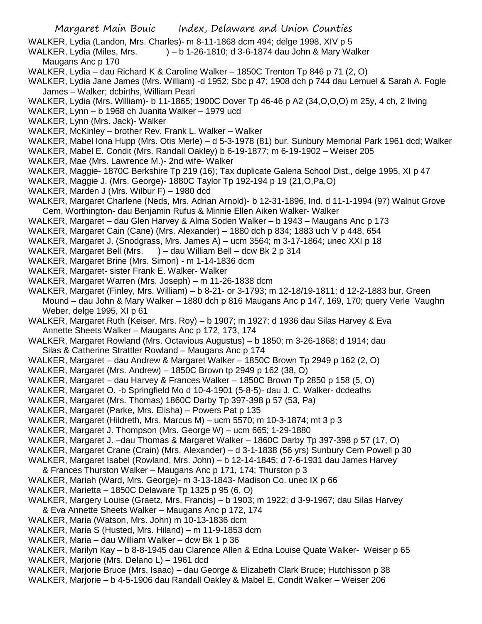WALKER, Lydia (Landon, Mrs. Charles)- m 8-11-1868 dcm 494; delge 1998, XIV p 5

- WALKER, Lydia (Miles, Mrs. ) b 1-26-1810; d 3-6-1874 dau John & Mary Walker Maugans Anc p 170
- WALKER, Lydia dau Richard K & Caroline Walker 1850C Trenton Tp 846 p 71 (2, O)
- WALKER, Lydia Jane James (Mrs. William) -d 1952; Sbc p 47; 1908 dch p 744 dau Lemuel & Sarah A. Fogle James – Walker; dcbirths, William Pearl
- WALKER, Lydia (Mrs. William)- b 11-1865; 1900C Dover Tp 46-46 p A2 (34,O,O,O) m 25y, 4 ch, 2 living
- WALKER, Lynn b 1968 ch Juanita Walker 1979 ucd
- WALKER, Lynn (Mrs. Jack)- Walker
- WALKER, McKinley brother Rev. Frank L. Walker Walker
- WALKER, Mabel Iona Hupp (Mrs. Otis Merle) d 5-3-1978 (81) bur. Sunbury Memorial Park 1961 dcd; Walker
- WALKER, Mabel E. Condit (Mrs. Randall Oakley) b 6-19-1877; m 6-19-1902 Weiser 205
- WALKER, Mae (Mrs. Lawrence M.)- 2nd wife- Walker
- WALKER, Maggie- 1870C Berkshire Tp 219 (16); Tax duplicate Galena School Dist., delge 1995, XI p 47
- WALKER, Maggie J. (Mrs. George)- 1880C Taylor Tp 192-194 p 19 (21,O,Pa,O)
- WALKER, Marden J (Mrs. Wilbur F) 1980 dcd
- WALKER, Margaret Charlene (Neds, Mrs. Adrian Arnold)- b 12-31-1896, Ind. d 11-1-1994 (97) Walnut Grove Cem, Worthington- dau Benjamin Rufus & Minnie Ellen Aiken Walker- Walker
- WALKER, Margaret dau Glen Harvey & Alma Soden Walker b 1943 Maugans Anc p 173
- WALKER, Margaret Cain (Cane) (Mrs. Alexander) 1880 dch p 834; 1883 uch V p 448, 654
- WALKER, Margaret J. (Snodgrass, Mrs. James A) ucm 3564; m 3-17-1864; unec XXI p 18
- WALKER, Margaret Bell (Mrs. ) dau William Bell dcw Bk 2 p 314
- WALKER, Margaret Brine (Mrs. Simon) m 1-14-1836 dcm
- WALKER, Margaret- sister Frank E. Walker- Walker
- WALKER, Margaret Warren (Mrs. Joseph) m 11-26-1838 dcm
- WALKER, Margaret (Finley, Mrs. William) b 8-21- or 3-1793; m 12-18/19-1811; d 12-2-1883 bur. Green Mound – dau John & Mary Walker – 1880 dch p 816 Maugans Anc p 147, 169, 170; query Verle Vaughn Weber, delge 1995, XI p 61
- WALKER, Margaret Ruth (Keiser, Mrs. Roy) b 1907; m 1927; d 1936 dau Silas Harvey & Eva Annette Sheets Walker – Maugans Anc p 172, 173, 174
- WALKER, Margaret Rowland (Mrs. Octavious Augustus) b 1850; m 3-26-1868; d 1914; dau Silas & Catherine Strattler Rowland – Maugans Anc p 174
- WALKER, Margaret dau Andrew & Margaret Walker 1850C Brown Tp 2949 p 162 (2, O)
- WALKER, Margaret (Mrs. Andrew) 1850C Brown tp 2949 p 162 (38, O)
- WALKER, Margaret dau Harvey & Frances Walker 1850C Brown Tp 2850 p 158 (5, O)
- WALKER, Margaret O. -b Springfield Mo d 10-4-1901 (5-8-5)- dau J. C. Walker- dcdeaths
- WALKER, Margaret (Mrs. Thomas) 1860C Darby Tp 397-398 p 57 (53, Pa)
- WALKER, Margaret (Parke, Mrs. Elisha) Powers Pat p 135
- WALKER, Margaret (Hildreth, Mrs. Marcus M) ucm 5570; m 10-3-1874; mt 3 p 3
- WALKER, Margaret J. Thompson (Mrs. George W) ucm 665; 1-29-1880
- WALKER, Margaret J. –dau Thomas & Margaret Walker 1860C Darby Tp 397-398 p 57 (17, O)
- WALKER, Margaret Crane (Crain) (Mrs. Alexander) d 3-1-1838 (56 yrs) Sunbury Cem Powell p 30
- WALKER, Margaret Isabel (Rowland, Mrs. John) b 12-14-1845; d 7-6-1931 dau James Harvey & Frances Thurston Walker – Maugans Anc p 171, 174; Thurston p 3
- WALKER, Mariah (Ward, Mrs. George)- m 3-13-1843- Madison Co. unec IX p 66
- WALKER, Marietta 1850C Delaware Tp 1325 p 95 (6, O)
- WALKER, Margery Louise (Graetz, Mrs. Francis) b 1903; m 1922; d 3-9-1967; dau Silas Harvey & Eva Annette Sheets Walker – Maugans Anc p 172, 174
- WALKER, Maria (Watson, Mrs. John) m 10-13-1836 dcm
- WALKER, Maria S (Husted, Mrs. Hiland) m 11-9-1853 dcm
- WALKER, Maria dau William Walker dcw Bk 1 p 36
- WALKER, Marilyn Kay b 8-8-1945 dau Clarence Allen & Edna Louise Quate Walker- Weiser p 65
- WALKER, Marjorie (Mrs. Delano L) 1961 dcd
- WALKER, Marjorie Bruce (Mrs. Isaac) dau George & Elizabeth Clark Bruce; Hutchisson p 38
- WALKER, Marjorie b 4-5-1906 dau Randall Oakley & Mabel E. Condit Walker Weiser 206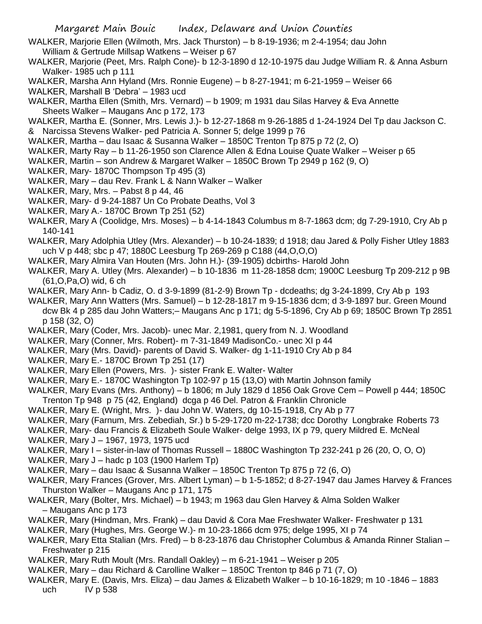- WALKER, Marjorie Ellen (Wilmoth, Mrs. Jack Thurston) b 8-19-1936; m 2-4-1954; dau John William & Gertrude Millsap Watkens – Weiser p 67
- WALKER, Marjorie (Peet, Mrs. Ralph Cone)- b 12-3-1890 d 12-10-1975 dau Judge William R. & Anna Asburn Walker- 1985 uch p 111
- WALKER, Marsha Ann Hyland (Mrs. Ronnie Eugene) b 8-27-1941; m 6-21-1959 Weiser 66
- WALKER, Marshall B 'Debra' 1983 ucd
- WALKER, Martha Ellen (Smith, Mrs. Vernard) b 1909; m 1931 dau Silas Harvey & Eva Annette Sheets Walker – Maugans Anc p 172, 173
- WALKER, Martha E. (Sonner, Mrs. Lewis J.)- b 12-27-1868 m 9-26-1885 d 1-24-1924 Del Tp dau Jackson C.
- & Narcissa Stevens Walker- ped Patricia A. Sonner 5; delge 1999 p 76
- WALKER, Martha dau Isaac & Susanna Walker 1850C Trenton Tp 875 p 72 (2, O)
- WALKER, Marty Ray b 11-26-1950 son Clarence Allen & Edna Louise Quate Walker Weiser p 65
- WALKER, Martin son Andrew & Margaret Walker 1850C Brown Tp 2949 p 162 (9, O)
- WALKER, Mary- 1870C Thompson Tp 495 (3)
- WALKER, Mary dau Rev. Frank L & Nann Walker Walker
- WALKER, Mary, Mrs. Pabst 8 p 44, 46
- WALKER, Mary- d 9-24-1887 Un Co Probate Deaths, Vol 3
- WALKER, Mary A.- 1870C Brown Tp 251 (52)
- WALKER, Mary A (Coolidge, Mrs. Moses) b 4-14-1843 Columbus m 8-7-1863 dcm; dg 7-29-1910, Cry Ab p 140-141
- WALKER, Mary Adolphia Utley (Mrs. Alexander) b 10-24-1839; d 1918; dau Jared & Polly Fisher Utley 1883 uch V p 448; sbc p 47; 1880C Leesburg Tp 269-269 p C188 (44,O,O,O)
- WALKER, Mary Almira Van Houten (Mrs. John H.)- (39-1905) dcbirths- Harold John
- WALKER, Mary A. Utley (Mrs. Alexander) b 10-1836 m 11-28-1858 dcm; 1900C Leesburg Tp 209-212 p 9B (61,O,Pa,O) wid, 6 ch
- WALKER, Mary Ann- b Cadiz, O. d 3-9-1899 (81-2-9) Brown Tp dcdeaths; dg 3-24-1899, Cry Ab p 193
- WALKER, Mary Ann Watters (Mrs. Samuel) b 12-28-1817 m 9-15-1836 dcm; d 3-9-1897 bur. Green Mound dcw Bk 4 p 285 dau John Watters;– Maugans Anc p 171; dg 5-5-1896, Cry Ab p 69; 1850C Brown Tp 2851 p 158 (32, O)
- WALKER, Mary (Coder, Mrs. Jacob)- unec Mar. 2,1981, query from N. J. Woodland
- WALKER, Mary (Conner, Mrs. Robert)- m 7-31-1849 MadisonCo.- unec XI p 44
- WALKER, Mary (Mrs. David)- parents of David S. Walker- dg 1-11-1910 Cry Ab p 84
- WALKER, Mary E.- 1870C Brown Tp 251 (17)
- WALKER, Mary Ellen (Powers, Mrs. )- sister Frank E. Walter- Walter
- WALKER, Mary E.- 1870C Washington Tp 102-97 p 15 (13,O) with Martin Johnson family
- WALKER, Mary Evans (Mrs. Anthony) b 1806; m July 1829 d 1856 Oak Grove Cem Powell p 444; 1850C Trenton Tp 948 p 75 (42, England) dcga p 46 Del. Patron & Franklin Chronicle
- WALKER, Mary E. (Wright, Mrs. )- dau John W. Waters, dg 10-15-1918, Cry Ab p 77
- WALKER, Mary (Farnum, Mrs. Zebediah, Sr.) b 5-29-1720 m-22-1738; dcc Dorothy Longbrake Roberts 73
- WALKER, Mary- dau Francis & Elizabeth Soule Walker- delge 1993, IX p 79, query Mildred E. McNeal
- WALKER, Mary J 1967, 1973, 1975 ucd
- WALKER, Mary I sister-in-law of Thomas Russell 1880C Washington Tp 232-241 p 26 (20, O, O, O)
- WALKER, Mary J hadc p 103 (1900 Harlem Tp)
- WALKER, Mary dau Isaac & Susanna Walker 1850C Trenton Tp 875 p 72 (6, O)
- WALKER, Mary Frances (Grover, Mrs. Albert Lyman) b 1-5-1852; d 8-27-1947 dau James Harvey & Frances Thurston Walker – Maugans Anc p 171, 175
- WALKER, Mary (Bolter, Mrs. Michael) b 1943; m 1963 dau Glen Harvey & Alma Solden Walker – Maugans Anc p 173
- WALKER, Mary (Hindman, Mrs. Frank) dau David & Cora Mae Freshwater Walker- Freshwater p 131
- WALKER, Mary (Hughes, Mrs. George W.)- m 10-23-1866 dcm 975; delge 1995, XI p 74
- WALKER, Mary Etta Stalian (Mrs. Fred) b 8-23-1876 dau Christopher Columbus & Amanda Rinner Stalian Freshwater p 215
- WALKER, Mary Ruth Moult (Mrs. Randall Oakley) m 6-21-1941 Weiser p 205
- WALKER, Mary dau Richard & Carolline Walker 1850C Trenton tp 846 p 71 (7, O)
- WALKER, Mary E. (Davis, Mrs. Eliza) dau James & Elizabeth Walker b 10-16-1829; m 10 -1846 1883 uch IV p 538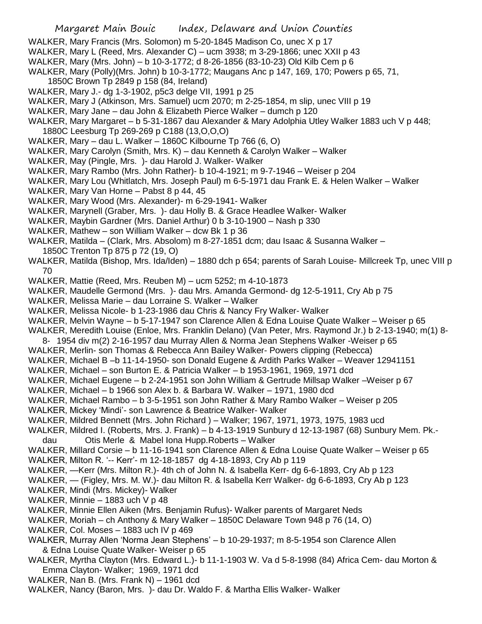- WALKER, Mary Francis (Mrs. Solomon) m 5-20-1845 Madison Co, unec X p 17
- WALKER, Mary L (Reed, Mrs. Alexander C) ucm 3938; m 3-29-1866; unec XXII p 43
- WALKER, Mary (Mrs. John) b 10-3-1772; d 8-26-1856 (83-10-23) Old Kilb Cem p 6
- WALKER, Mary (Polly)(Mrs. John) b 10-3-1772; Maugans Anc p 147, 169, 170; Powers p 65, 71, 1850C Brown Tp 2849 p 158 (84, Ireland)
- WALKER, Mary J.- dg 1-3-1902, p5c3 delge VII, 1991 p 25
- WALKER, Mary J (Atkinson, Mrs. Samuel) ucm 2070; m 2-25-1854, m slip, unec VIII p 19
- WALKER, Mary Jane dau John & Elizabeth Pierce Walker dumch p 120
- WALKER, Mary Margaret b 5-31-1867 dau Alexander & Mary Adolphia Utley Walker 1883 uch V p 448; 1880C Leesburg Tp 269-269 p C188 (13,O,O,O)
- WALKER, Mary dau L. Walker 1860C Kilbourne Tp 766 (6, O)
- WALKER, Mary Carolyn (Smith, Mrs. K) dau Kenneth & Carolyn Walker Walker
- WALKER, May (Pingle, Mrs. )- dau Harold J. Walker- Walker
- WALKER, Mary Rambo (Mrs. John Rather)- b 10-4-1921; m 9-7-1946 Weiser p 204
- WALKER, Mary Lou (Whitlatch, Mrs. Joseph Paul) m 6-5-1971 dau Frank E. & Helen Walker Walker
- WALKER, Mary Van Horne Pabst 8 p 44, 45
- WALKER, Mary Wood (Mrs. Alexander)- m 6-29-1941- Walker
- WALKER, Marynell (Graber, Mrs. )- dau Holly B. & Grace Headlee Walker- Walker
- WALKER, Maybin Gardner (Mrs. Daniel Arthur) 0 b 3-10-1900 Nash p 330
- WALKER, Mathew son William Walker dcw Bk 1 p 36
- WALKER, Matilda (Clark, Mrs. Absolom) m 8-27-1851 dcm; dau Isaac & Susanna Walker 1850C Trenton Tp 875 p 72 (19, O)
- WALKER, Matilda (Bishop, Mrs. Ida/Iden) 1880 dch p 654; parents of Sarah Louise- Millcreek Tp, unec VIII p 70
- WALKER, Mattie (Reed, Mrs. Reuben M) ucm 5252; m 4-10-1873
- WALKER, Maudelle Germond (Mrs. )- dau Mrs. Amanda Germond- dg 12-5-1911, Cry Ab p 75
- WALKER, Melissa Marie dau Lorraine S. Walker Walker
- WALKER, Melissa Nicole- b 1-23-1986 dau Chris & Nancy Fry Walker- Walker
- WALKER, Melvin Wayne b 5-17-1947 son Clarence Allen & Edna Louise Quate Walker Weiser p 65
- WALKER, Meredith Louise (Enloe, Mrs. Franklin Delano) (Van Peter, Mrs. Raymond Jr.) b 2-13-1940; m(1) 8-
- 8- 1954 div m(2) 2-16-1957 dau Murray Allen & Norma Jean Stephens Walker -Weiser p 65
- WALKER, Merlin- son Thomas & Rebecca Ann Bailey Walker- Powers clipping (Rebecca)
- WALKER, Michael B –b 11-14-1950- son Donald Eugene & Ardith Parks Walker Weaver 12941151
- WALKER, Michael son Burton E. & Patricia Walker b 1953-1961, 1969, 1971 dcd
- WALKER, Michael Eugene b 2-24-1951 son John William & Gertrude Millsap Walker –Weiser p 67
- WALKER, Michael b 1966 son Alex b. & Barbara W. Walker 1971, 1980 dcd
- WALKER, Michael Rambo b 3-5-1951 son John Rather & Mary Rambo Walker Weiser p 205
- WALKER, Mickey 'Mindi'- son Lawrence & Beatrice Walker- Walker
- WALKER, Mildred Bennett (Mrs. John Richard ) Walker; 1967, 1971, 1973, 1975, 1983 ucd
- WALKER, Mildred I. (Roberts, Mrs. J. Frank) b 4-13-1919 Sunbury d 12-13-1987 (68) Sunbury Mem. Pk. dau Otis Merle & Mabel Iona Hupp.Roberts – Walker
- WALKER, Millard Corsie b 11-16-1941 son Clarence Allen & Edna Louise Quate Walker Weiser p 65
- WALKER, Milton R. '-- Kerr'- m 12-18-1857 dg 4-18-1893, Cry Ab p 119
- WALKER, —Kerr (Mrs. Milton R.)- 4th ch of John N. & Isabella Kerr- dg 6-6-1893, Cry Ab p 123
- WALKER, (Figley, Mrs. M. W.)- dau Milton R. & Isabella Kerr Walker- dg 6-6-1893, Cry Ab p 123
- WALKER, Mindi (Mrs. Mickey)- Walker
- WALKER, Minnie 1883 uch V p 48
- WALKER, Minnie Ellen Aiken (Mrs. Benjamin Rufus)- Walker parents of Margaret Neds
- WALKER, Moriah ch Anthony & Mary Walker 1850C Delaware Town 948 p 76 (14, O)
- WALKER, Col. Moses 1883 uch IV p 469
- WALKER, Murray Allen 'Norma Jean Stephens' b 10-29-1937; m 8-5-1954 son Clarence Allen & Edna Louise Quate Walker- Weiser p 65
- WALKER, Myrtha Clayton (Mrs. Edward L.)- b 11-1-1903 W. Va d 5-8-1998 (84) Africa Cem- dau Morton & Emma Clayton- Walker; 1969, 1971 dcd
- WALKER, Nan B. (Mrs. Frank N) 1961 dcd
- WALKER, Nancy (Baron, Mrs. )- dau Dr. Waldo F. & Martha Ellis Walker- Walker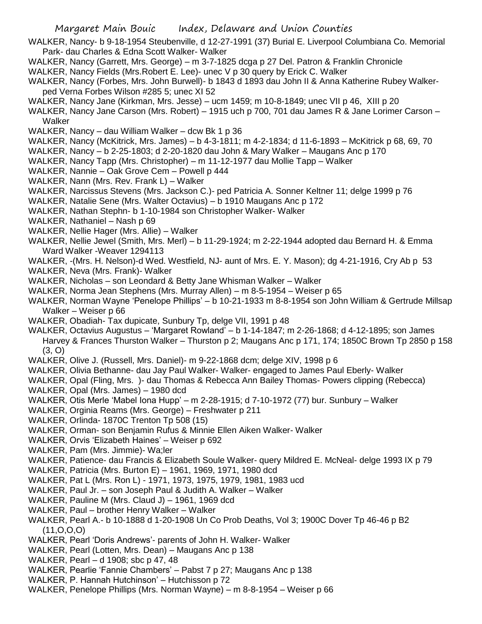- WALKER, Nancy- b 9-18-1954 Steubenville, d 12-27-1991 (37) Burial E. Liverpool Columbiana Co. Memorial Park- dau Charles & Edna Scott Walker- Walker
- WALKER, Nancy (Garrett, Mrs. George) m 3-7-1825 dcga p 27 Del. Patron & Franklin Chronicle
- WALKER, Nancy Fields (Mrs.Robert E. Lee)- unec V p 30 query by Erick C. Walker
- WALKER, Nancy (Forbes, Mrs. John Burwell)- b 1843 d 1893 dau John II & Anna Katherine Rubey Walkerped Verna Forbes Wilson #285 5; unec XI 52
- WALKER, Nancy Jane (Kirkman, Mrs. Jesse) ucm 1459; m 10-8-1849; unec VII p 46, XIII p 20
- WALKER, Nancy Jane Carson (Mrs. Robert) 1915 uch p 700, 701 dau James R & Jane Lorimer Carson **Walker**
- WALKER, Nancy dau William Walker dcw Bk 1 p 36
- WALKER, Nancy (McKitrick, Mrs. James) b 4-3-1811; m 4-2-1834; d 11-6-1893 McKitrick p 68, 69, 70
- WALKER, Nancy b 2-25-1803; d 2-20-1820 dau John & Mary Walker Maugans Anc p 170
- WALKER, Nancy Tapp (Mrs. Christopher) m 11-12-1977 dau Mollie Tapp Walker
- WALKER, Nannie Oak Grove Cem Powell p 444
- WALKER, Nann (Mrs. Rev. Frank L) Walker
- WALKER, Narcissus Stevens (Mrs. Jackson C.)- ped Patricia A. Sonner Keltner 11; delge 1999 p 76
- WALKER, Natalie Sene (Mrs. Walter Octavius) b 1910 Maugans Anc p 172
- WALKER, Nathan Stephn- b 1-10-1984 son Christopher Walker- Walker
- WALKER, Nathaniel Nash p 69
- WALKER, Nellie Hager (Mrs. Allie) Walker
- WALKER, Nellie Jewel (Smith, Mrs. Merl) b 11-29-1924; m 2-22-1944 adopted dau Bernard H. & Emma Ward Walker -Weaver 1294113
- WALKER, -(Mrs. H. Nelson)-d Wed. Westfield, NJ- aunt of Mrs. E. Y. Mason); dg 4-21-1916, Cry Ab p 53
- WALKER, Neva (Mrs. Frank)- Walker
- WALKER, Nicholas son Leondard & Betty Jane Whisman Walker Walker
- WALKER, Norma Jean Stephens (Mrs. Murray Allen) m 8-5-1954 Weiser p 65
- WALKER, Norman Wayne 'Penelope Phillips' b 10-21-1933 m 8-8-1954 son John William & Gertrude Millsap Walker – Weiser p 66
- WALKER, Obadiah- Tax dupicate, Sunbury Tp, delge VII, 1991 p 48
- WALKER, Octavius Augustus 'Margaret Rowland' b 1-14-1847; m 2-26-1868; d 4-12-1895; son James Harvey & Frances Thurston Walker – Thurston p 2; Maugans Anc p 171, 174; 1850C Brown Tp 2850 p 158 (3, O)
- WALKER, Olive J. (Russell, Mrs. Daniel)- m 9-22-1868 dcm; delge XIV, 1998 p 6
- WALKER, Olivia Bethanne- dau Jay Paul Walker- Walker- engaged to James Paul Eberly- Walker
- WALKER, Opal (Fling, Mrs. )- dau Thomas & Rebecca Ann Bailey Thomas- Powers clipping (Rebecca) WALKER, Opal (Mrs. James) – 1980 dcd
- WALKER, Otis Merle 'Mabel Iona Hupp' m 2-28-1915; d 7-10-1972 (77) bur. Sunbury Walker
- WALKER, Orginia Reams (Mrs. George) Freshwater p 211
- WALKER, Orlinda- 1870C Trenton Tp 508 (15)
- WALKER, Orman- son Benjamin Rufus & Minnie Ellen Aiken Walker- Walker
- WALKER, Orvis 'Elizabeth Haines' Weiser p 692
- WALKER, Pam (Mrs. Jimmie)- Wa;ler
- WALKER, Patience- dau Francis & Elizabeth Soule Walker- query Mildred E. McNeal- delge 1993 IX p 79
- WALKER, Patricia (Mrs. Burton E) 1961, 1969, 1971, 1980 dcd
- WALKER, Pat L (Mrs. Ron L) 1971, 1973, 1975, 1979, 1981, 1983 ucd
- WALKER, Paul Jr. son Joseph Paul & Judith A. Walker Walker
- WALKER, Pauline M (Mrs. Claud J) 1961, 1969 dcd
- WALKER, Paul brother Henry Walker Walker
- WALKER, Pearl A.- b 10-1888 d 1-20-1908 Un Co Prob Deaths, Vol 3; 1900C Dover Tp 46-46 p B2 (11,O,O,O)
- WALKER, Pearl 'Doris Andrews'- parents of John H. Walker- Walker
- WALKER, Pearl (Lotten, Mrs. Dean) Maugans Anc p 138
- WALKER, Pearl d 1908; sbc p 47, 48
- WALKER, Pearlie 'Fannie Chambers' Pabst 7 p 27; Maugans Anc p 138
- WALKER, P. Hannah Hutchinson' Hutchisson p 72
- WALKER, Penelope Phillips (Mrs. Norman Wayne) m 8-8-1954 Weiser p 66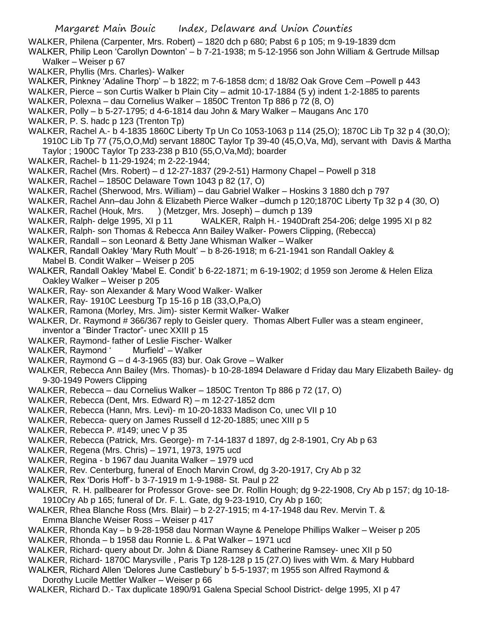WALKER, Philena (Carpenter, Mrs. Robert) – 1820 dch p 680; Pabst 6 p 105; m 9-19-1839 dcm

- WALKER, Philip Leon 'Carollyn Downton' b 7-21-1938; m 5-12-1956 son John William & Gertrude Millsap Walker – Weiser p 67
- WALKER, Phyllis (Mrs. Charles)- Walker
- WALKER, Pinkney 'Adaline Thorp' b 1822; m 7-6-1858 dcm; d 18/82 Oak Grove Cem –Powell p 443
- WALKER, Pierce son Curtis Walker b Plain City admit 10-17-1884 (5 y) indent 1-2-1885 to parents
- WALKER, Polexna dau Cornelius Walker 1850C Trenton Tp 886 p 72 (8, O)
- WALKER, Polly b 5-27-1795; d 4-6-1814 dau John & Mary Walker Maugans Anc 170
- WALKER, P. S. hadc p 123 (Trenton Tp)
- WALKER, Rachel A.- b 4-1835 1860C Liberty Tp Un Co 1053-1063 p 114 (25,O); 1870C Lib Tp 32 p 4 (30,O); 1910C Lib Tp 77 (75,O,O,Md) servant 1880C Taylor Tp 39-40 (45,O,Va, Md), servant with Davis & Martha Taylor ; 1900C Taylor Tp 233-238 p B10 (55,O,Va,Md); boarder
- WALKER, Rachel- b 11-29-1924; m 2-22-1944;
- WALKER, Rachel (Mrs. Robert) d 12-27-1837 (29-2-51) Harmony Chapel Powell p 318
- WALKER, Rachel 1850C Delaware Town 1043 p 82 (17, O)
- WALKER, Rachel (Sherwood, Mrs. William) dau Gabriel Walker Hoskins 3 1880 dch p 797
- WALKER, Rachel Ann–dau John & Elizabeth Pierce Walker –dumch p 120;1870C Liberty Tp 32 p 4 (30, O)
- WALKER, Rachel (Houk, Mrs. ) (Metzger, Mrs. Joseph) dumch p 139
- WALKER, Ralph- delge 1995, XI p 11 WALKER, Ralph H.- 1940Draft 254-206; delge 1995 XI p 82
- WALKER, Ralph- son Thomas & Rebecca Ann Bailey Walker- Powers Clipping, (Rebecca)
- WALKER, Randall son Leonard & Betty Jane Whisman Walker Walker
- WALKER, Randall Oakley 'Mary Ruth Moult' b 8-26-1918; m 6-21-1941 son Randall Oakley & Mabel B. Condit Walker – Weiser p 205
- WALKER, Randall Oakley 'Mabel E. Condit' b 6-22-1871; m 6-19-1902; d 1959 son Jerome & Helen Eliza Oakley Walker – Weiser p 205
- WALKER, Ray- son Alexander & Mary Wood Walker- Walker
- WALKER, Ray- 1910C Leesburg Tp 15-16 p 1B (33,O,Pa,O)
- WALKER, Ramona (Morley, Mrs. Jim)- sister Kermit Walker- Walker
- WALKER, Dr. Raymond # 366/367 reply to Geisler query. Thomas Albert Fuller was a steam engineer, inventor a "Binder Tractor"- unec XXIII p 15
- WALKER, Raymond- father of Leslie Fischer- Walker
- WALKER, Raymond ' Murfield' Walker
- WALKER, Raymond G d 4-3-1965 (83) bur. Oak Grove Walker
- WALKER, Rebecca Ann Bailey (Mrs. Thomas)- b 10-28-1894 Delaware d Friday dau Mary Elizabeth Bailey- dg 9-30-1949 Powers Clipping
- WALKER, Rebecca dau Cornelius Walker 1850C Trenton Tp 886 p 72 (17, O)
- WALKER, Rebecca (Dent, Mrs. Edward R) m 12-27-1852 dcm
- WALKER, Rebecca (Hann, Mrs. Levi)- m 10-20-1833 Madison Co, unec VII p 10
- WALKER, Rebecca- query on James Russell d 12-20-1885; unec XIII p 5
- WALKER, Rebecca P. #149; unec V p 35
- WALKER, Rebecca (Patrick, Mrs. George)- m 7-14-1837 d 1897, dg 2-8-1901, Cry Ab p 63
- WALKER, Regena (Mrs. Chris) 1971, 1973, 1975 ucd
- WALKER, Regina b 1967 dau Juanita Walker 1979 ucd
- WALKER, Rev. Centerburg, funeral of Enoch Marvin Crowl, dg 3-20-1917, Cry Ab p 32
- WALKER, Rex 'Doris Hoff'- b 3-7-1919 m 1-9-1988- St. Paul p 22
- WALKER, R. H. pallbearer for Professor Grove- see Dr. Rollin Hough; dg 9-22-1908, Cry Ab p 157; dg 10-18- 1910Cry Ab p 165; funeral of Dr. F. L. Gate, dg 9-23-1910, Cry Ab p 160;
- WALKER, Rhea Blanche Ross (Mrs. Blair) b 2-27-1915; m 4-17-1948 dau Rev. Mervin T. & Emma Blanche Weiser Ross – Weiser p 417
- WALKER, Rhonda Kay b 9-28-1958 dau Norman Wayne & Penelope Phillips Walker Weiser p 205
- WALKER, Rhonda b 1958 dau Ronnie L. & Pat Walker 1971 ucd
- WALKER, Richard- query about Dr. John & Diane Ramsey & Catherine Ramsey- unec XII p 50
- WALKER, Richard- 1870C Marysville , Paris Tp 128-128 p 15 (27.O) lives with Wm. & Mary Hubbard
- WALKER, Richard Allen 'Delores June Castlebury' b 5-5-1937; m 1955 son Alfred Raymond & Dorothy Lucile Mettler Walker – Weiser p 66
- WALKER, Richard D.- Tax duplicate 1890/91 Galena Special School District- delge 1995, XI p 47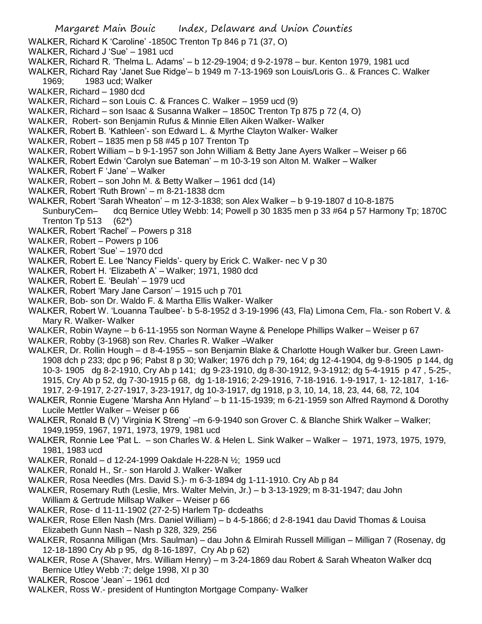- WALKER, Richard J 'Sue' 1981 ucd
- WALKER, Richard R. 'Thelma L. Adams' b 12-29-1904; d 9-2-1978 bur. Kenton 1979, 1981 ucd
- WALKER, Richard Ray 'Janet Sue Ridge'– b 1949 m 7-13-1969 son Louis/Loris G.. & Frances C. Walker 1969; 1983 ucd; Walker
- WALKER, Richard 1980 dcd
- WALKER, Richard son Louis C. & Frances C. Walker 1959 ucd (9)
- WALKER, Richard son Isaac & Susanna Walker 1850C Trenton Tp 875 p 72 (4, O)
- WALKER, Robert- son Benjamin Rufus & Minnie Ellen Aiken Walker- Walker
- WALKER, Robert B. 'Kathleen'- son Edward L. & Myrthe Clayton Walker- Walker
- WALKER, Robert 1835 men p 58 #45 p 107 Trenton Tp
- WALKER, Robert William b 9-1-1957 son John William & Betty Jane Ayers Walker Weiser p 66
- WALKER, Robert Edwin 'Carolyn sue Bateman' m 10-3-19 son Alton M. Walker Walker
- WALKER, Robert F 'Jane' Walker
- WALKER, Robert son John M. & Betty Walker 1961 dcd (14)
- WALKER, Robert 'Ruth Brown' m 8-21-1838 dcm
- WALKER, Robert 'Sarah Wheaton' m 12-3-1838; son Alex Walker b 9-19-1807 d 10-8-1875
- SunburyCem– dcq Bernice Utley Webb: 14; Powell p 30 1835 men p 33 #64 p 57 Harmony Tp; 1870C Trenton Tp 513  $(62^*)$
- WALKER, Robert 'Rachel' Powers p 318
- WALKER, Robert Powers p 106
- WALKER, Robert 'Sue' 1970 dcd
- WALKER, Robert E. Lee 'Nancy Fields'- query by Erick C. Walker- nec V p 30
- WALKER, Robert H. 'Elizabeth A' Walker; 1971, 1980 dcd
- WALKER, Robert E. 'Beulah' 1979 ucd
- WALKER, Robert 'Mary Jane Carson' 1915 uch p 701
- WALKER, Bob- son Dr. Waldo F. & Martha Ellis Walker- Walker
- WALKER, Robert W. 'Louanna Taulbee'- b 5-8-1952 d 3-19-1996 (43, Fla) Limona Cem, Fla.- son Robert V. & Mary R. Walker- Walker
- WALKER, Robin Wayne b 6-11-1955 son Norman Wayne & Penelope Phillips Walker Weiser p 67
- WALKER, Robby (3-1968) son Rev. Charles R. Walker –Walker
- WALKER, Dr. Rollin Hough d 8-4-1955 son Benjamin Blake & Charlotte Hough Walker bur. Green Lawn-1908 dch p 233; dpc p 96; Pabst 8 p 30; Walker; 1976 dch p 79, 164; dg 12-4-1904, dg 9-8-1905 p 144, dg 10-3- 1905 dg 8-2-1910, Cry Ab p 141; dg 9-23-1910, dg 8-30-1912, 9-3-1912; dg 5-4-1915 p 47 , 5-25-, 1915, Cry Ab p 52, dg 7-30-1915 p 68, dg 1-18-1916; 2-29-1916, 7-18-1916. 1-9-1917, 1- 12-1817, 1-16- 1917, 2-9-1917, 2-27-1917, 3-23-1917, dg 10-3-1917, dg 1918, p 3, 10, 14, 18, 23, 44, 68, 72, 104
- WALKER, Ronnie Eugene 'Marsha Ann Hyland' b 11-15-1939; m 6-21-1959 son Alfred Raymond & Dorothy Lucile Mettler Walker – Weiser p 66
- WALKER, Ronald B (V) 'Virginia K Streng' –m 6-9-1940 son Grover C. & Blanche Shirk Walker Walker; 1949,1959, 1967, 1971, 1973, 1979, 1981 ucd
- WALKER, Ronnie Lee 'Pat L. son Charles W. & Helen L. Sink Walker Walker 1971, 1973, 1975, 1979, 1981, 1983 ucd
- WALKER, Ronald d 12-24-1999 Oakdale H-228-N ½; 1959 ucd
- WALKER, Ronald H., Sr.- son Harold J. Walker- Walker
- WALKER, Rosa Needles (Mrs. David S.)- m 6-3-1894 dg 1-11-1910. Cry Ab p 84
- WALKER, Rosemary Ruth (Leslie, Mrs. Walter Melvin, Jr.) b 3-13-1929; m 8-31-1947; dau John William & Gertrude Millsap Walker – Weiser p 66
- WALKER, Rose- d 11-11-1902 (27-2-5) Harlem Tp- dcdeaths
- WALKER, Rose Ellen Nash (Mrs. Daniel William) b 4-5-1866; d 2-8-1941 dau David Thomas & Louisa Elizabeth Gunn Nash – Nash p 328, 329, 256
- WALKER, Rosanna Milligan (Mrs. Saulman) dau John & Elmirah Russell Milligan Milligan 7 (Rosenay, dg 12-18-1890 Cry Ab p 95, dg 8-16-1897, Cry Ab p 62)
- WALKER, Rose A (Shaver, Mrs. William Henry) m 3-24-1869 dau Robert & Sarah Wheaton Walker dcq Bernice Utley Webb :7; delge 1998, XI p 30
- WALKER, Roscoe 'Jean' 1961 dcd
- WALKER, Ross W.- president of Huntington Mortgage Company- Walker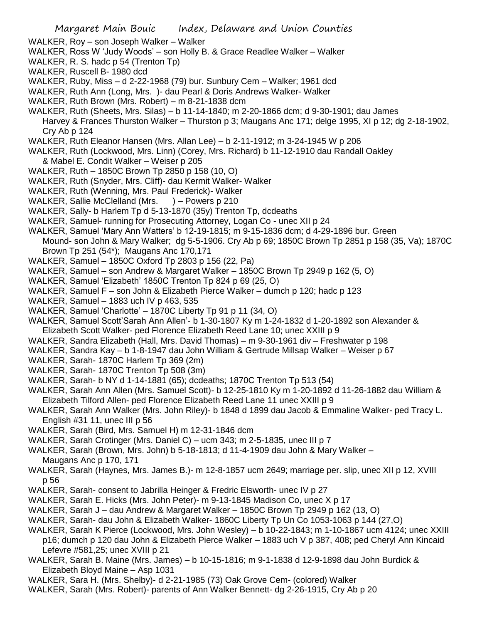- WALKER, Roy son Joseph Walker Walker
- WALKER, Ross W 'Judy Woods' son Holly B. & Grace Readlee Walker Walker
- WALKER, R. S. hadc p 54 (Trenton Tp)
- WALKER, Ruscell B- 1980 dcd
- WALKER, Ruby, Miss d 2-22-1968 (79) bur. Sunbury Cem Walker; 1961 dcd
- WALKER, Ruth Ann (Long, Mrs. )- dau Pearl & Doris Andrews Walker- Walker
- WALKER, Ruth Brown (Mrs. Robert) m 8-21-1838 dcm
- WALKER, Ruth (Sheets, Mrs. Silas) b 11-14-1840; m 2-20-1866 dcm; d 9-30-1901; dau James Harvey & Frances Thurston Walker – Thurston p 3; Maugans Anc 171; delge 1995, XI p 12; dg 2-18-1902, Cry Ab p 124
- WALKER, Ruth Eleanor Hansen (Mrs. Allan Lee) b 2-11-1912; m 3-24-1945 W p 206
- WALKER, Ruth (Lockwood, Mrs. Linn) (Corey, Mrs. Richard) b 11-12-1910 dau Randall Oakley
- & Mabel E. Condit Walker Weiser p 205
- WALKER, Ruth 1850C Brown Tp 2850 p 158 (10, O)
- WALKER, Ruth (Snyder, Mrs. Cliff)- dau Kermit Walker- Walker
- WALKER, Ruth (Wenning, Mrs. Paul Frederick)- Walker
- WALKER, Sallie McClelland (Mrs. ) Powers p 210
- WALKER, Sally- b Harlem Tp d 5-13-1870 (35y) Trenton Tp, dcdeaths
- WALKER, Samuel- running for Prosecuting Attorney, Logan Co unec XII p 24
- WALKER, Samuel 'Mary Ann Watters' b 12-19-1815; m 9-15-1836 dcm; d 4-29-1896 bur. Green Mound- son John & Mary Walker; dg 5-5-1906. Cry Ab p 69; 1850C Brown Tp 2851 p 158 (35, Va); 1870C Brown Tp 251 (54\*); Maugans Anc 170,171
- WALKER, Samuel 1850C Oxford Tp 2803 p 156 (22, Pa)
- WALKER, Samuel son Andrew & Margaret Walker 1850C Brown Tp 2949 p 162 (5, O)
- WALKER, Samuel 'Elizabeth' 1850C Trenton Tp 824 p 69 (25, O)
- WALKER, Samuel F son John & Elizabeth Pierce Walker dumch p 120; hadc p 123
- WALKER, Samuel 1883 uch IV p 463, 535
- WALKER, Samuel 'Charlotte' 1870C Liberty Tp 91 p 11 (34, O)
- WALKER, Samuel Scott'Sarah Ann Allen'- b 1-30-1807 Ky m 1-24-1832 d 1-20-1892 son Alexander & Elizabeth Scott Walker- ped Florence Elizabeth Reed Lane 10; unec XXIII p 9
- WALKER, Sandra Elizabeth (Hall, Mrs. David Thomas) m 9-30-1961 div Freshwater p 198
- WALKER, Sandra Kay b 1-8-1947 dau John William & Gertrude Millsap Walker Weiser p 67
- WALKER, Sarah- 1870C Harlem Tp 369 (2m)
- WALKER, Sarah- 1870C Trenton Tp 508 (3m)
- WALKER, Sarah- b NY d 1-14-1881 (65); dcdeaths; 1870C Trenton Tp 513 (54)
- WALKER, Sarah Ann Allen (Mrs. Samuel Scott)- b 12-25-1810 Ky m 1-20-1892 d 11-26-1882 dau William & Elizabeth Tilford Allen- ped Florence Elizabeth Reed Lane 11 unec XXIII p 9
- WALKER, Sarah Ann Walker (Mrs. John Riley)- b 1848 d 1899 dau Jacob & Emmaline Walker- ped Tracy L. English #31 11, unec III p 56
- WALKER, Sarah (Bird, Mrs. Samuel H) m 12-31-1846 dcm
- WALKER, Sarah Crotinger (Mrs. Daniel C) ucm 343; m 2-5-1835, unec III p 7
- WALKER, Sarah (Brown, Mrs. John) b 5-18-1813; d 11-4-1909 dau John & Mary Walker Maugans Anc p 170, 171
- WALKER, Sarah (Haynes, Mrs. James B.)- m 12-8-1857 ucm 2649; marriage per. slip, unec XII p 12, XVIII p 56
- WALKER, Sarah- consent to Jabrilla Heinger & Fredric Elsworth- unec IV p 27
- WALKER, Sarah E. Hicks (Mrs. John Peter)- m 9-13-1845 Madison Co, unec X p 17
- WALKER, Sarah J dau Andrew & Margaret Walker 1850C Brown Tp 2949 p 162 (13, O)
- WALKER, Sarah- dau John & Elizabeth Walker- 1860C Liberty Tp Un Co 1053-1063 p 144 (27,O)
- WALKER, Sarah K Pierce (Lockwood, Mrs. John Wesley) b 10-22-1843; m 1-10-1867 ucm 4124; unec XXIII p16; dumch p 120 dau John & Elizabeth Pierce Walker – 1883 uch V p 387, 408; ped Cheryl Ann Kincaid Lefevre #581,25; unec XVIII p 21
- WALKER, Sarah B. Maine (Mrs. James) b 10-15-1816; m 9-1-1838 d 12-9-1898 dau John Burdick & Elizabeth Bloyd Maine – Asp 1031
- WALKER, Sara H. (Mrs. Shelby)- d 2-21-1985 (73) Oak Grove Cem- (colored) Walker
- WALKER, Sarah (Mrs. Robert)- parents of Ann Walker Bennett- dg 2-26-1915, Cry Ab p 20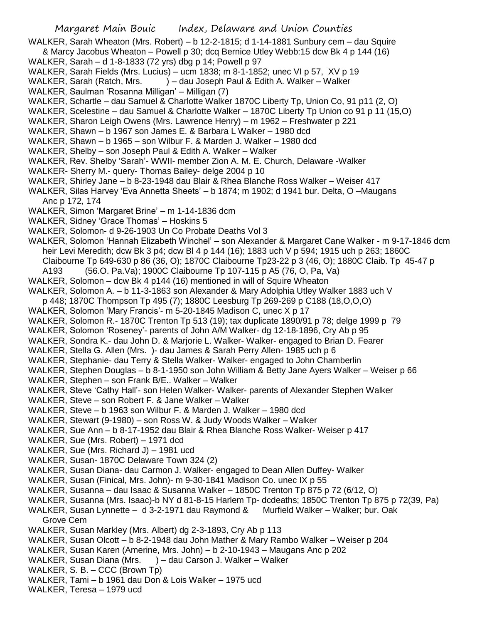WALKER, Sarah Wheaton (Mrs. Robert) – b 12-2-1815; d 1-14-1881 Sunbury cem – dau Squire

- & Marcy Jacobus Wheaton Powell p 30; dcq Bernice Utley Webb:15 dcw Bk 4 p 144 (16)
- WALKER, Sarah d 1-8-1833 (72 yrs) dbg p 14; Powell p 97
- WALKER, Sarah Fields (Mrs. Lucius) ucm 1838; m 8-1-1852; unec VI p 57, XV p 19
- WALKER, Sarah (Ratch, Mrs. ) dau Joseph Paul & Edith A. Walker Walker
- WALKER, Saulman 'Rosanna Milligan' Milligan (7)
- WALKER, Schartle dau Samuel & Charlotte Walker 1870C Liberty Tp, Union Co, 91 p11 (2, O)
- WALKER, Scelestine dau Samuel & Charlotte Walker 1870C Liberty Tp Union co 91 p 11 (15,O)
- WALKER, Sharon Leigh Owens (Mrs. Lawrence Henry) m 1962 Freshwater p 221
- WALKER, Shawn b 1967 son James E. & Barbara L Walker 1980 dcd
- WALKER, Shawn b 1965 son Wilbur F. & Marden J. Walker 1980 dcd
- WALKER, Shelby son Joseph Paul & Edith A. Walker Walker
- WALKER, Rev. Shelby 'Sarah'- WWII- member Zion A. M. E. Church, Delaware -Walker
- WALKER- Sherry M.- query- Thomas Bailey- delge 2004 p 10
- WALKER, Shirley Jane b 8-23-1948 dau Blair & Rhea Blanche Ross Walker Weiser 417
- WALKER, Silas Harvey 'Eva Annetta Sheets' b 1874; m 1902; d 1941 bur. Delta, O –Maugans Anc p 172, 174
- WALKER, Simon 'Margaret Brine' m 1-14-1836 dcm
- WALKER, Sidney 'Grace Thomas' Hoskins 5
- WALKER, Solomon- d 9-26-1903 Un Co Probate Deaths Vol 3
- WALKER, Solomon 'Hannah Elizabeth Winchel' son Alexander & Margaret Cane Walker m 9-17-1846 dcm heir Levi Meredith; dcw Bk 3 p4; dcw Bl 4 p 144 (16); 1883 uch V p 594; 1915 uch p 263; 1860C Claibourne Tp 649-630 p 86 (36, O); 1870C Claibourne Tp23-22 p 3 (46, O); 1880C Claib. Tp 45-47 p
- A193 (56.O. Pa.Va); 1900C Claibourne Tp 107-115 p A5 (76, O, Pa, Va)
- WALKER, Solomon dcw Bk 4 p144 (16) mentioned in will of Squire Wheaton
- WALKER, Solomon A. b 11-3-1863 son Alexander & Mary Adolphia Utley Walker 1883 uch V p 448; 1870C Thompson Tp 495 (7); 1880C Leesburg Tp 269-269 p C188 (18,O,O,O)
- WALKER, Solomon 'Mary Francis'- m 5-20-1845 Madison C, unec X p 17
- WALKER, Solomon R.- 1870C Trenton Tp 513 (19); tax duplicate 1890/91 p 78; delge 1999 p 79
- WALKER, Solomon 'Roseney'- parents of John A/M Walker- dg 12-18-1896, Cry Ab p 95
- WALKER, Sondra K.- dau John D. & Marjorie L. Walker- Walker- engaged to Brian D. Fearer
- WALKER, Stella G. Allen (Mrs. )- dau James & Sarah Perry Allen- 1985 uch p 6
- WALKER, Stephanie- dau Terry & Stella Walker- Walker- engaged to John Chamberlin
- WALKER, Stephen Douglas b 8-1-1950 son John William & Betty Jane Ayers Walker Weiser p 66
- WALKER, Stephen son Frank B/E.. Walker Walker
- WALKER, Steve 'Cathy Hall'- son Helen Walker- Walker- parents of Alexander Stephen Walker
- WALKER, Steve son Robert F. & Jane Walker Walker
- WALKER, Steve b 1963 son Wilbur F. & Marden J. Walker 1980 dcd
- WALKER, Stewart (9-1980) son Ross W. & Judy Woods Walker Walker
- WALKER, Sue Ann b 8-17-1952 dau Blair & Rhea Blanche Ross Walker- Weiser p 417
- WALKER, Sue (Mrs. Robert) 1971 dcd
- WALKER, Sue (Mrs. Richard J) 1981 ucd
- WALKER, Susan- 1870C Delaware Town 324 (2)
- WALKER, Susan Diana- dau Carmon J. Walker- engaged to Dean Allen Duffey- Walker
- WALKER, Susan (Finical, Mrs. John)- m 9-30-1841 Madison Co. unec IX p 55
- WALKER, Susanna dau Isaac & Susanna Walker 1850C Trenton Tp 875 p 72 (6/12, O)
- WALKER, Susanna (Mrs. Isaac)-b NY d 81-8-15 Harlem Tp- dcdeaths; 1850C Trenton Tp 875 p 72(39, Pa)
- WALKER, Susan Lynnette d 3-2-1971 dau Raymond & Murfield Walker Walker; bur. Oak
- Grove Cem
- WALKER, Susan Markley (Mrs. Albert) dg 2-3-1893, Cry Ab p 113
- WALKER, Susan Olcott b 8-2-1948 dau John Mather & Mary Rambo Walker Weiser p 204
- WALKER, Susan Karen (Amerine, Mrs. John) b 2-10-1943 Maugans Anc p 202
- WALKER, Susan Diana (Mrs. ) dau Carson J. Walker Walker
- WALKER, S. B. CCC (Brown Tp)
- WALKER, Tami b 1961 dau Don & Lois Walker 1975 ucd
- WALKER, Teresa 1979 ucd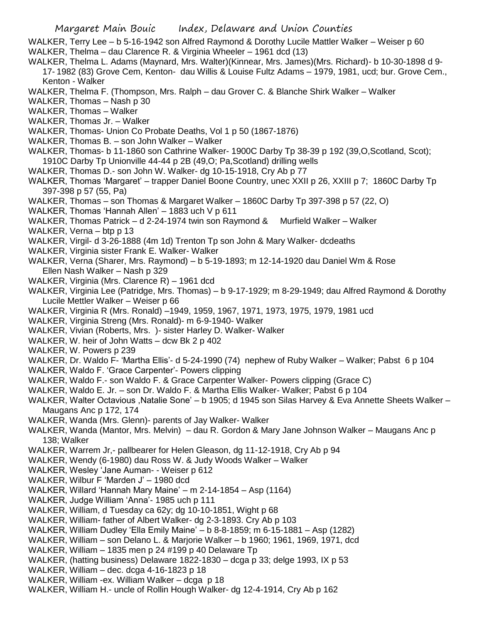WALKER, Terry Lee – b 5-16-1942 son Alfred Raymond & Dorothy Lucile Mattler Walker – Weiser p 60

- WALKER, Thelma dau Clarence R. & Virginia Wheeler 1961 dcd (13)
- WALKER, Thelma L. Adams (Maynard, Mrs. Walter)(Kinnear, Mrs. James)(Mrs. Richard)- b 10-30-1898 d 9- 17- 1982 (83) Grove Cem, Kenton- dau Willis & Louise Fultz Adams – 1979, 1981, ucd; bur. Grove Cem., Kenton - Walker
- WALKER, Thelma F. (Thompson, Mrs. Ralph dau Grover C. & Blanche Shirk Walker Walker
- WALKER, Thomas Nash p 30
- WALKER, Thomas Walker
- WALKER, Thomas Jr. Walker
- WALKER, Thomas- Union Co Probate Deaths, Vol 1 p 50 (1867-1876)
- WALKER, Thomas B. son John Walker Walker
- WALKER, Thomas- b 11-1860 son Cathrine Walker- 1900C Darby Tp 38-39 p 192 (39,O,Scotland, Scot); 1910C Darby Tp Unionville 44-44 p 2B (49,O; Pa,Scotland) drilling wells
- WALKER, Thomas D.- son John W. Walker- dg 10-15-1918, Cry Ab p 77
- WALKER, Thomas 'Margaret' trapper Daniel Boone Country, unec XXII p 26, XXIII p 7; 1860C Darby Tp 397-398 p 57 (55, Pa)
- WALKER, Thomas son Thomas & Margaret Walker 1860C Darby Tp 397-398 p 57 (22, O)
- WALKER, Thomas 'Hannah Allen' 1883 uch V p 611
- WALKER, Thomas Patrick d 2-24-1974 twin son Raymond & Murfield Walker Walker
- WALKER, Verna btp p 13
- WALKER, Virgil- d 3-26-1888 (4m 1d) Trenton Tp son John & Mary Walker- dcdeaths
- WALKER, Virginia sister Frank E. Walker- Walker
- WALKER, Verna (Sharer, Mrs. Raymond) b 5-19-1893; m 12-14-1920 dau Daniel Wm & Rose Ellen Nash Walker – Nash p 329
- WALKER, Virginia (Mrs. Clarence R) 1961 dcd
- WALKER, Virginia Lee (Patridge, Mrs. Thomas) b 9-17-1929; m 8-29-1949; dau Alfred Raymond & Dorothy Lucile Mettler Walker – Weiser p 66
- WALKER, Virginia R (Mrs. Ronald) –1949, 1959, 1967, 1971, 1973, 1975, 1979, 1981 ucd
- WALKER, Virginia Streng (Mrs. Ronald)- m 6-9-1940- Walker
- WALKER, Vivian (Roberts, Mrs. )- sister Harley D. Walker- Walker
- WALKER, W. heir of John Watts dcw Bk 2 p 402
- WALKER, W. Powers p 239
- WALKER, Dr. Waldo F- 'Martha Ellis'- d 5-24-1990 (74) nephew of Ruby Walker Walker; Pabst 6 p 104
- WALKER, Waldo F. 'Grace Carpenter'- Powers clipping
- WALKER, Waldo F.- son Waldo F. & Grace Carpenter Walker- Powers clipping (Grace C)
- WALKER, Waldo E. Jr. son Dr. Waldo F. & Martha Ellis Walker- Walker; Pabst 6 p 104
- WALKER, Walter Octavious ,Natalie Sone' b 1905; d 1945 son Silas Harvey & Eva Annette Sheets Walker Maugans Anc p 172, 174
- WALKER, Wanda (Mrs. Glenn)- parents of Jay Walker- Walker
- WALKER, Wanda (Mantor, Mrs. Melvin) dau R. Gordon & Mary Jane Johnson Walker Maugans Anc p 138; Walker
- WALKER, Warrem Jr,- pallbearer for Helen Gleason, dg 11-12-1918, Cry Ab p 94
- WALKER, Wendy (6-1980) dau Ross W. & Judy Woods Walker Walker
- WALKER, Wesley 'Jane Auman- Weiser p 612
- WALKER, Wilbur F 'Marden J' 1980 dcd
- WALKER, Willard 'Hannah Mary Maine' m 2-14-1854 Asp (1164)
- WALKER, Judge William 'Anna'- 1985 uch p 111
- WALKER, William, d Tuesday ca 62y; dg 10-10-1851, Wight p 68
- WALKER, William- father of Albert Walker- dg 2-3-1893. Cry Ab p 103
- WALKER, William Dudley 'Ella Emily Maine' b 8-8-1859; m 6-15-1881 Asp (1282)
- WALKER, William son Delano L. & Marjorie Walker b 1960; 1961, 1969, 1971, dcd
- WALKER, William 1835 men p 24 #199 p 40 Delaware Tp
- WALKER, (hatting business) Delaware 1822-1830 dcga p 33; delge 1993, IX p 53
- WALKER, William dec. dcga 4-16-1823 p 18
- WALKER, William -ex. William Walker dcga p 18
- WALKER, William H.- uncle of Rollin Hough Walker- dg 12-4-1914, Cry Ab p 162